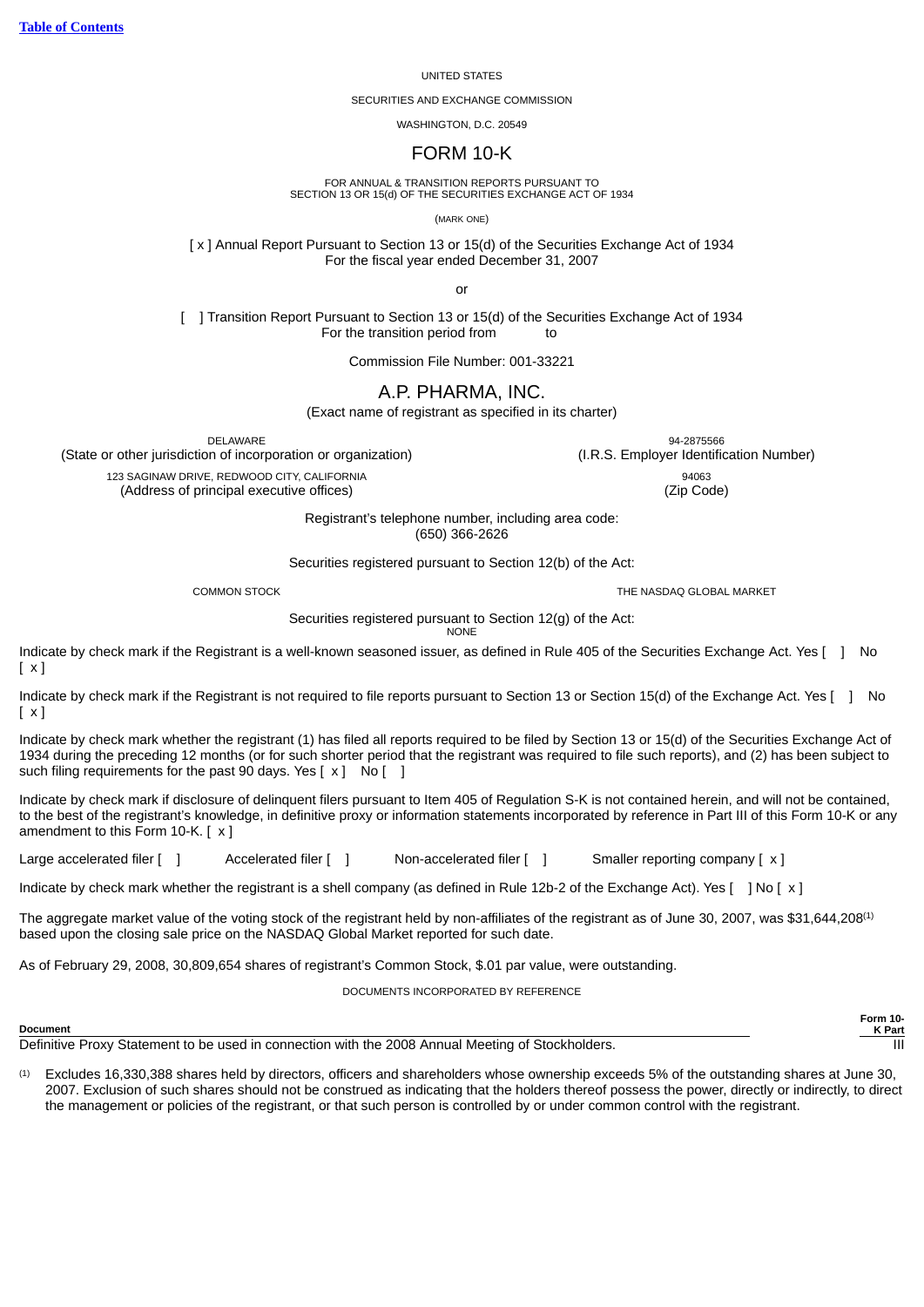#### UNITED STATES

SECURITIES AND EXCHANGE COMMISSION

WASHINGTON, D.C. 20549

# FORM 10-K

FOR ANNUAL & TRANSITION REPORTS PURSUANT TO SECTION 13 OR 15(d) OF THE SECURITIES EXCHANGE ACT OF 1934

(MARK ONE)

[ x ] Annual Report Pursuant to Section 13 or 15(d) of the Securities Exchange Act of 1934 For the fiscal year ended December 31, 2007

or

[ ] Transition Report Pursuant to Section 13 or 15(d) of the Securities Exchange Act of 1934 For the transition period from to

Commission File Number: 001-33221

A.P. PHARMA, INC.

(Exact name of registrant as specified in its charter)

(State or other jurisdiction of incorporation or organization) (I.R.S. Employer Identification Number)

Registrant's telephone number, including area code: (650) 366-2626

Securities registered pursuant to Section 12(b) of the Act:

COMMON STOCK THE NASDAQ GLOBAL MARKET

**Form 10- K Part**

Securities registered pursuant to Section 12(g) of the Act:

**NONE** 

Indicate by check mark if the Registrant is a well-known seasoned issuer, as defined in Rule 405 of the Securities Exchange Act. Yes [ ] No [ x ]

Indicate by check mark if the Registrant is not required to file reports pursuant to Section 13 or Section 15(d) of the Exchange Act. Yes [ ] No  $\lceil x \rceil$ 

Indicate by check mark whether the registrant (1) has filed all reports required to be filed by Section 13 or 15(d) of the Securities Exchange Act of 1934 during the preceding 12 months (or for such shorter period that the registrant was required to file such reports), and (2) has been subject to such filing requirements for the past 90 days. Yes  $[x]$  No  $[ ]$ 

Indicate by check mark if disclosure of delinquent filers pursuant to Item 405 of Regulation S-K is not contained herein, and will not be contained, to the best of the registrant's knowledge, in definitive proxy or information statements incorporated by reference in Part III of this Form 10-K or any amendment to this Form 10-K. [ x ]

Large accelerated filer [ ] Accelerated filer [ ] Non-accelerated filer [ ] Smaller reporting company [ x ]

Indicate by check mark whether the registrant is a shell company (as defined in Rule 12b-2 of the Exchange Act). Yes [ ] No [ x ]

The aggregate market value of the voting stock of the registrant held by non-affiliates of the registrant as of June 30, 2007, was \$31,644,208(1) based upon the closing sale price on the NASDAQ Global Market reported for such date.

As of February 29, 2008, 30,809,654 shares of registrant's Common Stock, \$.01 par value, were outstanding.

DOCUMENTS INCORPORATED BY REFERENCE

**Document**

Definitive Proxy Statement to be used in connection with the 2008 Annual Meeting of Stockholders.

(1) Excludes 16,330,388 shares held by directors, officers and shareholders whose ownership exceeds 5% of the outstanding shares at June 30, 2007. Exclusion of such shares should not be construed as indicating that the holders thereof possess the power, directly or indirectly, to direct the management or policies of the registrant, or that such person is controlled by or under common control with the registrant.

DELAWARE 94-2875566

123 SAGINAW DRIVE, REDWOOD CITY, CALIFORNIA 94063

(Address of principal executive offices) (Zip Code)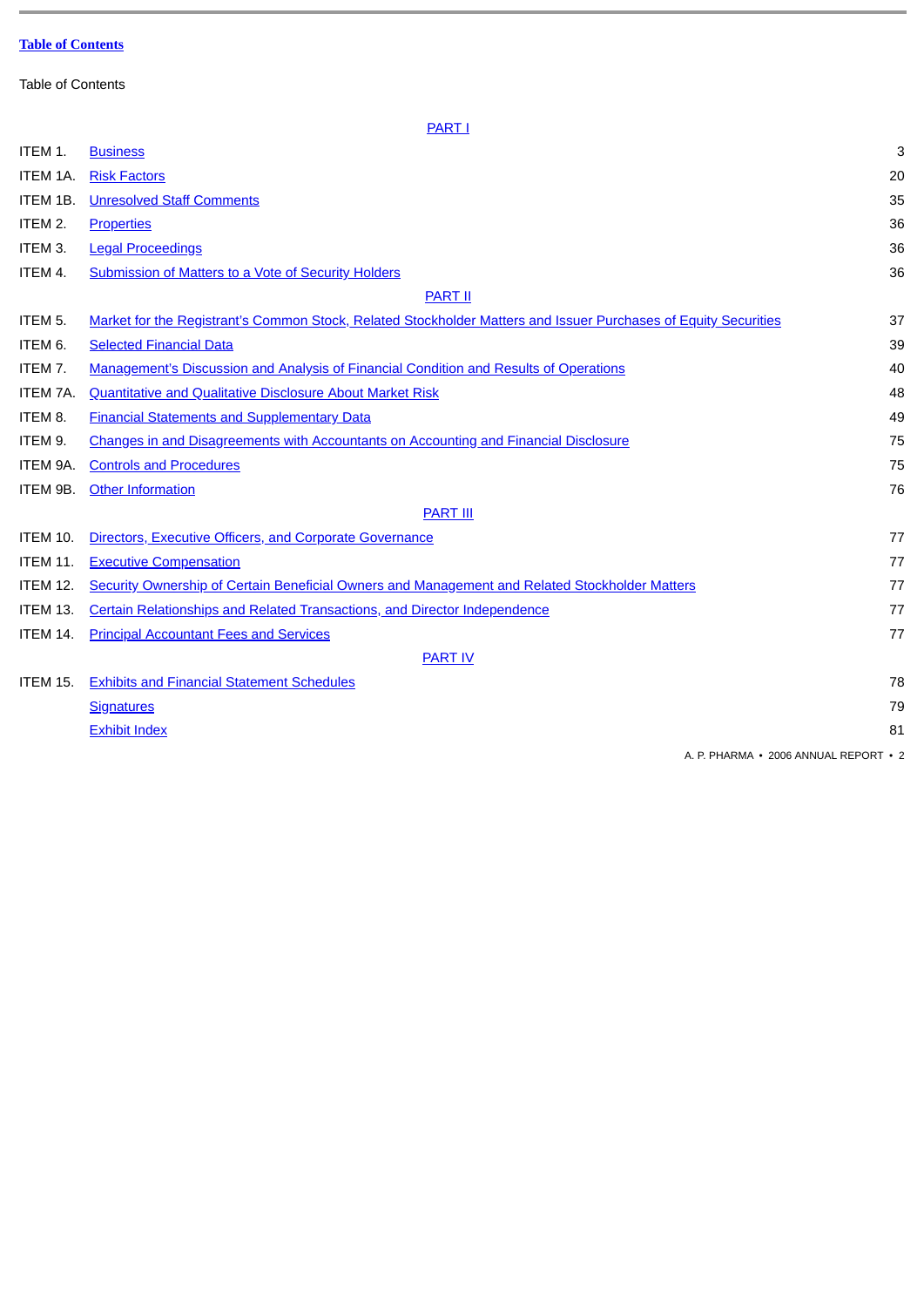<span id="page-1-0"></span>Table of Contents

| ITEM 1.         | <b>Business</b>                                                                                                 | 3  |
|-----------------|-----------------------------------------------------------------------------------------------------------------|----|
| ITEM 1A.        | <b>Risk Factors</b>                                                                                             | 20 |
| ITEM 1B.        | <b>Unresolved Staff Comments</b>                                                                                | 35 |
| ITEM 2.         | <b>Properties</b>                                                                                               | 36 |
| ITEM 3.         | <b>Legal Proceedings</b>                                                                                        | 36 |
| ITEM 4.         | <b>Submission of Matters to a Vote of Security Holders</b>                                                      | 36 |
|                 | <b>PART II</b>                                                                                                  |    |
| ITEM 5.         | Market for the Registrant's Common Stock, Related Stockholder Matters and Issuer Purchases of Equity Securities | 37 |
| ITEM 6.         | <b>Selected Financial Data</b>                                                                                  | 39 |
| ITEM 7.         | <b>Management's Discussion and Analysis of Financial Condition and Results of Operations</b>                    | 40 |
| ITEM 7A.        | <b>Quantitative and Qualitative Disclosure About Market Risk</b>                                                | 48 |
| ITEM 8.         | <b>Financial Statements and Supplementary Data</b>                                                              | 49 |
| ITEM 9.         | <b>Changes in and Disagreements with Accountants on Accounting and Financial Disclosure</b>                     | 75 |
| ITEM 9A.        | <b>Controls and Procedures</b>                                                                                  | 75 |
| ITEM 9B.        | <b>Other Information</b>                                                                                        | 76 |
|                 | <b>PART III</b>                                                                                                 |    |
| ITEM 10.        | Directors, Executive Officers, and Corporate Governance                                                         | 77 |
| <b>ITEM 11.</b> | <b>Executive Compensation</b>                                                                                   | 77 |
| <b>ITEM 12.</b> | Security Ownership of Certain Beneficial Owners and Management and Related Stockholder Matters                  | 77 |
| <b>ITEM 13.</b> | <b>Certain Relationships and Related Transactions, and Director Independence</b>                                | 77 |
| ITEM 14.        | <b>Principal Accountant Fees and Services</b>                                                                   | 77 |
|                 | <b>PART IV</b>                                                                                                  |    |
| <b>ITEM 15.</b> | <b>Exhibits and Financial Statement Schedules</b>                                                               | 78 |
|                 | <b>Signatures</b>                                                                                               | 79 |
|                 | <b>Exhibit Index</b>                                                                                            | 81 |
|                 |                                                                                                                 |    |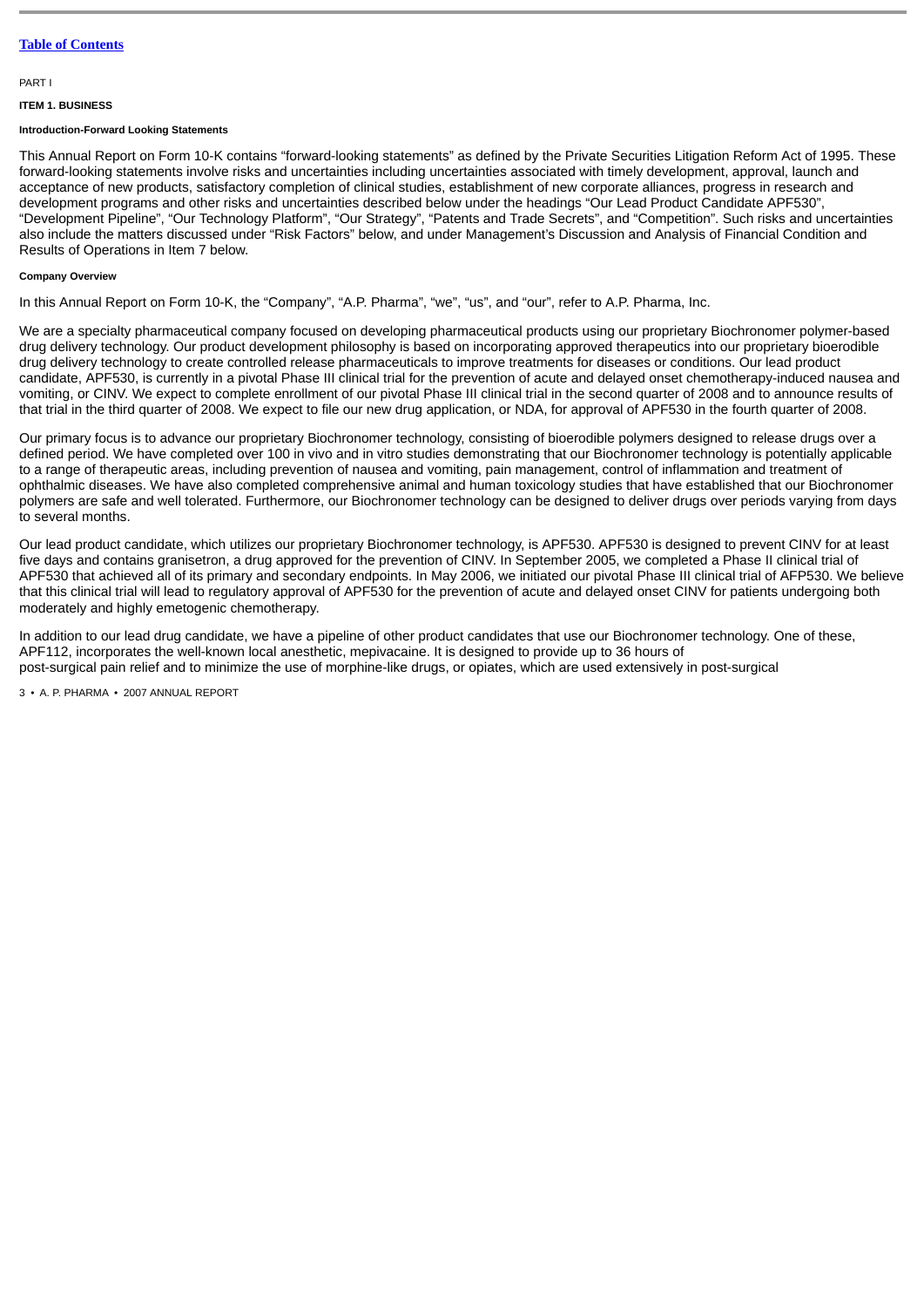### <span id="page-2-0"></span>PART I

## <span id="page-2-1"></span>**ITEM 1. BUSINESS**

#### **Introduction-Forward Looking Statements**

This Annual Report on Form 10-K contains "forward-looking statements" as defined by the Private Securities Litigation Reform Act of 1995. These forward-looking statements involve risks and uncertainties including uncertainties associated with timely development, approval, launch and acceptance of new products, satisfactory completion of clinical studies, establishment of new corporate alliances, progress in research and development programs and other risks and uncertainties described below under the headings "Our Lead Product Candidate APF530", "Development Pipeline", "Our Technology Platform", "Our Strategy", "Patents and Trade Secrets", and "Competition". Such risks and uncertainties also include the matters discussed under "Risk Factors" below, and under Management's Discussion and Analysis of Financial Condition and Results of Operations in Item 7 below.

#### **Company Overview**

In this Annual Report on Form 10-K, the "Company", "A.P. Pharma", "we", "us", and "our", refer to A.P. Pharma, Inc.

We are a specialty pharmaceutical company focused on developing pharmaceutical products using our proprietary Biochronomer polymer-based drug delivery technology. Our product development philosophy is based on incorporating approved therapeutics into our proprietary bioerodible drug delivery technology to create controlled release pharmaceuticals to improve treatments for diseases or conditions. Our lead product candidate, APF530, is currently in a pivotal Phase III clinical trial for the prevention of acute and delayed onset chemotherapy-induced nausea and vomiting, or CINV. We expect to complete enrollment of our pivotal Phase III clinical trial in the second quarter of 2008 and to announce results of that trial in the third quarter of 2008. We expect to file our new drug application, or NDA, for approval of APF530 in the fourth quarter of 2008.

Our primary focus is to advance our proprietary Biochronomer technology, consisting of bioerodible polymers designed to release drugs over a defined period. We have completed over 100 in vivo and in vitro studies demonstrating that our Biochronomer technology is potentially applicable to a range of therapeutic areas, including prevention of nausea and vomiting, pain management, control of inflammation and treatment of ophthalmic diseases. We have also completed comprehensive animal and human toxicology studies that have established that our Biochronomer polymers are safe and well tolerated. Furthermore, our Biochronomer technology can be designed to deliver drugs over periods varying from days to several months.

Our lead product candidate, which utilizes our proprietary Biochronomer technology, is APF530. APF530 is designed to prevent CINV for at least five days and contains granisetron, a drug approved for the prevention of CINV. In September 2005, we completed a Phase II clinical trial of APF530 that achieved all of its primary and secondary endpoints. In May 2006, we initiated our pivotal Phase III clinical trial of AFP530. We believe that this clinical trial will lead to regulatory approval of APF530 for the prevention of acute and delayed onset CINV for patients undergoing both moderately and highly emetogenic chemotherapy.

In addition to our lead drug candidate, we have a pipeline of other product candidates that use our Biochronomer technology. One of these, APF112, incorporates the well-known local anesthetic, mepivacaine. It is designed to provide up to 36 hours of post-surgical pain relief and to minimize the use of morphine-like drugs, or opiates, which are used extensively in post-surgical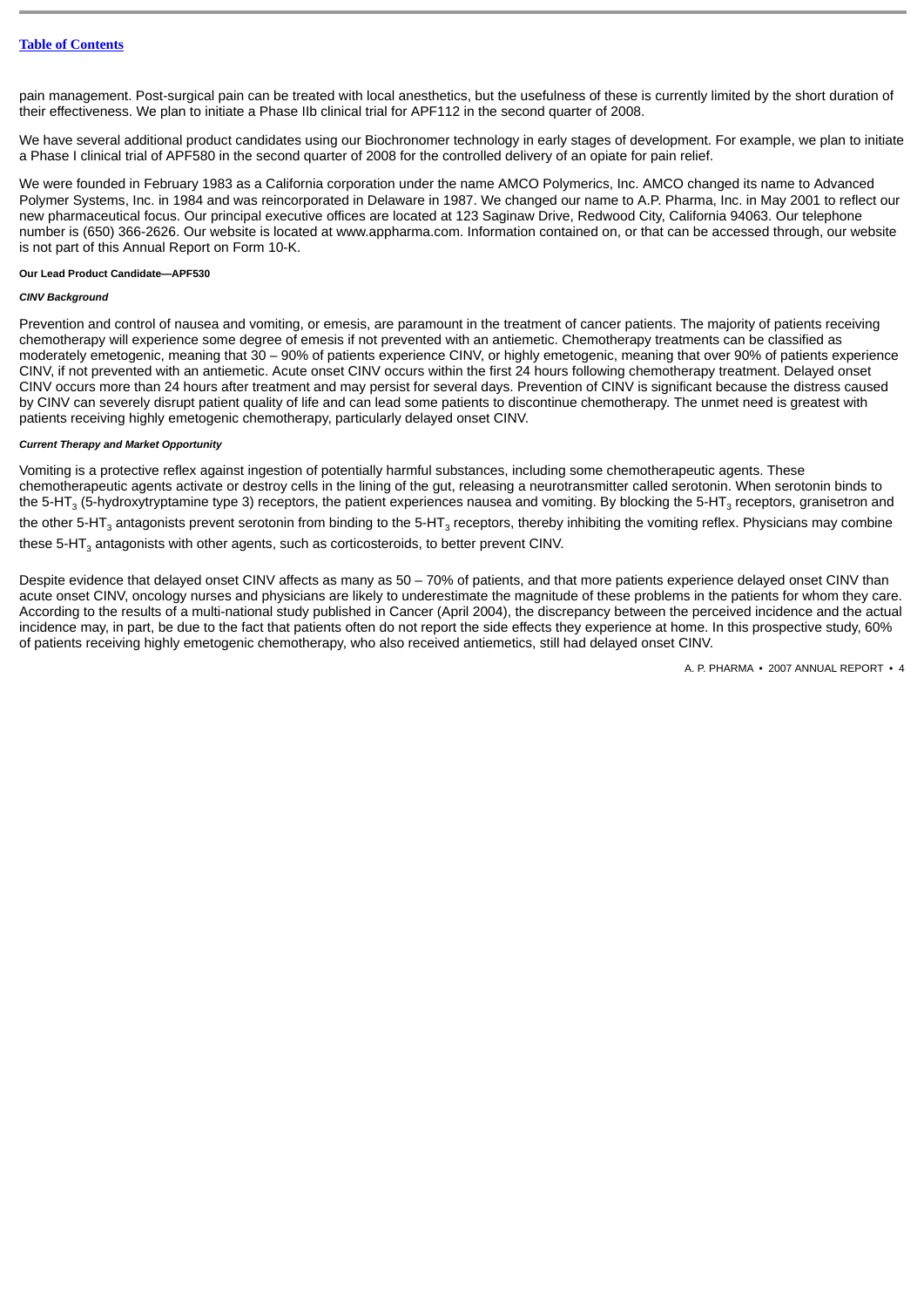pain management. Post-surgical pain can be treated with local anesthetics, but the usefulness of these is currently limited by the short duration of their effectiveness. We plan to initiate a Phase IIb clinical trial for APF112 in the second quarter of 2008.

We have several additional product candidates using our Biochronomer technology in early stages of development. For example, we plan to initiate a Phase I clinical trial of APF580 in the second quarter of 2008 for the controlled delivery of an opiate for pain relief.

We were founded in February 1983 as a California corporation under the name AMCO Polymerics, Inc. AMCO changed its name to Advanced Polymer Systems, Inc. in 1984 and was reincorporated in Delaware in 1987. We changed our name to A.P. Pharma, Inc. in May 2001 to reflect our new pharmaceutical focus. Our principal executive offices are located at 123 Saginaw Drive, Redwood City, California 94063. Our telephone number is (650) 366-2626. Our website is located at www.appharma.com. Information contained on, or that can be accessed through, our website is not part of this Annual Report on Form 10-K.

#### **Our Lead Product Candidate—APF530**

### *CINV Background*

Prevention and control of nausea and vomiting, or emesis, are paramount in the treatment of cancer patients. The majority of patients receiving chemotherapy will experience some degree of emesis if not prevented with an antiemetic. Chemotherapy treatments can be classified as moderately emetogenic, meaning that 30 – 90% of patients experience CINV, or highly emetogenic, meaning that over 90% of patients experience CINV, if not prevented with an antiemetic. Acute onset CINV occurs within the first 24 hours following chemotherapy treatment. Delayed onset CINV occurs more than 24 hours after treatment and may persist for several days. Prevention of CINV is significant because the distress caused by CINV can severely disrupt patient quality of life and can lead some patients to discontinue chemotherapy. The unmet need is greatest with patients receiving highly emetogenic chemotherapy, particularly delayed onset CINV.

## *Current Therapy and Market Opportunity*

Vomiting is a protective reflex against ingestion of potentially harmful substances, including some chemotherapeutic agents. These chemotherapeutic agents activate or destroy cells in the lining of the gut, releasing a neurotransmitter called serotonin. When serotonin binds to the 5-HT $_{\rm 3}$  (5-hydroxytryptamine type 3) receptors, the patient experiences nausea and vomiting. By blocking the 5-HT $_{\rm 3}$  receptors, granisetron and the other 5-HT $_{\rm 3}$  antagonists prevent serotonin from binding to the 5-HT $_{\rm 3}$  receptors, thereby inhibiting the vomiting reflex. Physicians may combine these 5-HT $_{\scriptscriptstyle 3}$  antagonists with other agents, such as corticosteroids, to better prevent CINV.

Despite evidence that delayed onset CINV affects as many as 50 – 70% of patients, and that more patients experience delayed onset CINV than acute onset CINV, oncology nurses and physicians are likely to underestimate the magnitude of these problems in the patients for whom they care. According to the results of a multi-national study published in Cancer (April 2004), the discrepancy between the perceived incidence and the actual incidence may, in part, be due to the fact that patients often do not report the side effects they experience at home. In this prospective study, 60% of patients receiving highly emetogenic chemotherapy, who also received antiemetics, still had delayed onset CINV.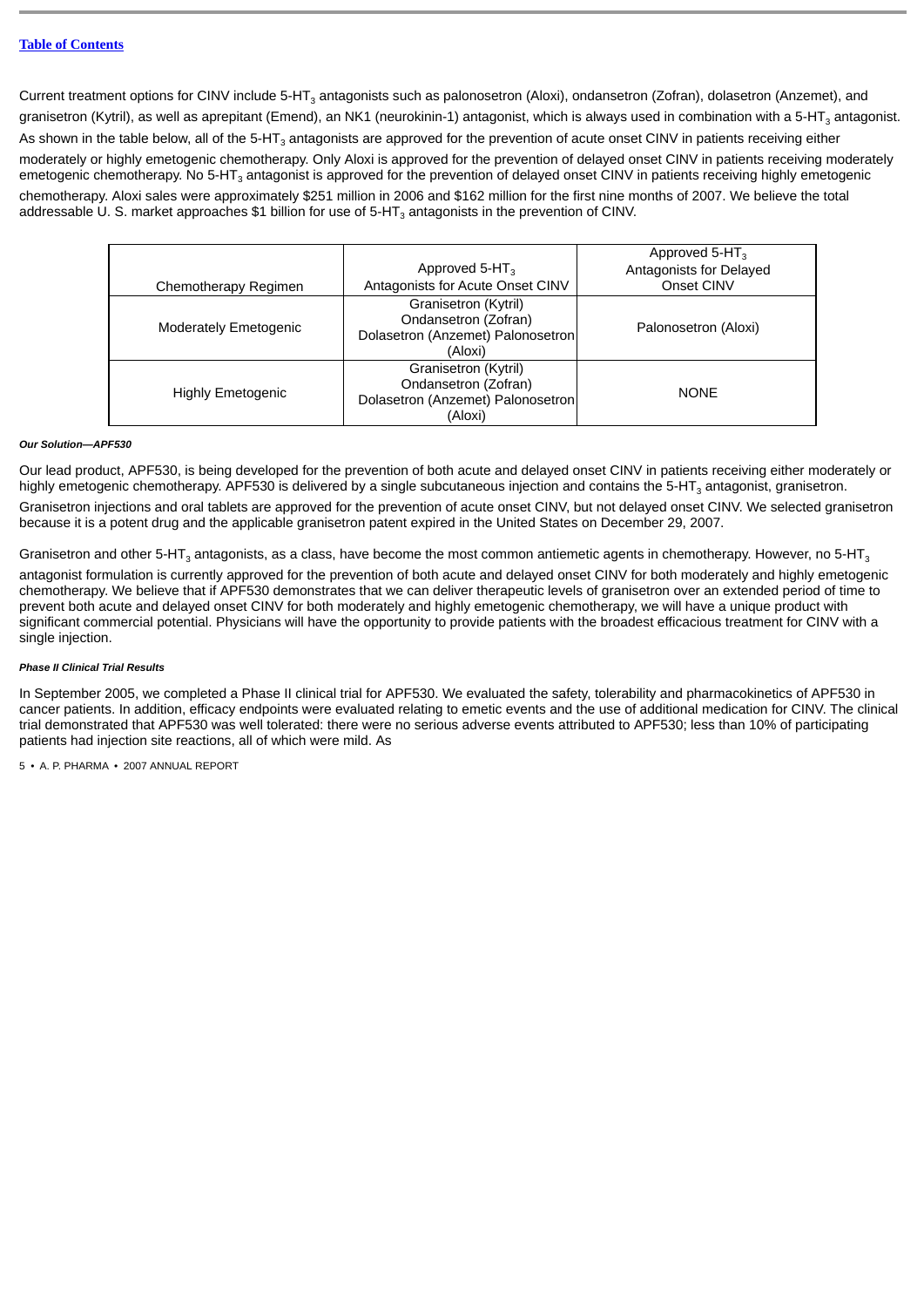Current treatment options for CINV include 5-HT<sub>3</sub> antagonists such as palonosetron (Aloxi), ondansetron (Zofran), dolasetron (Anzemet), and granisetron (Kytril), as well as aprepitant (Emend), an NK1 (neurokinin-1) antagonist, which is always used in combination with a 5-HT $_{\rm 3}$  antagonist. As shown in the table below, all of the 5-HT $_{\rm 3}$  antagonists are approved for the prevention of acute onset CINV in patients receiving either moderately or highly emetogenic chemotherapy. Only Aloxi is approved for the prevention of delayed onset CINV in patients receiving moderately emetogenic chemotherapy. No 5-HT $_{\rm 3}$  antagonist is approved for the prevention of delayed onset CINV in patients receiving highly emetogenic chemotherapy. Aloxi sales were approximately \$251 million in 2006 and \$162 million for the first nine months of 2007. We believe the total addressable U. S. market approaches \$1 billion for use of 5-HT $_{\rm 3}$  antagonists in the prevention of CINV.

|                              |                                                                                              | Approved 5-HT <sub>3</sub> |
|------------------------------|----------------------------------------------------------------------------------------------|----------------------------|
|                              | Approved 5-HT <sub>3</sub>                                                                   | Antagonists for Delayed    |
| Chemotherapy Regimen         | Antagonists for Acute Onset CINV                                                             | Onset CINV                 |
| <b>Moderately Emetogenic</b> | Granisetron (Kytril)<br>Ondansetron (Zofran)<br>Dolasetron (Anzemet) Palonosetron<br>(Aloxi) | Palonosetron (Aloxi)       |
| <b>Highly Emetogenic</b>     | Granisetron (Kytril)<br>Ondansetron (Zofran)<br>Dolasetron (Anzemet) Palonosetron<br>(Aloxi) | <b>NONE</b>                |

### *Our Solution—APF530*

Our lead product, APF530, is being developed for the prevention of both acute and delayed onset CINV in patients receiving either moderately or highly emetogenic chemotherapy. APF530 is delivered by a single subcutaneous injection and contains the 5-HT $_{\rm 3}$  antagonist, granisetron.

Granisetron injections and oral tablets are approved for the prevention of acute onset CINV, but not delayed onset CINV. We selected granisetron because it is a potent drug and the applicable granisetron patent expired in the United States on December 29, 2007.

Granisetron and other 5-HT $_3$  antagonists, as a class, have become the most common antiemetic agents in chemotherapy. However, no 5-HT $_3$ 

antagonist formulation is currently approved for the prevention of both acute and delayed onset CINV for both moderately and highly emetogenic chemotherapy. We believe that if APF530 demonstrates that we can deliver therapeutic levels of granisetron over an extended period of time to prevent both acute and delayed onset CINV for both moderately and highly emetogenic chemotherapy, we will have a unique product with significant commercial potential. Physicians will have the opportunity to provide patients with the broadest efficacious treatment for CINV with a single injection.

## *Phase II Clinical Trial Results*

In September 2005, we completed a Phase II clinical trial for APF530. We evaluated the safety, tolerability and pharmacokinetics of APF530 in cancer patients. In addition, efficacy endpoints were evaluated relating to emetic events and the use of additional medication for CINV. The clinical trial demonstrated that APF530 was well tolerated: there were no serious adverse events attributed to APF530; less than 10% of participating patients had injection site reactions, all of which were mild. As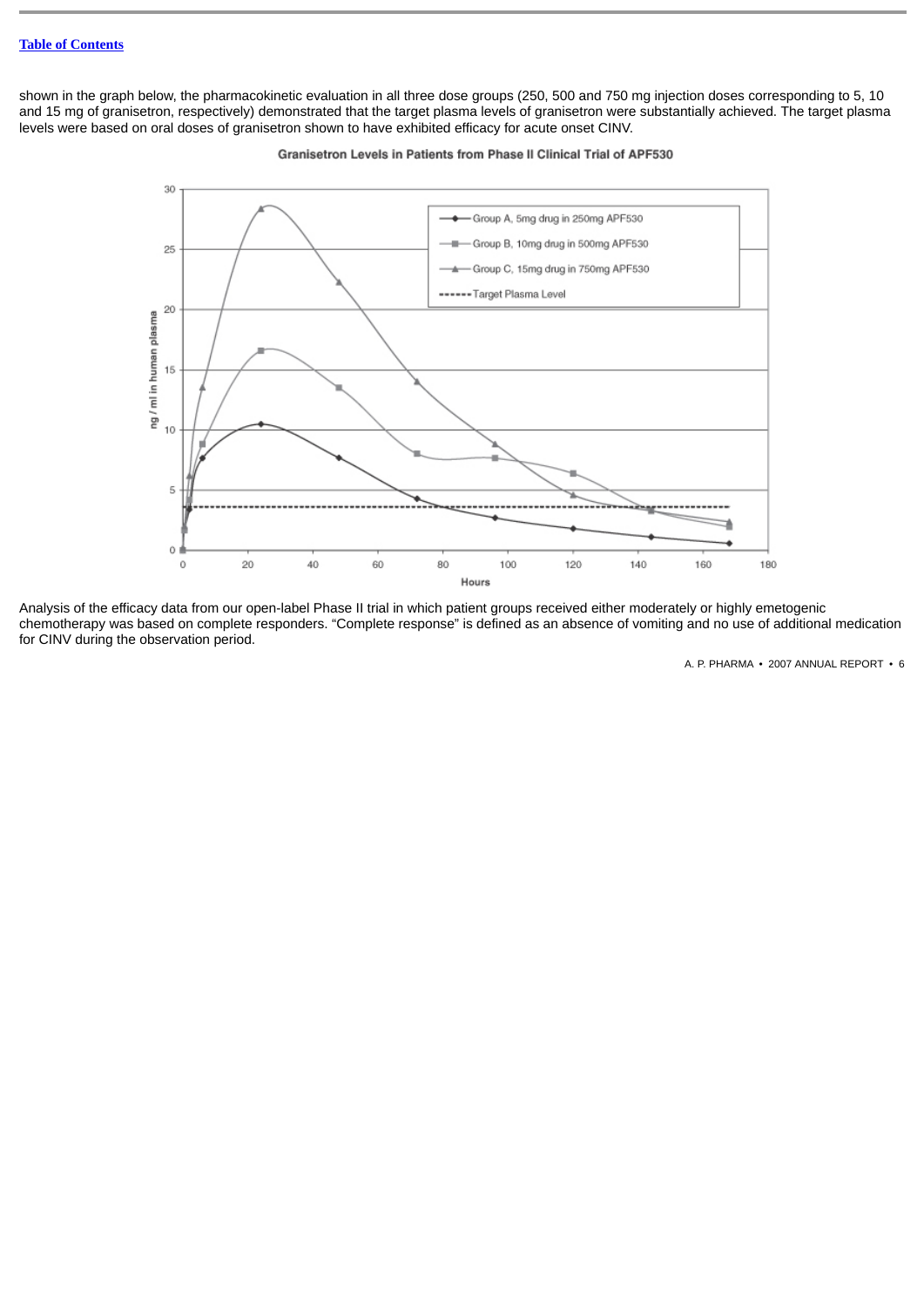shown in the graph below, the pharmacokinetic evaluation in all three dose groups (250, 500 and 750 mg injection doses corresponding to 5, 10 and 15 mg of granisetron, respectively) demonstrated that the target plasma levels of granisetron were substantially achieved. The target plasma levels were based on oral doses of granisetron shown to have exhibited efficacy for acute onset CINV.



Granisetron Levels in Patients from Phase II Clinical Trial of APF530

Analysis of the efficacy data from our open-label Phase II trial in which patient groups received either moderately or highly emetogenic chemotherapy was based on complete responders. "Complete response" is defined as an absence of vomiting and no use of additional medication for CINV during the observation period.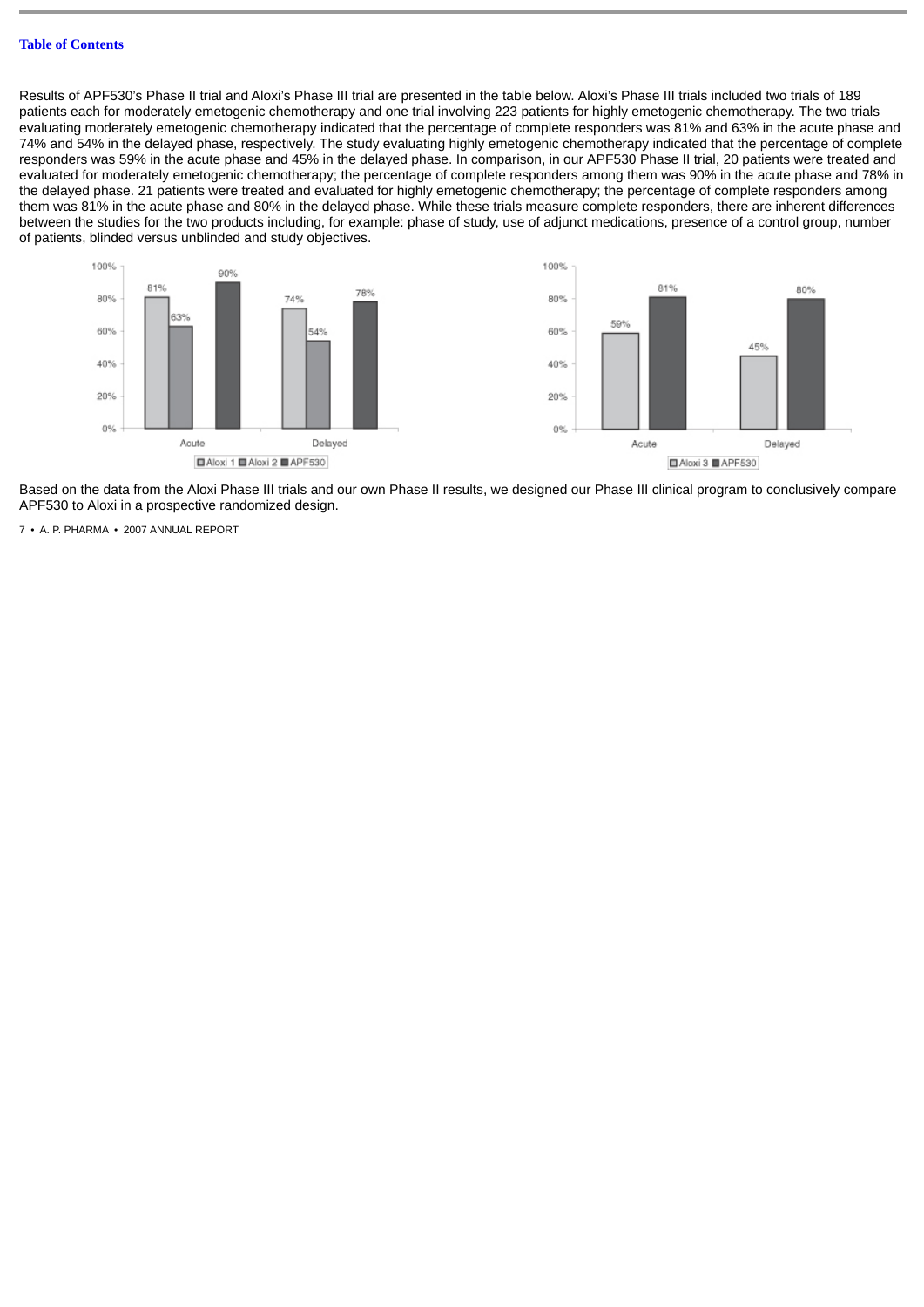Results of APF530's Phase II trial and Aloxi's Phase III trial are presented in the table below. Aloxi's Phase III trials included two trials of 189 patients each for moderately emetogenic chemotherapy and one trial involving 223 patients for highly emetogenic chemotherapy. The two trials evaluating moderately emetogenic chemotherapy indicated that the percentage of complete responders was 81% and 63% in the acute phase and 74% and 54% in the delayed phase, respectively. The study evaluating highly emetogenic chemotherapy indicated that the percentage of complete responders was 59% in the acute phase and 45% in the delayed phase. In comparison, in our APF530 Phase II trial, 20 patients were treated and evaluated for moderately emetogenic chemotherapy; the percentage of complete responders among them was 90% in the acute phase and 78% in the delayed phase. 21 patients were treated and evaluated for highly emetogenic chemotherapy; the percentage of complete responders among them was 81% in the acute phase and 80% in the delayed phase. While these trials measure complete responders, there are inherent differences between the studies for the two products including, for example: phase of study, use of adjunct medications, presence of a control group, number of patients, blinded versus unblinded and study objectives.



Based on the data from the Aloxi Phase III trials and our own Phase II results, we designed our Phase III clinical program to conclusively compare APF530 to Aloxi in a prospective randomized design.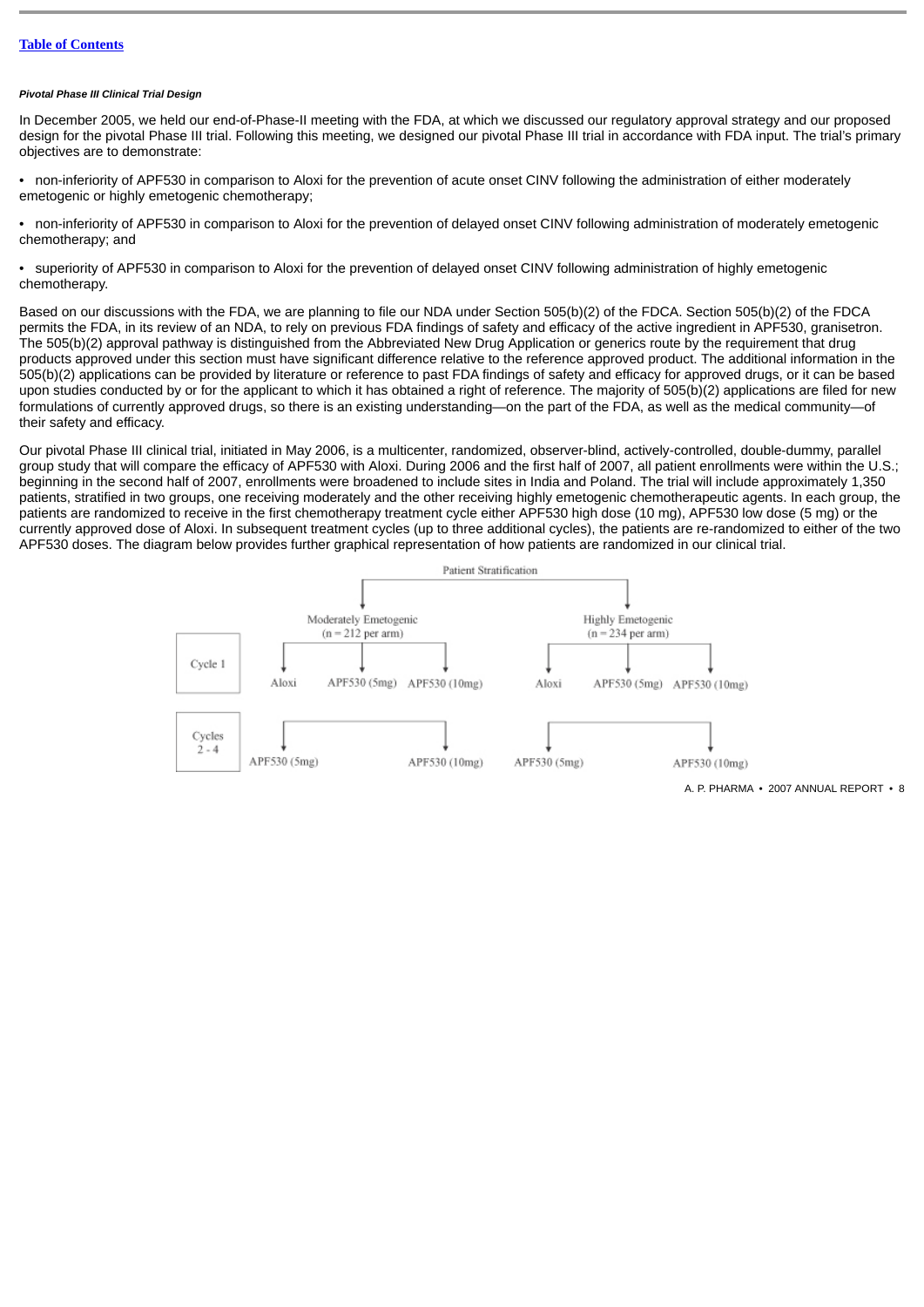#### *Pivotal Phase III Clinical Trial Design*

In December 2005, we held our end-of-Phase-II meeting with the FDA, at which we discussed our regulatory approval strategy and our proposed design for the pivotal Phase III trial. Following this meeting, we designed our pivotal Phase III trial in accordance with FDA input. The trial's primary objectives are to demonstrate:

• non-inferiority of APF530 in comparison to Aloxi for the prevention of acute onset CINV following the administration of either moderately emetogenic or highly emetogenic chemotherapy;

• non-inferiority of APF530 in comparison to Aloxi for the prevention of delayed onset CINV following administration of moderately emetogenic chemotherapy; and

• superiority of APF530 in comparison to Aloxi for the prevention of delayed onset CINV following administration of highly emetogenic chemotherapy.

Based on our discussions with the FDA, we are planning to file our NDA under Section 505(b)(2) of the FDCA. Section 505(b)(2) of the FDCA permits the FDA, in its review of an NDA, to rely on previous FDA findings of safety and efficacy of the active ingredient in APF530, granisetron. The 505(b)(2) approval pathway is distinguished from the Abbreviated New Drug Application or generics route by the requirement that drug products approved under this section must have significant difference relative to the reference approved product. The additional information in the 505(b)(2) applications can be provided by literature or reference to past FDA findings of safety and efficacy for approved drugs, or it can be based upon studies conducted by or for the applicant to which it has obtained a right of reference. The majority of 505(b)(2) applications are filed for new formulations of currently approved drugs, so there is an existing understanding—on the part of the FDA, as well as the medical community—of their safety and efficacy.

Our pivotal Phase III clinical trial, initiated in May 2006, is a multicenter, randomized, observer-blind, actively-controlled, double-dummy, parallel group study that will compare the efficacy of APF530 with Aloxi. During 2006 and the first half of 2007, all patient enrollments were within the U.S.; beginning in the second half of 2007, enrollments were broadened to include sites in India and Poland. The trial will include approximately 1,350 patients, stratified in two groups, one receiving moderately and the other receiving highly emetogenic chemotherapeutic agents. In each group, the patients are randomized to receive in the first chemotherapy treatment cycle either APF530 high dose (10 mg), APF530 low dose (5 mg) or the currently approved dose of Aloxi. In subsequent treatment cycles (up to three additional cycles), the patients are re-randomized to either of the two APF530 doses. The diagram below provides further graphical representation of how patients are randomized in our clinical trial.

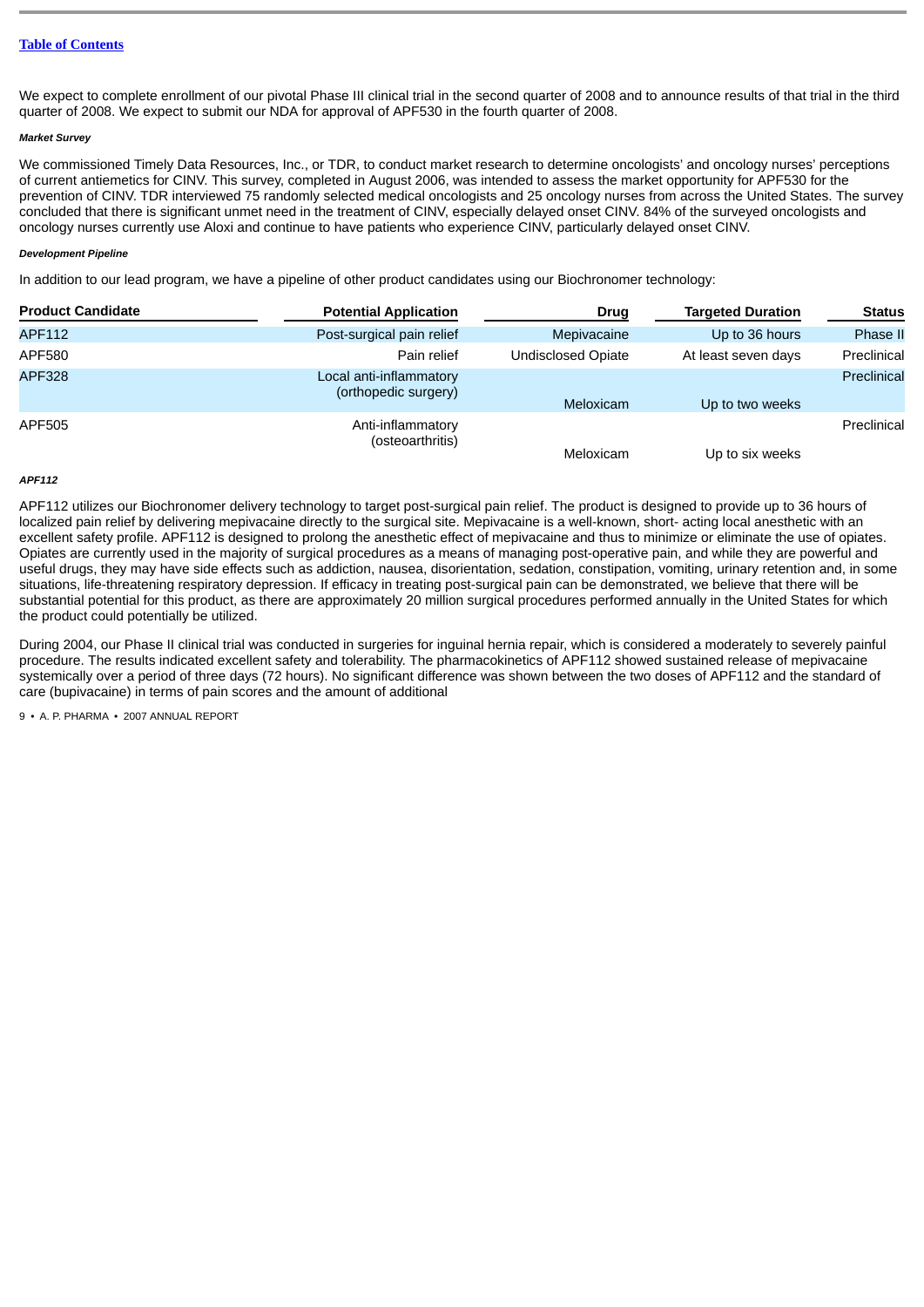We expect to complete enrollment of our pivotal Phase III clinical trial in the second quarter of 2008 and to announce results of that trial in the third quarter of 2008. We expect to submit our NDA for approval of APF530 in the fourth quarter of 2008.

## *Market Survey*

We commissioned Timely Data Resources, Inc., or TDR, to conduct market research to determine oncologists' and oncology nurses' perceptions of current antiemetics for CINV. This survey, completed in August 2006, was intended to assess the market opportunity for APF530 for the prevention of CINV. TDR interviewed 75 randomly selected medical oncologists and 25 oncology nurses from across the United States. The survey concluded that there is significant unmet need in the treatment of CINV, especially delayed onset CINV. 84% of the surveyed oncologists and oncology nurses currently use Aloxi and continue to have patients who experience CINV, particularly delayed onset CINV.

### *Development Pipeline*

In addition to our lead program, we have a pipeline of other product candidates using our Biochronomer technology:

| <b>Product Candidate</b> | <b>Potential Application</b>                    | Drug                      | <b>Targeted Duration</b> | <b>Status</b> |
|--------------------------|-------------------------------------------------|---------------------------|--------------------------|---------------|
| APF112                   | Post-surgical pain relief                       | Mepivacaine               | Up to 36 hours           | Phase II      |
| APF580                   | Pain relief                                     | <b>Undisclosed Opiate</b> | At least seven days      | Preclinical   |
| <b>APF328</b>            | Local anti-inflammatory<br>(orthopedic surgery) | Meloxicam                 | Up to two weeks          | Preclinical   |
| APF505                   | Anti-inflammatory<br>(osteoarthritis)           | Meloxicam                 | Up to six weeks          | Preclinical   |

### *APF112*

APF112 utilizes our Biochronomer delivery technology to target post-surgical pain relief. The product is designed to provide up to 36 hours of localized pain relief by delivering mepivacaine directly to the surgical site. Mepivacaine is a well-known, short- acting local anesthetic with an excellent safety profile. APF112 is designed to prolong the anesthetic effect of mepivacaine and thus to minimize or eliminate the use of opiates. Opiates are currently used in the majority of surgical procedures as a means of managing post-operative pain, and while they are powerful and useful drugs, they may have side effects such as addiction, nausea, disorientation, sedation, constipation, vomiting, urinary retention and, in some situations, life-threatening respiratory depression. If efficacy in treating post-surgical pain can be demonstrated, we believe that there will be substantial potential for this product, as there are approximately 20 million surgical procedures performed annually in the United States for which the product could potentially be utilized.

During 2004, our Phase II clinical trial was conducted in surgeries for inguinal hernia repair, which is considered a moderately to severely painful procedure. The results indicated excellent safety and tolerability. The pharmacokinetics of APF112 showed sustained release of mepivacaine systemically over a period of three days (72 hours). No significant difference was shown between the two doses of APF112 and the standard of care (bupivacaine) in terms of pain scores and the amount of additional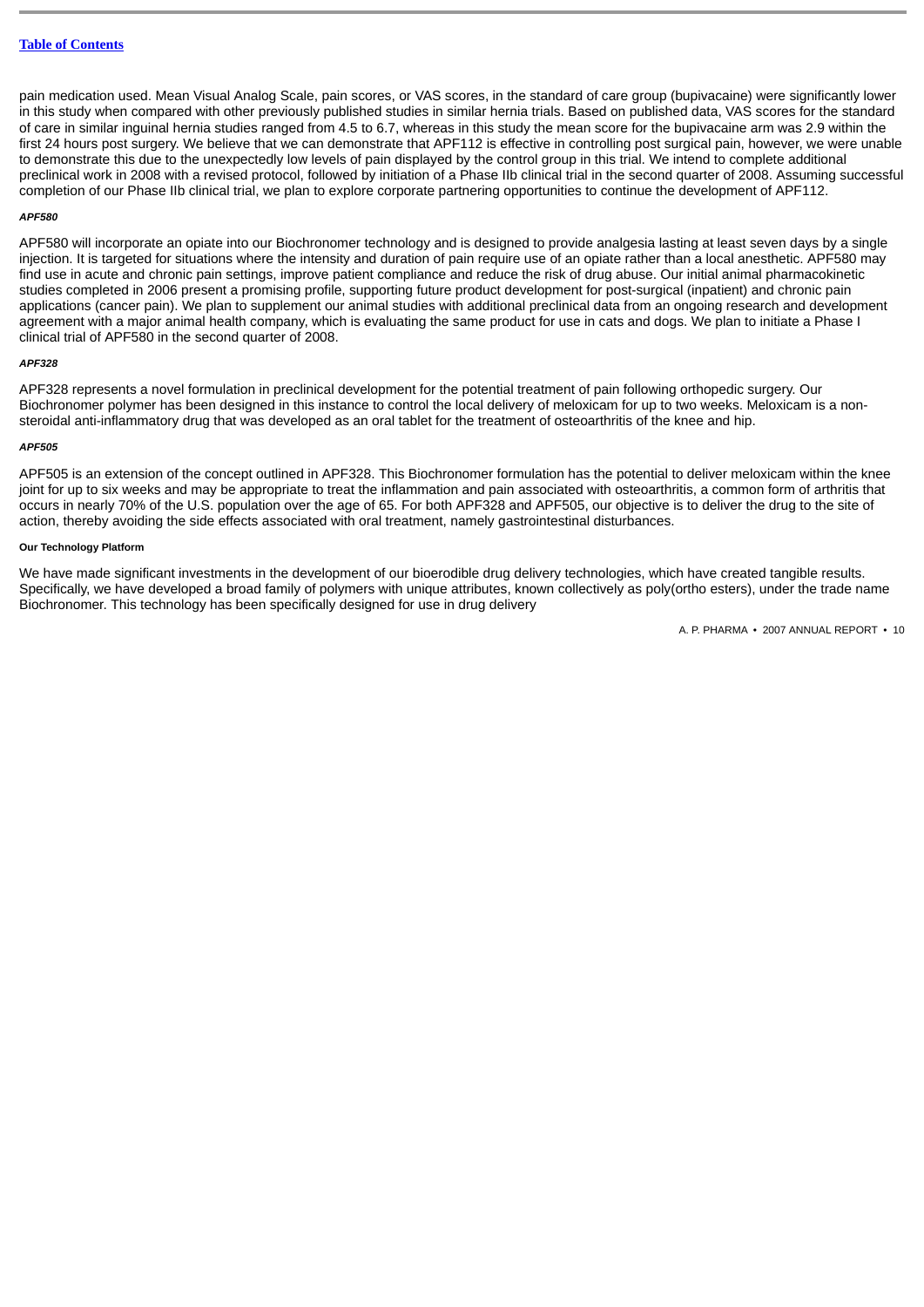pain medication used. Mean Visual Analog Scale, pain scores, or VAS scores, in the standard of care group (bupivacaine) were significantly lower in this study when compared with other previously published studies in similar hernia trials. Based on published data, VAS scores for the standard of care in similar inguinal hernia studies ranged from 4.5 to 6.7, whereas in this study the mean score for the bupivacaine arm was 2.9 within the first 24 hours post surgery. We believe that we can demonstrate that APF112 is effective in controlling post surgical pain, however, we were unable to demonstrate this due to the unexpectedly low levels of pain displayed by the control group in this trial. We intend to complete additional preclinical work in 2008 with a revised protocol, followed by initiation of a Phase IIb clinical trial in the second quarter of 2008. Assuming successful completion of our Phase IIb clinical trial, we plan to explore corporate partnering opportunities to continue the development of APF112.

#### *APF580*

APF580 will incorporate an opiate into our Biochronomer technology and is designed to provide analgesia lasting at least seven days by a single injection. It is targeted for situations where the intensity and duration of pain require use of an opiate rather than a local anesthetic. APF580 may find use in acute and chronic pain settings, improve patient compliance and reduce the risk of drug abuse. Our initial animal pharmacokinetic studies completed in 2006 present a promising profile, supporting future product development for post-surgical (inpatient) and chronic pain applications (cancer pain). We plan to supplement our animal studies with additional preclinical data from an ongoing research and development agreement with a major animal health company, which is evaluating the same product for use in cats and dogs. We plan to initiate a Phase I clinical trial of APF580 in the second quarter of 2008.

#### *APF328*

APF328 represents a novel formulation in preclinical development for the potential treatment of pain following orthopedic surgery. Our Biochronomer polymer has been designed in this instance to control the local delivery of meloxicam for up to two weeks. Meloxicam is a nonsteroidal anti-inflammatory drug that was developed as an oral tablet for the treatment of osteoarthritis of the knee and hip.

#### *APF505*

APF505 is an extension of the concept outlined in APF328. This Biochronomer formulation has the potential to deliver meloxicam within the knee joint for up to six weeks and may be appropriate to treat the inflammation and pain associated with osteoarthritis, a common form of arthritis that occurs in nearly 70% of the U.S. population over the age of 65. For both APF328 and APF505, our objective is to deliver the drug to the site of action, thereby avoiding the side effects associated with oral treatment, namely gastrointestinal disturbances.

## **Our Technology Platform**

We have made significant investments in the development of our bioerodible drug delivery technologies, which have created tangible results. Specifically, we have developed a broad family of polymers with unique attributes, known collectively as poly(ortho esters), under the trade name Biochronomer. This technology has been specifically designed for use in drug delivery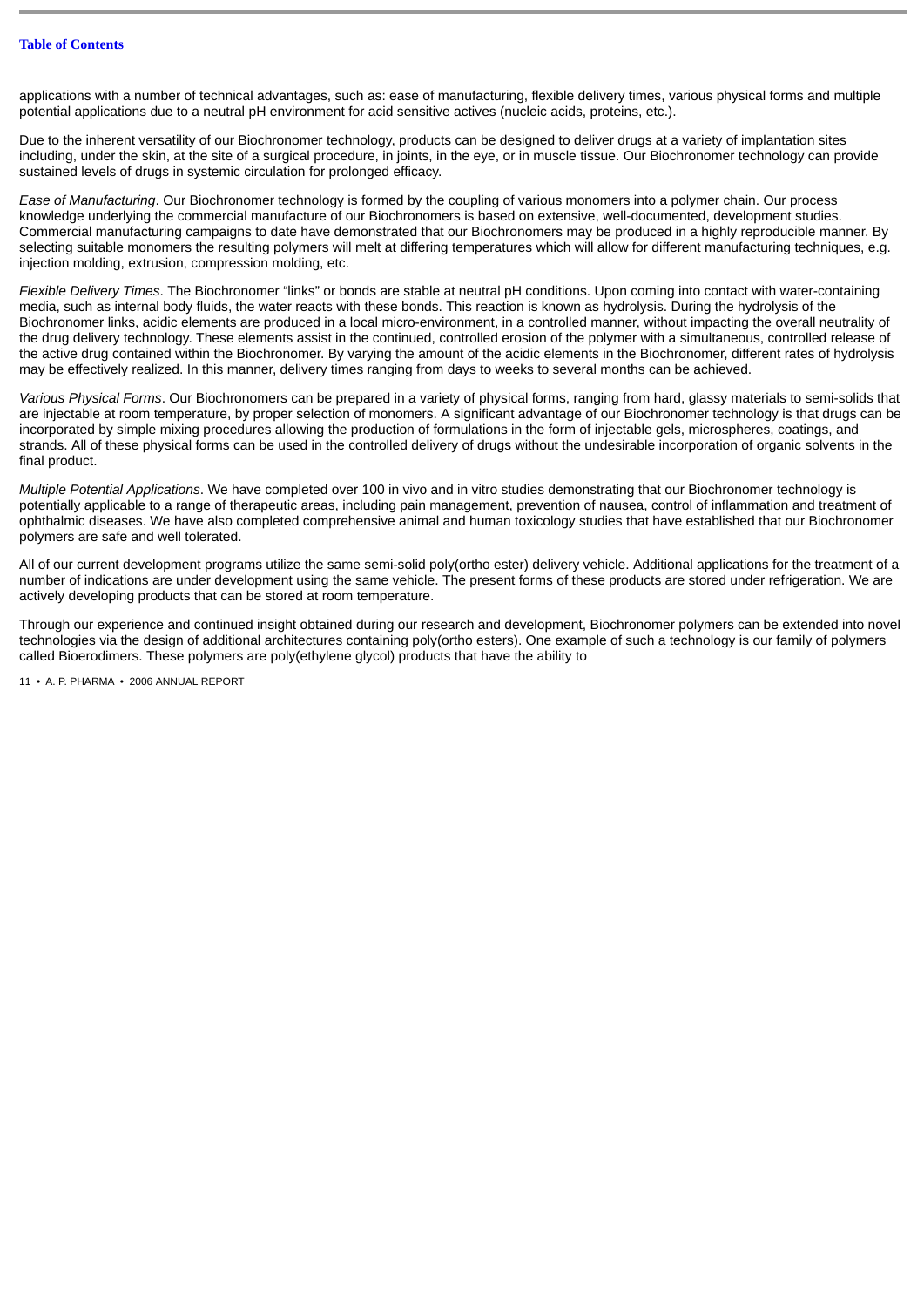applications with a number of technical advantages, such as: ease of manufacturing, flexible delivery times, various physical forms and multiple potential applications due to a neutral pH environment for acid sensitive actives (nucleic acids, proteins, etc.).

Due to the inherent versatility of our Biochronomer technology, products can be designed to deliver drugs at a variety of implantation sites including, under the skin, at the site of a surgical procedure, in joints, in the eye, or in muscle tissue. Our Biochronomer technology can provide sustained levels of drugs in systemic circulation for prolonged efficacy.

*Ease of Manufacturing*. Our Biochronomer technology is formed by the coupling of various monomers into a polymer chain. Our process knowledge underlying the commercial manufacture of our Biochronomers is based on extensive, well-documented, development studies. Commercial manufacturing campaigns to date have demonstrated that our Biochronomers may be produced in a highly reproducible manner. By selecting suitable monomers the resulting polymers will melt at differing temperatures which will allow for different manufacturing techniques, e.g. injection molding, extrusion, compression molding, etc.

*Flexible Delivery Times*. The Biochronomer "links" or bonds are stable at neutral pH conditions. Upon coming into contact with water-containing media, such as internal body fluids, the water reacts with these bonds. This reaction is known as hydrolysis. During the hydrolysis of the Biochronomer links, acidic elements are produced in a local micro-environment, in a controlled manner, without impacting the overall neutrality of the drug delivery technology. These elements assist in the continued, controlled erosion of the polymer with a simultaneous, controlled release of the active drug contained within the Biochronomer. By varying the amount of the acidic elements in the Biochronomer, different rates of hydrolysis may be effectively realized. In this manner, delivery times ranging from days to weeks to several months can be achieved.

*Various Physical Forms*. Our Biochronomers can be prepared in a variety of physical forms, ranging from hard, glassy materials to semi-solids that are injectable at room temperature, by proper selection of monomers. A significant advantage of our Biochronomer technology is that drugs can be incorporated by simple mixing procedures allowing the production of formulations in the form of injectable gels, microspheres, coatings, and strands. All of these physical forms can be used in the controlled delivery of drugs without the undesirable incorporation of organic solvents in the final product.

*Multiple Potential Applications*. We have completed over 100 in vivo and in vitro studies demonstrating that our Biochronomer technology is potentially applicable to a range of therapeutic areas, including pain management, prevention of nausea, control of inflammation and treatment of ophthalmic diseases. We have also completed comprehensive animal and human toxicology studies that have established that our Biochronomer polymers are safe and well tolerated.

All of our current development programs utilize the same semi-solid poly(ortho ester) delivery vehicle. Additional applications for the treatment of a number of indications are under development using the same vehicle. The present forms of these products are stored under refrigeration. We are actively developing products that can be stored at room temperature.

Through our experience and continued insight obtained during our research and development, Biochronomer polymers can be extended into novel technologies via the design of additional architectures containing poly(ortho esters). One example of such a technology is our family of polymers called Bioerodimers. These polymers are poly(ethylene glycol) products that have the ability to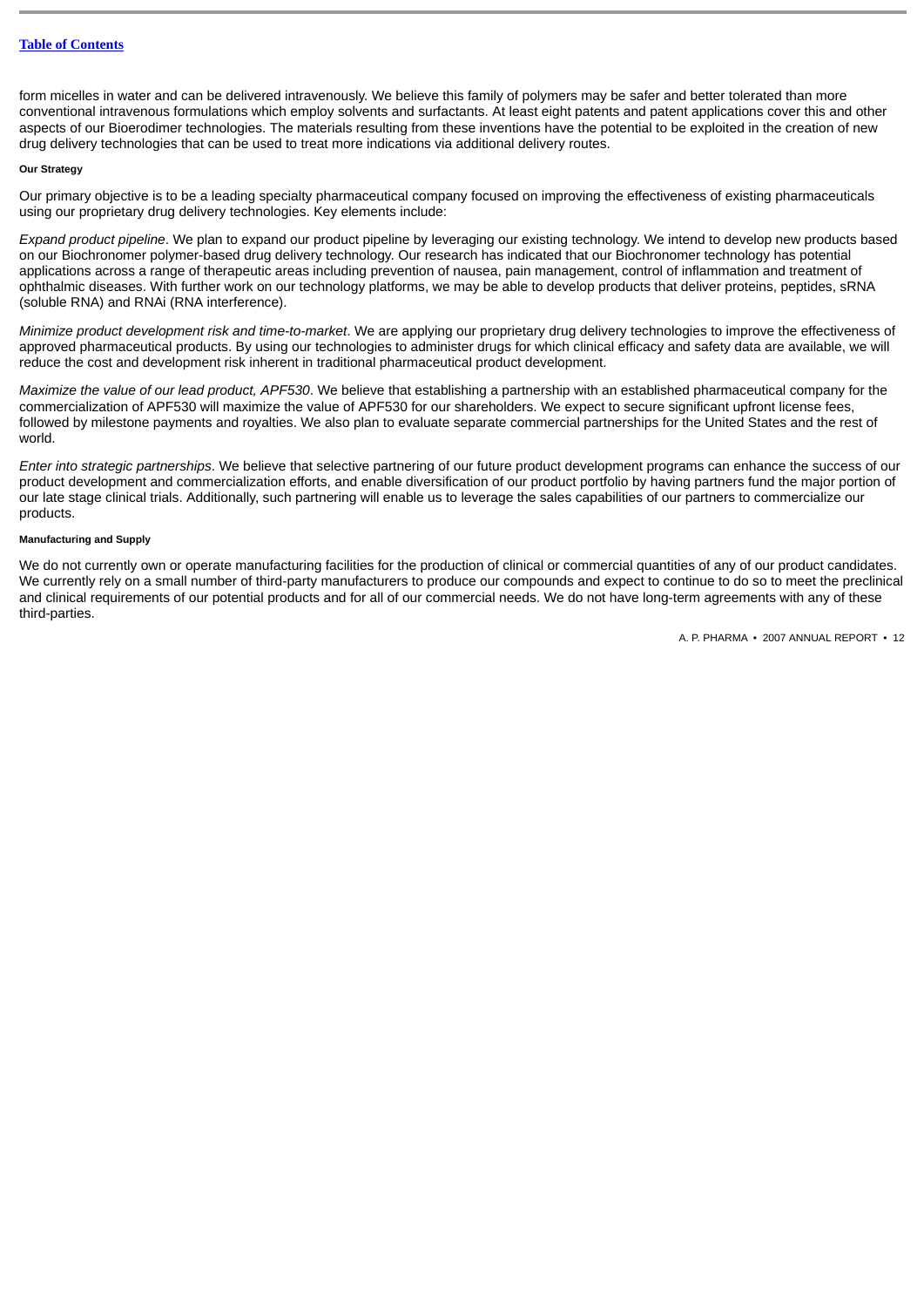form micelles in water and can be delivered intravenously. We believe this family of polymers may be safer and better tolerated than more conventional intravenous formulations which employ solvents and surfactants. At least eight patents and patent applications cover this and other aspects of our Bioerodimer technologies. The materials resulting from these inventions have the potential to be exploited in the creation of new drug delivery technologies that can be used to treat more indications via additional delivery routes.

### **Our Strategy**

Our primary objective is to be a leading specialty pharmaceutical company focused on improving the effectiveness of existing pharmaceuticals using our proprietary drug delivery technologies. Key elements include:

*Expand product pipeline*. We plan to expand our product pipeline by leveraging our existing technology. We intend to develop new products based on our Biochronomer polymer-based drug delivery technology. Our research has indicated that our Biochronomer technology has potential applications across a range of therapeutic areas including prevention of nausea, pain management, control of inflammation and treatment of ophthalmic diseases. With further work on our technology platforms, we may be able to develop products that deliver proteins, peptides, sRNA (soluble RNA) and RNAi (RNA interference).

*Minimize product development risk and time-to-market*. We are applying our proprietary drug delivery technologies to improve the effectiveness of approved pharmaceutical products. By using our technologies to administer drugs for which clinical efficacy and safety data are available, we will reduce the cost and development risk inherent in traditional pharmaceutical product development.

*Maximize the value of our lead product, APF530*. We believe that establishing a partnership with an established pharmaceutical company for the commercialization of APF530 will maximize the value of APF530 for our shareholders. We expect to secure significant upfront license fees, followed by milestone payments and royalties. We also plan to evaluate separate commercial partnerships for the United States and the rest of world.

*Enter into strategic partnerships*. We believe that selective partnering of our future product development programs can enhance the success of our product development and commercialization efforts, and enable diversification of our product portfolio by having partners fund the major portion of our late stage clinical trials. Additionally, such partnering will enable us to leverage the sales capabilities of our partners to commercialize our products.

## **Manufacturing and Supply**

We do not currently own or operate manufacturing facilities for the production of clinical or commercial quantities of any of our product candidates. We currently rely on a small number of third-party manufacturers to produce our compounds and expect to continue to do so to meet the preclinical and clinical requirements of our potential products and for all of our commercial needs. We do not have long-term agreements with any of these third-parties.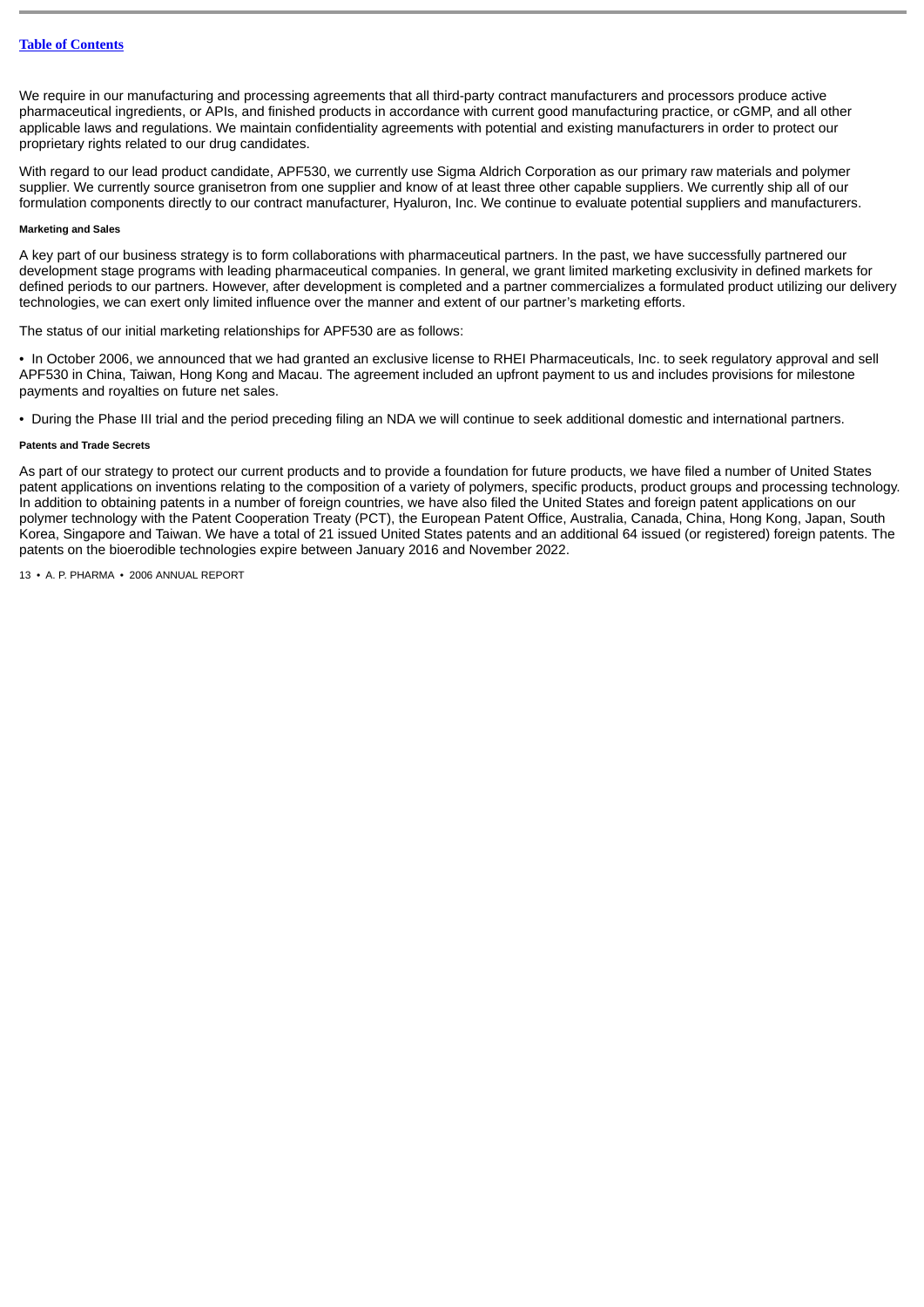We require in our manufacturing and processing agreements that all third-party contract manufacturers and processors produce active pharmaceutical ingredients, or APIs, and finished products in accordance with current good manufacturing practice, or cGMP, and all other applicable laws and regulations. We maintain confidentiality agreements with potential and existing manufacturers in order to protect our proprietary rights related to our drug candidates.

With regard to our lead product candidate, APF530, we currently use Sigma Aldrich Corporation as our primary raw materials and polymer supplier. We currently source granisetron from one supplier and know of at least three other capable suppliers. We currently ship all of our formulation components directly to our contract manufacturer, Hyaluron, Inc. We continue to evaluate potential suppliers and manufacturers.

## **Marketing and Sales**

A key part of our business strategy is to form collaborations with pharmaceutical partners. In the past, we have successfully partnered our development stage programs with leading pharmaceutical companies. In general, we grant limited marketing exclusivity in defined markets for defined periods to our partners. However, after development is completed and a partner commercializes a formulated product utilizing our delivery technologies, we can exert only limited influence over the manner and extent of our partner's marketing efforts.

The status of our initial marketing relationships for APF530 are as follows:

• In October 2006, we announced that we had granted an exclusive license to RHEI Pharmaceuticals, Inc. to seek regulatory approval and sell APF530 in China, Taiwan, Hong Kong and Macau. The agreement included an upfront payment to us and includes provisions for milestone payments and royalties on future net sales.

• During the Phase III trial and the period preceding filing an NDA we will continue to seek additional domestic and international partners.

### **Patents and Trade Secrets**

As part of our strategy to protect our current products and to provide a foundation for future products, we have filed a number of United States patent applications on inventions relating to the composition of a variety of polymers, specific products, product groups and processing technology. In addition to obtaining patents in a number of foreign countries, we have also filed the United States and foreign patent applications on our polymer technology with the Patent Cooperation Treaty (PCT), the European Patent Office, Australia, Canada, China, Hong Kong, Japan, South Korea, Singapore and Taiwan. We have a total of 21 issued United States patents and an additional 64 issued (or registered) foreign patents. The patents on the bioerodible technologies expire between January 2016 and November 2022.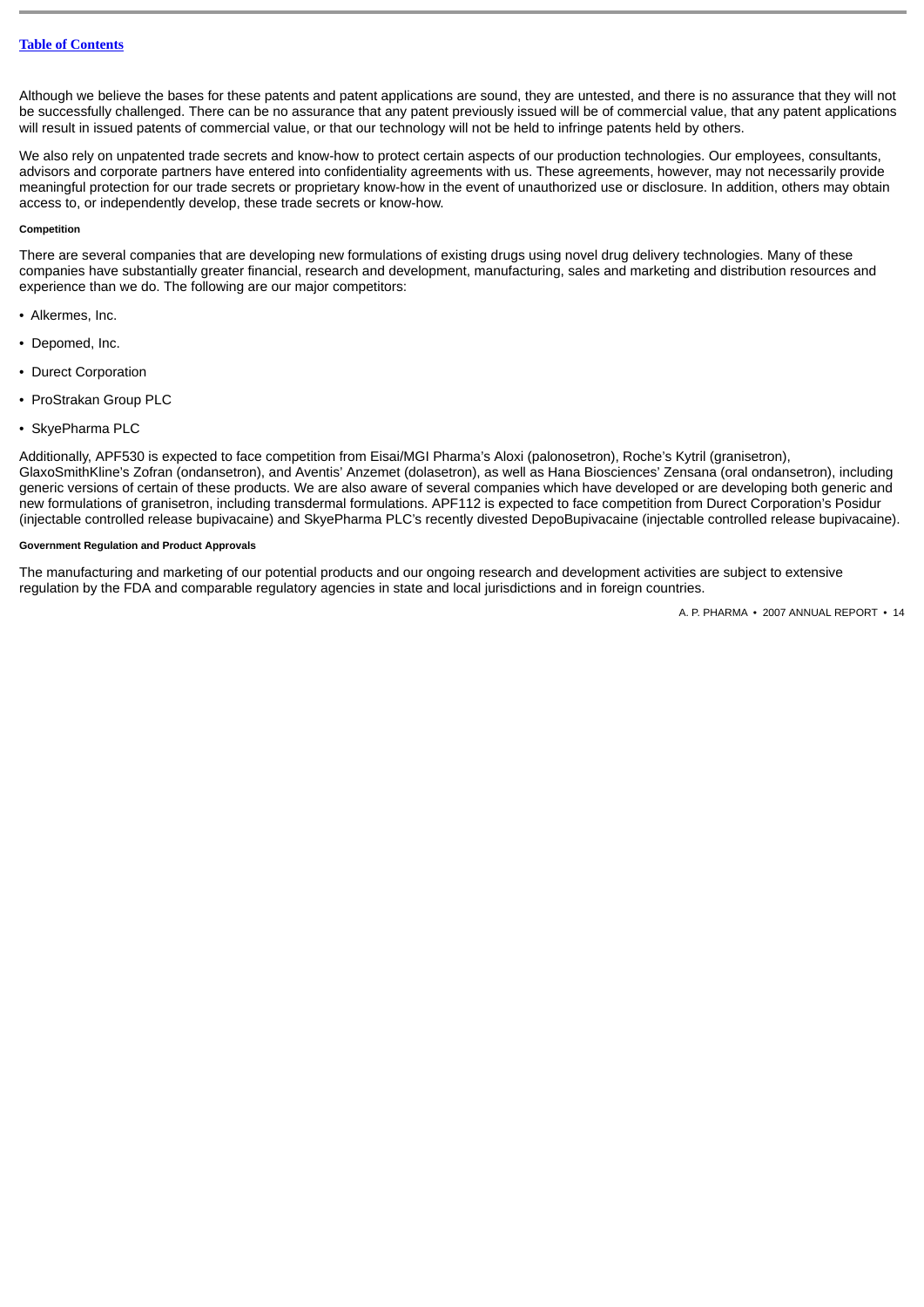Although we believe the bases for these patents and patent applications are sound, they are untested, and there is no assurance that they will not be successfully challenged. There can be no assurance that any patent previously issued will be of commercial value, that any patent applications will result in issued patents of commercial value, or that our technology will not be held to infringe patents held by others.

We also rely on unpatented trade secrets and know-how to protect certain aspects of our production technologies. Our employees, consultants, advisors and corporate partners have entered into confidentiality agreements with us. These agreements, however, may not necessarily provide meaningful protection for our trade secrets or proprietary know-how in the event of unauthorized use or disclosure. In addition, others may obtain access to, or independently develop, these trade secrets or know-how.

## **Competition**

There are several companies that are developing new formulations of existing drugs using novel drug delivery technologies. Many of these companies have substantially greater financial, research and development, manufacturing, sales and marketing and distribution resources and experience than we do. The following are our major competitors:

- Alkermes, Inc.
- Depomed, Inc.
- Durect Corporation
- ProStrakan Group PLC
- SkyePharma PLC

Additionally, APF530 is expected to face competition from Eisai/MGI Pharma's Aloxi (palonosetron), Roche's Kytril (granisetron), GlaxoSmithKline's Zofran (ondansetron), and Aventis' Anzemet (dolasetron), as well as Hana Biosciences' Zensana (oral ondansetron), including generic versions of certain of these products. We are also aware of several companies which have developed or are developing both generic and new formulations of granisetron, including transdermal formulations. APF112 is expected to face competition from Durect Corporation's Posidur (injectable controlled release bupivacaine) and SkyePharma PLC's recently divested DepoBupivacaine (injectable controlled release bupivacaine).

## **Government Regulation and Product Approvals**

The manufacturing and marketing of our potential products and our ongoing research and development activities are subject to extensive regulation by the FDA and comparable regulatory agencies in state and local jurisdictions and in foreign countries.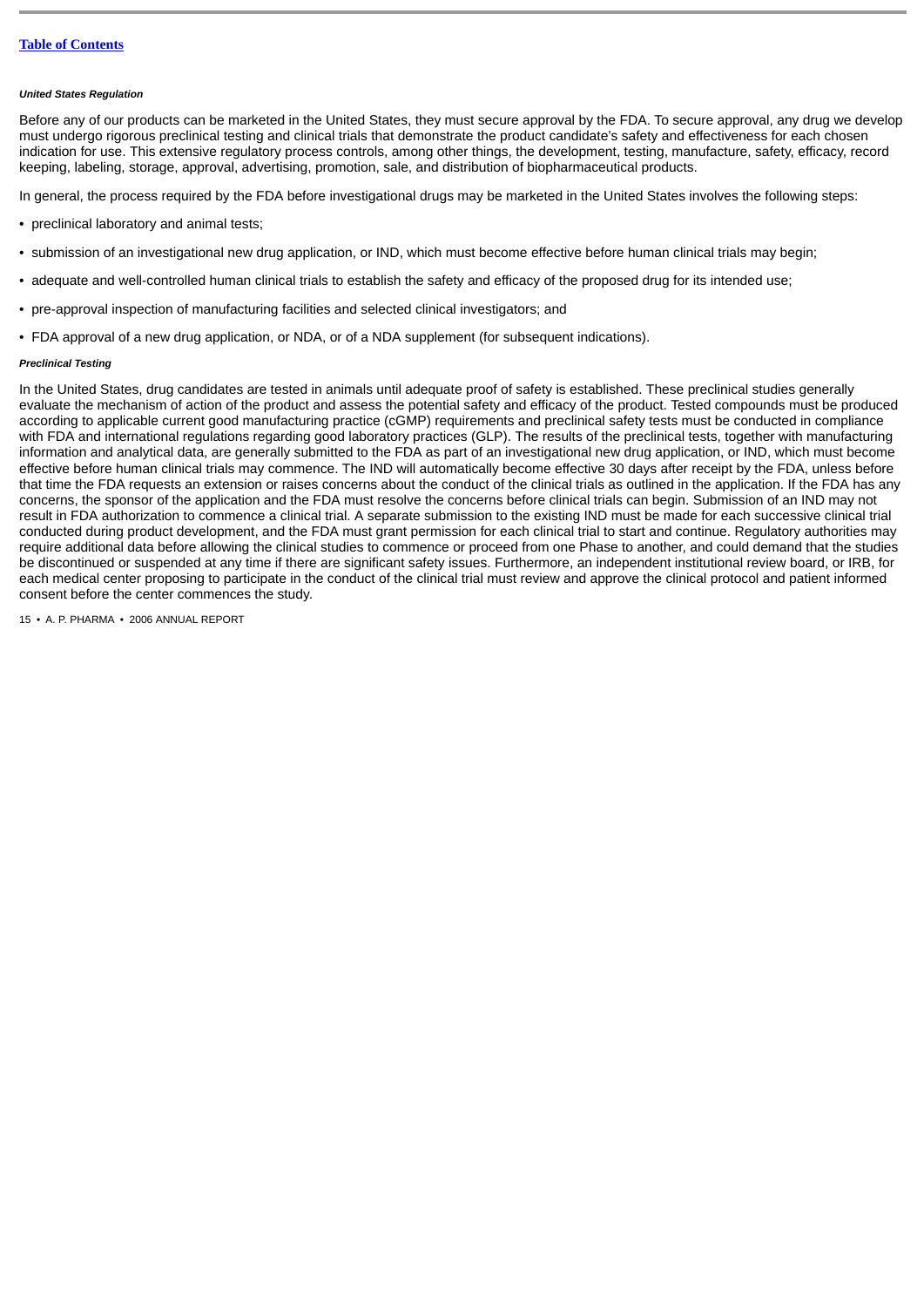#### *United States Regulation*

Before any of our products can be marketed in the United States, they must secure approval by the FDA. To secure approval, any drug we develop must undergo rigorous preclinical testing and clinical trials that demonstrate the product candidate's safety and effectiveness for each chosen indication for use. This extensive regulatory process controls, among other things, the development, testing, manufacture, safety, efficacy, record keeping, labeling, storage, approval, advertising, promotion, sale, and distribution of biopharmaceutical products.

In general, the process required by the FDA before investigational drugs may be marketed in the United States involves the following steps:

- preclinical laboratory and animal tests;
- submission of an investigational new drug application, or IND, which must become effective before human clinical trials may begin;
- adequate and well-controlled human clinical trials to establish the safety and efficacy of the proposed drug for its intended use;
- pre-approval inspection of manufacturing facilities and selected clinical investigators; and
- FDA approval of a new drug application, or NDA, or of a NDA supplement (for subsequent indications).

#### *Preclinical Testing*

In the United States, drug candidates are tested in animals until adequate proof of safety is established. These preclinical studies generally evaluate the mechanism of action of the product and assess the potential safety and efficacy of the product. Tested compounds must be produced according to applicable current good manufacturing practice (cGMP) requirements and preclinical safety tests must be conducted in compliance with FDA and international regulations regarding good laboratory practices (GLP). The results of the preclinical tests, together with manufacturing information and analytical data, are generally submitted to the FDA as part of an investigational new drug application, or IND, which must become effective before human clinical trials may commence. The IND will automatically become effective 30 days after receipt by the FDA, unless before that time the FDA requests an extension or raises concerns about the conduct of the clinical trials as outlined in the application. If the FDA has any concerns, the sponsor of the application and the FDA must resolve the concerns before clinical trials can begin. Submission of an IND may not result in FDA authorization to commence a clinical trial. A separate submission to the existing IND must be made for each successive clinical trial conducted during product development, and the FDA must grant permission for each clinical trial to start and continue. Regulatory authorities may require additional data before allowing the clinical studies to commence or proceed from one Phase to another, and could demand that the studies be discontinued or suspended at any time if there are significant safety issues. Furthermore, an independent institutional review board, or IRB, for each medical center proposing to participate in the conduct of the clinical trial must review and approve the clinical protocol and patient informed consent before the center commences the study.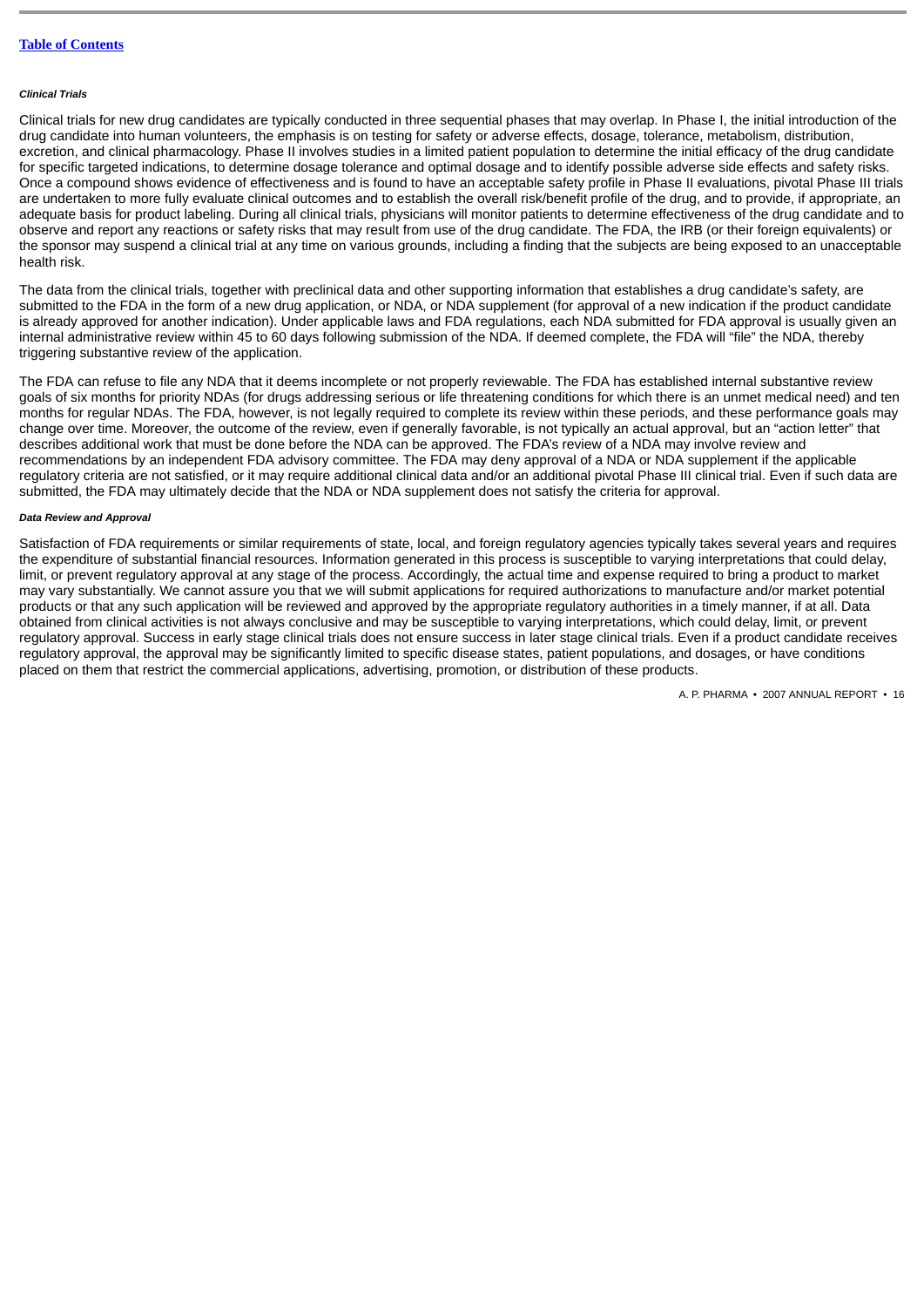#### *Clinical Trials*

Clinical trials for new drug candidates are typically conducted in three sequential phases that may overlap. In Phase I, the initial introduction of the drug candidate into human volunteers, the emphasis is on testing for safety or adverse effects, dosage, tolerance, metabolism, distribution, excretion, and clinical pharmacology. Phase II involves studies in a limited patient population to determine the initial efficacy of the drug candidate for specific targeted indications, to determine dosage tolerance and optimal dosage and to identify possible adverse side effects and safety risks. Once a compound shows evidence of effectiveness and is found to have an acceptable safety profile in Phase II evaluations, pivotal Phase III trials are undertaken to more fully evaluate clinical outcomes and to establish the overall risk/benefit profile of the drug, and to provide, if appropriate, an adequate basis for product labeling. During all clinical trials, physicians will monitor patients to determine effectiveness of the drug candidate and to observe and report any reactions or safety risks that may result from use of the drug candidate. The FDA, the IRB (or their foreign equivalents) or the sponsor may suspend a clinical trial at any time on various grounds, including a finding that the subjects are being exposed to an unacceptable health risk.

The data from the clinical trials, together with preclinical data and other supporting information that establishes a drug candidate's safety, are submitted to the FDA in the form of a new drug application, or NDA, or NDA supplement (for approval of a new indication if the product candidate is already approved for another indication). Under applicable laws and FDA regulations, each NDA submitted for FDA approval is usually given an internal administrative review within 45 to 60 days following submission of the NDA. If deemed complete, the FDA will "file" the NDA, thereby triggering substantive review of the application.

The FDA can refuse to file any NDA that it deems incomplete or not properly reviewable. The FDA has established internal substantive review goals of six months for priority NDAs (for drugs addressing serious or life threatening conditions for which there is an unmet medical need) and ten months for regular NDAs. The FDA, however, is not legally required to complete its review within these periods, and these performance goals may change over time. Moreover, the outcome of the review, even if generally favorable, is not typically an actual approval, but an "action letter" that describes additional work that must be done before the NDA can be approved. The FDA's review of a NDA may involve review and recommendations by an independent FDA advisory committee. The FDA may deny approval of a NDA or NDA supplement if the applicable regulatory criteria are not satisfied, or it may require additional clinical data and/or an additional pivotal Phase III clinical trial. Even if such data are submitted, the FDA may ultimately decide that the NDA or NDA supplement does not satisfy the criteria for approval.

### *Data Review and Approval*

Satisfaction of FDA requirements or similar requirements of state, local, and foreign regulatory agencies typically takes several years and requires the expenditure of substantial financial resources. Information generated in this process is susceptible to varying interpretations that could delay, limit, or prevent regulatory approval at any stage of the process. Accordingly, the actual time and expense required to bring a product to market may vary substantially. We cannot assure you that we will submit applications for required authorizations to manufacture and/or market potential products or that any such application will be reviewed and approved by the appropriate regulatory authorities in a timely manner, if at all. Data obtained from clinical activities is not always conclusive and may be susceptible to varying interpretations, which could delay, limit, or prevent regulatory approval. Success in early stage clinical trials does not ensure success in later stage clinical trials. Even if a product candidate receives regulatory approval, the approval may be significantly limited to specific disease states, patient populations, and dosages, or have conditions placed on them that restrict the commercial applications, advertising, promotion, or distribution of these products.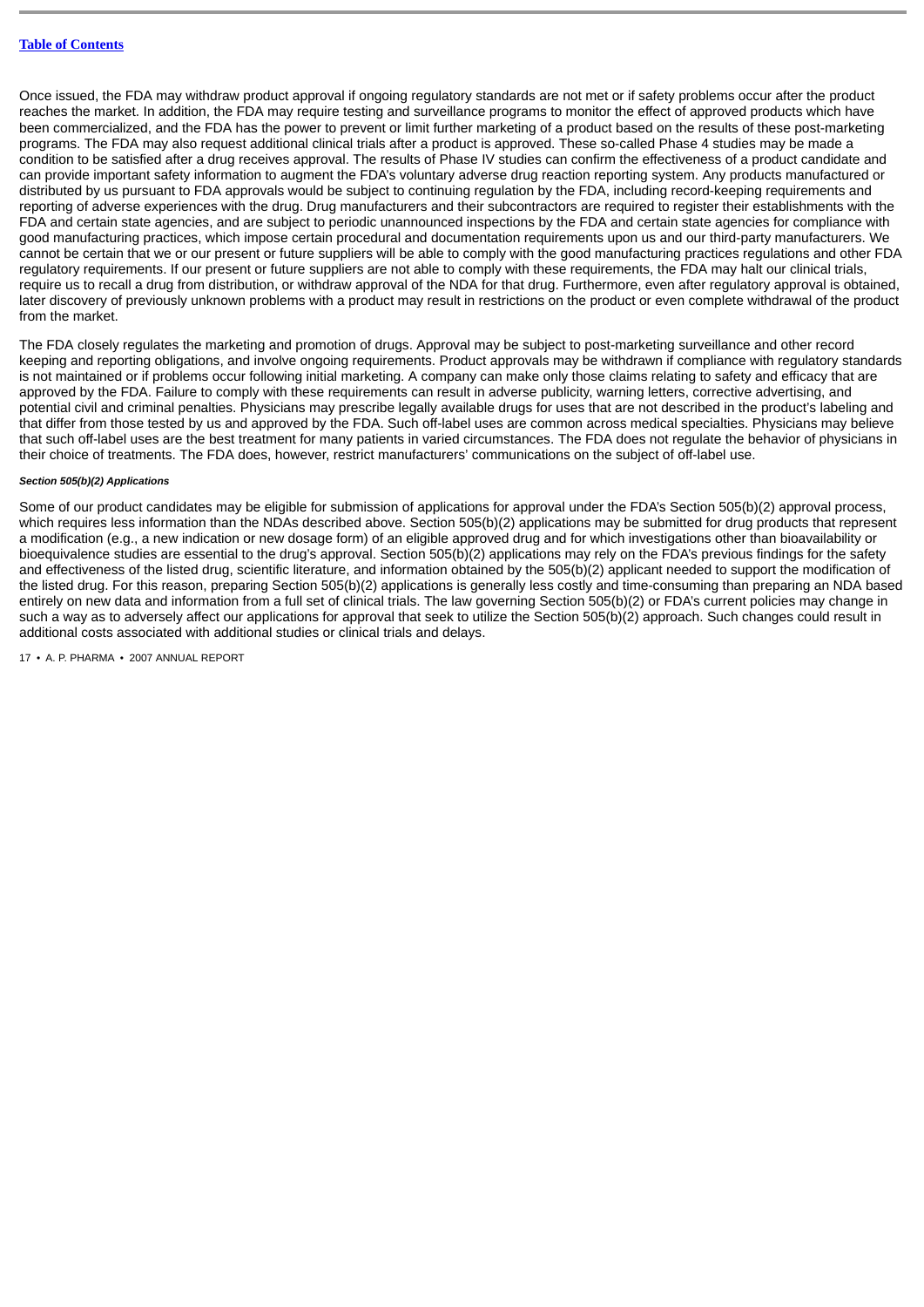Once issued, the FDA may withdraw product approval if ongoing regulatory standards are not met or if safety problems occur after the product reaches the market. In addition, the FDA may require testing and surveillance programs to monitor the effect of approved products which have been commercialized, and the FDA has the power to prevent or limit further marketing of a product based on the results of these post-marketing programs. The FDA may also request additional clinical trials after a product is approved. These so-called Phase 4 studies may be made a condition to be satisfied after a drug receives approval. The results of Phase IV studies can confirm the effectiveness of a product candidate and can provide important safety information to augment the FDA's voluntary adverse drug reaction reporting system. Any products manufactured or distributed by us pursuant to FDA approvals would be subject to continuing regulation by the FDA, including record-keeping requirements and reporting of adverse experiences with the drug. Drug manufacturers and their subcontractors are required to register their establishments with the FDA and certain state agencies, and are subject to periodic unannounced inspections by the FDA and certain state agencies for compliance with good manufacturing practices, which impose certain procedural and documentation requirements upon us and our third-party manufacturers. We cannot be certain that we or our present or future suppliers will be able to comply with the good manufacturing practices regulations and other FDA regulatory requirements. If our present or future suppliers are not able to comply with these requirements, the FDA may halt our clinical trials, require us to recall a drug from distribution, or withdraw approval of the NDA for that drug. Furthermore, even after regulatory approval is obtained, later discovery of previously unknown problems with a product may result in restrictions on the product or even complete withdrawal of the product from the market.

The FDA closely regulates the marketing and promotion of drugs. Approval may be subject to post-marketing surveillance and other record keeping and reporting obligations, and involve ongoing requirements. Product approvals may be withdrawn if compliance with regulatory standards is not maintained or if problems occur following initial marketing. A company can make only those claims relating to safety and efficacy that are approved by the FDA. Failure to comply with these requirements can result in adverse publicity, warning letters, corrective advertising, and potential civil and criminal penalties. Physicians may prescribe legally available drugs for uses that are not described in the product's labeling and that differ from those tested by us and approved by the FDA. Such off-label uses are common across medical specialties. Physicians may believe that such off-label uses are the best treatment for many patients in varied circumstances. The FDA does not regulate the behavior of physicians in their choice of treatments. The FDA does, however, restrict manufacturers' communications on the subject of off-label use.

#### *Section 505(b)(2) Applications*

Some of our product candidates may be eligible for submission of applications for approval under the FDA's Section 505(b)(2) approval process, which requires less information than the NDAs described above. Section 505(b)(2) applications may be submitted for drug products that represent a modification (e.g., a new indication or new dosage form) of an eligible approved drug and for which investigations other than bioavailability or bioequivalence studies are essential to the drug's approval. Section 505(b)(2) applications may rely on the FDA's previous findings for the safety and effectiveness of the listed drug, scientific literature, and information obtained by the 505(b)(2) applicant needed to support the modification of the listed drug. For this reason, preparing Section 505(b)(2) applications is generally less costly and time-consuming than preparing an NDA based entirely on new data and information from a full set of clinical trials. The law governing Section 505(b)(2) or FDA's current policies may change in such a way as to adversely affect our applications for approval that seek to utilize the Section 505(b)(2) approach. Such changes could result in additional costs associated with additional studies or clinical trials and delays.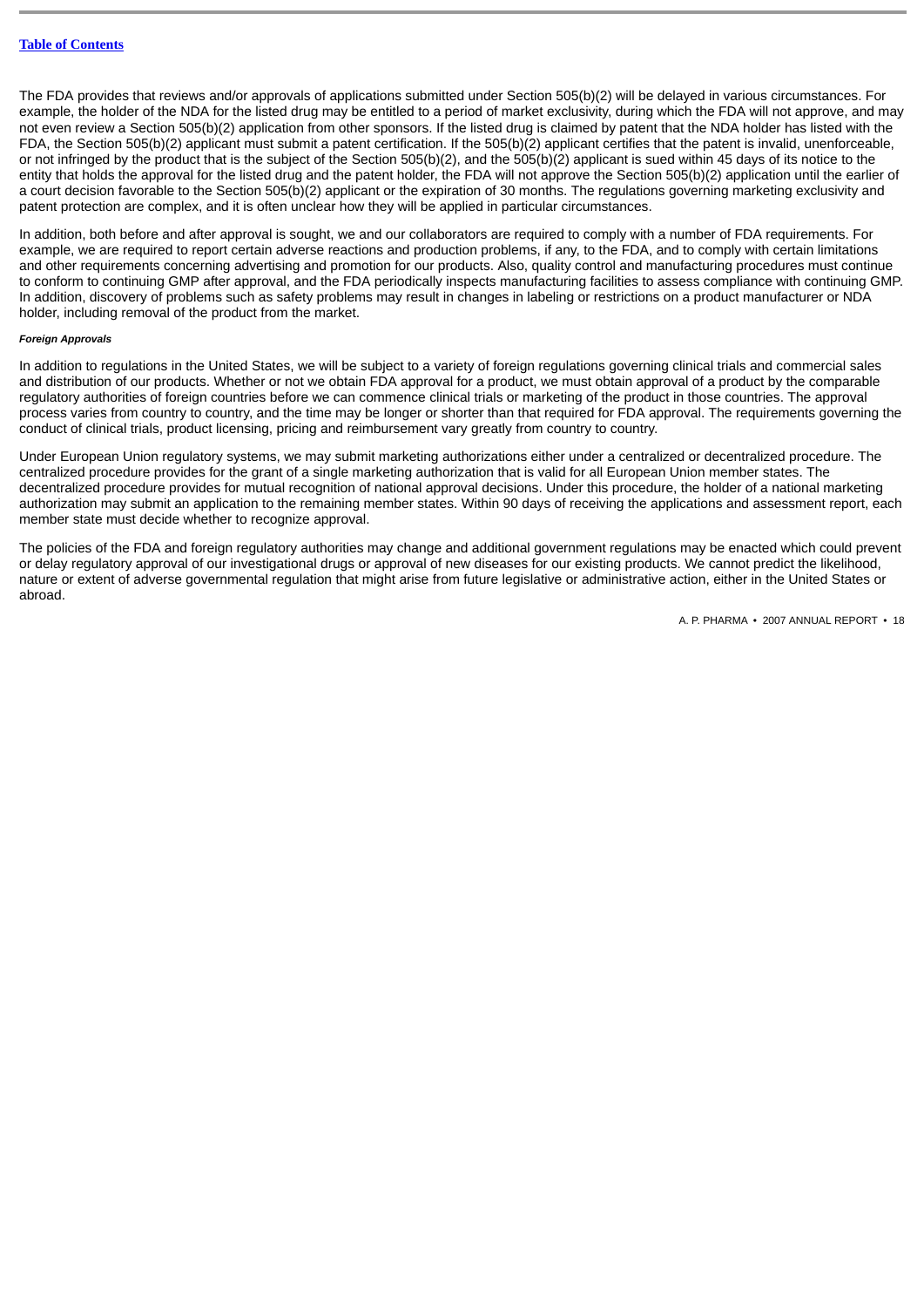The FDA provides that reviews and/or approvals of applications submitted under Section 505(b)(2) will be delayed in various circumstances. For example, the holder of the NDA for the listed drug may be entitled to a period of market exclusivity, during which the FDA will not approve, and may not even review a Section 505(b)(2) application from other sponsors. If the listed drug is claimed by patent that the NDA holder has listed with the FDA, the Section 505(b)(2) applicant must submit a patent certification. If the 505(b)(2) applicant certifies that the patent is invalid, unenforceable, or not infringed by the product that is the subject of the Section 505(b)(2), and the 505(b)(2) applicant is sued within 45 days of its notice to the entity that holds the approval for the listed drug and the patent holder, the FDA will not approve the Section 505(b)(2) application until the earlier of a court decision favorable to the Section 505(b)(2) applicant or the expiration of 30 months. The regulations governing marketing exclusivity and patent protection are complex, and it is often unclear how they will be applied in particular circumstances.

In addition, both before and after approval is sought, we and our collaborators are required to comply with a number of FDA requirements. For example, we are required to report certain adverse reactions and production problems, if any, to the FDA, and to comply with certain limitations and other requirements concerning advertising and promotion for our products. Also, quality control and manufacturing procedures must continue to conform to continuing GMP after approval, and the FDA periodically inspects manufacturing facilities to assess compliance with continuing GMP. In addition, discovery of problems such as safety problems may result in changes in labeling or restrictions on a product manufacturer or NDA holder, including removal of the product from the market.

### *Foreign Approvals*

In addition to regulations in the United States, we will be subject to a variety of foreign regulations governing clinical trials and commercial sales and distribution of our products. Whether or not we obtain FDA approval for a product, we must obtain approval of a product by the comparable regulatory authorities of foreign countries before we can commence clinical trials or marketing of the product in those countries. The approval process varies from country to country, and the time may be longer or shorter than that required for FDA approval. The requirements governing the conduct of clinical trials, product licensing, pricing and reimbursement vary greatly from country to country.

Under European Union regulatory systems, we may submit marketing authorizations either under a centralized or decentralized procedure. The centralized procedure provides for the grant of a single marketing authorization that is valid for all European Union member states. The decentralized procedure provides for mutual recognition of national approval decisions. Under this procedure, the holder of a national marketing authorization may submit an application to the remaining member states. Within 90 days of receiving the applications and assessment report, each member state must decide whether to recognize approval.

The policies of the FDA and foreign regulatory authorities may change and additional government regulations may be enacted which could prevent or delay regulatory approval of our investigational drugs or approval of new diseases for our existing products. We cannot predict the likelihood, nature or extent of adverse governmental regulation that might arise from future legislative or administrative action, either in the United States or abroad.

```
A. P. PHARMA • 2007 ANNUAL REPORT • 18
```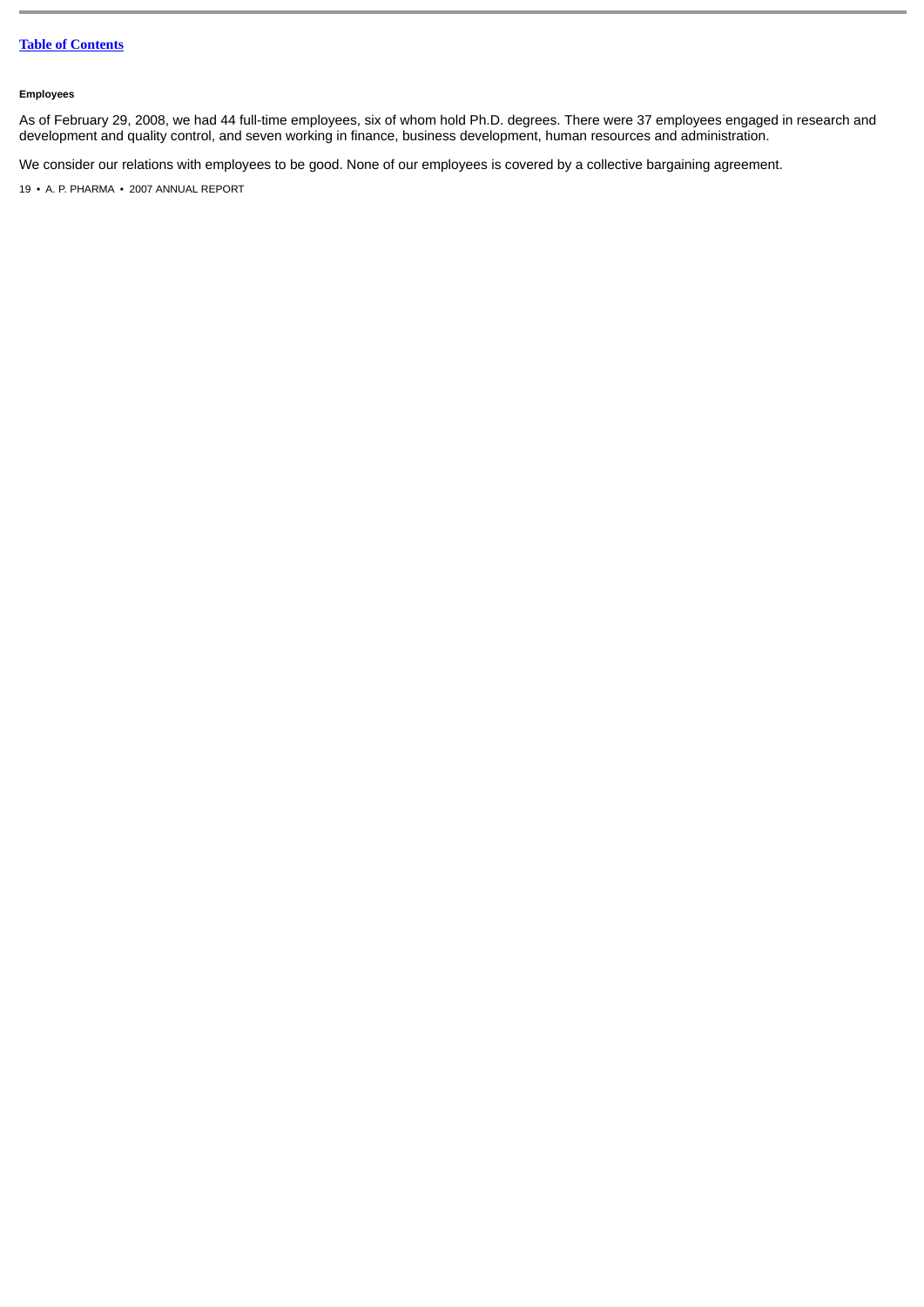## **Employees**

As of February 29, 2008, we had 44 full-time employees, six of whom hold Ph.D. degrees. There were 37 employees engaged in research and development and quality control, and seven working in finance, business development, human resources and administration.

We consider our relations with employees to be good. None of our employees is covered by a collective bargaining agreement.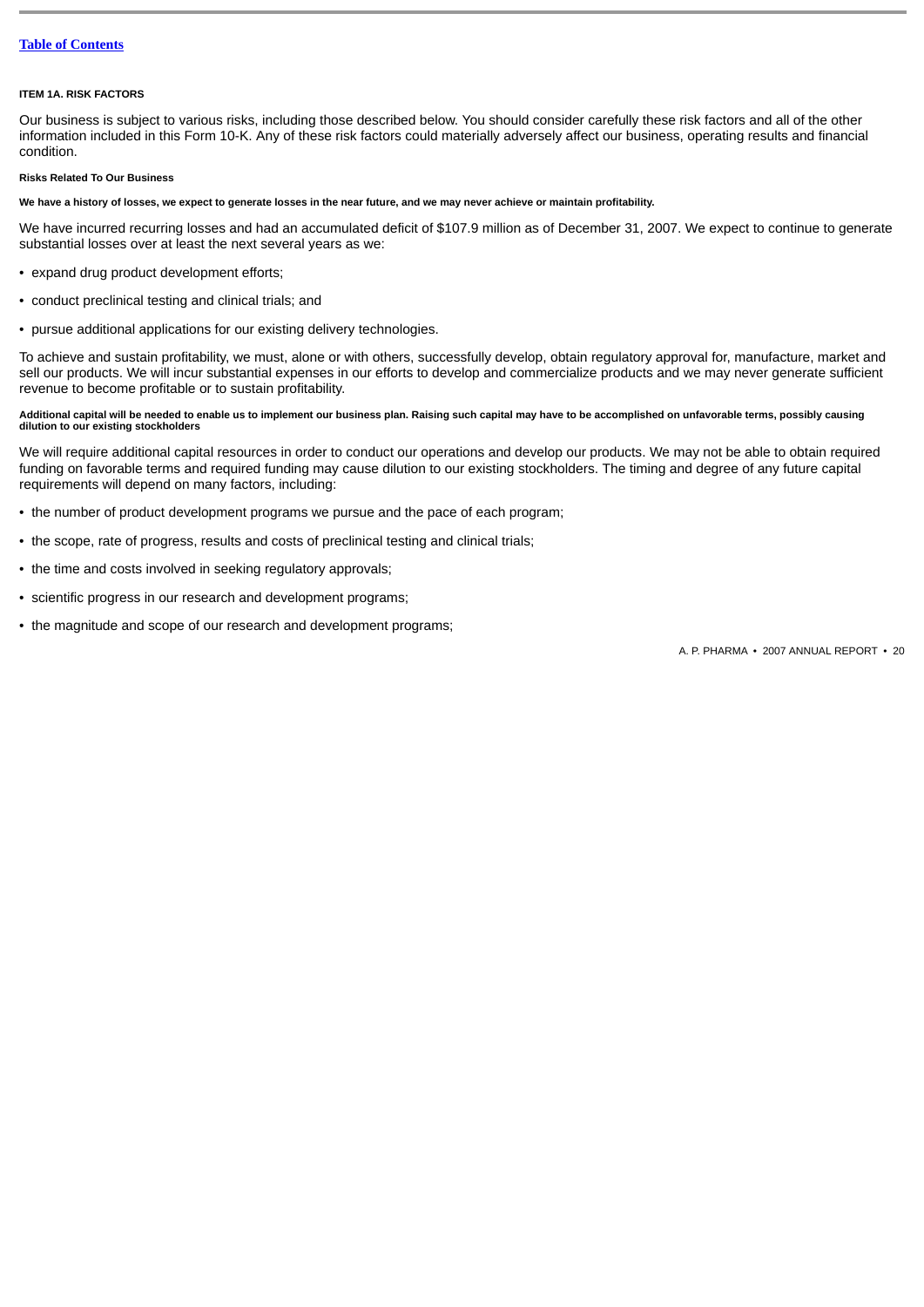#### <span id="page-19-0"></span>**ITEM 1A. RISK FACTORS**

Our business is subject to various risks, including those described below. You should consider carefully these risk factors and all of the other information included in this Form 10-K. Any of these risk factors could materially adversely affect our business, operating results and financial condition.

### **Risks Related To Our Business**

### **We have a history of losses, we expect to generate losses in the near future, and we may never achieve or maintain profitability.**

We have incurred recurring losses and had an accumulated deficit of \$107.9 million as of December 31, 2007. We expect to continue to generate substantial losses over at least the next several years as we:

- expand drug product development efforts;
- conduct preclinical testing and clinical trials; and
- pursue additional applications for our existing delivery technologies.

To achieve and sustain profitability, we must, alone or with others, successfully develop, obtain regulatory approval for, manufacture, market and sell our products. We will incur substantial expenses in our efforts to develop and commercialize products and we may never generate sufficient revenue to become profitable or to sustain profitability.

## **Additional capital will be needed to enable us to implement our business plan. Raising such capital may have to be accomplished on unfavorable terms, possibly causing dilution to our existing stockholders**

We will require additional capital resources in order to conduct our operations and develop our products. We may not be able to obtain required funding on favorable terms and required funding may cause dilution to our existing stockholders. The timing and degree of any future capital requirements will depend on many factors, including:

- the number of product development programs we pursue and the pace of each program;
- the scope, rate of progress, results and costs of preclinical testing and clinical trials;
- the time and costs involved in seeking regulatory approvals;
- scientific progress in our research and development programs;
- the magnitude and scope of our research and development programs;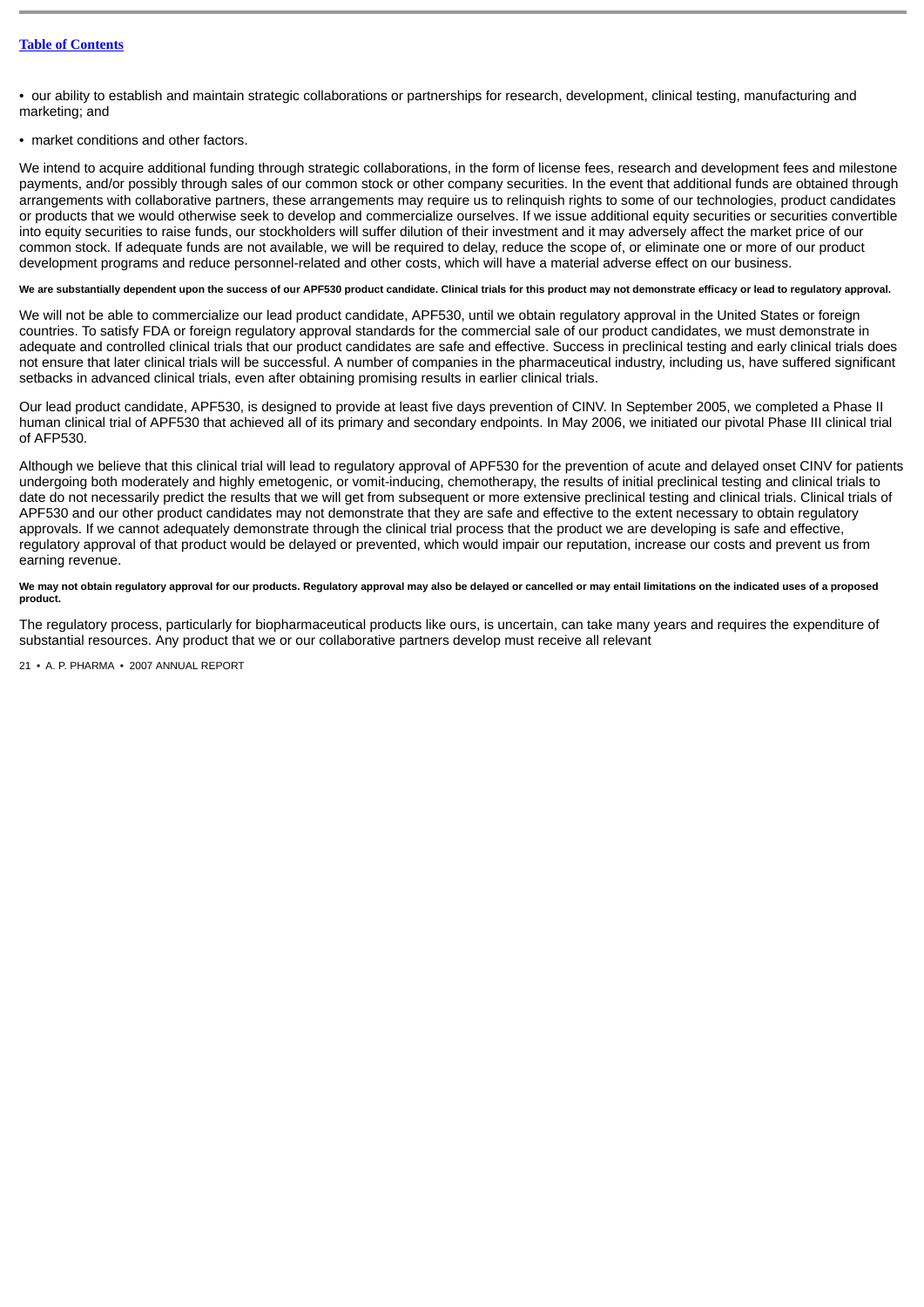• our ability to establish and maintain strategic collaborations or partnerships for research, development, clinical testing, manufacturing and marketing; and

• market conditions and other factors.

We intend to acquire additional funding through strategic collaborations, in the form of license fees, research and development fees and milestone payments, and/or possibly through sales of our common stock or other company securities. In the event that additional funds are obtained through arrangements with collaborative partners, these arrangements may require us to relinquish rights to some of our technologies, product candidates or products that we would otherwise seek to develop and commercialize ourselves. If we issue additional equity securities or securities convertible into equity securities to raise funds, our stockholders will suffer dilution of their investment and it may adversely affect the market price of our common stock. If adequate funds are not available, we will be required to delay, reduce the scope of, or eliminate one or more of our product development programs and reduce personnel-related and other costs, which will have a material adverse effect on our business.

### We are substantially dependent upon the success of our APF530 product candidate. Clinical trials for this product may not demonstrate efficacy or lead to regulatory approval.

We will not be able to commercialize our lead product candidate, APF530, until we obtain regulatory approval in the United States or foreign countries. To satisfy FDA or foreign regulatory approval standards for the commercial sale of our product candidates, we must demonstrate in adequate and controlled clinical trials that our product candidates are safe and effective. Success in preclinical testing and early clinical trials does not ensure that later clinical trials will be successful. A number of companies in the pharmaceutical industry, including us, have suffered significant setbacks in advanced clinical trials, even after obtaining promising results in earlier clinical trials.

Our lead product candidate, APF530, is designed to provide at least five days prevention of CINV. In September 2005, we completed a Phase II human clinical trial of APF530 that achieved all of its primary and secondary endpoints. In May 2006, we initiated our pivotal Phase III clinical trial of AFP530.

Although we believe that this clinical trial will lead to regulatory approval of APF530 for the prevention of acute and delayed onset CINV for patients undergoing both moderately and highly emetogenic, or vomit-inducing, chemotherapy, the results of initial preclinical testing and clinical trials to date do not necessarily predict the results that we will get from subsequent or more extensive preclinical testing and clinical trials. Clinical trials of APF530 and our other product candidates may not demonstrate that they are safe and effective to the extent necessary to obtain regulatory approvals. If we cannot adequately demonstrate through the clinical trial process that the product we are developing is safe and effective, regulatory approval of that product would be delayed or prevented, which would impair our reputation, increase our costs and prevent us from earning revenue.

## **We may not obtain regulatory approval for our products. Regulatory approval may also be delayed or cancelled or may entail limitations on the indicated uses of a proposed product.**

The regulatory process, particularly for biopharmaceutical products like ours, is uncertain, can take many years and requires the expenditure of substantial resources. Any product that we or our collaborative partners develop must receive all relevant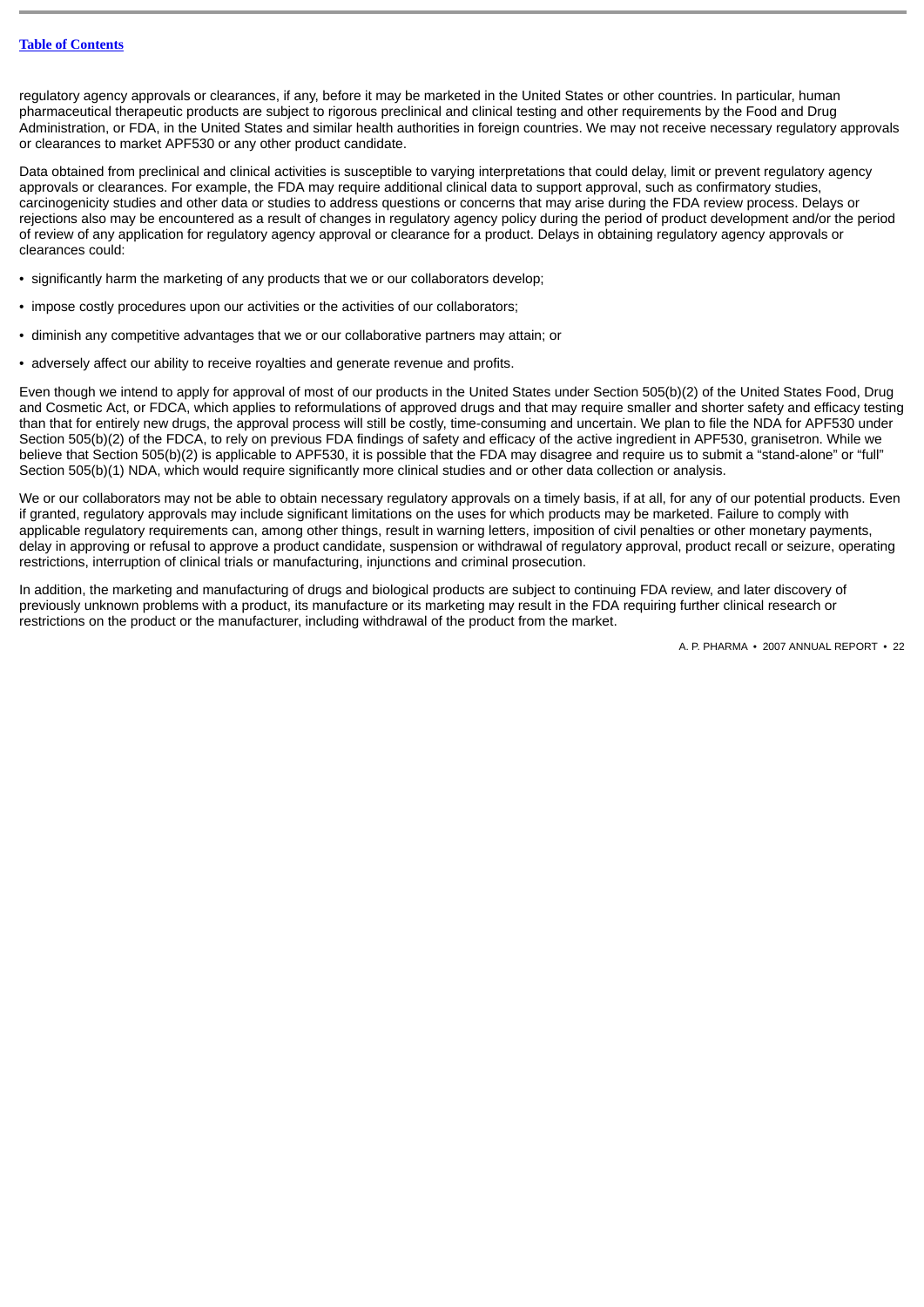regulatory agency approvals or clearances, if any, before it may be marketed in the United States or other countries. In particular, human pharmaceutical therapeutic products are subject to rigorous preclinical and clinical testing and other requirements by the Food and Drug Administration, or FDA, in the United States and similar health authorities in foreign countries. We may not receive necessary regulatory approvals or clearances to market APF530 or any other product candidate.

Data obtained from preclinical and clinical activities is susceptible to varying interpretations that could delay, limit or prevent regulatory agency approvals or clearances. For example, the FDA may require additional clinical data to support approval, such as confirmatory studies, carcinogenicity studies and other data or studies to address questions or concerns that may arise during the FDA review process. Delays or rejections also may be encountered as a result of changes in regulatory agency policy during the period of product development and/or the period of review of any application for regulatory agency approval or clearance for a product. Delays in obtaining regulatory agency approvals or clearances could:

- significantly harm the marketing of any products that we or our collaborators develop;
- impose costly procedures upon our activities or the activities of our collaborators;
- diminish any competitive advantages that we or our collaborative partners may attain; or
- adversely affect our ability to receive rovalties and generate revenue and profits.

Even though we intend to apply for approval of most of our products in the United States under Section 505(b)(2) of the United States Food, Drug and Cosmetic Act, or FDCA, which applies to reformulations of approved drugs and that may require smaller and shorter safety and efficacy testing than that for entirely new drugs, the approval process will still be costly, time-consuming and uncertain. We plan to file the NDA for APF530 under Section 505(b)(2) of the FDCA, to rely on previous FDA findings of safety and efficacy of the active ingredient in APF530, granisetron. While we believe that Section 505(b)(2) is applicable to APF530, it is possible that the FDA may disagree and require us to submit a "stand-alone" or "full" Section 505(b)(1) NDA, which would require significantly more clinical studies and or other data collection or analysis.

We or our collaborators may not be able to obtain necessary regulatory approvals on a timely basis, if at all, for any of our potential products. Even if granted, regulatory approvals may include significant limitations on the uses for which products may be marketed. Failure to comply with applicable regulatory requirements can, among other things, result in warning letters, imposition of civil penalties or other monetary payments, delay in approving or refusal to approve a product candidate, suspension or withdrawal of regulatory approval, product recall or seizure, operating restrictions, interruption of clinical trials or manufacturing, injunctions and criminal prosecution.

In addition, the marketing and manufacturing of drugs and biological products are subject to continuing FDA review, and later discovery of previously unknown problems with a product, its manufacture or its marketing may result in the FDA requiring further clinical research or restrictions on the product or the manufacturer, including withdrawal of the product from the market.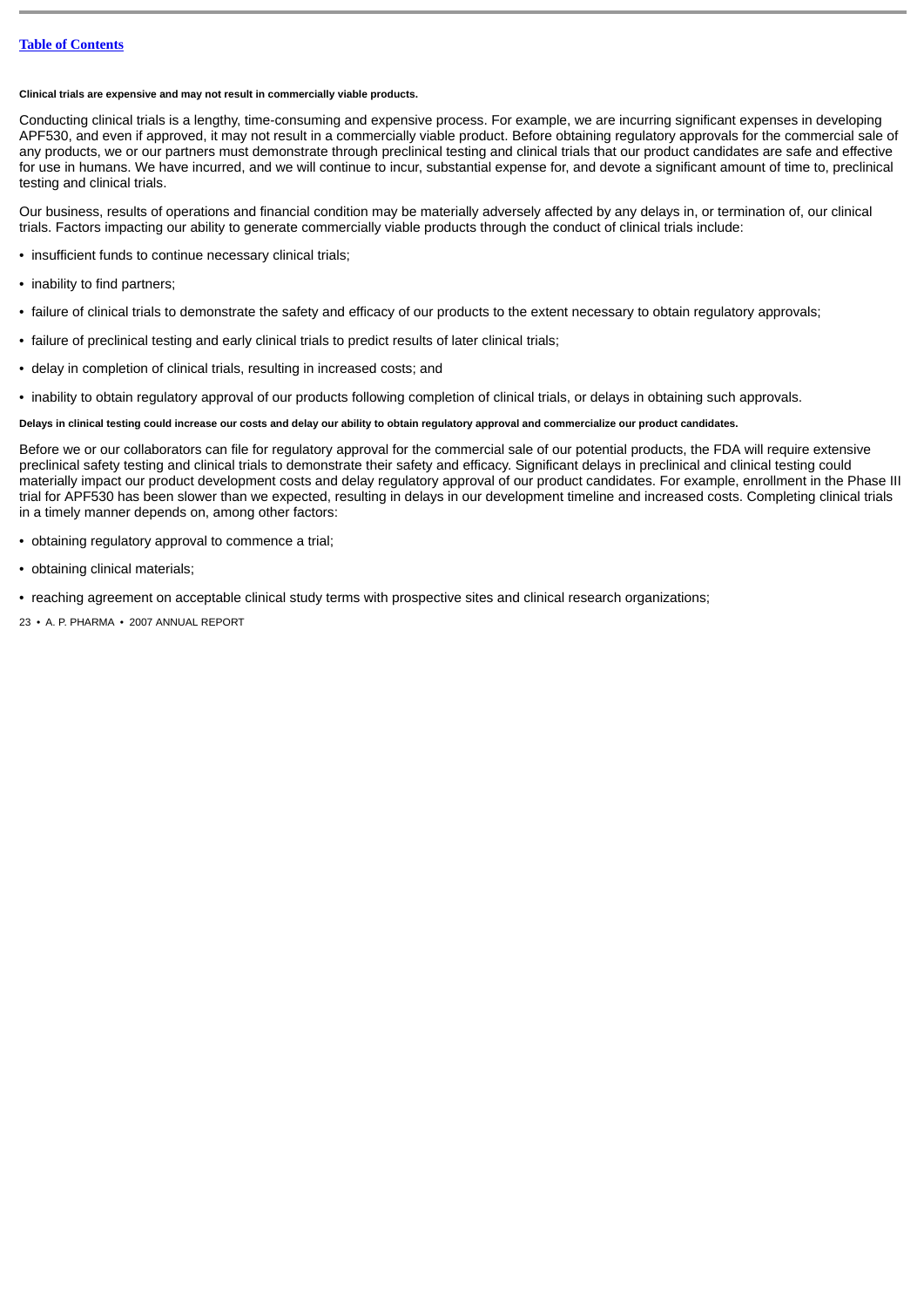## **Clinical trials are expensive and may not result in commercially viable products.**

Conducting clinical trials is a lengthy, time-consuming and expensive process. For example, we are incurring significant expenses in developing APF530, and even if approved, it may not result in a commercially viable product. Before obtaining regulatory approvals for the commercial sale of any products, we or our partners must demonstrate through preclinical testing and clinical trials that our product candidates are safe and effective for use in humans. We have incurred, and we will continue to incur, substantial expense for, and devote a significant amount of time to, preclinical testing and clinical trials.

Our business, results of operations and financial condition may be materially adversely affected by any delays in, or termination of, our clinical trials. Factors impacting our ability to generate commercially viable products through the conduct of clinical trials include:

- insufficient funds to continue necessary clinical trials;
- inability to find partners:
- failure of clinical trials to demonstrate the safety and efficacy of our products to the extent necessary to obtain regulatory approvals;
- failure of preclinical testing and early clinical trials to predict results of later clinical trials;
- delay in completion of clinical trials, resulting in increased costs; and
- inability to obtain regulatory approval of our products following completion of clinical trials, or delays in obtaining such approvals.

## **Delays in clinical testing could increase our costs and delay our ability to obtain regulatory approval and commercialize our product candidates.**

Before we or our collaborators can file for regulatory approval for the commercial sale of our potential products, the FDA will require extensive preclinical safety testing and clinical trials to demonstrate their safety and efficacy. Significant delays in preclinical and clinical testing could materially impact our product development costs and delay regulatory approval of our product candidates. For example, enrollment in the Phase III trial for APF530 has been slower than we expected, resulting in delays in our development timeline and increased costs. Completing clinical trials in a timely manner depends on, among other factors:

- obtaining regulatory approval to commence a trial;
- obtaining clinical materials;

• reaching agreement on acceptable clinical study terms with prospective sites and clinical research organizations;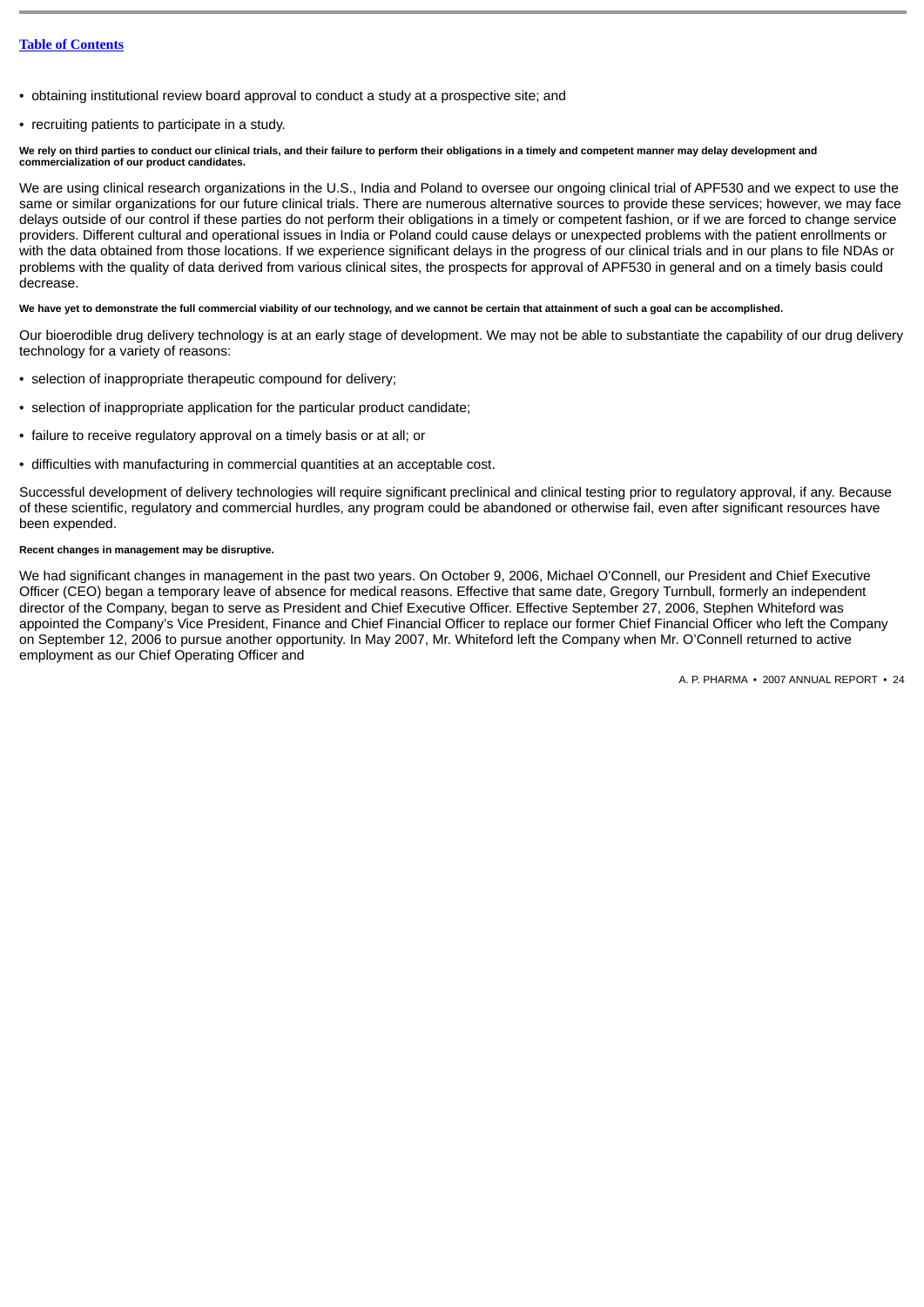- obtaining institutional review board approval to conduct a study at a prospective site; and
- recruiting patients to participate in a study.

### **We rely on third parties to conduct our clinical trials, and their failure to perform their obligations in a timely and competent manner may delay development and commercialization of our product candidates.**

We are using clinical research organizations in the U.S., India and Poland to oversee our ongoing clinical trial of APF530 and we expect to use the same or similar organizations for our future clinical trials. There are numerous alternative sources to provide these services; however, we may face delays outside of our control if these parties do not perform their obligations in a timely or competent fashion, or if we are forced to change service providers. Different cultural and operational issues in India or Poland could cause delays or unexpected problems with the patient enrollments or with the data obtained from those locations. If we experience significant delays in the progress of our clinical trials and in our plans to file NDAs or problems with the quality of data derived from various clinical sites, the prospects for approval of APF530 in general and on a timely basis could decrease.

## **We have yet to demonstrate the full commercial viability of our technology, and we cannot be certain that attainment of such a goal can be accomplished.**

Our bioerodible drug delivery technology is at an early stage of development. We may not be able to substantiate the capability of our drug delivery technology for a variety of reasons:

- selection of inappropriate therapeutic compound for delivery;
- selection of inappropriate application for the particular product candidate;
- failure to receive regulatory approval on a timely basis or at all; or
- difficulties with manufacturing in commercial quantities at an acceptable cost.

Successful development of delivery technologies will require significant preclinical and clinical testing prior to regulatory approval, if any. Because of these scientific, regulatory and commercial hurdles, any program could be abandoned or otherwise fail, even after significant resources have been expended.

## **Recent changes in management may be disruptive.**

We had significant changes in management in the past two years. On October 9, 2006. Michael O'Connell, our President and Chief Executive Officer (CEO) began a temporary leave of absence for medical reasons. Effective that same date, Gregory Turnbull, formerly an independent director of the Company, began to serve as President and Chief Executive Officer. Effective September 27, 2006, Stephen Whiteford was appointed the Company's Vice President, Finance and Chief Financial Officer to replace our former Chief Financial Officer who left the Company on September 12, 2006 to pursue another opportunity. In May 2007, Mr. Whiteford left the Company when Mr. O'Connell returned to active employment as our Chief Operating Officer and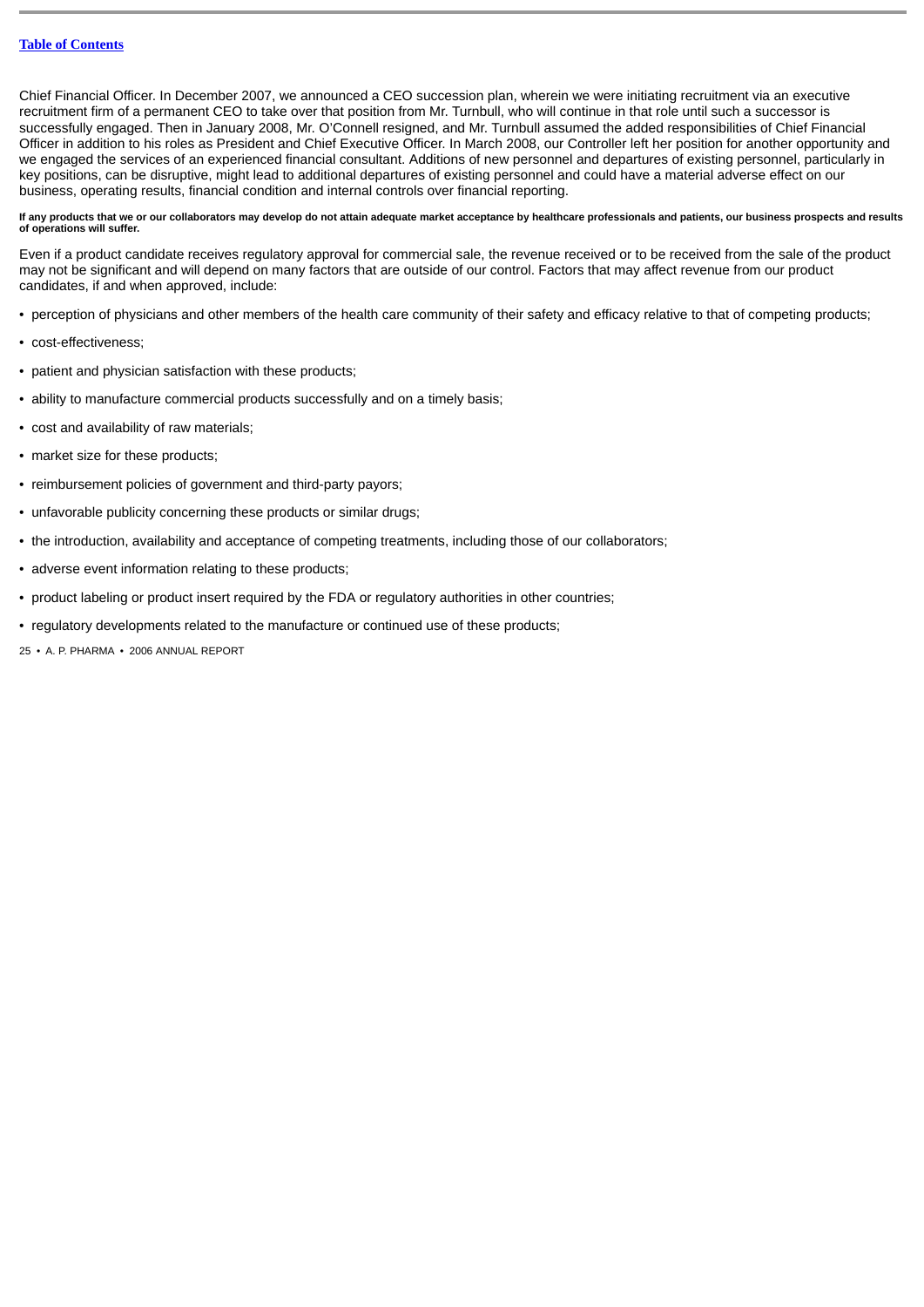Chief Financial Officer. In December 2007, we announced a CEO succession plan, wherein we were initiating recruitment via an executive recruitment firm of a permanent CEO to take over that position from Mr. Turnbull, who will continue in that role until such a successor is successfully engaged. Then in January 2008, Mr. O'Connell resigned, and Mr. Turnbull assumed the added responsibilities of Chief Financial Officer in addition to his roles as President and Chief Executive Officer. In March 2008, our Controller left her position for another opportunity and we engaged the services of an experienced financial consultant. Additions of new personnel and departures of existing personnel, particularly in key positions, can be disruptive, might lead to additional departures of existing personnel and could have a material adverse effect on our business, operating results, financial condition and internal controls over financial reporting.

**If any products that we or our collaborators may develop do not attain adequate market acceptance by healthcare professionals and patients, our business prospects and results of operations will suffer.**

Even if a product candidate receives regulatory approval for commercial sale, the revenue received or to be received from the sale of the product may not be significant and will depend on many factors that are outside of our control. Factors that may affect revenue from our product candidates, if and when approved, include:

- perception of physicians and other members of the health care community of their safety and efficacy relative to that of competing products;
- cost-effectiveness;
- patient and physician satisfaction with these products;
- ability to manufacture commercial products successfully and on a timely basis;
- cost and availability of raw materials;
- market size for these products;
- reimbursement policies of government and third-party payors;
- unfavorable publicity concerning these products or similar drugs;
- the introduction, availability and acceptance of competing treatments, including those of our collaborators;
- adverse event information relating to these products;
- product labeling or product insert required by the FDA or regulatory authorities in other countries;
- regulatory developments related to the manufacture or continued use of these products;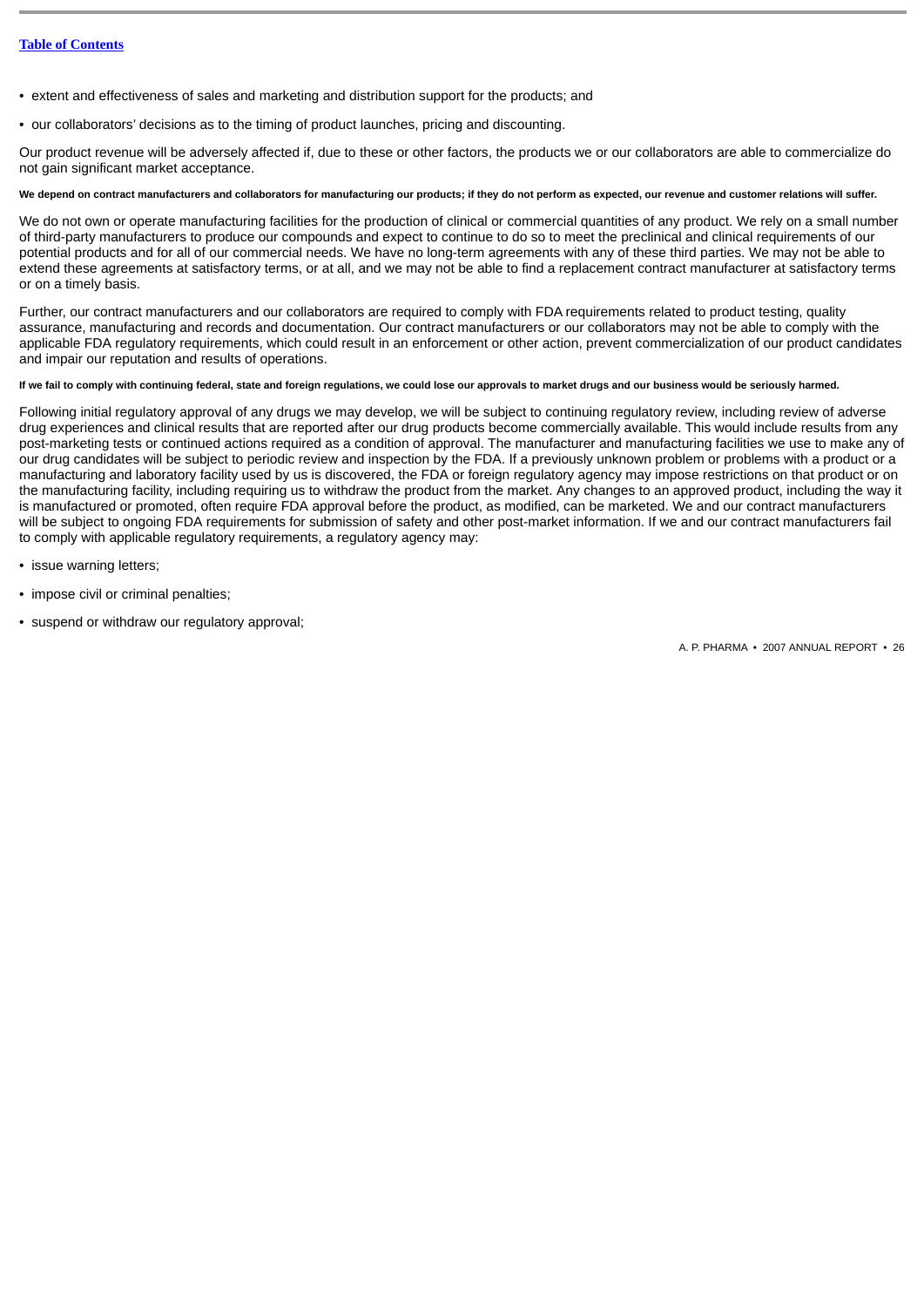- extent and effectiveness of sales and marketing and distribution support for the products; and
- our collaborators' decisions as to the timing of product launches, pricing and discounting.

Our product revenue will be adversely affected if, due to these or other factors, the products we or our collaborators are able to commercialize do not gain significant market acceptance.

## **We depend on contract manufacturers and collaborators for manufacturing our products; if they do not perform as expected, our revenue and customer relations will suffer.**

We do not own or operate manufacturing facilities for the production of clinical or commercial quantities of any product. We rely on a small number of third-party manufacturers to produce our compounds and expect to continue to do so to meet the preclinical and clinical requirements of our potential products and for all of our commercial needs. We have no long-term agreements with any of these third parties. We may not be able to extend these agreements at satisfactory terms, or at all, and we may not be able to find a replacement contract manufacturer at satisfactory terms or on a timely basis.

Further, our contract manufacturers and our collaborators are required to comply with FDA requirements related to product testing, quality assurance, manufacturing and records and documentation. Our contract manufacturers or our collaborators may not be able to comply with the applicable FDA regulatory requirements, which could result in an enforcement or other action, prevent commercialization of our product candidates and impair our reputation and results of operations.

## **If we fail to comply with continuing federal, state and foreign regulations, we could lose our approvals to market drugs and our business would be seriously harmed.**

Following initial regulatory approval of any drugs we may develop, we will be subject to continuing regulatory review, including review of adverse drug experiences and clinical results that are reported after our drug products become commercially available. This would include results from any post-marketing tests or continued actions required as a condition of approval. The manufacturer and manufacturing facilities we use to make any of our drug candidates will be subject to periodic review and inspection by the FDA. If a previously unknown problem or problems with a product or a manufacturing and laboratory facility used by us is discovered, the FDA or foreign regulatory agency may impose restrictions on that product or on the manufacturing facility, including requiring us to withdraw the product from the market. Any changes to an approved product, including the way it is manufactured or promoted, often require FDA approval before the product, as modified, can be marketed. We and our contract manufacturers will be subject to ongoing FDA requirements for submission of safety and other post-market information. If we and our contract manufacturers fail to comply with applicable regulatory requirements, a regulatory agency may:

- issue warning letters;
- impose civil or criminal penalties;
- suspend or withdraw our regulatory approval;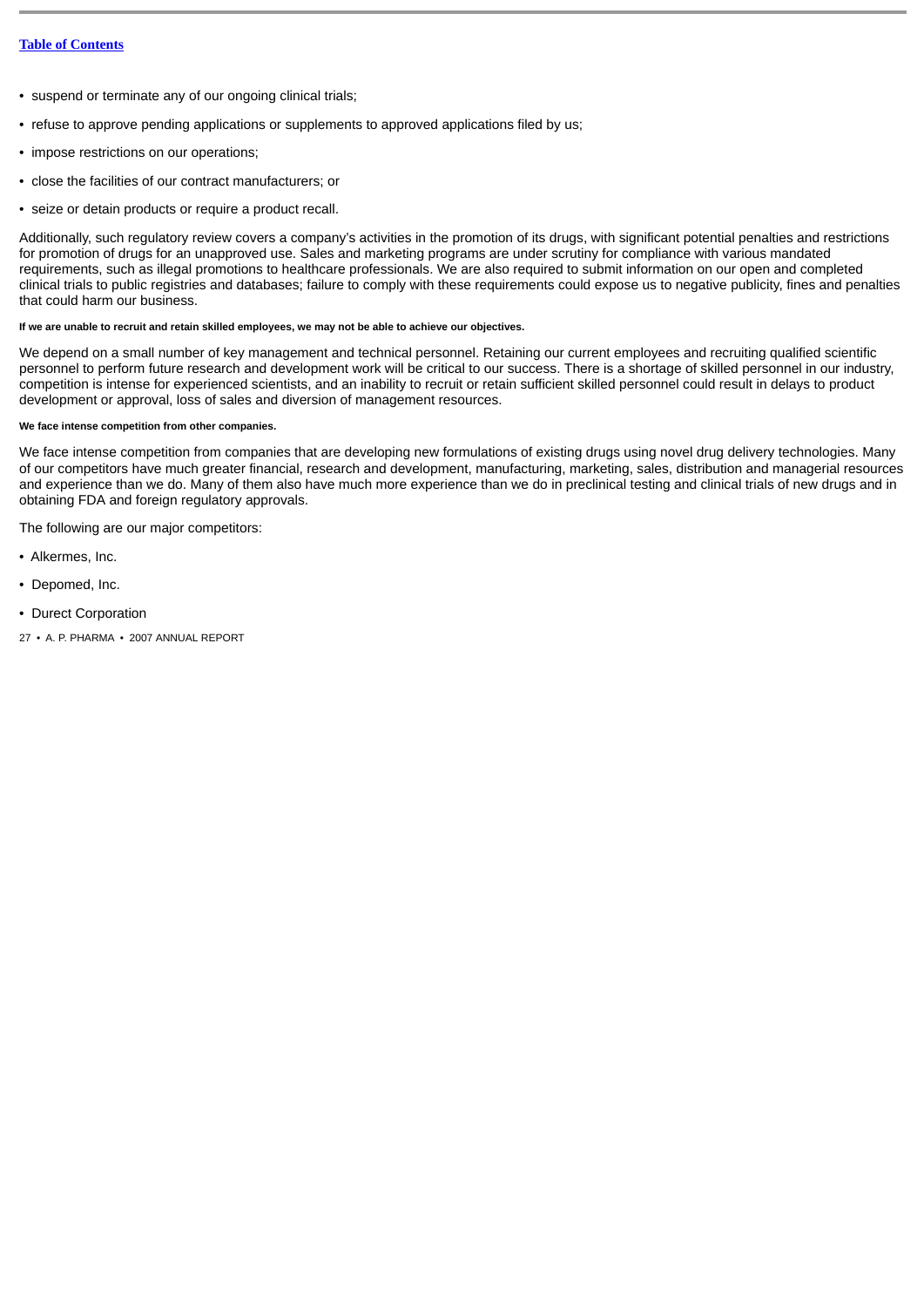- suspend or terminate any of our ongoing clinical trials;
- refuse to approve pending applications or supplements to approved applications filed by us;
- impose restrictions on our operations;
- close the facilities of our contract manufacturers; or
- seize or detain products or require a product recall.

Additionally, such regulatory review covers a company's activities in the promotion of its drugs, with significant potential penalties and restrictions for promotion of drugs for an unapproved use. Sales and marketing programs are under scrutiny for compliance with various mandated requirements, such as illegal promotions to healthcare professionals. We are also required to submit information on our open and completed clinical trials to public registries and databases; failure to comply with these requirements could expose us to negative publicity, fines and penalties that could harm our business.

### **If we are unable to recruit and retain skilled employees, we may not be able to achieve our objectives.**

We depend on a small number of key management and technical personnel. Retaining our current employees and recruiting qualified scientific personnel to perform future research and development work will be critical to our success. There is a shortage of skilled personnel in our industry, competition is intense for experienced scientists, and an inability to recruit or retain sufficient skilled personnel could result in delays to product development or approval, loss of sales and diversion of management resources.

## **We face intense competition from other companies.**

We face intense competition from companies that are developing new formulations of existing drugs using novel drug delivery technologies. Many of our competitors have much greater financial, research and development, manufacturing, marketing, sales, distribution and managerial resources and experience than we do. Many of them also have much more experience than we do in preclinical testing and clinical trials of new drugs and in obtaining FDA and foreign regulatory approvals.

The following are our major competitors:

- Alkermes, Inc.
- Depomed, Inc.
- Durect Corporation
- 27 A. P. PHARMA 2007 ANNUAL REPORT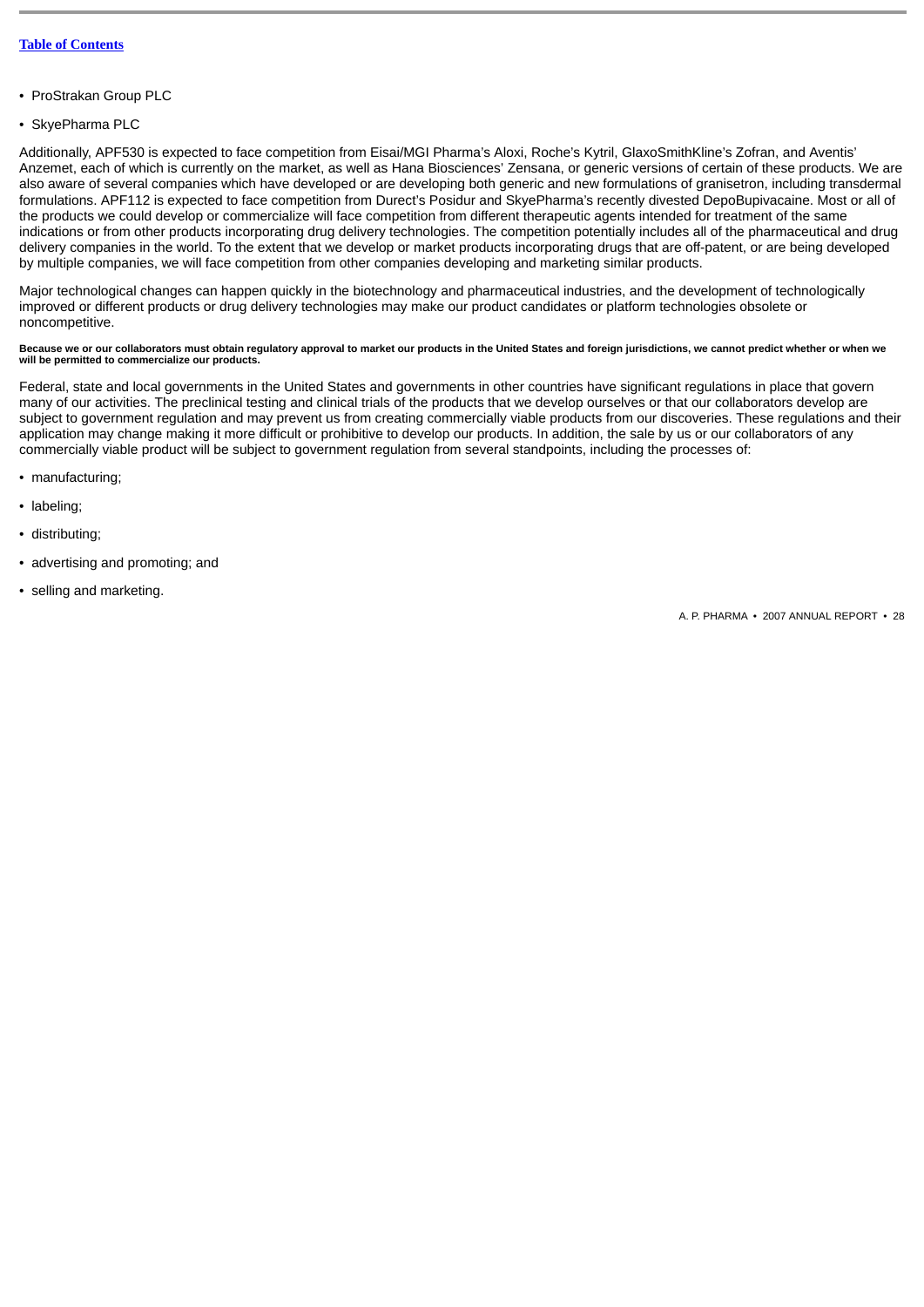- ProStrakan Group PLC
- SkyePharma PLC

Additionally, APF530 is expected to face competition from Eisai/MGI Pharma's Aloxi, Roche's Kytril, GlaxoSmithKline's Zofran, and Aventis' Anzemet, each of which is currently on the market, as well as Hana Biosciences' Zensana, or generic versions of certain of these products. We are also aware of several companies which have developed or are developing both generic and new formulations of granisetron, including transdermal formulations. APF112 is expected to face competition from Durect's Posidur and SkyePharma's recently divested DepoBupivacaine. Most or all of the products we could develop or commercialize will face competition from different therapeutic agents intended for treatment of the same indications or from other products incorporating drug delivery technologies. The competition potentially includes all of the pharmaceutical and drug delivery companies in the world. To the extent that we develop or market products incorporating drugs that are off-patent, or are being developed by multiple companies, we will face competition from other companies developing and marketing similar products.

Major technological changes can happen quickly in the biotechnology and pharmaceutical industries, and the development of technologically improved or different products or drug delivery technologies may make our product candidates or platform technologies obsolete or noncompetitive.

### **Because we or our collaborators must obtain regulatory approval to market our products in the United States and foreign jurisdictions, we cannot predict whether or when we will be permitted to commercialize our products.**

Federal, state and local governments in the United States and governments in other countries have significant regulations in place that govern many of our activities. The preclinical testing and clinical trials of the products that we develop ourselves or that our collaborators develop are subject to government regulation and may prevent us from creating commercially viable products from our discoveries. These regulations and their application may change making it more difficult or prohibitive to develop our products. In addition, the sale by us or our collaborators of any commercially viable product will be subject to government regulation from several standpoints, including the processes of:

- manufacturing;
- labeling;
- distributing;
- advertising and promoting; and
- selling and marketing.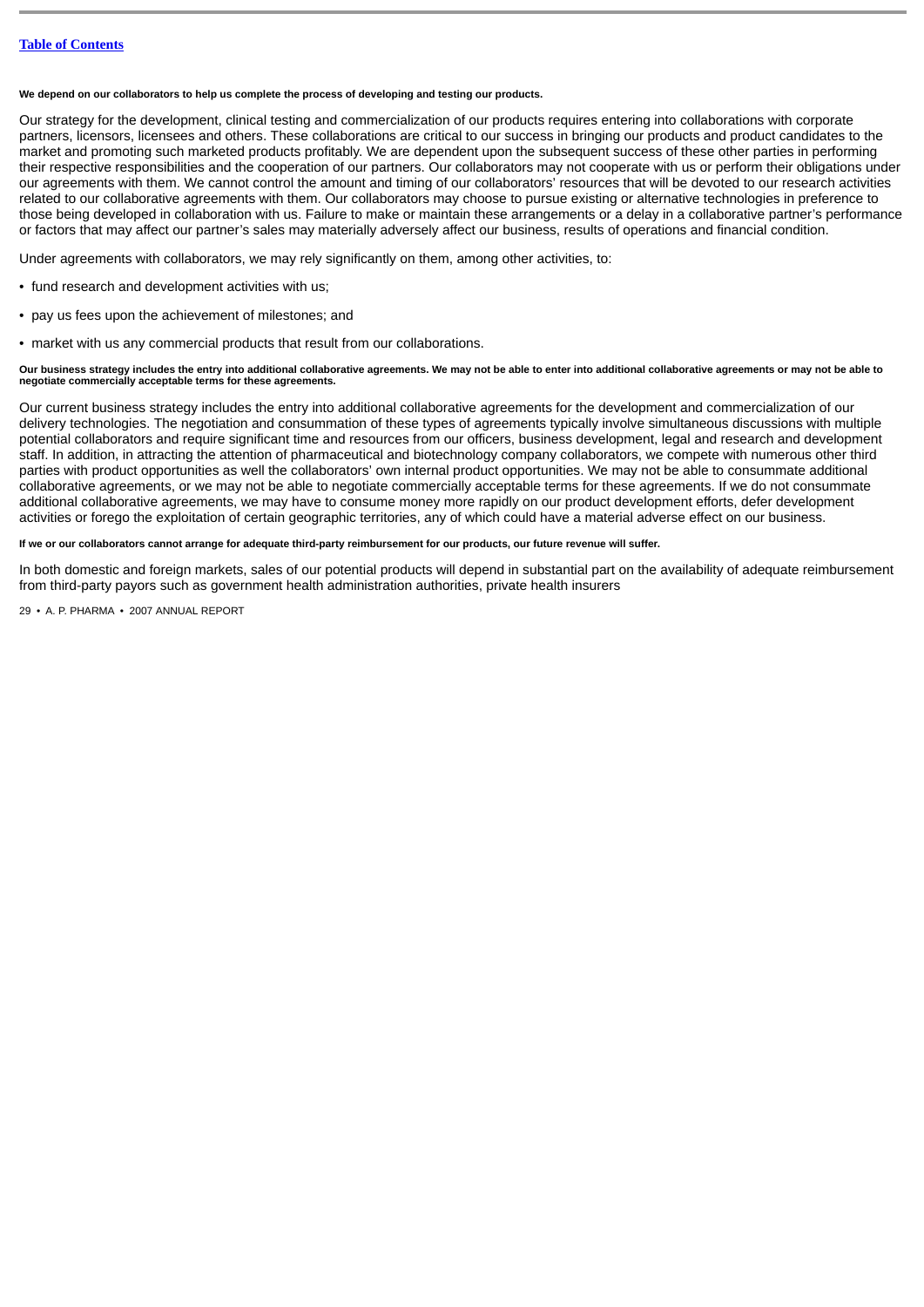**We depend on our collaborators to help us complete the process of developing and testing our products.**

Our strategy for the development, clinical testing and commercialization of our products requires entering into collaborations with corporate partners, licensors, licensees and others. These collaborations are critical to our success in bringing our products and product candidates to the market and promoting such marketed products profitably. We are dependent upon the subsequent success of these other parties in performing their respective responsibilities and the cooperation of our partners. Our collaborators may not cooperate with us or perform their obligations under our agreements with them. We cannot control the amount and timing of our collaborators' resources that will be devoted to our research activities related to our collaborative agreements with them. Our collaborators may choose to pursue existing or alternative technologies in preference to those being developed in collaboration with us. Failure to make or maintain these arrangements or a delay in a collaborative partner's performance or factors that may affect our partner's sales may materially adversely affect our business, results of operations and financial condition.

Under agreements with collaborators, we may rely significantly on them, among other activities, to:

- fund research and development activities with us;
- pay us fees upon the achievement of milestones; and
- market with us any commercial products that result from our collaborations.

#### **Our business strategy includes the entry into additional collaborative agreements. We may not be able to enter into additional collaborative agreements or may not be able to negotiate commercially acceptable terms for these agreements.**

Our current business strategy includes the entry into additional collaborative agreements for the development and commercialization of our delivery technologies. The negotiation and consummation of these types of agreements typically involve simultaneous discussions with multiple potential collaborators and require significant time and resources from our officers, business development, legal and research and development staff. In addition, in attracting the attention of pharmaceutical and biotechnology company collaborators, we compete with numerous other third parties with product opportunities as well the collaborators' own internal product opportunities. We may not be able to consummate additional collaborative agreements, or we may not be able to negotiate commercially acceptable terms for these agreements. If we do not consummate additional collaborative agreements, we may have to consume money more rapidly on our product development efforts, defer development activities or forego the exploitation of certain geographic territories, any of which could have a material adverse effect on our business.

**If we or our collaborators cannot arrange for adequate third-party reimbursement for our products, our future revenue will suffer.**

In both domestic and foreign markets, sales of our potential products will depend in substantial part on the availability of adequate reimbursement from third-party payors such as government health administration authorities, private health insurers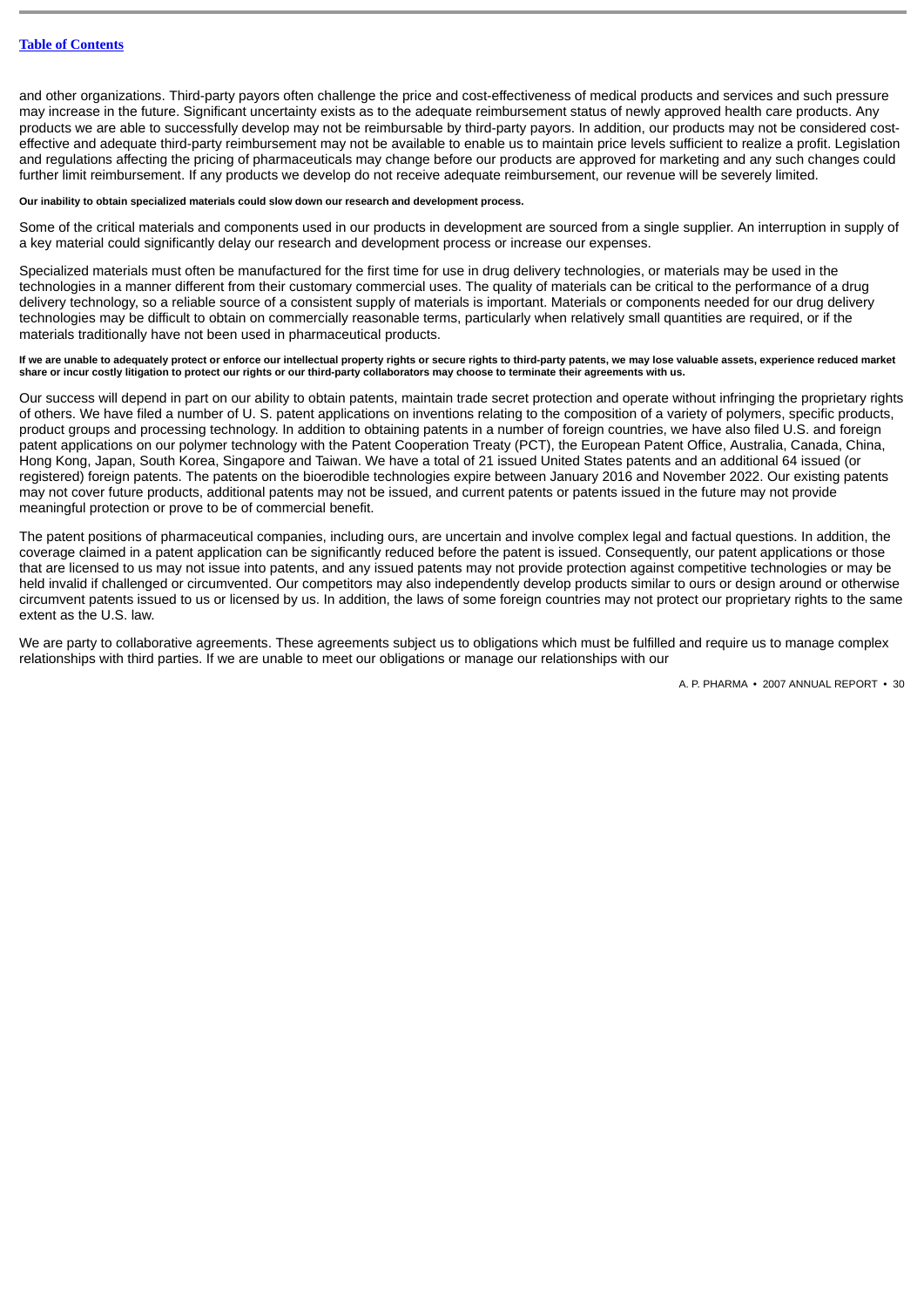and other organizations. Third-party payors often challenge the price and cost-effectiveness of medical products and services and such pressure may increase in the future. Significant uncertainty exists as to the adequate reimbursement status of newly approved health care products. Any products we are able to successfully develop may not be reimbursable by third-party payors. In addition, our products may not be considered costeffective and adequate third-party reimbursement may not be available to enable us to maintain price levels sufficient to realize a profit. Legislation and regulations affecting the pricing of pharmaceuticals may change before our products are approved for marketing and any such changes could further limit reimbursement. If any products we develop do not receive adequate reimbursement, our revenue will be severely limited.

#### **Our inability to obtain specialized materials could slow down our research and development process.**

Some of the critical materials and components used in our products in development are sourced from a single supplier. An interruption in supply of a key material could significantly delay our research and development process or increase our expenses.

Specialized materials must often be manufactured for the first time for use in drug delivery technologies, or materials may be used in the technologies in a manner different from their customary commercial uses. The quality of materials can be critical to the performance of a drug delivery technology, so a reliable source of a consistent supply of materials is important. Materials or components needed for our drug delivery technologies may be difficult to obtain on commercially reasonable terms, particularly when relatively small quantities are required, or if the materials traditionally have not been used in pharmaceutical products.

If we are unable to adequately protect or enforce our intellectual property rights or secure rights to third-party patents, we may lose valuable assets, experience reduced market<br>share or incur costly litigation to protect

Our success will depend in part on our ability to obtain patents, maintain trade secret protection and operate without infringing the proprietary rights of others. We have filed a number of U. S. patent applications on inventions relating to the composition of a variety of polymers, specific products, product groups and processing technology. In addition to obtaining patents in a number of foreign countries, we have also filed U.S. and foreign patent applications on our polymer technology with the Patent Cooperation Treaty (PCT), the European Patent Office, Australia, Canada, China, Hong Kong, Japan, South Korea, Singapore and Taiwan. We have a total of 21 issued United States patents and an additional 64 issued (or registered) foreign patents. The patents on the bioerodible technologies expire between January 2016 and November 2022. Our existing patents may not cover future products, additional patents may not be issued, and current patents or patents issued in the future may not provide meaningful protection or prove to be of commercial benefit.

The patent positions of pharmaceutical companies, including ours, are uncertain and involve complex legal and factual questions. In addition, the coverage claimed in a patent application can be significantly reduced before the patent is issued. Consequently, our patent applications or those that are licensed to us may not issue into patents, and any issued patents may not provide protection against competitive technologies or may be held invalid if challenged or circumvented. Our competitors may also independently develop products similar to ours or design around or otherwise circumvent patents issued to us or licensed by us. In addition, the laws of some foreign countries may not protect our proprietary rights to the same extent as the U.S. law.

We are party to collaborative agreements. These agreements subject us to obligations which must be fulfilled and require us to manage complex relationships with third parties. If we are unable to meet our obligations or manage our relationships with our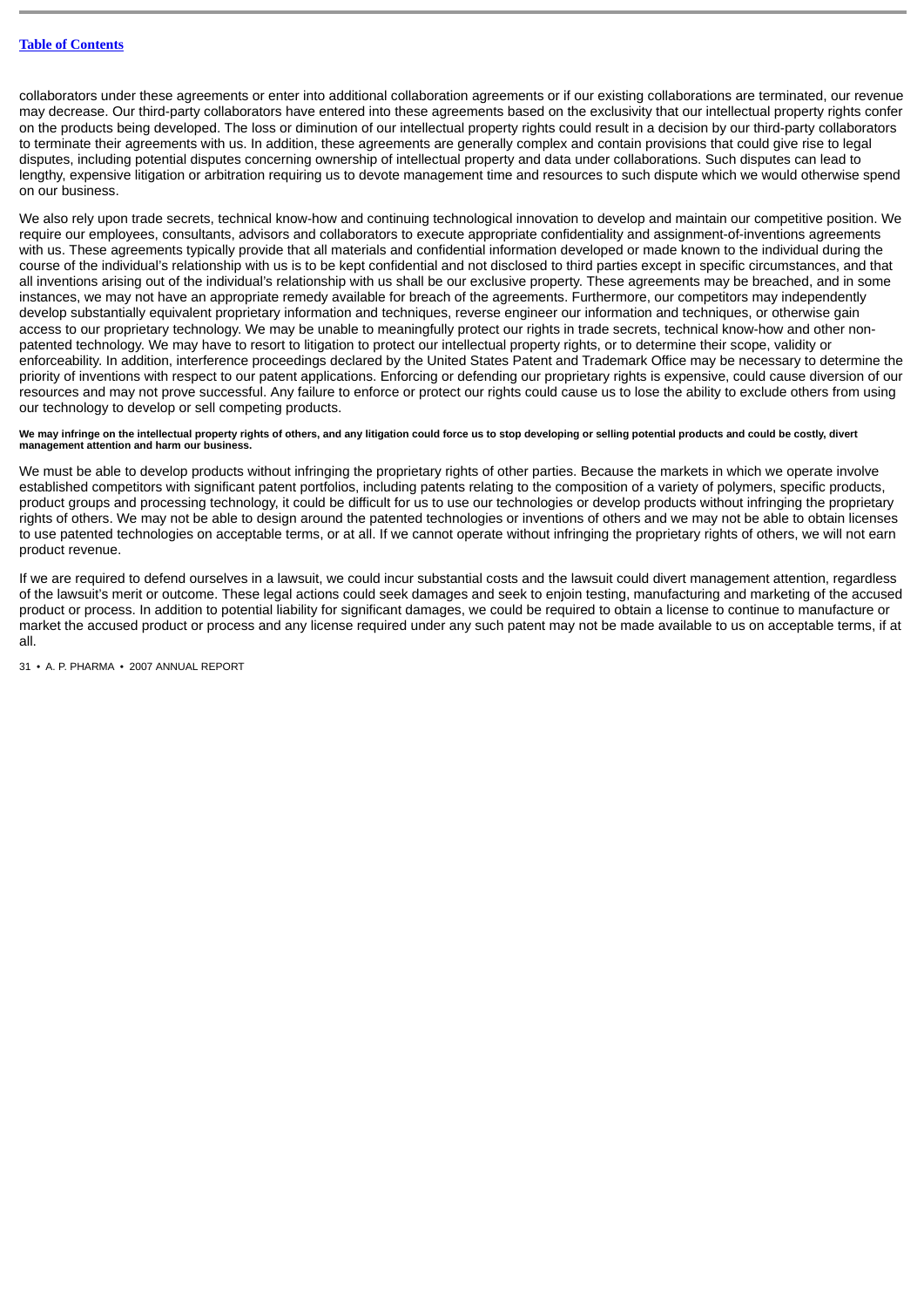collaborators under these agreements or enter into additional collaboration agreements or if our existing collaborations are terminated, our revenue may decrease. Our third-party collaborators have entered into these agreements based on the exclusivity that our intellectual property rights confer on the products being developed. The loss or diminution of our intellectual property rights could result in a decision by our third-party collaborators to terminate their agreements with us. In addition, these agreements are generally complex and contain provisions that could give rise to legal disputes, including potential disputes concerning ownership of intellectual property and data under collaborations. Such disputes can lead to lengthy, expensive litigation or arbitration requiring us to devote management time and resources to such dispute which we would otherwise spend on our business.

We also rely upon trade secrets, technical know-how and continuing technological innovation to develop and maintain our competitive position. We require our employees, consultants, advisors and collaborators to execute appropriate confidentiality and assignment-of-inventions agreements with us. These agreements typically provide that all materials and confidential information developed or made known to the individual during the course of the individual's relationship with us is to be kept confidential and not disclosed to third parties except in specific circumstances, and that all inventions arising out of the individual's relationship with us shall be our exclusive property. These agreements may be breached, and in some instances, we may not have an appropriate remedy available for breach of the agreements. Furthermore, our competitors may independently develop substantially equivalent proprietary information and techniques, reverse engineer our information and techniques, or otherwise gain access to our proprietary technology. We may be unable to meaningfully protect our rights in trade secrets, technical know-how and other nonpatented technology. We may have to resort to litigation to protect our intellectual property rights, or to determine their scope, validity or enforceability. In addition, interference proceedings declared by the United States Patent and Trademark Office may be necessary to determine the priority of inventions with respect to our patent applications. Enforcing or defending our proprietary rights is expensive, could cause diversion of our resources and may not prove successful. Any failure to enforce or protect our rights could cause us to lose the ability to exclude others from using our technology to develop or sell competing products.

#### We may infringe on the intellectual property rights of others, and any litigation could force us to stop developing or selling potential products and could be costly, divert **management attention and harm our business.**

We must be able to develop products without infringing the proprietary rights of other parties. Because the markets in which we operate involve established competitors with significant patent portfolios, including patents relating to the composition of a variety of polymers, specific products, product groups and processing technology, it could be difficult for us to use our technologies or develop products without infringing the proprietary rights of others. We may not be able to design around the patented technologies or inventions of others and we may not be able to obtain licenses to use patented technologies on acceptable terms, or at all. If we cannot operate without infringing the proprietary rights of others, we will not earn product revenue.

If we are required to defend ourselves in a lawsuit, we could incur substantial costs and the lawsuit could divert management attention, regardless of the lawsuit's merit or outcome. These legal actions could seek damages and seek to enjoin testing, manufacturing and marketing of the accused product or process. In addition to potential liability for significant damages, we could be required to obtain a license to continue to manufacture or market the accused product or process and any license required under any such patent may not be made available to us on acceptable terms, if at all.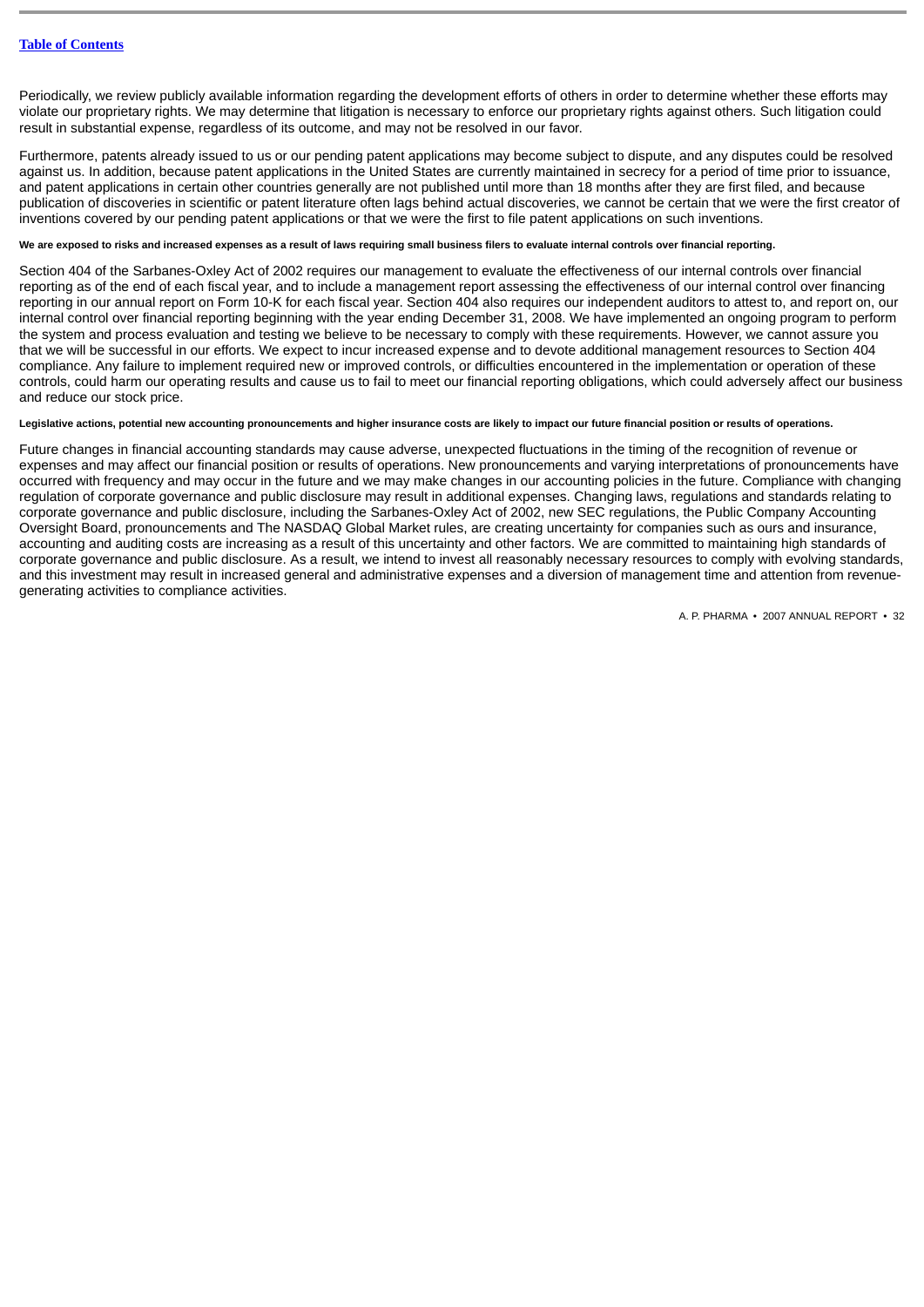Periodically, we review publicly available information regarding the development efforts of others in order to determine whether these efforts may violate our proprietary rights. We may determine that litigation is necessary to enforce our proprietary rights against others. Such litigation could result in substantial expense, regardless of its outcome, and may not be resolved in our favor.

Furthermore, patents already issued to us or our pending patent applications may become subject to dispute, and any disputes could be resolved against us. In addition, because patent applications in the United States are currently maintained in secrecy for a period of time prior to issuance, and patent applications in certain other countries generally are not published until more than 18 months after they are first filed, and because publication of discoveries in scientific or patent literature often lags behind actual discoveries, we cannot be certain that we were the first creator of inventions covered by our pending patent applications or that we were the first to file patent applications on such inventions.

## **We are exposed to risks and increased expenses as a result of laws requiring small business filers to evaluate internal controls over financial reporting.**

Section 404 of the Sarbanes-Oxley Act of 2002 requires our management to evaluate the effectiveness of our internal controls over financial reporting as of the end of each fiscal year, and to include a management report assessing the effectiveness of our internal control over financing reporting in our annual report on Form 10-K for each fiscal year. Section 404 also requires our independent auditors to attest to, and report on, our internal control over financial reporting beginning with the year ending December 31, 2008. We have implemented an ongoing program to perform the system and process evaluation and testing we believe to be necessary to comply with these requirements. However, we cannot assure you that we will be successful in our efforts. We expect to incur increased expense and to devote additional management resources to Section 404 compliance. Any failure to implement required new or improved controls, or difficulties encountered in the implementation or operation of these controls, could harm our operating results and cause us to fail to meet our financial reporting obligations, which could adversely affect our business and reduce our stock price.

## **Legislative actions, potential new accounting pronouncements and higher insurance costs are likely to impact our future financial position or results of operations.**

Future changes in financial accounting standards may cause adverse, unexpected fluctuations in the timing of the recognition of revenue or expenses and may affect our financial position or results of operations. New pronouncements and varying interpretations of pronouncements have occurred with frequency and may occur in the future and we may make changes in our accounting policies in the future. Compliance with changing regulation of corporate governance and public disclosure may result in additional expenses. Changing laws, regulations and standards relating to corporate governance and public disclosure, including the Sarbanes-Oxley Act of 2002, new SEC regulations, the Public Company Accounting Oversight Board, pronouncements and The NASDAO Global Market rules, are creating uncertainty for companies such as ours and insurance, accounting and auditing costs are increasing as a result of this uncertainty and other factors. We are committed to maintaining high standards of corporate governance and public disclosure. As a result, we intend to invest all reasonably necessary resources to comply with evolving standards, and this investment may result in increased general and administrative expenses and a diversion of management time and attention from revenuegenerating activities to compliance activities.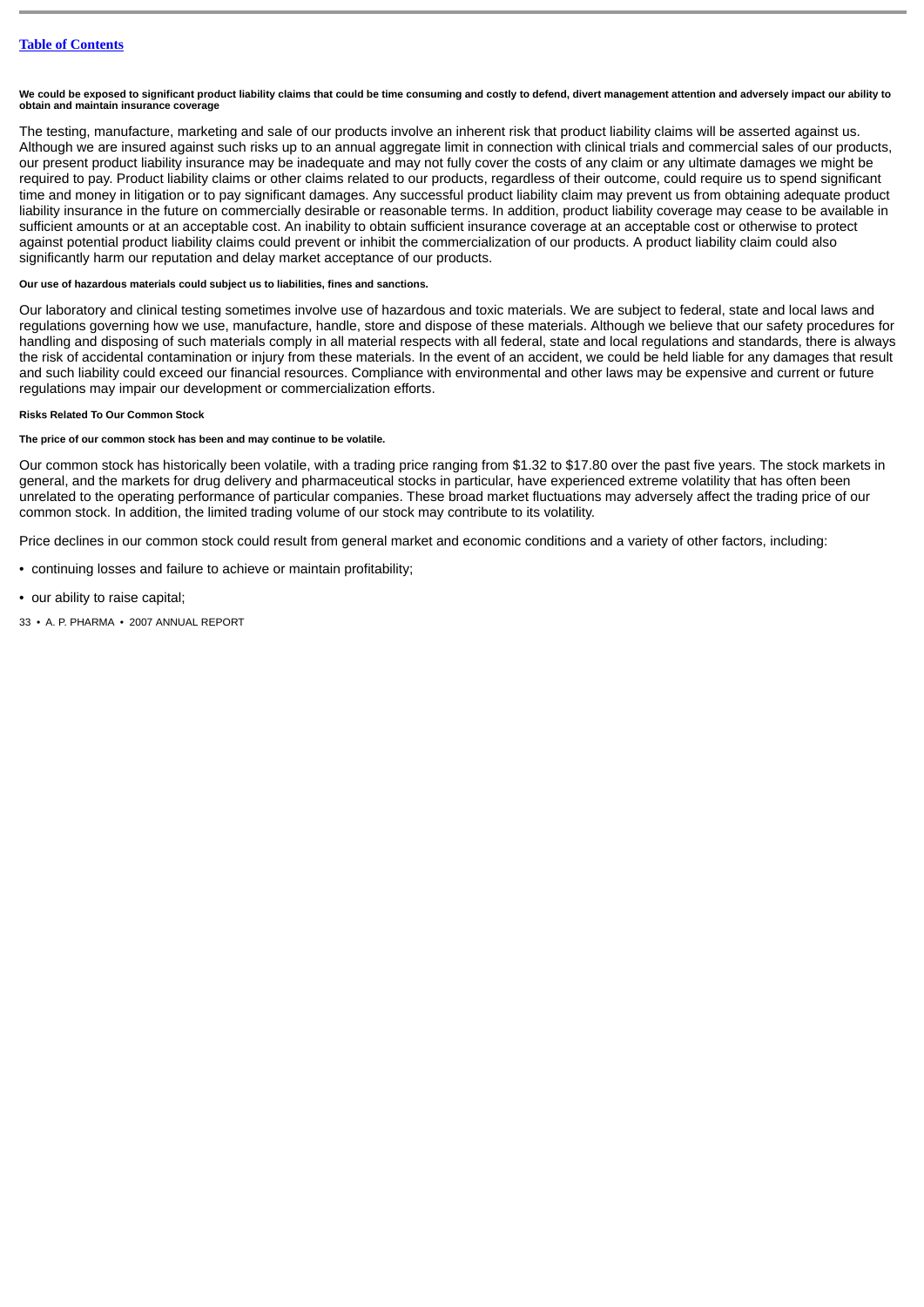**We could be exposed to significant product liability claims that could be time consuming and costly to defend, divert management attention and adversely impact our ability to obtain and maintain insurance coverage**

The testing, manufacture, marketing and sale of our products involve an inherent risk that product liability claims will be asserted against us. Although we are insured against such risks up to an annual aggregate limit in connection with clinical trials and commercial sales of our products, our present product liability insurance may be inadequate and may not fully cover the costs of any claim or any ultimate damages we might be required to pay. Product liability claims or other claims related to our products, regardless of their outcome, could require us to spend significant time and money in litigation or to pay significant damages. Any successful product liability claim may prevent us from obtaining adequate product liability insurance in the future on commercially desirable or reasonable terms. In addition, product liability coverage may cease to be available in sufficient amounts or at an acceptable cost. An inability to obtain sufficient insurance coverage at an acceptable cost or otherwise to protect against potential product liability claims could prevent or inhibit the commercialization of our products. A product liability claim could also significantly harm our reputation and delay market acceptance of our products.

## **Our use of hazardous materials could subject us to liabilities, fines and sanctions.**

Our laboratory and clinical testing sometimes involve use of hazardous and toxic materials. We are subject to federal, state and local laws and regulations governing how we use, manufacture, handle, store and dispose of these materials. Although we believe that our safety procedures for handling and disposing of such materials comply in all material respects with all federal, state and local regulations and standards, there is always the risk of accidental contamination or injury from these materials. In the event of an accident, we could be held liable for any damages that result and such liability could exceed our financial resources. Compliance with environmental and other laws may be expensive and current or future regulations may impair our development or commercialization efforts.

#### **Risks Related To Our Common Stock**

### **The price of our common stock has been and may continue to be volatile.**

Our common stock has historically been volatile, with a trading price ranging from \$1.32 to \$17.80 over the past five years. The stock markets in general, and the markets for drug delivery and pharmaceutical stocks in particular, have experienced extreme volatility that has often been unrelated to the operating performance of particular companies. These broad market fluctuations may adversely affect the trading price of our common stock. In addition, the limited trading volume of our stock may contribute to its volatility.

Price declines in our common stock could result from general market and economic conditions and a variety of other factors, including:

- continuing losses and failure to achieve or maintain profitability;
- our ability to raise capital;
- 33 A. P. PHARMA 2007 ANNUAL REPORT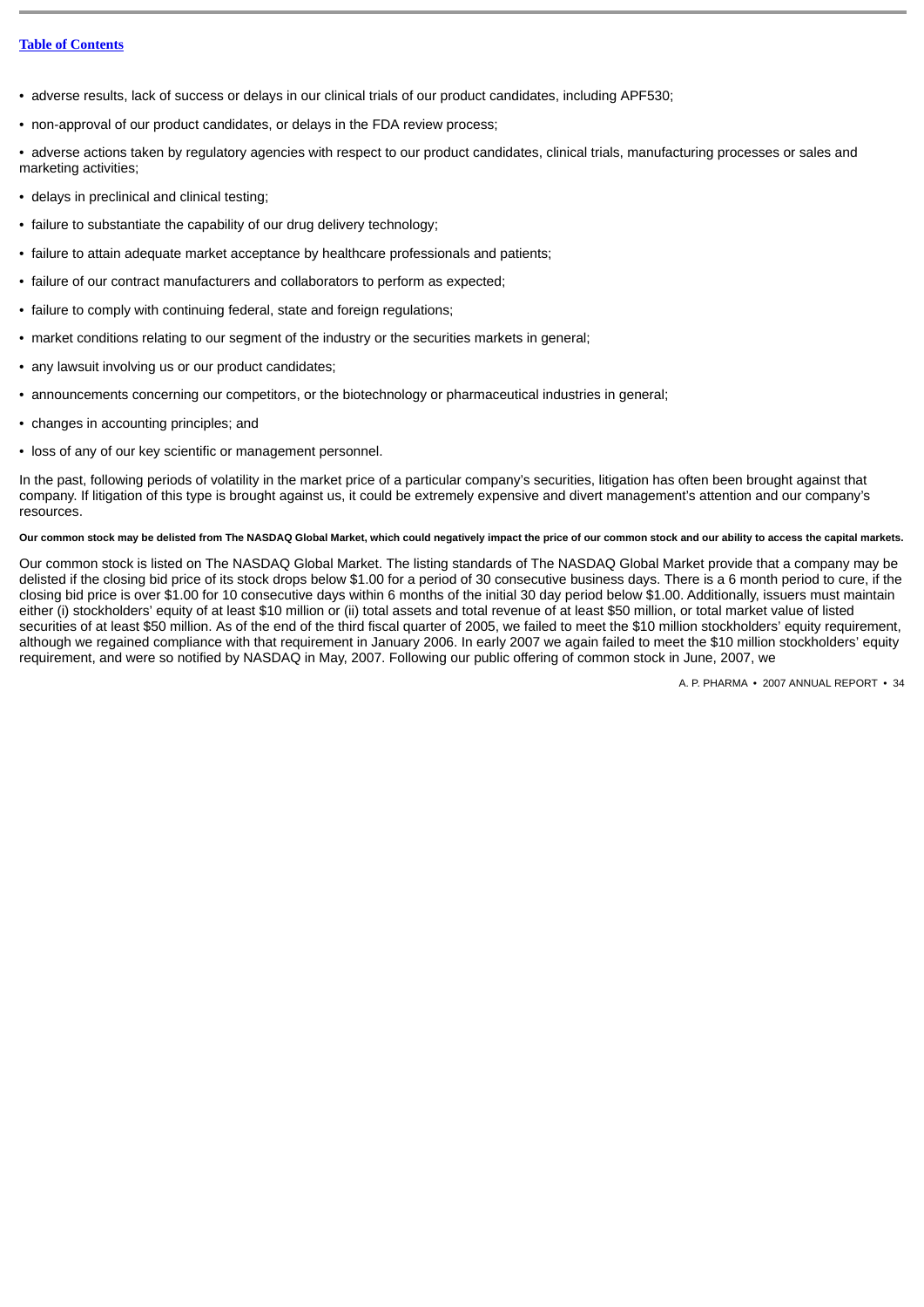- adverse results, lack of success or delays in our clinical trials of our product candidates, including APF530;
- non-approval of our product candidates, or delays in the FDA review process;

• adverse actions taken by regulatory agencies with respect to our product candidates, clinical trials, manufacturing processes or sales and marketing activities;

- delays in preclinical and clinical testing;
- failure to substantiate the capability of our drug delivery technology;
- failure to attain adequate market acceptance by healthcare professionals and patients;
- failure of our contract manufacturers and collaborators to perform as expected;
- failure to comply with continuing federal, state and foreign regulations;
- market conditions relating to our segment of the industry or the securities markets in general;
- any lawsuit involving us or our product candidates;
- announcements concerning our competitors, or the biotechnology or pharmaceutical industries in general;
- changes in accounting principles; and
- loss of any of our key scientific or management personnel.

In the past, following periods of volatility in the market price of a particular company's securities, litigation has often been brought against that company. If litigation of this type is brought against us, it could be extremely expensive and divert management's attention and our company's resources.

## **Our common stock may be delisted from The NASDAQ Global Market, which could negatively impact the price of our common stock and our ability to access the capital markets.**

Our common stock is listed on The NASDAQ Global Market. The listing standards of The NASDAQ Global Market provide that a company may be delisted if the closing bid price of its stock drops below \$1.00 for a period of 30 consecutive business days. There is a 6 month period to cure, if the closing bid price is over \$1.00 for 10 consecutive days within 6 months of the initial 30 day period below \$1.00. Additionally, issuers must maintain either (i) stockholders' equity of at least \$10 million or (ii) total assets and total revenue of at least \$50 million, or total market value of listed securities of at least \$50 million. As of the end of the third fiscal quarter of 2005, we failed to meet the \$10 million stockholders' equity requirement, although we regained compliance with that requirement in January 2006. In early 2007 we again failed to meet the \$10 million stockholders' equity requirement, and were so notified by NASDAQ in May, 2007. Following our public offering of common stock in June, 2007, we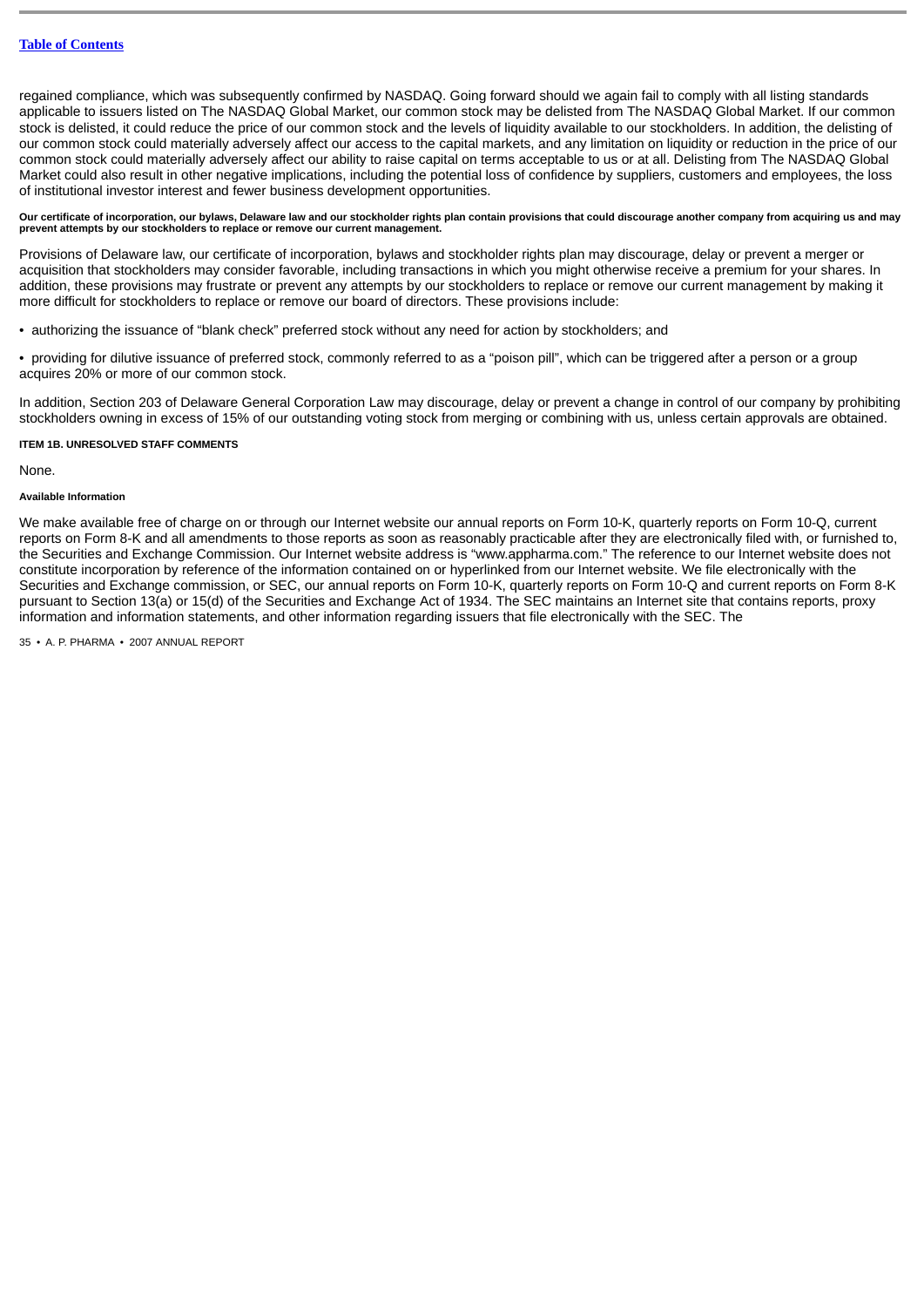regained compliance, which was subsequently confirmed by NASDAQ. Going forward should we again fail to comply with all listing standards applicable to issuers listed on The NASDAQ Global Market, our common stock may be delisted from The NASDAQ Global Market. If our common stock is delisted, it could reduce the price of our common stock and the levels of liquidity available to our stockholders. In addition, the delisting of our common stock could materially adversely affect our access to the capital markets, and any limitation on liquidity or reduction in the price of our common stock could materially adversely affect our ability to raise capital on terms acceptable to us or at all. Delisting from The NASDAQ Global Market could also result in other negative implications, including the potential loss of confidence by suppliers, customers and employees, the loss of institutional investor interest and fewer business development opportunities.

**Our certificate of incorporation, our bylaws, Delaware law and our stockholder rights plan contain provisions that could discourage another company from acquiring us and may prevent attempts by our stockholders to replace or remove our current management.**

Provisions of Delaware law, our certificate of incorporation, bylaws and stockholder rights plan may discourage, delay or prevent a merger or acquisition that stockholders may consider favorable, including transactions in which you might otherwise receive a premium for your shares. In addition, these provisions may frustrate or prevent any attempts by our stockholders to replace or remove our current management by making it more difficult for stockholders to replace or remove our board of directors. These provisions include:

- authorizing the issuance of "blank check" preferred stock without any need for action by stockholders; and
- providing for dilutive issuance of preferred stock, commonly referred to as a "poison pill", which can be triggered after a person or a group acquires 20% or more of our common stock.

In addition, Section 203 of Delaware General Corporation Law may discourage, delay or prevent a change in control of our company by prohibiting stockholders owning in excess of 15% of our outstanding voting stock from merging or combining with us, unless certain approvals are obtained.

#### <span id="page-34-0"></span>**ITEM 1B. UNRESOLVED STAFF COMMENTS**

None.

#### **Available Information**

We make available free of charge on or through our Internet website our annual reports on Form 10-K, quarterly reports on Form 10-O, current reports on Form 8-K and all amendments to those reports as soon as reasonably practicable after they are electronically filed with, or furnished to, the Securities and Exchange Commission. Our Internet website address is "www.appharma.com." The reference to our Internet website does not constitute incorporation by reference of the information contained on or hyperlinked from our Internet website. We file electronically with the Securities and Exchange commission, or SEC, our annual reports on Form 10-K, quarterly reports on Form 10-Q and current reports on Form 8-K pursuant to Section 13(a) or 15(d) of the Securities and Exchange Act of 1934. The SEC maintains an Internet site that contains reports, proxy information and information statements, and other information regarding issuers that file electronically with the SEC. The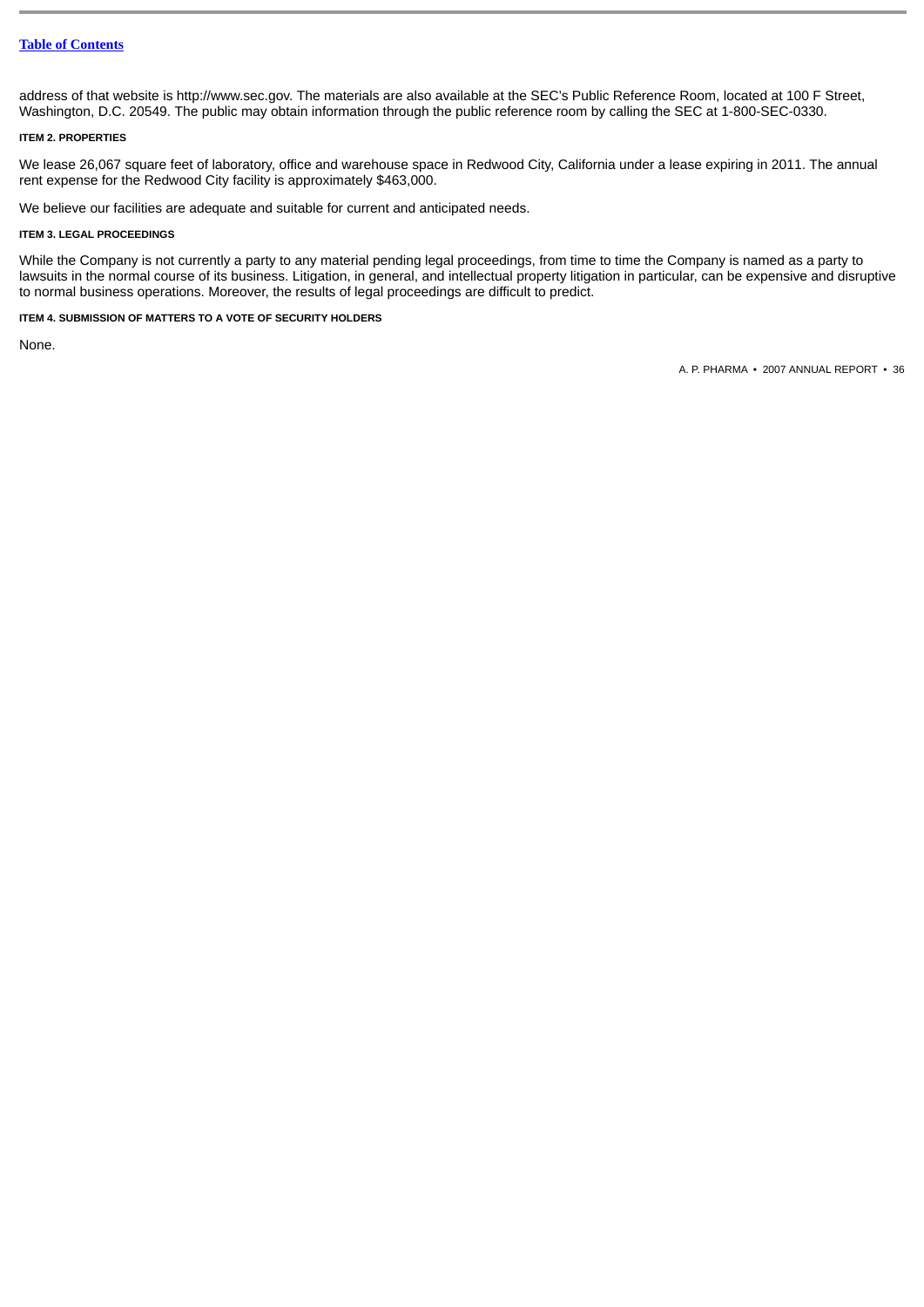address of that website is http://www.sec.gov. The materials are also available at the SEC's Public Reference Room, located at 100 F Street, Washington, D.C. 20549. The public may obtain information through the public reference room by calling the SEC at 1-800-SEC-0330.

### <span id="page-35-0"></span>**ITEM 2. PROPERTIES**

We lease 26,067 square feet of laboratory, office and warehouse space in Redwood City, California under a lease expiring in 2011. The annual rent expense for the Redwood City facility is approximately \$463,000.

We believe our facilities are adequate and suitable for current and anticipated needs.

### <span id="page-35-1"></span>**ITEM 3. LEGAL PROCEEDINGS**

While the Company is not currently a party to any material pending legal proceedings, from time to time the Company is named as a party to lawsuits in the normal course of its business. Litigation, in general, and intellectual property litigation in particular, can be expensive and disruptive to normal business operations. Moreover, the results of legal proceedings are difficult to predict.

## <span id="page-35-2"></span>**ITEM 4. SUBMISSION OF MATTERS TO A VOTE OF SECURITY HOLDERS**

None.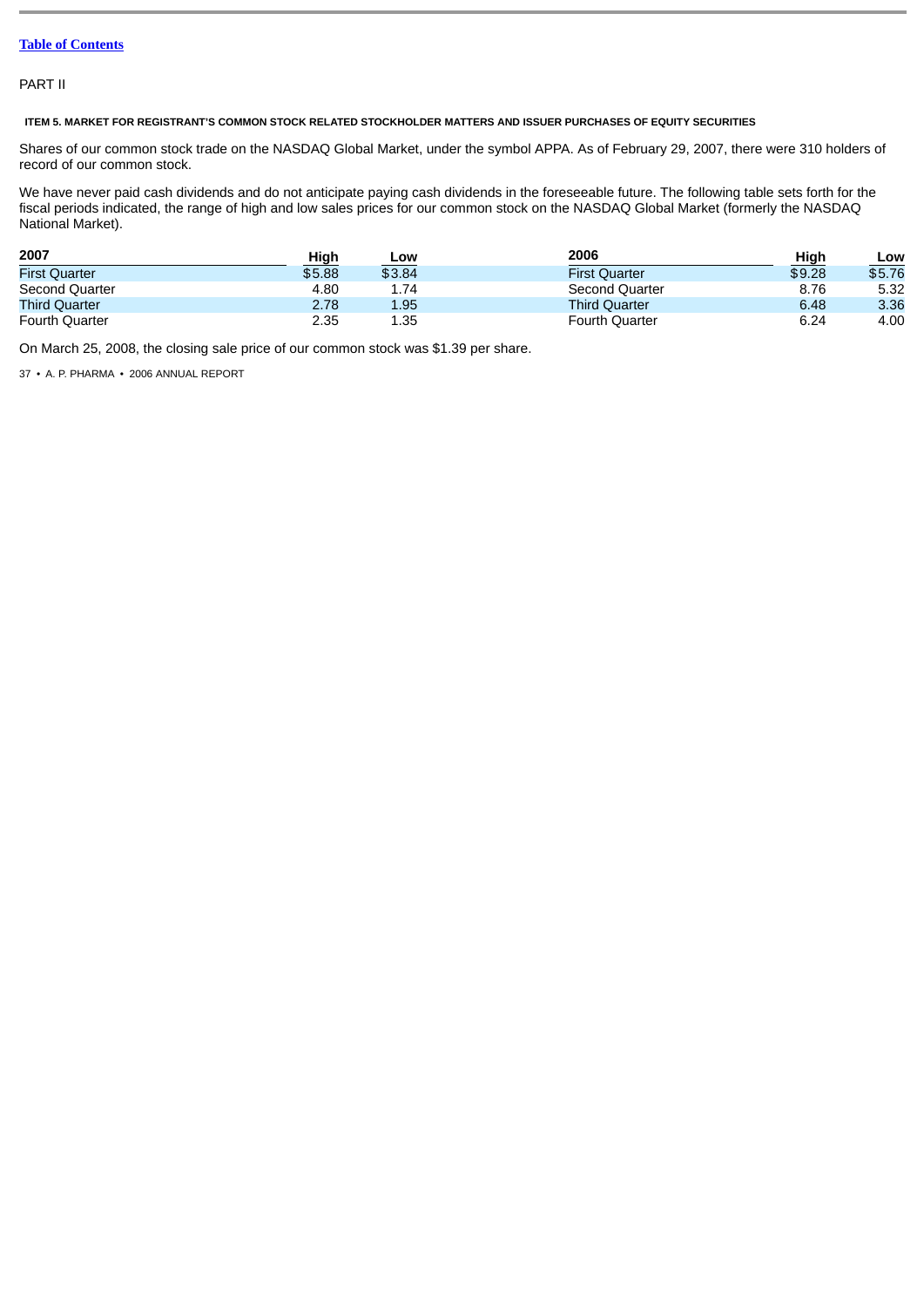# PART II

# **ITEM 5. MARKET FOR REGISTRANT'S COMMON STOCK RELATED STOCKHOLDER MATTERS AND ISSUER PURCHASES OF EQUITY SECURITIES**

Shares of our common stock trade on the NASDAQ Global Market, under the symbol APPA. As of February 29, 2007, there were 310 holders of record of our common stock.

We have never paid cash dividends and do not anticipate paying cash dividends in the foreseeable future. The following table sets forth for the fiscal periods indicated, the range of high and low sales prices for our common stock on the NASDAQ Global Market (formerly the NASDAQ National Market).

| 2007                  | High   | Low    | 2006                  | High   | LOW    |
|-----------------------|--------|--------|-----------------------|--------|--------|
| <b>First Ouarter</b>  | \$5.88 | \$3.84 | <b>First Ouarter</b>  | \$9.28 | \$5.76 |
| Second Quarter        | 4.80   | 1.74   | Second Quarter        | 8.76   | 5.32   |
| <b>Third Ouarter</b>  | 2.78   | 1.95   | <b>Third Quarter</b>  | 6.48   | 3.36   |
| <b>Fourth Quarter</b> | 2.35   | 1.35   | <b>Fourth Quarter</b> | 6.24   | 4.00   |

On March 25, 2008, the closing sale price of our common stock was \$1.39 per share.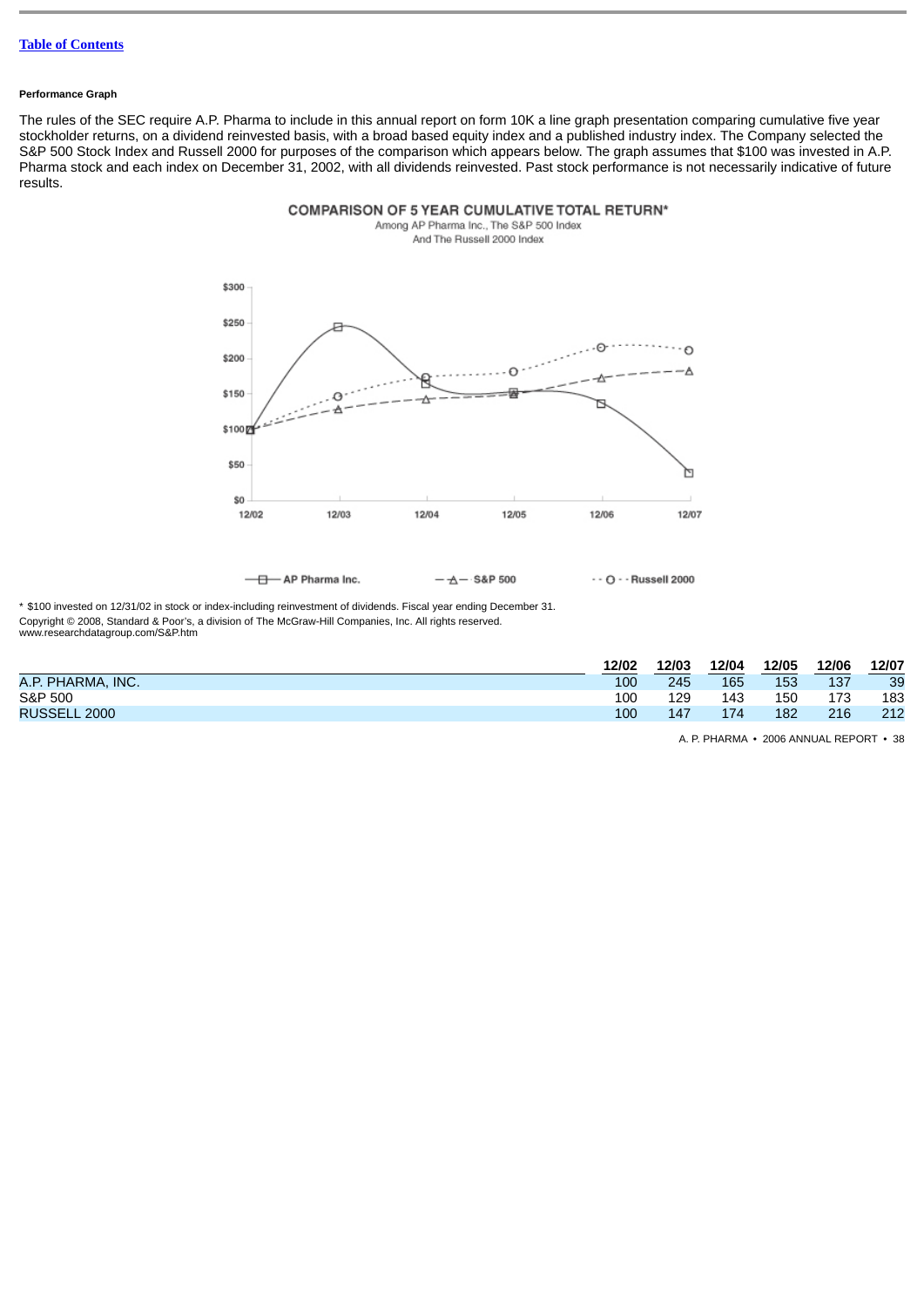#### **Performance Graph**

The rules of the SEC require A.P. Pharma to include in this annual report on form 10K a line graph presentation comparing cumulative five year stockholder returns, on a dividend reinvested basis, with a broad based equity index and a published industry index. The Company selected the S&P 500 Stock Index and Russell 2000 for purposes of the comparison which appears below. The graph assumes that \$100 was invested in A.P. Pharma stock and each index on December 31, 2002, with all dividends reinvested. Past stock performance is not necessarily indicative of future results.



COMPARISON OF 5 YEAR CUMULATIVE TOTAL RETURN\* Among AP Pharma Inc., The S&P 500 Index

And The Russell 2000 Index

 $-\Delta -$  S&P 500  $\cdot$  - O  $\cdot$  - Russell 2000

\* \$100 invested on 12/31/02 in stock or index-including reinvestment of dividends. Fiscal year ending December 31. Copyright © 2008, Standard & Poor's, a division of The McGraw-Hill Companies, Inc. All rights reserved. www.researchdatagroup.com/S&P.htm

|                     | 12/02 | 12/03 | 12/04 | 12/05 | 12/06 | 12/07 |
|---------------------|-------|-------|-------|-------|-------|-------|
| A.P. PHARMA, INC.   | 100   | 245   | 165   | 153   | 137   | 39    |
| S&P 500             | 100   | 129   | 143   | 150   | 173   | 183   |
| <b>RUSSELL 2000</b> | 100   | 147   | 174   | 182   | 216   | 212   |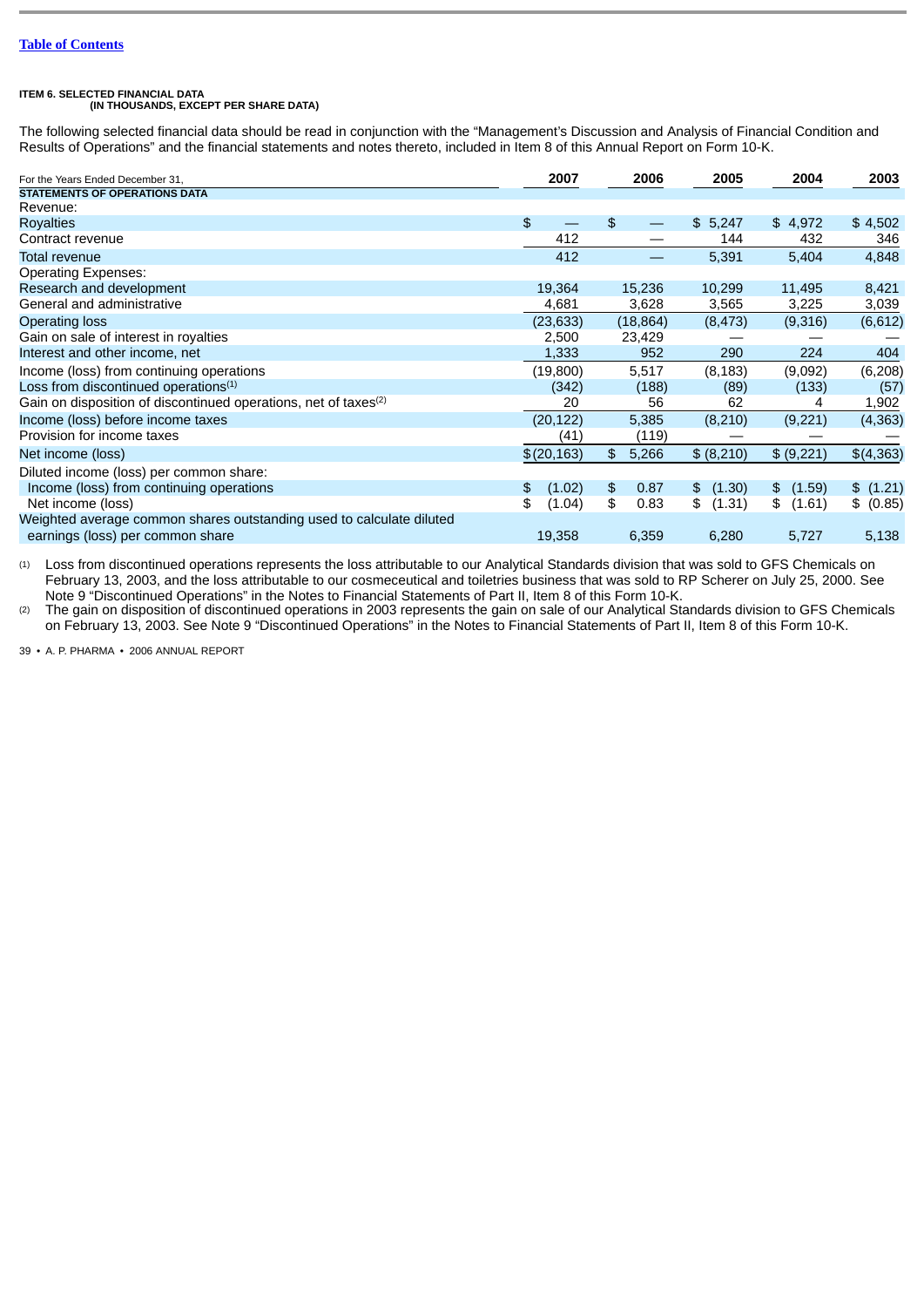# **ITEM 6. SELECTED FINANCIAL DATA (IN THOUSANDS, EXCEPT PER SHARE DATA)**

The following selected financial data should be read in conjunction with the "Management's Discussion and Analysis of Financial Condition and Results of Operations" and the financial statements and notes thereto, included in Item 8 of this Annual Report on Form 10-K.

| For the Years Ended December 31.                                            | 2007         | 2006        | 2005         | 2004         | 2003      |
|-----------------------------------------------------------------------------|--------------|-------------|--------------|--------------|-----------|
| <b>STATEMENTS OF OPERATIONS DATA</b>                                        |              |             |              |              |           |
| Revenue:                                                                    |              |             |              |              |           |
| <b>Royalties</b>                                                            | \$           | \$          | 5,247<br>\$  | \$4,972      | \$4,502   |
| Contract revenue                                                            | 412          |             | 144          | 432          | 346       |
| <b>Total revenue</b>                                                        | 412          |             | 5,391        | 5,404        | 4,848     |
| <b>Operating Expenses:</b>                                                  |              |             |              |              |           |
| Research and development                                                    | 19,364       | 15,236      | 10,299       | 11,495       | 8,421     |
| General and administrative                                                  | 4,681        | 3,628       | 3,565        | 3,225        | 3,039     |
| <b>Operating loss</b>                                                       | (23, 633)    | (18, 864)   | (8, 473)     | (9,316)      | (6,612)   |
| Gain on sale of interest in royalties                                       | 2,500        | 23,429      |              |              |           |
| Interest and other income, net                                              | 1,333        | 952         | 290          | 224          | 404       |
| Income (loss) from continuing operations                                    | (19,800)     | 5,517       | (8, 183)     | (9,092)      | (6, 208)  |
| Loss from discontinued operations $^{\scriptscriptstyle{(1)}}$              | (342)        | (188)       | (89)         | (133)        | (57)      |
| Gain on disposition of discontinued operations, net of taxes <sup>(2)</sup> | 20           | 56          | 62           | 4            | 1,902     |
| Income (loss) before income taxes                                           | (20, 122)    | 5,385       | (8,210)      | (9,221)      | (4, 363)  |
| Provision for income taxes                                                  | (41)         | (119)       |              |              |           |
| Net income (loss)                                                           | \$(20,163)   | \$<br>5,266 | \$ (8,210)   | \$ (9,221)   | \$(4,363) |
| Diluted income (loss) per common share:                                     |              |             |              |              |           |
| Income (loss) from continuing operations                                    | (1.02)<br>\$ | \$<br>0.87  | (1.30)<br>\$ | (1.59)<br>\$ | \$ (1.21) |
| Net income (loss)                                                           | \$<br>(1.04) | \$<br>0.83  | \$<br>(1.31) | \$<br>(1.61) | \$ (0.85) |
| Weighted average common shares outstanding used to calculate diluted        |              |             |              |              |           |
| earnings (loss) per common share                                            | 19,358       | 6,359       | 6,280        | 5,727        | 5,138     |

(1) Loss from discontinued operations represents the loss attributable to our Analytical Standards division that was sold to GFS Chemicals on February 13, 2003, and the loss attributable to our cosmeceutical and toiletries business that was sold to RP Scherer on July 25, 2000. See Note 9 "Discontinued Operations" in the Notes to Financial Statements of Part II, Item 8 of this Form 10-K.

(2) The gain on disposition of discontinued operations in 2003 represents the gain on sale of our Analytical Standards division to GFS Chemicals on February 13, 2003. See Note 9 "Discontinued Operations" in the Notes to Financial Statements of Part II, Item 8 of this Form 10-K.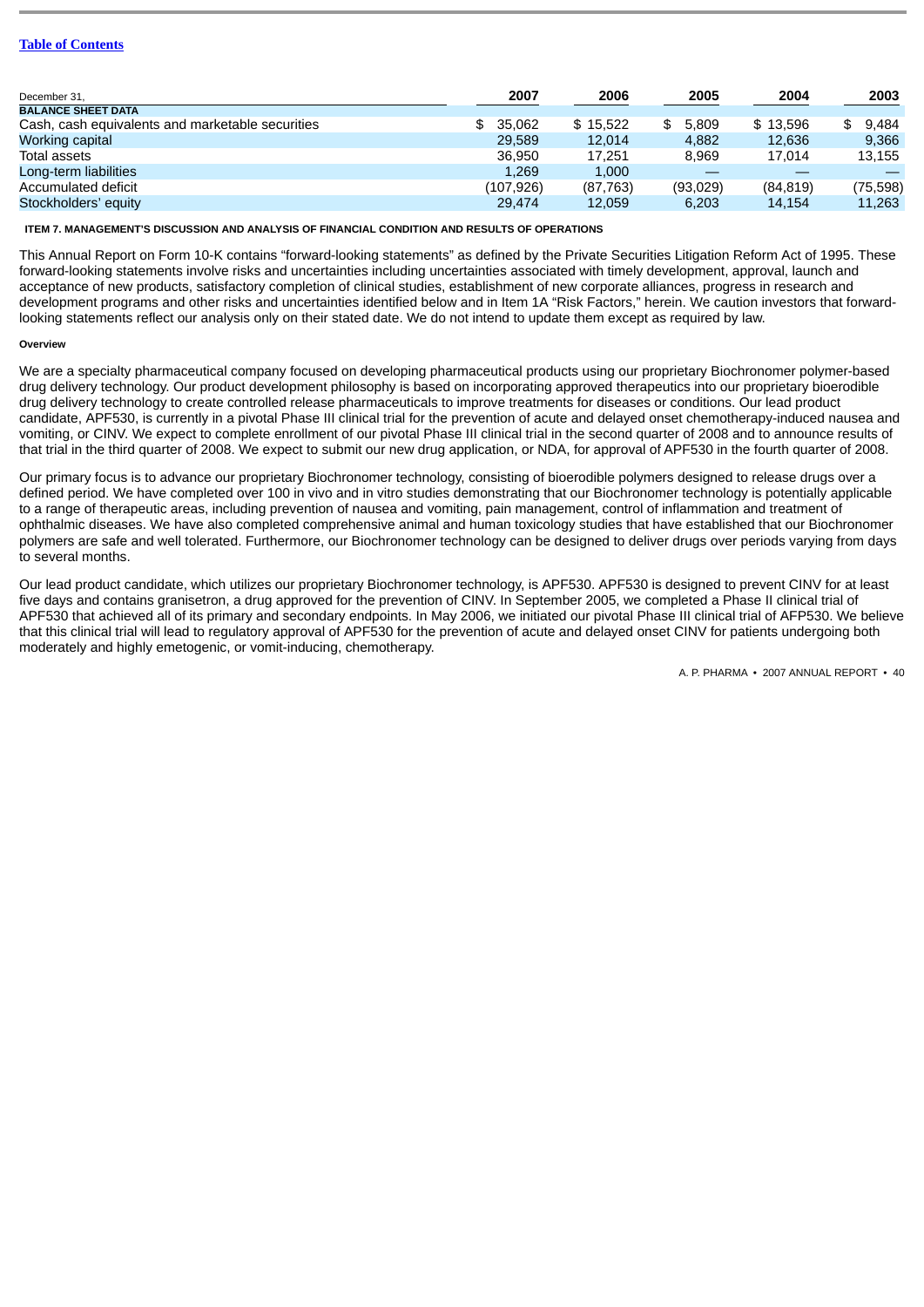| 2007       | 2006      | 2005     | 2004      | 2003      |
|------------|-----------|----------|-----------|-----------|
|            |           |          |           |           |
| \$35.062   | \$15.522  | 5.809    | \$13.596  | \$9.484   |
| 29.589     | 12.014    | 4.882    | 12,636    | 9.366     |
| 36.950     | 17.251    | 8.969    | 17.014    | 13,155    |
| 1.269      | 1.000     |          |           |           |
| (107, 926) | (87, 763) | (93,029) | (84, 819) | (75, 598) |
| 29.474     | 12.059    | 6.203    | 14.154    | 11,263    |
|            |           |          |           |           |

**ITEM 7. MANAGEMENT'S DISCUSSION AND ANALYSIS OF FINANCIAL CONDITION AND RESULTS OF OPERATIONS**

This Annual Report on Form 10-K contains "forward-looking statements" as defined by the Private Securities Litigation Reform Act of 1995. These forward-looking statements involve risks and uncertainties including uncertainties associated with timely development, approval, launch and acceptance of new products, satisfactory completion of clinical studies, establishment of new corporate alliances, progress in research and development programs and other risks and uncertainties identified below and in Item 1A "Risk Factors," herein. We caution investors that forwardlooking statements reflect our analysis only on their stated date. We do not intend to update them except as required by law.

# **Overview**

We are a specialty pharmaceutical company focused on developing pharmaceutical products using our proprietary Biochronomer polymer-based drug delivery technology. Our product development philosophy is based on incorporating approved therapeutics into our proprietary bioerodible drug delivery technology to create controlled release pharmaceuticals to improve treatments for diseases or conditions. Our lead product candidate, APF530, is currently in a pivotal Phase III clinical trial for the prevention of acute and delayed onset chemotherapy-induced nausea and vomiting, or CINV. We expect to complete enrollment of our pivotal Phase III clinical trial in the second quarter of 2008 and to announce results of that trial in the third quarter of 2008. We expect to submit our new drug application, or NDA, for approval of APF530 in the fourth quarter of 2008.

Our primary focus is to advance our proprietary Biochronomer technology, consisting of bioerodible polymers designed to release drugs over a defined period. We have completed over 100 in vivo and in vitro studies demonstrating that our Biochronomer technology is potentially applicable to a range of therapeutic areas, including prevention of nausea and vomiting, pain management, control of inflammation and treatment of ophthalmic diseases. We have also completed comprehensive animal and human toxicology studies that have established that our Biochronomer polymers are safe and well tolerated. Furthermore, our Biochronomer technology can be designed to deliver drugs over periods varying from days to several months.

Our lead product candidate, which utilizes our proprietary Biochronomer technology, is APF530. APF530 is designed to prevent CINV for at least five days and contains granisetron, a drug approved for the prevention of CINV. In September 2005, we completed a Phase II clinical trial of APF530 that achieved all of its primary and secondary endpoints. In May 2006, we initiated our pivotal Phase III clinical trial of AFP530. We believe that this clinical trial will lead to regulatory approval of APF530 for the prevention of acute and delayed onset CINV for patients undergoing both moderately and highly emetogenic, or vomit-inducing, chemotherapy.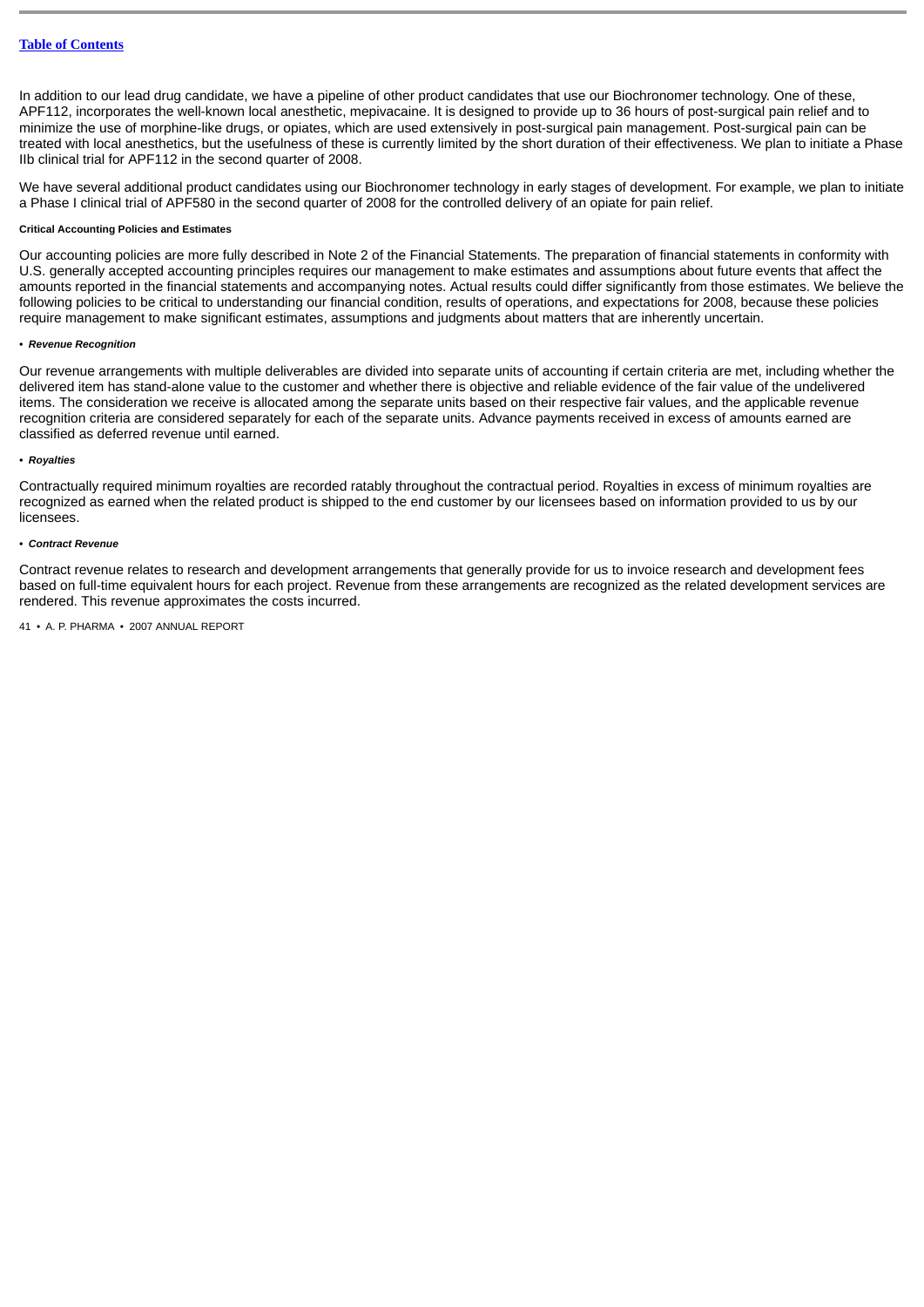In addition to our lead drug candidate, we have a pipeline of other product candidates that use our Biochronomer technology. One of these, APF112, incorporates the well-known local anesthetic, mepivacaine. It is designed to provide up to 36 hours of post-surgical pain relief and to minimize the use of morphine-like drugs, or opiates, which are used extensively in post-surgical pain management. Post-surgical pain can be treated with local anesthetics, but the usefulness of these is currently limited by the short duration of their effectiveness. We plan to initiate a Phase IIb clinical trial for APF112 in the second quarter of 2008.

We have several additional product candidates using our Biochronomer technology in early stages of development. For example, we plan to initiate a Phase I clinical trial of APF580 in the second quarter of 2008 for the controlled delivery of an opiate for pain relief.

#### **Critical Accounting Policies and Estimates**

Our accounting policies are more fully described in Note 2 of the Financial Statements. The preparation of financial statements in conformity with U.S. generally accepted accounting principles requires our management to make estimates and assumptions about future events that affect the amounts reported in the financial statements and accompanying notes. Actual results could differ significantly from those estimates. We believe the following policies to be critical to understanding our financial condition, results of operations, and expectations for 2008, because these policies require management to make significant estimates, assumptions and judgments about matters that are inherently uncertain.

# *• Revenue Recognition*

Our revenue arrangements with multiple deliverables are divided into separate units of accounting if certain criteria are met, including whether the delivered item has stand-alone value to the customer and whether there is objective and reliable evidence of the fair value of the undelivered items. The consideration we receive is allocated among the separate units based on their respective fair values, and the applicable revenue recognition criteria are considered separately for each of the separate units. Advance payments received in excess of amounts earned are classified as deferred revenue until earned.

# *• Royalties*

Contractually required minimum royalties are recorded ratably throughout the contractual period. Royalties in excess of minimum royalties are recognized as earned when the related product is shipped to the end customer by our licensees based on information provided to us by our licensees.

# *• Contract Revenue*

Contract revenue relates to research and development arrangements that generally provide for us to invoice research and development fees based on full-time equivalent hours for each project. Revenue from these arrangements are recognized as the related development services are rendered. This revenue approximates the costs incurred.

```
41 • A. P. PHARMA • 2007 ANNUAL REPORT
```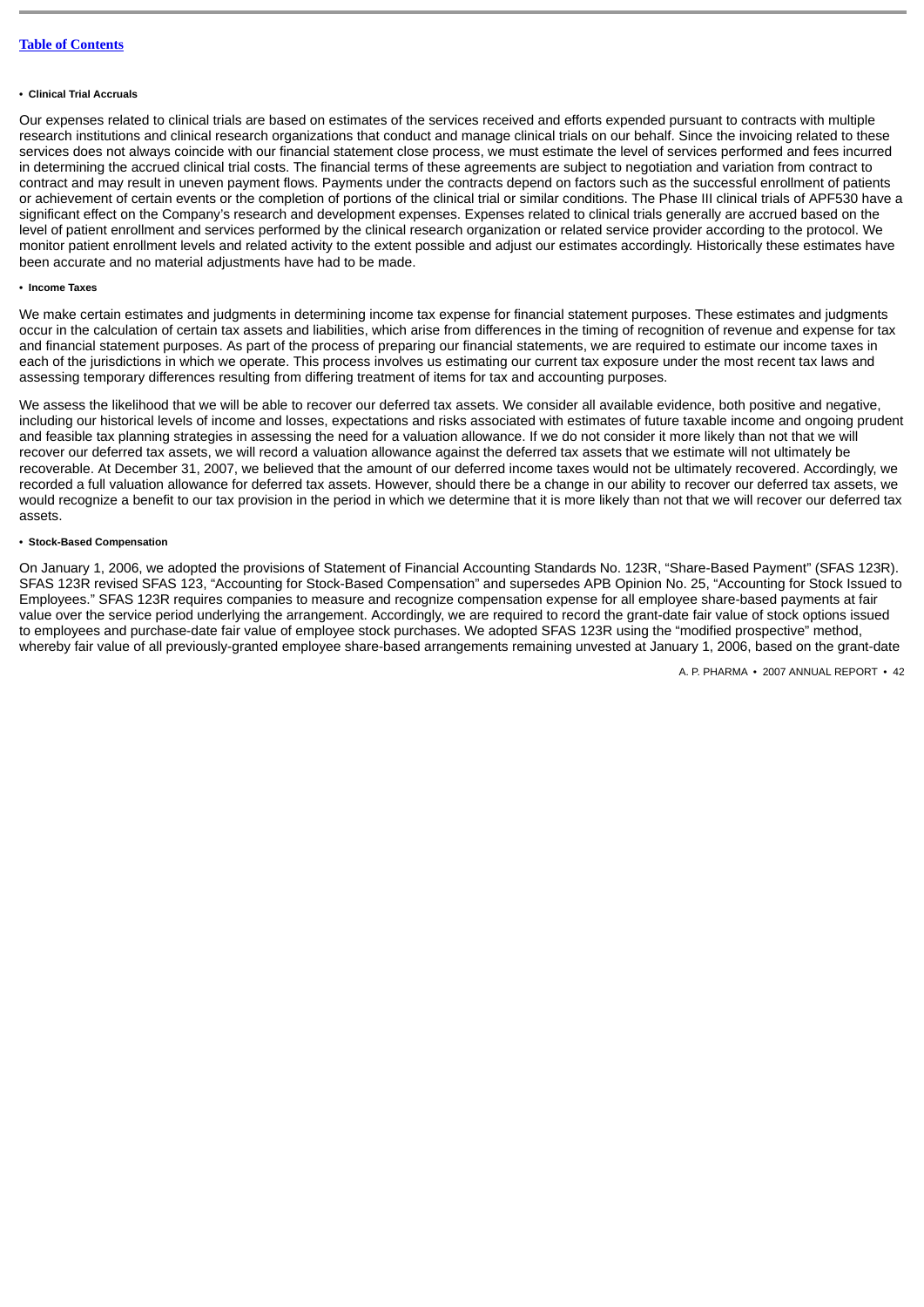#### **• Clinical Trial Accruals**

Our expenses related to clinical trials are based on estimates of the services received and efforts expended pursuant to contracts with multiple research institutions and clinical research organizations that conduct and manage clinical trials on our behalf. Since the invoicing related to these services does not always coincide with our financial statement close process, we must estimate the level of services performed and fees incurred in determining the accrued clinical trial costs. The financial terms of these agreements are subject to negotiation and variation from contract to contract and may result in uneven payment flows. Payments under the contracts depend on factors such as the successful enrollment of patients or achievement of certain events or the completion of portions of the clinical trial or similar conditions. The Phase III clinical trials of APF530 have a significant effect on the Company's research and development expenses. Expenses related to clinical trials generally are accrued based on the level of patient enrollment and services performed by the clinical research organization or related service provider according to the protocol. We monitor patient enrollment levels and related activity to the extent possible and adjust our estimates accordingly. Historically these estimates have been accurate and no material adjustments have had to be made.

# **• Income Taxes**

We make certain estimates and judgments in determining income tax expense for financial statement purposes. These estimates and judgments occur in the calculation of certain tax assets and liabilities, which arise from differences in the timing of recognition of revenue and expense for tax and financial statement purposes. As part of the process of preparing our financial statements, we are required to estimate our income taxes in each of the jurisdictions in which we operate. This process involves us estimating our current tax exposure under the most recent tax laws and assessing temporary differences resulting from differing treatment of items for tax and accounting purposes.

We assess the likelihood that we will be able to recover our deferred tax assets. We consider all available evidence, both positive and negative, including our historical levels of income and losses, expectations and risks associated with estimates of future taxable income and ongoing prudent and feasible tax planning strategies in assessing the need for a valuation allowance. If we do not consider it more likely than not that we will recover our deferred tax assets, we will record a valuation allowance against the deferred tax assets that we estimate will not ultimately be recoverable. At December 31, 2007, we believed that the amount of our deferred income taxes would not be ultimately recovered. Accordingly, we recorded a full valuation allowance for deferred tax assets. However, should there be a change in our ability to recover our deferred tax assets, we would recognize a benefit to our tax provision in the period in which we determine that it is more likely than not that we will recover our deferred tax assets.

# **• Stock-Based Compensation**

On January 1, 2006, we adopted the provisions of Statement of Financial Accounting Standards No. 123R, "Share-Based Payment" (SFAS 123R). SFAS 123R revised SFAS 123, "Accounting for Stock-Based Compensation" and supersedes APB Opinion No. 25, "Accounting for Stock Issued to Employees." SFAS 123R requires companies to measure and recognize compensation expense for all employee share-based payments at fair value over the service period underlying the arrangement. Accordingly, we are required to record the grant-date fair value of stock options issued to employees and purchase-date fair value of employee stock purchases. We adopted SFAS 123R using the "modified prospective" method, whereby fair value of all previously-granted employee share-based arrangements remaining unvested at January 1, 2006, based on the grant-date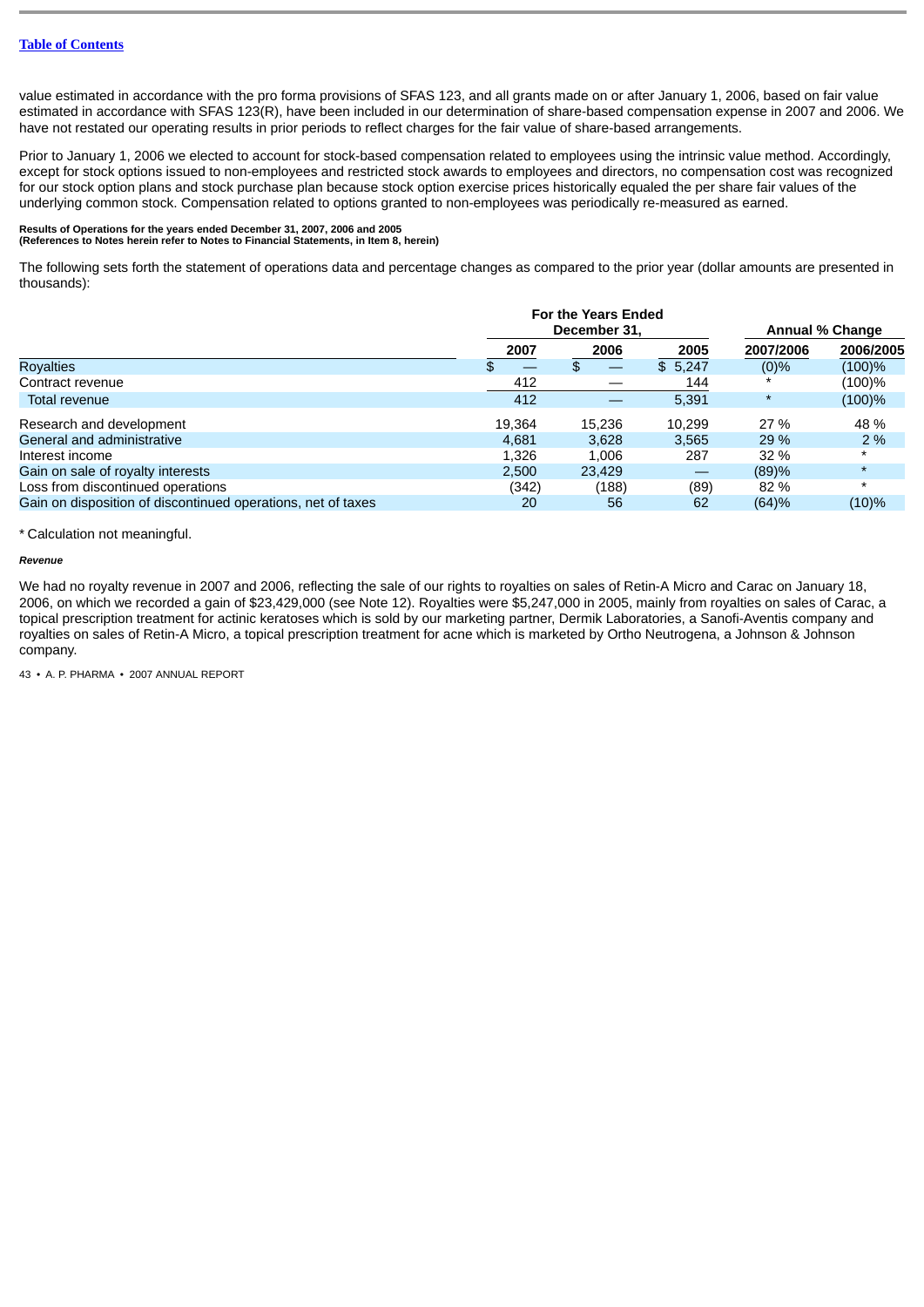value estimated in accordance with the pro forma provisions of SFAS 123, and all grants made on or after January 1, 2006, based on fair value estimated in accordance with SFAS 123(R), have been included in our determination of share-based compensation expense in 2007 and 2006. We have not restated our operating results in prior periods to reflect charges for the fair value of share-based arrangements.

Prior to January 1, 2006 we elected to account for stock-based compensation related to employees using the intrinsic value method. Accordingly, except for stock options issued to non-employees and restricted stock awards to employees and directors, no compensation cost was recognized for our stock option plans and stock purchase plan because stock option exercise prices historically equaled the per share fair values of the underlying common stock. Compensation related to options granted to non-employees was periodically re-measured as earned.

# **Results of Operations for the years ended December 31, 2007, 2006 and 2005 (References to Notes herein refer to Notes to Financial Statements, in Item 8, herein)**

The following sets forth the statement of operations data and percentage changes as compared to the prior year (dollar amounts are presented in thousands):

|                                                              |        | <b>For the Years Ended</b><br>December 31, |         | <b>Annual % Change</b> |           |
|--------------------------------------------------------------|--------|--------------------------------------------|---------|------------------------|-----------|
|                                                              | 2007   | 2006                                       | 2005    | 2007/2006              | 2006/2005 |
| <b>Rovalties</b>                                             |        |                                            | \$5,247 | $(0)\%$                | (100)%    |
| Contract revenue                                             | 412    |                                            | 144     |                        | $(100)\%$ |
| Total revenue                                                | 412    |                                            | 5,391   | $\star$                | (100)%    |
| Research and development                                     | 19.364 | 15.236                                     | 10.299  | 27 %                   | 48 %      |
| General and administrative                                   | 4,681  | 3,628                                      | 3.565   | 29 %                   | 2 %       |
| Interest income                                              | 1.326  | 1.006                                      | 287     | 32 %                   | $\star$   |
| Gain on sale of royalty interests                            | 2.500  | 23.429                                     |         | (89)%                  | $\star$   |
| Loss from discontinued operations                            | (342)  | (188)                                      | (89)    | 82 %                   | $\star$   |
| Gain on disposition of discontinued operations, net of taxes | 20     | 56                                         | 62      | (64)%                  | (10)%     |

# \* Calculation not meaningful.

# *Revenue*

We had no royalty revenue in 2007 and 2006, reflecting the sale of our rights to royalties on sales of Retin-A Micro and Carac on January 18, 2006, on which we recorded a gain of \$23,429,000 (see Note 12). Royalties were \$5,247,000 in 2005, mainly from royalties on sales of Carac, a topical prescription treatment for actinic keratoses which is sold by our marketing partner, Dermik Laboratories, a Sanofi-Aventis company and royalties on sales of Retin-A Micro, a topical prescription treatment for acne which is marketed by Ortho Neutrogena, a Johnson & Johnson company.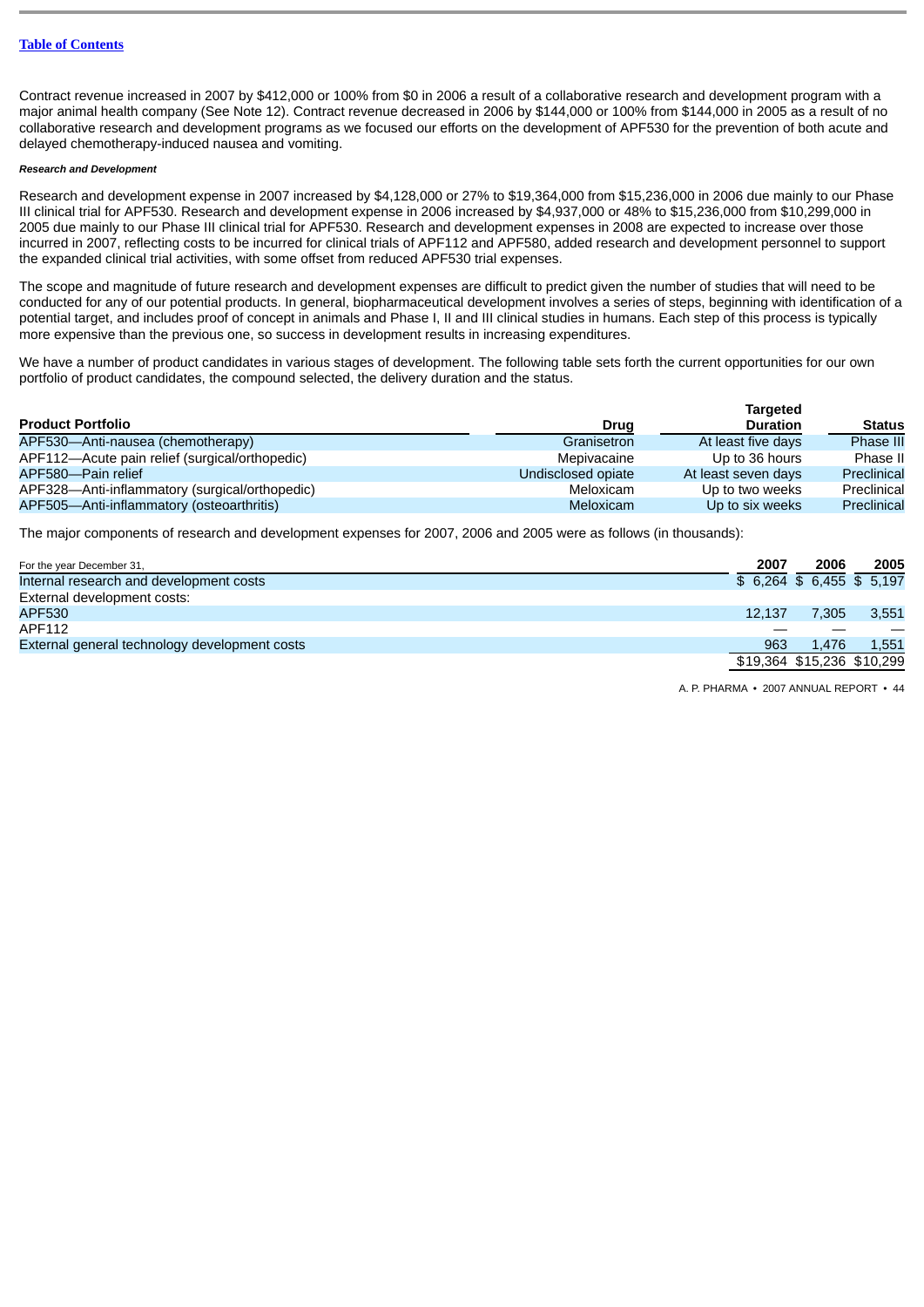Contract revenue increased in 2007 by \$412,000 or 100% from \$0 in 2006 a result of a collaborative research and development program with a major animal health company (See Note 12). Contract revenue decreased in 2006 by \$144,000 or 100% from \$144,000 in 2005 as a result of no collaborative research and development programs as we focused our efforts on the development of APF530 for the prevention of both acute and delayed chemotherapy-induced nausea and vomiting.

# *Research and Development*

Research and development expense in 2007 increased by \$4,128,000 or 27% to \$19,364,000 from \$15,236,000 in 2006 due mainly to our Phase III clinical trial for APF530. Research and development expense in 2006 increased by \$4,937,000 or 48% to \$15,236,000 from \$10,299,000 in 2005 due mainly to our Phase III clinical trial for APF530. Research and development expenses in 2008 are expected to increase over those incurred in 2007, reflecting costs to be incurred for clinical trials of APF112 and APF580, added research and development personnel to support the expanded clinical trial activities, with some offset from reduced APF530 trial expenses.

The scope and magnitude of future research and development expenses are difficult to predict given the number of studies that will need to be conducted for any of our potential products. In general, biopharmaceutical development involves a series of steps, beginning with identification of a potential target, and includes proof of concept in animals and Phase I, II and III clinical studies in humans. Each step of this process is typically more expensive than the previous one, so success in development results in increasing expenditures.

We have a number of product candidates in various stages of development. The following table sets forth the current opportunities for our own portfolio of product candidates, the compound selected, the delivery duration and the status.

|                                                |                    | <b>Targeted</b>     |               |
|------------------------------------------------|--------------------|---------------------|---------------|
| <b>Product Portfolio</b>                       | Drug               | <b>Duration</b>     | <b>Status</b> |
| APF530-Anti-nausea (chemotherapy)              | Granisetron        | At least five days  | Phase III     |
| APF112—Acute pain relief (surgical/orthopedic) | Mepivacaine        | Up to 36 hours      | Phase II      |
| APF580-Pain relief                             | Undisclosed opiate | At least seven days | Preclinical   |
| APF328-Anti-inflammatory (surgical/orthopedic) | Meloxicam          | Up to two weeks     | Preclinical   |
| APF505-Anti-inflammatory (osteoarthritis)      | Meloxicam          | Up to six weeks     | Preclinical   |

The major components of research and development expenses for 2007, 2006 and 2005 were as follows (in thousands):

| For the year December 31,                     | 2007                     | 2006                       | 2005  |
|-----------------------------------------------|--------------------------|----------------------------|-------|
| Internal research and development costs       | $$6,264$ \$6,455 \$5,197 |                            |       |
| External development costs:                   |                          |                            |       |
| APF530                                        | 12.137                   | 7.305                      | 3,551 |
| APF112                                        |                          |                            |       |
| External general technology development costs | 963                      | 1.476                      | 1,551 |
|                                               |                          | \$19,364 \$15,236 \$10,299 |       |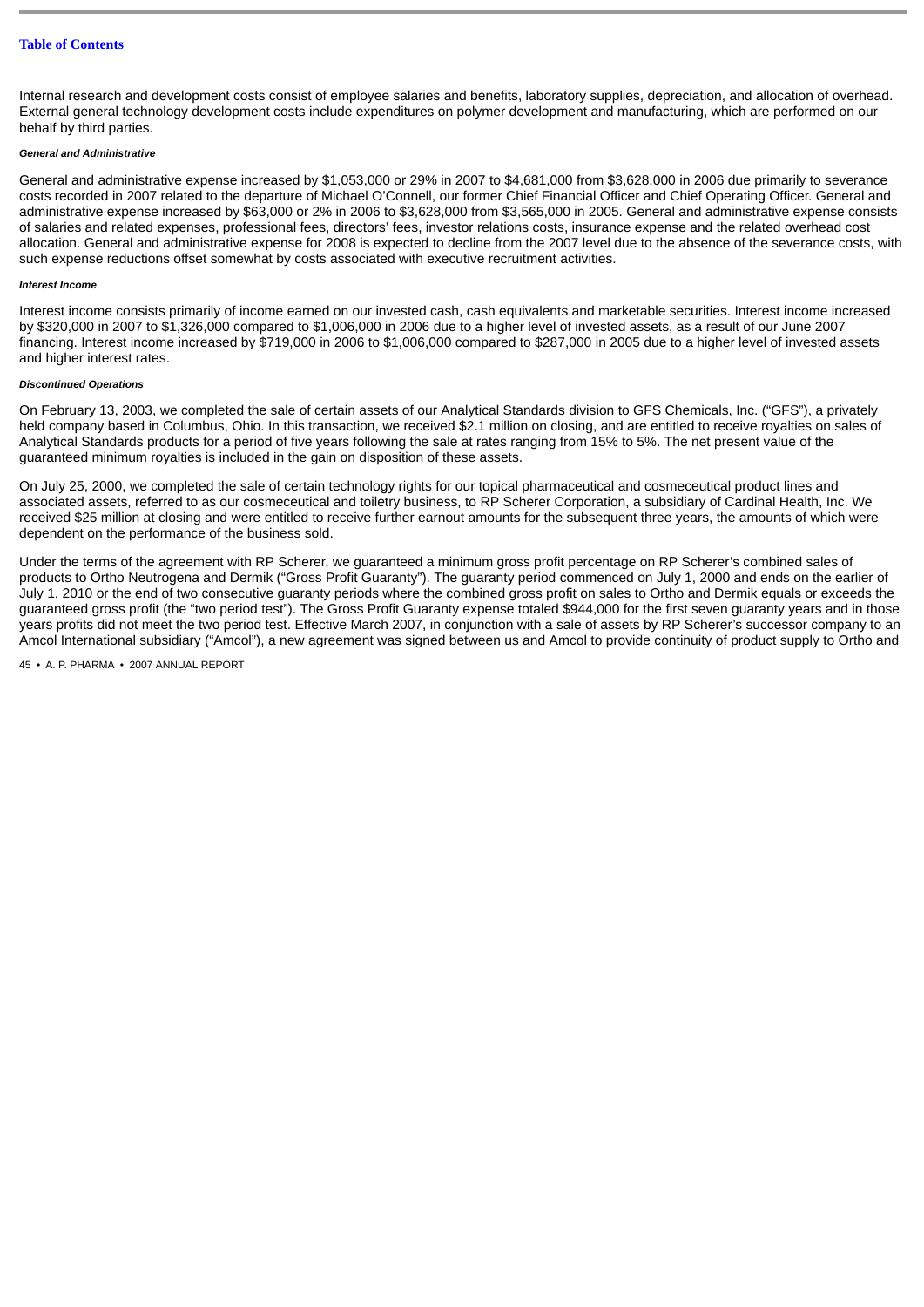Internal research and development costs consist of employee salaries and benefits, laboratory supplies, depreciation, and allocation of overhead. External general technology development costs include expenditures on polymer development and manufacturing, which are performed on our behalf by third parties.

# *General and Administrative*

General and administrative expense increased by \$1,053,000 or 29% in 2007 to \$4,681,000 from \$3,628,000 in 2006 due primarily to severance costs recorded in 2007 related to the departure of Michael O'Connell, our former Chief Financial Officer and Chief Operating Officer. General and administrative expense increased by \$63,000 or 2% in 2006 to \$3,628,000 from \$3,565,000 in 2005. General and administrative expense consists of salaries and related expenses, professional fees, directors' fees, investor relations costs, insurance expense and the related overhead cost allocation. General and administrative expense for 2008 is expected to decline from the 2007 level due to the absence of the severance costs, with such expense reductions offset somewhat by costs associated with executive recruitment activities.

#### *Interest Income*

Interest income consists primarily of income earned on our invested cash, cash equivalents and marketable securities. Interest income increased by \$320,000 in 2007 to \$1,326,000 compared to \$1,006,000 in 2006 due to a higher level of invested assets, as a result of our June 2007 financing. Interest income increased by \$719,000 in 2006 to \$1,006,000 compared to \$287,000 in 2005 due to a higher level of invested assets and higher interest rates.

# *Discontinued Operations*

On February 13, 2003, we completed the sale of certain assets of our Analytical Standards division to GFS Chemicals, Inc. ("GFS"), a privately held company based in Columbus, Ohio. In this transaction, we received \$2.1 million on closing, and are entitled to receive royalties on sales of Analytical Standards products for a period of five years following the sale at rates ranging from 15% to 5%. The net present value of the guaranteed minimum royalties is included in the gain on disposition of these assets.

On July 25, 2000, we completed the sale of certain technology rights for our topical pharmaceutical and cosmeceutical product lines and associated assets, referred to as our cosmeceutical and toiletry business, to RP Scherer Corporation, a subsidiary of Cardinal Health, Inc. We received \$25 million at closing and were entitled to receive further earnout amounts for the subsequent three years, the amounts of which were dependent on the performance of the business sold.

Under the terms of the agreement with RP Scherer, we guaranteed a minimum gross profit percentage on RP Scherer's combined sales of products to Ortho Neutrogena and Dermik ("Gross Profit Guaranty"). The guaranty period commenced on July 1, 2000 and ends on the earlier of July 1, 2010 or the end of two consecutive guaranty periods where the combined gross profit on sales to Ortho and Dermik equals or exceeds the guaranteed gross profit (the "two period test"). The Gross Profit Guaranty expense totaled \$944,000 for the first seven guaranty years and in those years profits did not meet the two period test. Effective March 2007, in conjunction with a sale of assets by RP Scherer's successor company to an Amcol International subsidiary ("Amcol"), a new agreement was signed between us and Amcol to provide continuity of product supply to Ortho and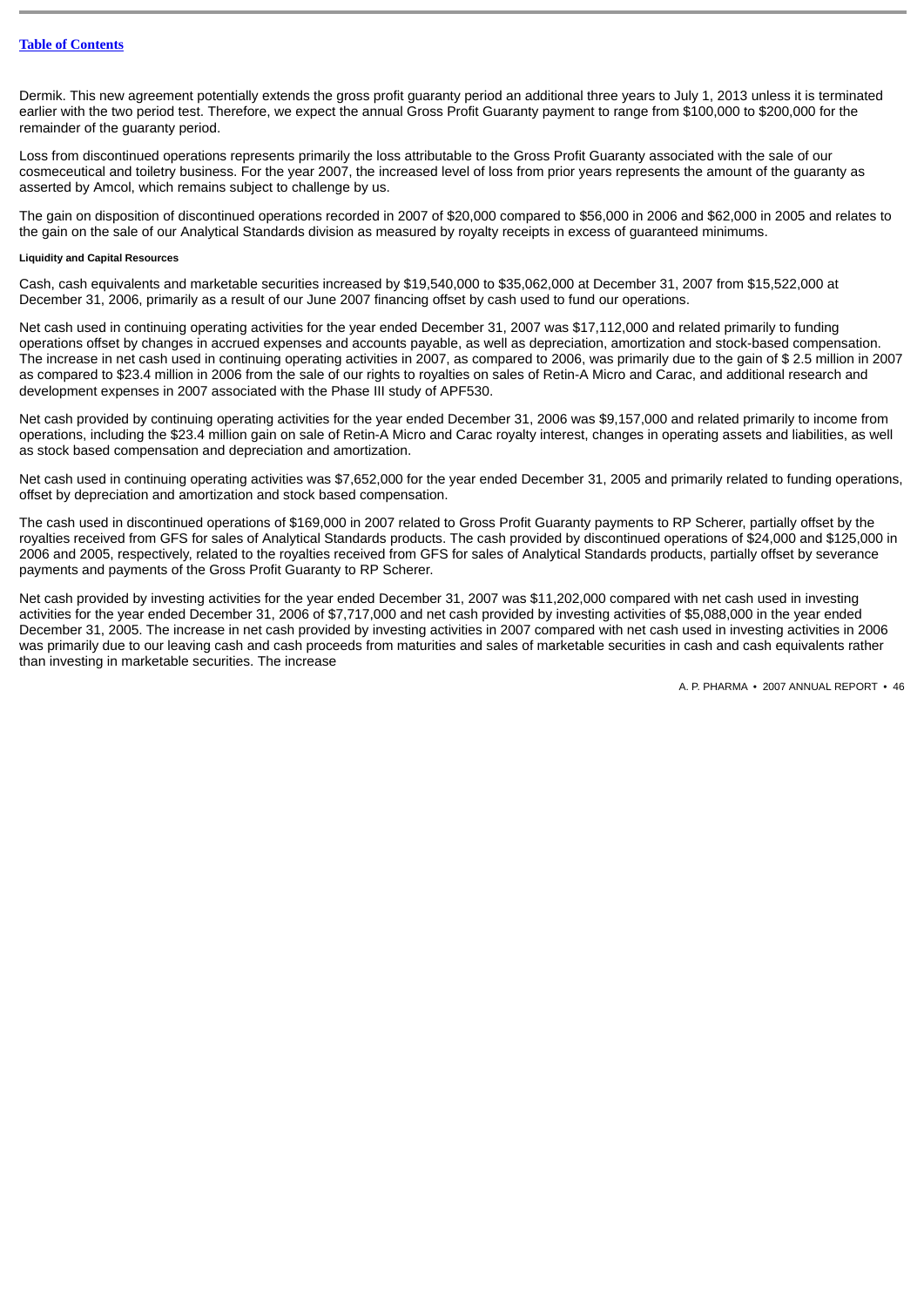Dermik. This new agreement potentially extends the gross profit guaranty period an additional three years to July 1, 2013 unless it is terminated earlier with the two period test. Therefore, we expect the annual Gross Profit Guaranty payment to range from \$100,000 to \$200,000 for the remainder of the guaranty period.

Loss from discontinued operations represents primarily the loss attributable to the Gross Profit Guaranty associated with the sale of our cosmeceutical and toiletry business. For the year 2007, the increased level of loss from prior years represents the amount of the guaranty as asserted by Amcol, which remains subject to challenge by us.

The gain on disposition of discontinued operations recorded in 2007 of \$20,000 compared to \$56,000 in 2006 and \$62,000 in 2005 and relates to the gain on the sale of our Analytical Standards division as measured by royalty receipts in excess of guaranteed minimums.

# **Liquidity and Capital Resources**

Cash, cash equivalents and marketable securities increased by \$19,540,000 to \$35,062,000 at December 31, 2007 from \$15,522,000 at December 31, 2006, primarily as a result of our June 2007 financing offset by cash used to fund our operations.

Net cash used in continuing operating activities for the year ended December 31, 2007 was \$17,112,000 and related primarily to funding operations offset by changes in accrued expenses and accounts payable, as well as depreciation, amortization and stock-based compensation. The increase in net cash used in continuing operating activities in 2007, as compared to 2006, was primarily due to the gain of \$ 2.5 million in 2007 as compared to \$23.4 million in 2006 from the sale of our rights to royalties on sales of Retin-A Micro and Carac, and additional research and development expenses in 2007 associated with the Phase III study of APF530.

Net cash provided by continuing operating activities for the year ended December 31, 2006 was \$9,157,000 and related primarily to income from operations, including the \$23.4 million gain on sale of Retin-A Micro and Carac royalty interest, changes in operating assets and liabilities, as well as stock based compensation and depreciation and amortization.

Net cash used in continuing operating activities was \$7,652,000 for the year ended December 31, 2005 and primarily related to funding operations, offset by depreciation and amortization and stock based compensation.

The cash used in discontinued operations of \$169,000 in 2007 related to Gross Profit Guaranty payments to RP Scherer, partially offset by the royalties received from GFS for sales of Analytical Standards products. The cash provided by discontinued operations of \$24,000 and \$125,000 in 2006 and 2005, respectively, related to the royalties received from GFS for sales of Analytical Standards products, partially offset by severance payments and payments of the Gross Profit Guaranty to RP Scherer.

Net cash provided by investing activities for the year ended December 31, 2007 was \$11,202,000 compared with net cash used in investing activities for the year ended December 31, 2006 of \$7,717,000 and net cash provided by investing activities of \$5,088,000 in the year ended December 31, 2005. The increase in net cash provided by investing activities in 2007 compared with net cash used in investing activities in 2006 was primarily due to our leaving cash and cash proceeds from maturities and sales of marketable securities in cash and cash equivalents rather than investing in marketable securities. The increase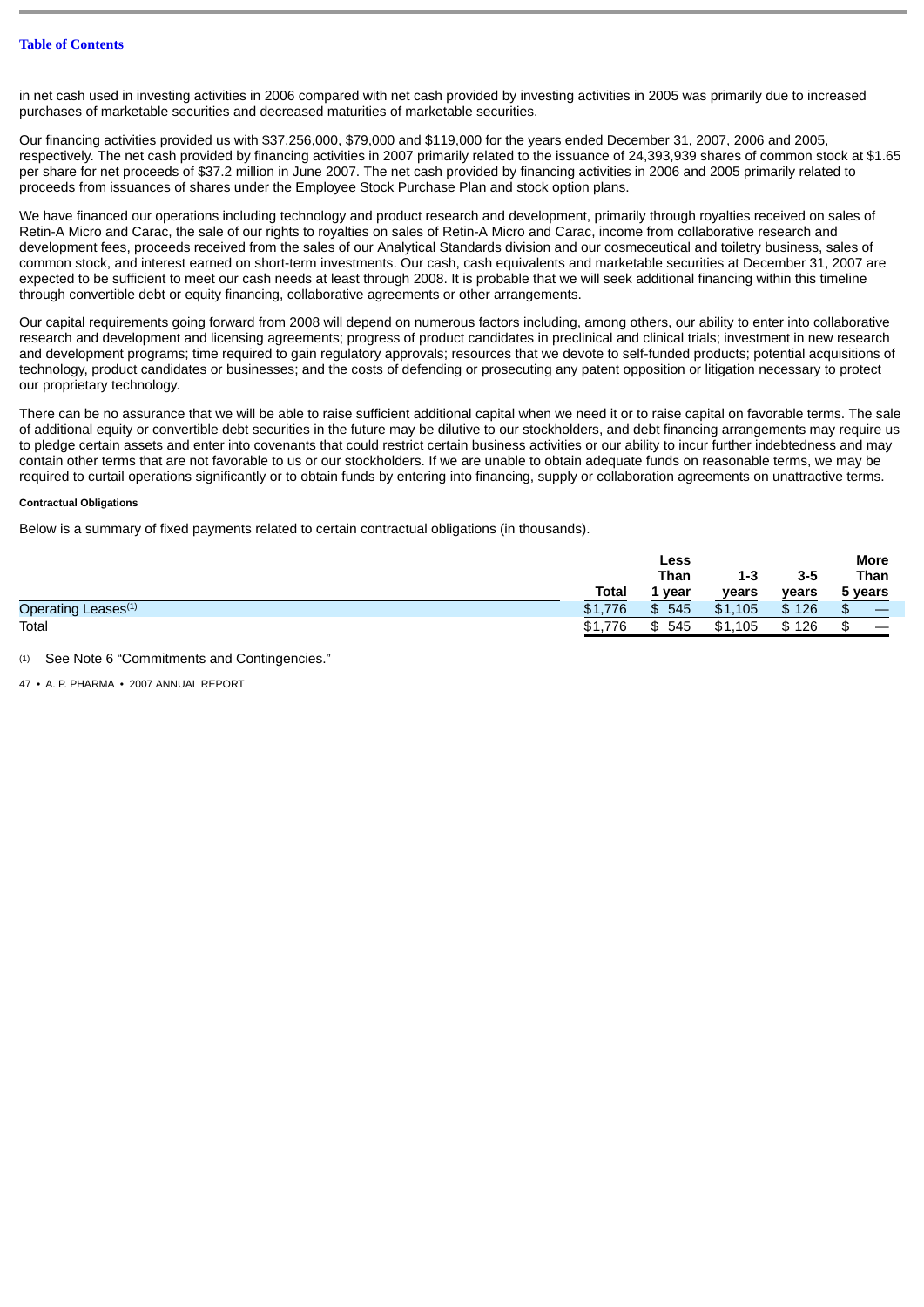in net cash used in investing activities in 2006 compared with net cash provided by investing activities in 2005 was primarily due to increased purchases of marketable securities and decreased maturities of marketable securities.

Our financing activities provided us with \$37,256,000, \$79,000 and \$119,000 for the years ended December 31, 2007, 2006 and 2005, respectively. The net cash provided by financing activities in 2007 primarily related to the issuance of 24,393,939 shares of common stock at \$1.65 per share for net proceeds of \$37.2 million in June 2007. The net cash provided by financing activities in 2006 and 2005 primarily related to proceeds from issuances of shares under the Employee Stock Purchase Plan and stock option plans.

We have financed our operations including technology and product research and development, primarily through royalties received on sales of Retin-A Micro and Carac, the sale of our rights to royalties on sales of Retin-A Micro and Carac, income from collaborative research and development fees, proceeds received from the sales of our Analytical Standards division and our cosmeceutical and toiletry business, sales of common stock, and interest earned on short-term investments. Our cash, cash equivalents and marketable securities at December 31, 2007 are expected to be sufficient to meet our cash needs at least through 2008. It is probable that we will seek additional financing within this timeline through convertible debt or equity financing, collaborative agreements or other arrangements.

Our capital requirements going forward from 2008 will depend on numerous factors including, among others, our ability to enter into collaborative research and development and licensing agreements; progress of product candidates in preclinical and clinical trials; investment in new research and development programs; time required to gain regulatory approvals; resources that we devote to self-funded products; potential acquisitions of technology, product candidates or businesses; and the costs of defending or prosecuting any patent opposition or litigation necessary to protect our proprietary technology.

There can be no assurance that we will be able to raise sufficient additional capital when we need it or to raise capital on favorable terms. The sale of additional equity or convertible debt securities in the future may be dilutive to our stockholders, and debt financing arrangements may require us to pledge certain assets and enter into covenants that could restrict certain business activities or our ability to incur further indebtedness and may contain other terms that are not favorable to us or our stockholders. If we are unable to obtain adequate funds on reasonable terms, we may be required to curtail operations significantly or to obtain funds by entering into financing, supply or collaboration agreements on unattractive terms.

# **Contractual Obligations**

Below is a summary of fixed payments related to certain contractual obligations (in thousands).

|                                 |              | Less      |         |       | <b>More</b> |
|---------------------------------|--------------|-----------|---------|-------|-------------|
|                                 |              | Than      | 1-3     | 3-5   | Than        |
|                                 | <b>Total</b> | 1 year    | years   | years | 5 years     |
| Operating Leases <sup>(1)</sup> | \$1,776      | 545<br>\$ | \$1.105 | \$126 | _           |
| Total                           | \$1,7<br>776 | 545<br>\$ | \$1,105 | \$126 | ┅           |

See Note 6 "Commitments and Contingencies."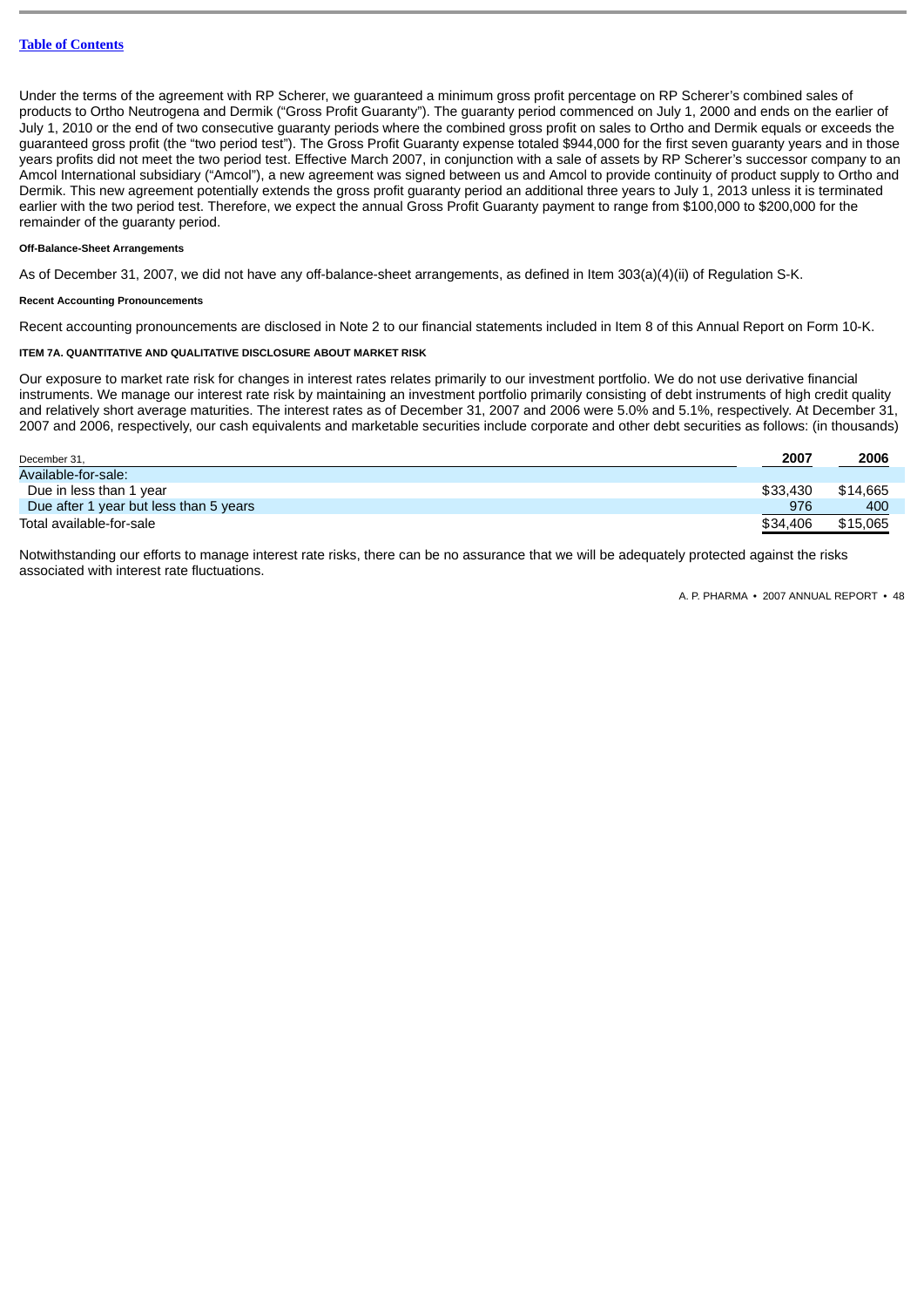Under the terms of the agreement with RP Scherer, we guaranteed a minimum gross profit percentage on RP Scherer's combined sales of products to Ortho Neutrogena and Dermik ("Gross Profit Guaranty"). The guaranty period commenced on July 1, 2000 and ends on the earlier of July 1, 2010 or the end of two consecutive guaranty periods where the combined gross profit on sales to Ortho and Dermik equals or exceeds the guaranteed gross profit (the "two period test"). The Gross Profit Guaranty expense totaled \$944,000 for the first seven guaranty years and in those years profits did not meet the two period test. Effective March 2007, in conjunction with a sale of assets by RP Scherer's successor company to an Amcol International subsidiary ("Amcol"), a new agreement was signed between us and Amcol to provide continuity of product supply to Ortho and Dermik. This new agreement potentially extends the gross profit guaranty period an additional three years to July 1, 2013 unless it is terminated earlier with the two period test. Therefore, we expect the annual Gross Profit Guaranty payment to range from \$100,000 to \$200,000 for the remainder of the guaranty period.

# **Off-Balance-Sheet Arrangements**

As of December 31, 2007, we did not have any off-balance-sheet arrangements, as defined in Item 303(a)(4)(ii) of Regulation S-K.

# **Recent Accounting Pronouncements**

Recent accounting pronouncements are disclosed in Note 2 to our financial statements included in Item 8 of this Annual Report on Form 10-K.

#### **ITEM 7A. QUANTITATIVE AND QUALITATIVE DISCLOSURE ABOUT MARKET RISK**

Our exposure to market rate risk for changes in interest rates relates primarily to our investment portfolio. We do not use derivative financial instruments. We manage our interest rate risk by maintaining an investment portfolio primarily consisting of debt instruments of high credit quality and relatively short average maturities. The interest rates as of December 31, 2007 and 2006 were 5.0% and 5.1%, respectively. At December 31, 2007 and 2006, respectively, our cash equivalents and marketable securities include corporate and other debt securities as follows: (in thousands)

| December 31,                           | 2007     | 2006     |
|----------------------------------------|----------|----------|
| Available-for-sale:                    |          |          |
| Due in less than 1 year                | \$33,430 | \$14,665 |
| Due after 1 year but less than 5 years | 976      | 400      |
| Total available-for-sale               | \$34,406 | \$15,065 |

Notwithstanding our efforts to manage interest rate risks, there can be no assurance that we will be adequately protected against the risks associated with interest rate fluctuations.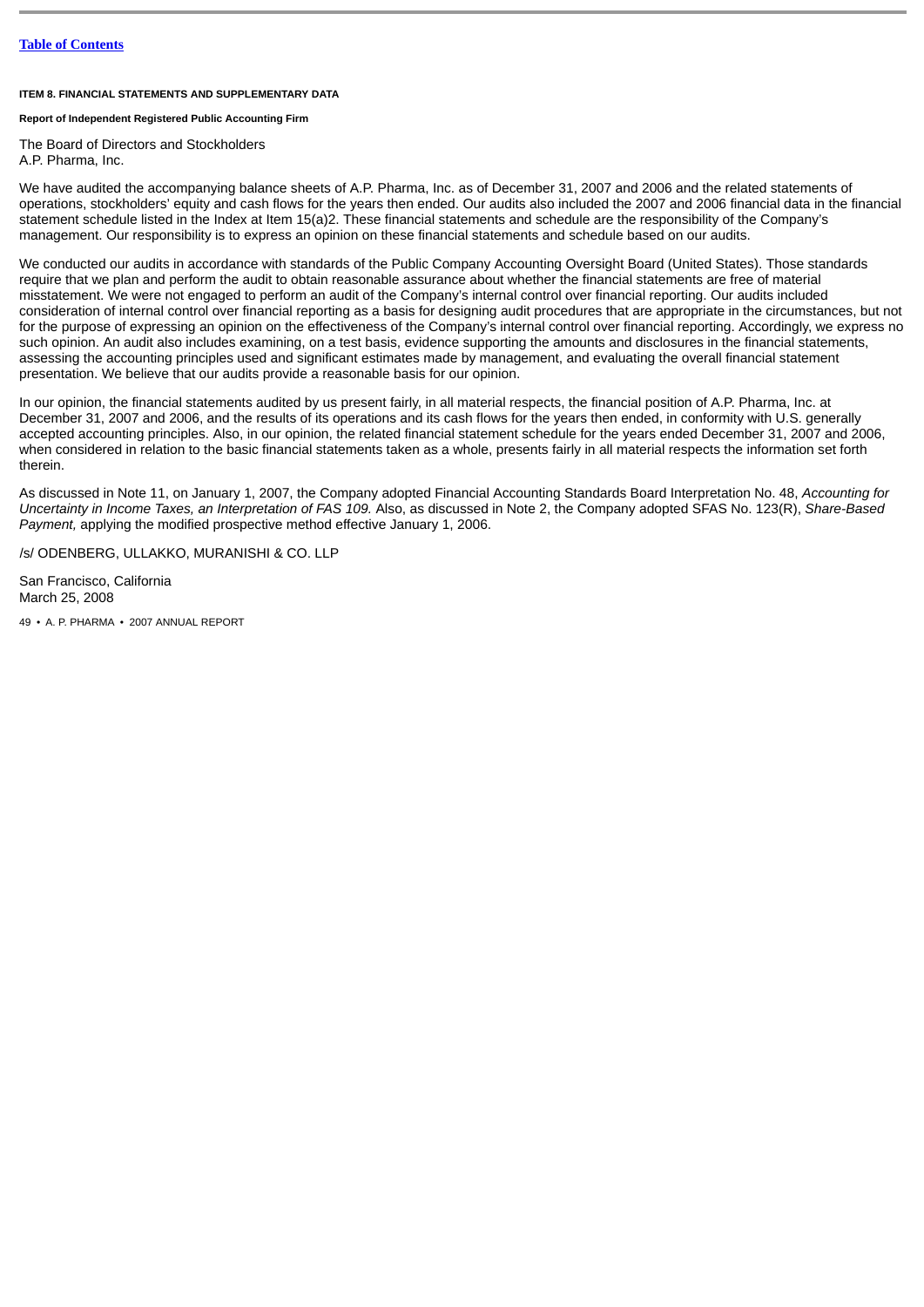# **ITEM 8. FINANCIAL STATEMENTS AND SUPPLEMENTARY DATA**

# **Report of Independent Registered Public Accounting Firm**

The Board of Directors and Stockholders

A.P. Pharma, Inc.

We have audited the accompanying balance sheets of A.P. Pharma, Inc. as of December 31, 2007 and 2006 and the related statements of operations, stockholders' equity and cash flows for the years then ended. Our audits also included the 2007 and 2006 financial data in the financial statement schedule listed in the Index at Item 15(a)2. These financial statements and schedule are the responsibility of the Company's management. Our responsibility is to express an opinion on these financial statements and schedule based on our audits.

We conducted our audits in accordance with standards of the Public Company Accounting Oversight Board (United States). Those standards require that we plan and perform the audit to obtain reasonable assurance about whether the financial statements are free of material misstatement. We were not engaged to perform an audit of the Company's internal control over financial reporting. Our audits included consideration of internal control over financial reporting as a basis for designing audit procedures that are appropriate in the circumstances, but not for the purpose of expressing an opinion on the effectiveness of the Company's internal control over financial reporting. Accordingly, we express no such opinion. An audit also includes examining, on a test basis, evidence supporting the amounts and disclosures in the financial statements. assessing the accounting principles used and significant estimates made by management, and evaluating the overall financial statement presentation. We believe that our audits provide a reasonable basis for our opinion.

In our opinion, the financial statements audited by us present fairly, in all material respects, the financial position of A.P. Pharma, Inc. at December 31, 2007 and 2006, and the results of its operations and its cash flows for the years then ended, in conformity with U.S. generally accepted accounting principles. Also, in our opinion, the related financial statement schedule for the years ended December 31, 2007 and 2006, when considered in relation to the basic financial statements taken as a whole, presents fairly in all material respects the information set forth therein.

As discussed in Note 11, on January 1, 2007, the Company adopted Financial Accounting Standards Board Interpretation No. 48, *Accounting for Uncertainty in Income Taxes, an Interpretation of FAS 109.* Also, as discussed in Note 2, the Company adopted SFAS No. 123(R), *Share-Based Payment,* applying the modified prospective method effective January 1, 2006.

/s/ ODENBERG, ULLAKKO, MURANISHI & CO. LLP

San Francisco, California March 25, 2008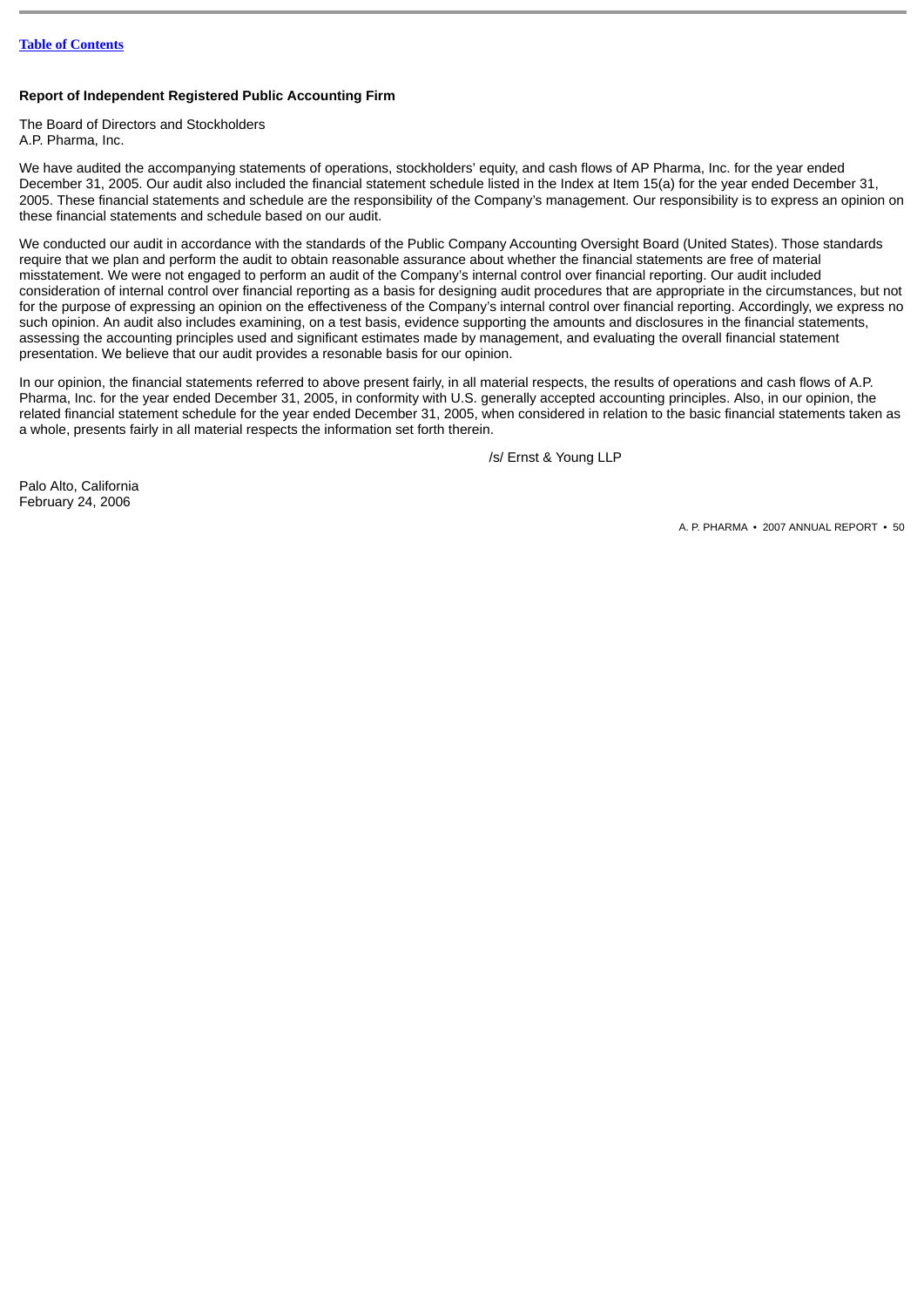# **Report of Independent Registered Public Accounting Firm**

The Board of Directors and Stockholders A.P. Pharma, Inc.

We have audited the accompanying statements of operations, stockholders' equity, and cash flows of AP Pharma, Inc. for the year ended December 31, 2005. Our audit also included the financial statement schedule listed in the Index at Item 15(a) for the year ended December 31, 2005. These financial statements and schedule are the responsibility of the Company's management. Our responsibility is to express an opinion on these financial statements and schedule based on our audit.

We conducted our audit in accordance with the standards of the Public Company Accounting Oversight Board (United States). Those standards require that we plan and perform the audit to obtain reasonable assurance about whether the financial statements are free of material misstatement. We were not engaged to perform an audit of the Company's internal control over financial reporting. Our audit included consideration of internal control over financial reporting as a basis for designing audit procedures that are appropriate in the circumstances, but not for the purpose of expressing an opinion on the effectiveness of the Company's internal control over financial reporting. Accordingly, we express no such opinion. An audit also includes examining, on a test basis, evidence supporting the amounts and disclosures in the financial statements, assessing the accounting principles used and significant estimates made by management, and evaluating the overall financial statement presentation. We believe that our audit provides a resonable basis for our opinion.

In our opinion, the financial statements referred to above present fairly, in all material respects, the results of operations and cash flows of A.P. Pharma, Inc. for the year ended December 31, 2005, in conformity with U.S. generally accepted accounting principles. Also, in our opinion, the related financial statement schedule for the year ended December 31, 2005, when considered in relation to the basic financial statements taken as a whole, presents fairly in all material respects the information set forth therein.

/s/ Ernst & Young LLP

Palo Alto, California February 24, 2006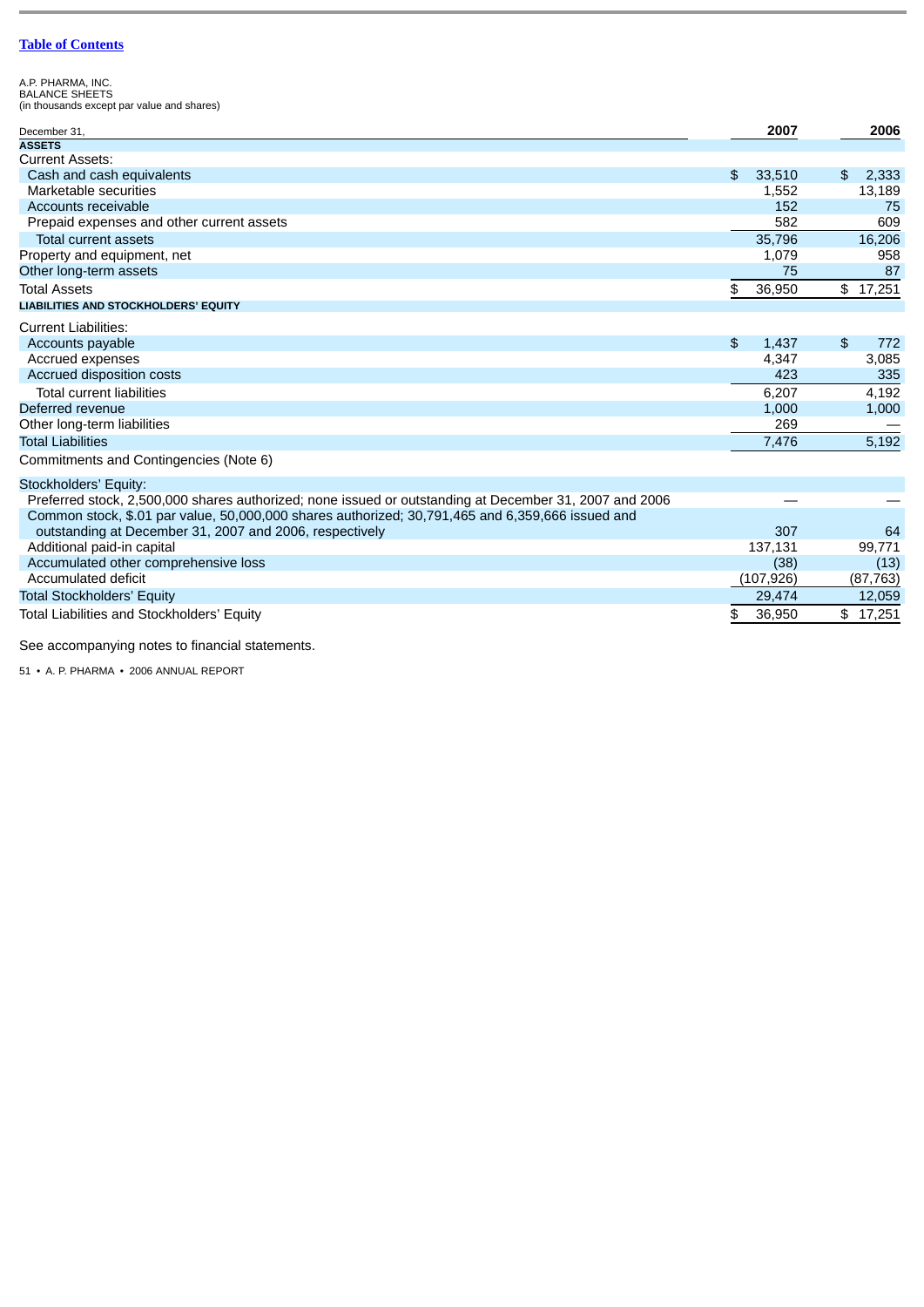A.P. PHARMA, INC. BALANCE SHEETS (in thousands except par value and shares)

| December 31.                                                                                           | 2007         | 2006        |
|--------------------------------------------------------------------------------------------------------|--------------|-------------|
| <b>ASSETS</b>                                                                                          |              |             |
| <b>Current Assets:</b>                                                                                 |              |             |
| Cash and cash equivalents                                                                              | \$<br>33,510 | \$<br>2,333 |
| Marketable securities                                                                                  | 1,552        | 13,189      |
| Accounts receivable                                                                                    | 152          | 75          |
| Prepaid expenses and other current assets                                                              | 582          | 609         |
| <b>Total current assets</b>                                                                            | 35.796       | 16,206      |
| Property and equipment, net                                                                            | 1,079        | 958         |
| Other long-term assets                                                                                 | 75           | 87          |
| <b>Total Assets</b>                                                                                    | \$<br>36,950 | \$17,251    |
| <b>LIABILITIES AND STOCKHOLDERS' EQUITY</b>                                                            |              |             |
| <b>Current Liabilities:</b>                                                                            |              |             |
| Accounts payable                                                                                       | \$<br>1,437  | \$<br>772   |
| Accrued expenses                                                                                       | 4,347        | 3,085       |
| Accrued disposition costs                                                                              | 423          | 335         |
| <b>Total current liabilities</b>                                                                       | 6.207        | 4.192       |
| Deferred revenue                                                                                       | 1,000        | 1,000       |
| Other long-term liabilities                                                                            | 269          |             |
| <b>Total Liabilities</b>                                                                               | 7,476        | 5,192       |
| Commitments and Contingencies (Note 6)                                                                 |              |             |
| Stockholders' Equity:                                                                                  |              |             |
| Preferred stock, 2,500,000 shares authorized; none issued or outstanding at December 31, 2007 and 2006 |              |             |
| Common stock, \$.01 par value, 50,000,000 shares authorized; 30,791,465 and 6,359,666 issued and       |              |             |
| outstanding at December 31, 2007 and 2006, respectively                                                | 307          | 64          |
| Additional paid-in capital                                                                             | 137.131      | 99.771      |
| Accumulated other comprehensive loss                                                                   | (38)         | (13)        |
| Accumulated deficit                                                                                    | (107, 926)   | (87, 763)   |
| <b>Total Stockholders' Equity</b>                                                                      | 29,474       | 12,059      |
| Total Liabilities and Stockholders' Equity                                                             | \$<br>36,950 | \$17,251    |

See accompanying notes to financial statements.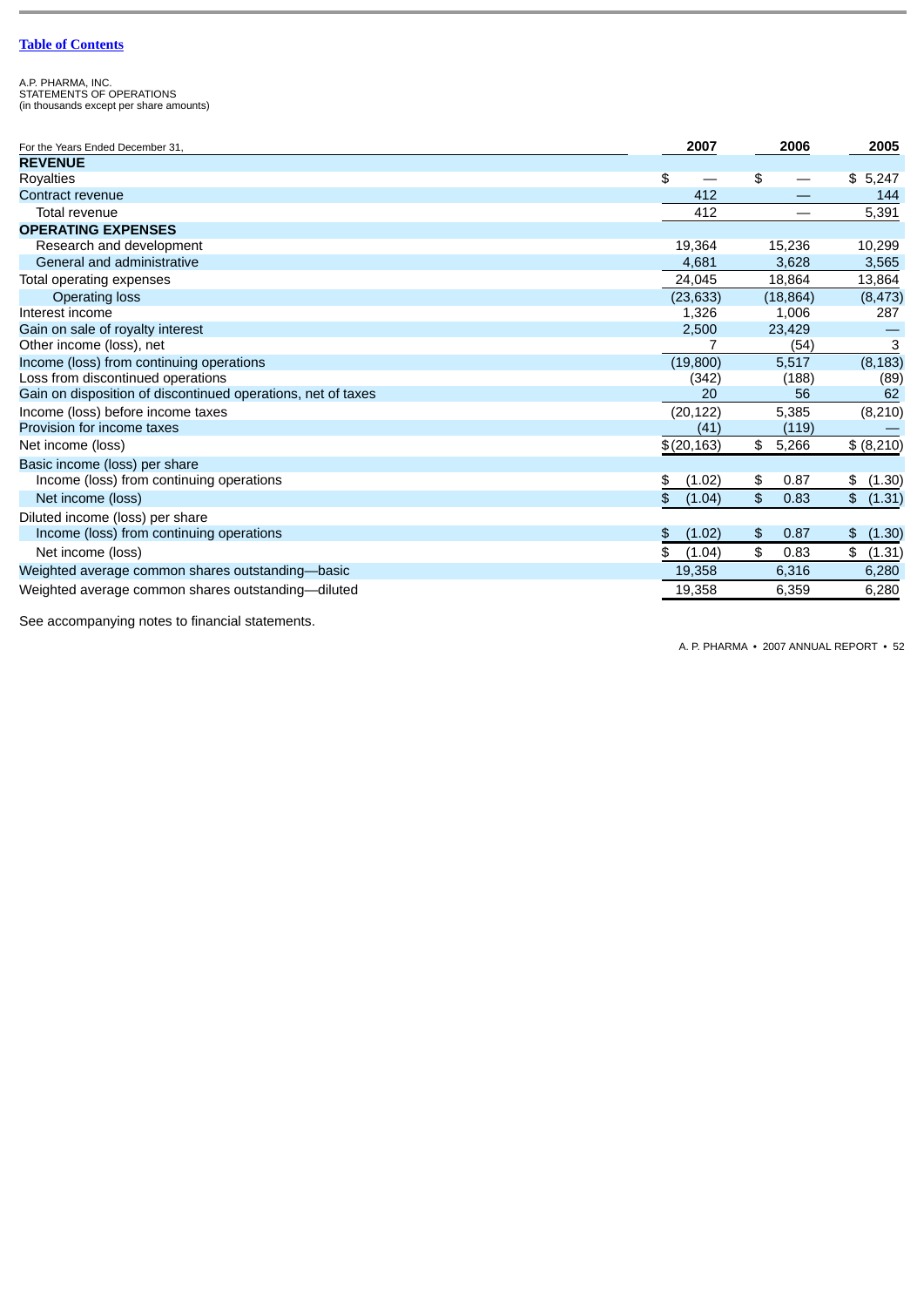A.P. PHARMA, INC. STATEMENTS OF OPERATIONS (in thousands except per share amounts)

| For the Years Ended December 31,                             | 2007                           | 2006        | 2005         |
|--------------------------------------------------------------|--------------------------------|-------------|--------------|
| <b>REVENUE</b>                                               |                                |             |              |
| Royalties                                                    | \$<br>$\overline{\phantom{0}}$ | \$          | \$5,247      |
| Contract revenue                                             | 412                            |             | 144          |
| Total revenue                                                | 412                            |             | 5,391        |
| <b>OPERATING EXPENSES</b>                                    |                                |             |              |
| Research and development                                     | 19,364                         | 15,236      | 10,299       |
| General and administrative                                   | 4,681                          | 3,628       | 3,565        |
| Total operating expenses                                     | 24,045                         | 18,864      | 13,864       |
| Operating loss                                               | (23, 633)                      | (18, 864)   | (8, 473)     |
| Interest income                                              | 1,326                          | 1,006       | 287          |
| Gain on sale of royalty interest                             | 2,500                          | 23,429      |              |
| Other income (loss), net                                     |                                | (54)        | 3            |
| Income (loss) from continuing operations                     | (19,800)                       | 5,517       | (8, 183)     |
| Loss from discontinued operations                            | (342)                          | (188)       | (89)         |
| Gain on disposition of discontinued operations, net of taxes | 20                             | 56          | 62           |
| Income (loss) before income taxes                            | (20, 122)                      | 5,385       | (8, 210)     |
| Provision for income taxes                                   | (41)                           | (119)       |              |
| Net income (loss)                                            | \$(20,163)                     | \$<br>5,266 | \$ (8,210)   |
| Basic income (loss) per share                                |                                |             |              |
| Income (loss) from continuing operations                     | (1.02)<br>\$                   | 0.87<br>\$  | (1.30)<br>\$ |
| Net income (loss)                                            | \$<br>(1.04)                   | \$<br>0.83  | \$ (1.31)    |
| Diluted income (loss) per share                              |                                |             |              |
| Income (loss) from continuing operations                     | (1.02)<br>\$                   | 0.87<br>\$  | (1.30)<br>\$ |
| Net income (loss)                                            | \$<br>(1.04)                   | \$<br>0.83  | \$ (1.31)    |
| Weighted average common shares outstanding-basic             | 19,358                         | 6,316       | 6,280        |
| Weighted average common shares outstanding-diluted           | 19,358                         | 6,359       | 6,280        |

See accompanying notes to financial statements.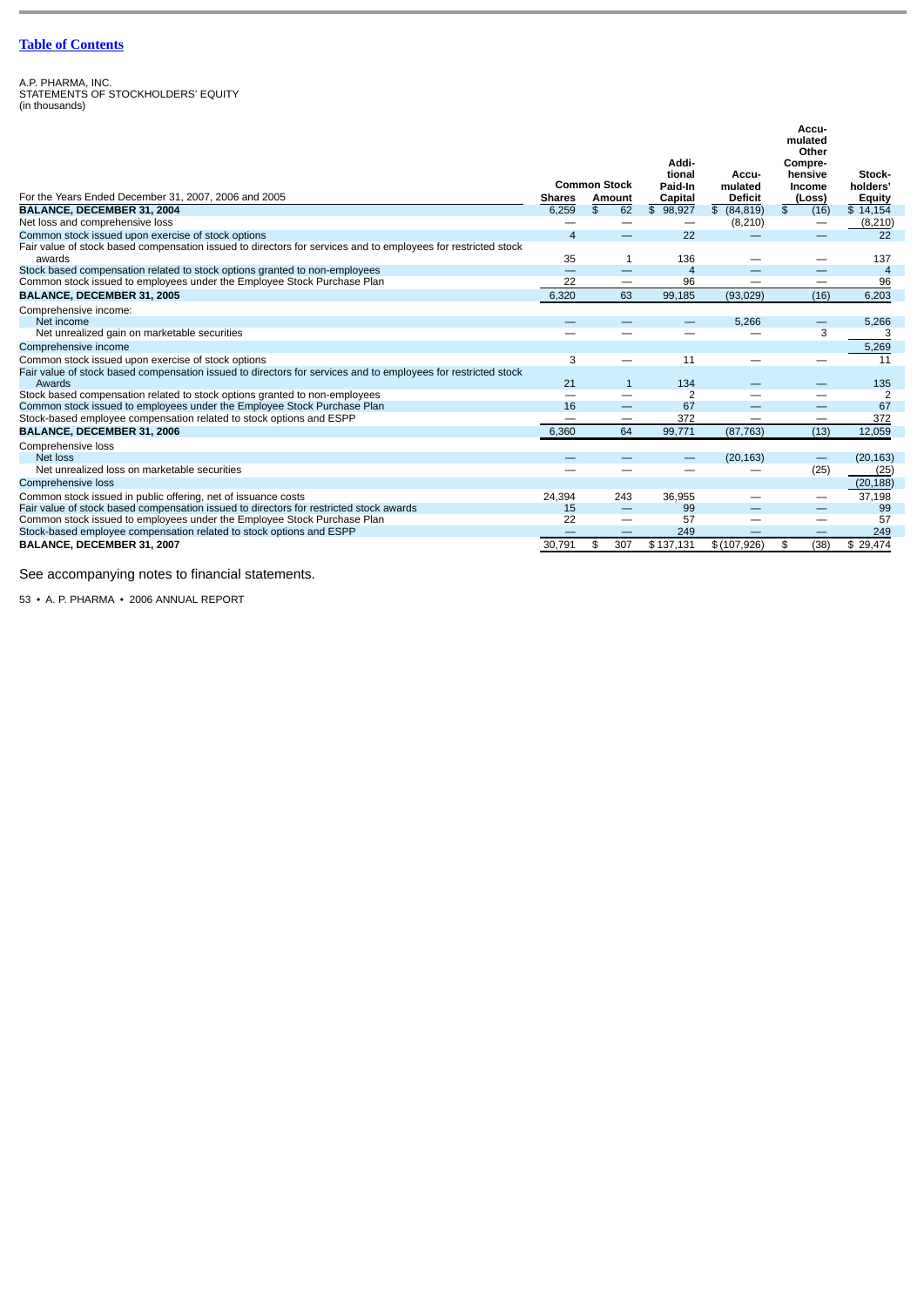A.P. PHARMA, INC. STATEMENTS OF STOCKHOLDERS' EQUITY (in thousands)

|                                                                                                                         |                                |                                 | Addi-                    |                | Accu-<br>mulated<br>Other<br>Compre- |                |
|-------------------------------------------------------------------------------------------------------------------------|--------------------------------|---------------------------------|--------------------------|----------------|--------------------------------------|----------------|
|                                                                                                                         |                                |                                 | tional                   | Accu-          | hensive                              | Stock-         |
|                                                                                                                         |                                | <b>Common Stock</b>             | Paid-In                  | mulated        | Income                               | holders'       |
| For the Years Ended December 31, 2007, 2006 and 2005                                                                    | <b>Shares</b>                  | Amount                          | Capital                  | <b>Deficit</b> | (Loss)                               | <b>Equity</b>  |
| BALANCE, DECEMBER 31, 2004                                                                                              | 6.259                          | $\overline{\mathbb{S}}$<br>62   | \$98,927                 | \$ (84, 819)   | \$<br>(16)                           | \$14,154       |
| Net loss and comprehensive loss                                                                                         | $\overline{\phantom{0}}$       |                                 | $\overline{\phantom{m}}$ | (8, 210)       | —                                    | (8, 210)       |
| Common stock issued upon exercise of stock options                                                                      | $\overline{4}$                 | $\overline{\phantom{0}}$        | 22                       |                |                                      | 22             |
| Fair value of stock based compensation issued to directors for services and to employees for restricted stock           |                                |                                 |                          |                |                                      |                |
| awards                                                                                                                  | 35                             | $\mathbf{1}$                    | 136                      |                |                                      | 137            |
| Stock based compensation related to stock options granted to non-employees                                              | $\qquad \qquad \longleftarrow$ | $\qquad \qquad -$               | $\overline{4}$           |                | —                                    | $\overline{a}$ |
| Common stock issued to employees under the Employee Stock Purchase Plan                                                 | 22                             |                                 | 96                       |                | —                                    | 96             |
| BALANCE, DECEMBER 31, 2005                                                                                              | 6.320                          | 63                              | 99.185                   | (93,029)       | (16)                                 | 6,203          |
| Comprehensive income:                                                                                                   |                                |                                 |                          |                |                                      |                |
| Net income                                                                                                              |                                |                                 |                          | 5.266          | -                                    | 5,266          |
| Net unrealized gain on marketable securities                                                                            |                                |                                 |                          |                | 3                                    | 3              |
| Comprehensive income                                                                                                    |                                |                                 |                          |                |                                      | 5,269          |
| Common stock issued upon exercise of stock options                                                                      | 3                              | —                               | 11                       |                | —                                    | 11             |
| Fair value of stock based compensation issued to directors for services and to employees for restricted stock<br>Awards | 21                             | $\mathbf{1}$                    | 134                      |                |                                      | 135            |
| Stock based compensation related to stock options granted to non-employees                                              |                                | $\overline{\phantom{0}}$        | $\overline{2}$           |                |                                      | 2              |
| Common stock issued to employees under the Employee Stock Purchase Plan                                                 | 16                             | $\qquad \qquad -$               | 67                       |                | —                                    | 67             |
| Stock-based employee compensation related to stock options and ESPP                                                     | $\hspace{0.05cm}$              | $\hspace{0.1mm}-\hspace{0.1mm}$ | 372                      | --             | —                                    | 372            |
| <b>BALANCE, DECEMBER 31, 2006</b>                                                                                       | 6,360                          | 64                              | 99,771                   | (87, 763)      | (13)                                 | 12,059         |
| Comprehensive loss                                                                                                      |                                |                                 |                          |                |                                      |                |
| Net loss                                                                                                                |                                |                                 |                          | (20, 163)      | $\qquad \qquad -$                    | (20, 163)      |
| Net unrealized loss on marketable securities                                                                            |                                |                                 |                          |                | (25)                                 | (25)           |
| Comprehensive loss                                                                                                      |                                |                                 |                          |                |                                      | (20, 188)      |
| Common stock issued in public offering, net of issuance costs                                                           | 24,394                         | 243                             | 36,955                   |                | —                                    | 37,198         |
| Fair value of stock based compensation issued to directors for restricted stock awards                                  | 15                             |                                 | 99                       |                |                                      | 99             |
| Common stock issued to employees under the Employee Stock Purchase Plan                                                 | 22                             | —                               | 57                       |                |                                      | 57             |
| Stock-based employee compensation related to stock options and ESPP                                                     |                                |                                 | 249                      |                |                                      | 249            |
| BALANCE, DECEMBER 31, 2007                                                                                              | 30,791                         | 307<br>\$                       | \$137,131                | \$(107,926)    | \$<br>(38)                           | \$29,474       |

See accompanying notes to financial statements.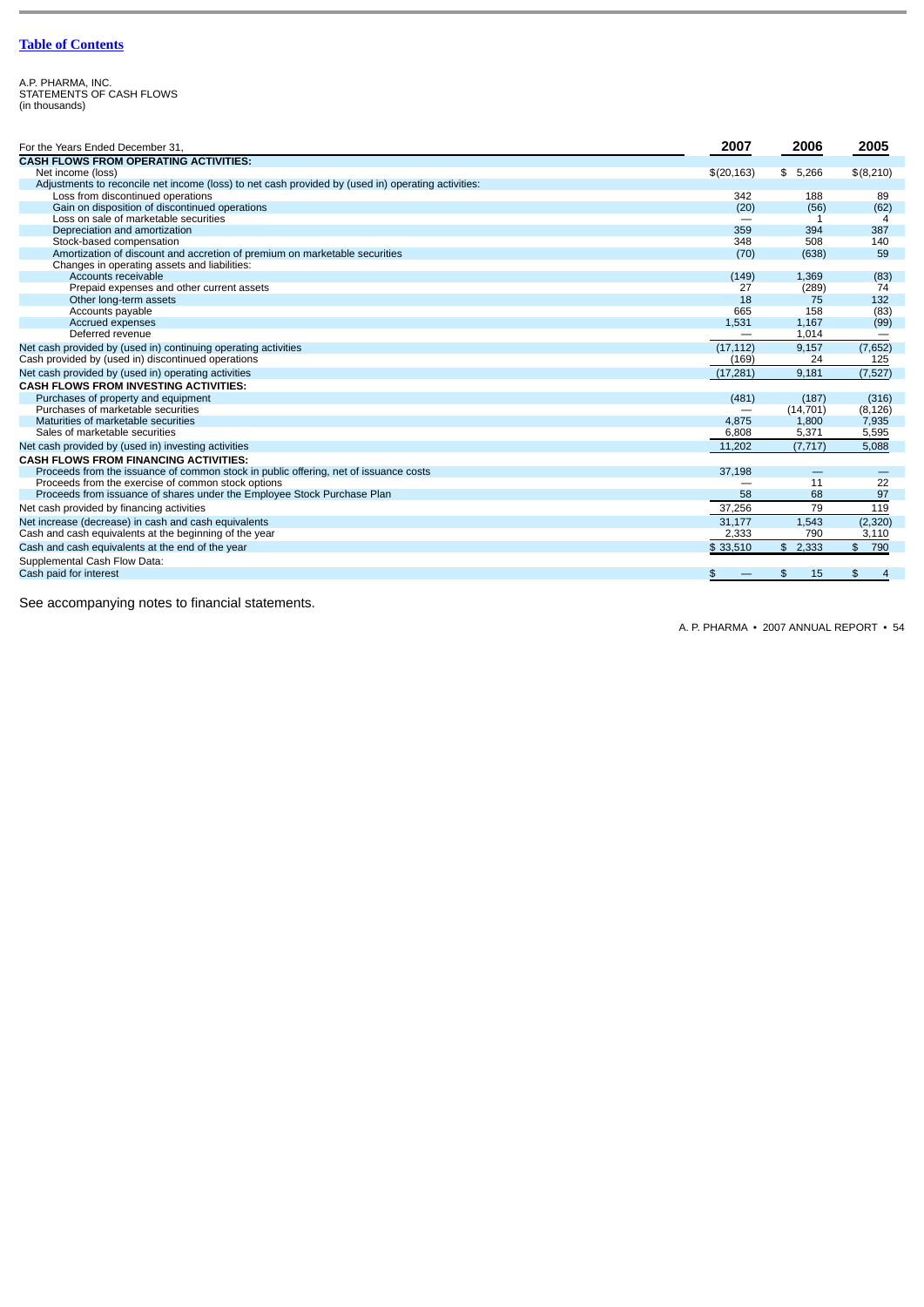A.P. PHARMA, INC. STATEMENTS OF CASH FLOWS (in thousands)

| For the Years Ended December 31.                                                                   | 2007                     | 2006      | 2005                            |
|----------------------------------------------------------------------------------------------------|--------------------------|-----------|---------------------------------|
| <b>CASH FLOWS FROM OPERATING ACTIVITIES:</b>                                                       |                          |           |                                 |
| Net income (loss)                                                                                  | \$(20, 163)              | \$5,266   | \$(8,210)                       |
| Adjustments to reconcile net income (loss) to net cash provided by (used in) operating activities: |                          |           |                                 |
| Loss from discontinued operations                                                                  | 342                      | 188       | 89                              |
| Gain on disposition of discontinued operations                                                     | (20)                     | (56)      | (62)                            |
| Loss on sale of marketable securities                                                              |                          |           | 4                               |
| Depreciation and amortization                                                                      | 359                      | 394       | 387                             |
| Stock-based compensation                                                                           | 348                      | 508       | 140                             |
| Amortization of discount and accretion of premium on marketable securities                         | (70)                     | (638)     | 59                              |
| Changes in operating assets and liabilities:                                                       |                          |           |                                 |
| Accounts receivable                                                                                | (149)                    | 1.369     | (83)                            |
| Prepaid expenses and other current assets                                                          | 27                       | (289)     | 74                              |
| Other long-term assets                                                                             | 18                       | 75        | 132                             |
| Accounts payable                                                                                   | 665                      | 158       | (83)                            |
| Accrued expenses                                                                                   | 1,531                    | 1,167     | (99)                            |
| Deferred revenue                                                                                   | $\overline{\phantom{m}}$ | 1,014     | $\hspace{0.1mm}-\hspace{0.1mm}$ |
| Net cash provided by (used in) continuing operating activities                                     | (17, 112)                | 9,157     | (7,652)                         |
| Cash provided by (used in) discontinued operations                                                 | (169)                    | 24        | 125                             |
| Net cash provided by (used in) operating activities                                                | (17, 281)                | 9,181     | (7, 527)                        |
| <b>CASH FLOWS FROM INVESTING ACTIVITIES:</b>                                                       |                          |           |                                 |
| Purchases of property and equipment                                                                | (481)                    | (187)     | (316)                           |
| Purchases of marketable securities                                                                 |                          | (14, 701) | (8, 126)                        |
| Maturities of marketable securities                                                                | 4,875                    | 1,800     | 7,935                           |
| Sales of marketable securities                                                                     | 6,808                    | 5,371     | 5,595                           |
| Net cash provided by (used in) investing activities                                                | 11,202                   | (7, 717)  | 5,088                           |
| <b>CASH FLOWS FROM FINANCING ACTIVITIES:</b>                                                       |                          |           |                                 |
| Proceeds from the issuance of common stock in public offering, net of issuance costs               | 37,198                   |           |                                 |
| Proceeds from the exercise of common stock options                                                 |                          | 11        | 22                              |
| Proceeds from issuance of shares under the Employee Stock Purchase Plan                            | 58                       | 68        | 97                              |
| Net cash provided by financing activities                                                          | 37,256                   | 79        | 119                             |
| Net increase (decrease) in cash and cash equivalents                                               | 31,177                   | 1,543     | (2,320)                         |
| Cash and cash equivalents at the beginning of the year                                             | 2,333                    | 790       | 3,110                           |
| Cash and cash equivalents at the end of the year                                                   | \$33,510                 | \$2,333   | \$790                           |
| Supplemental Cash Flow Data:                                                                       |                          |           |                                 |
| Cash paid for interest                                                                             | \$                       | \$<br>15  | \$                              |

See accompanying notes to financial statements.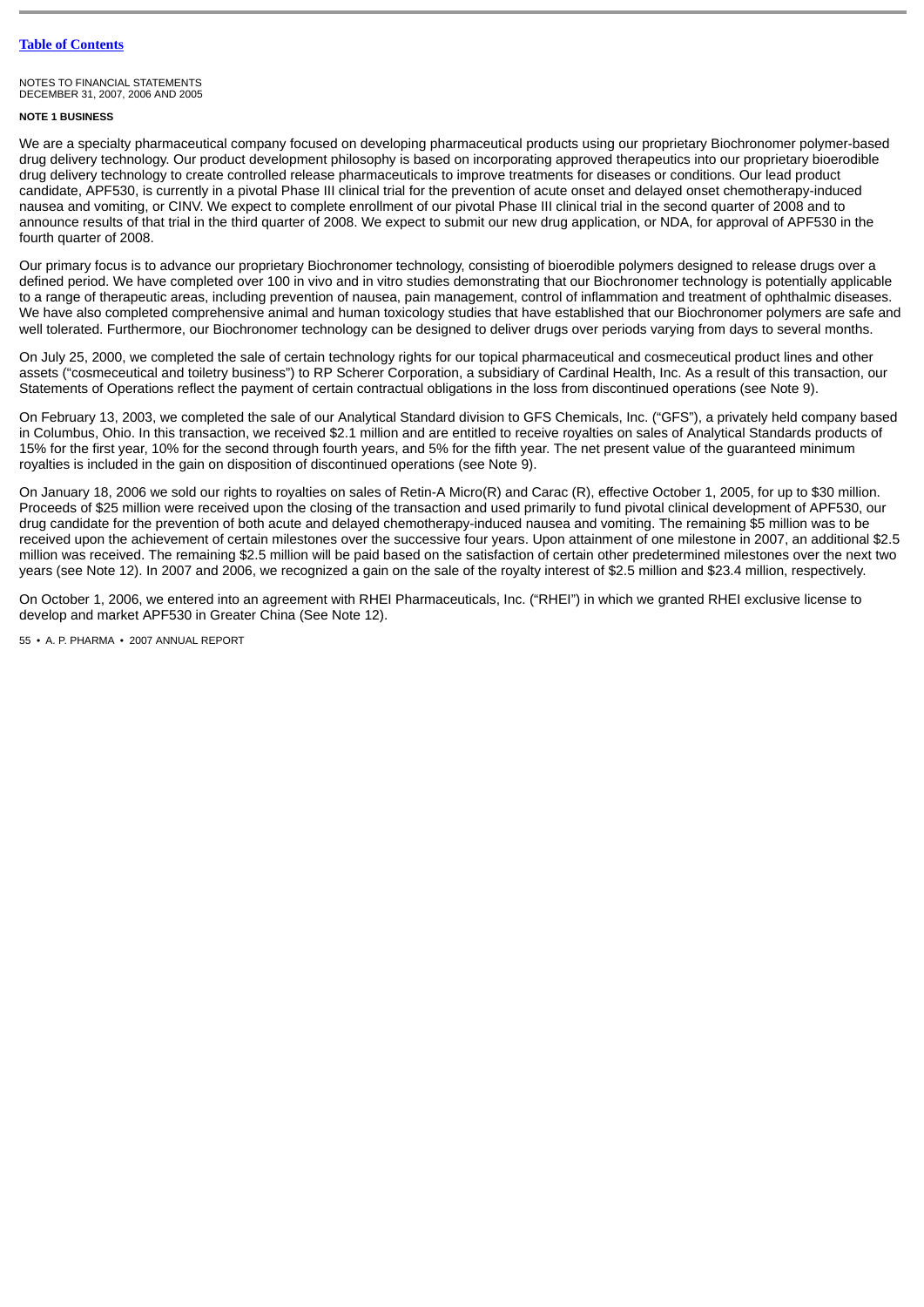# **NOTE 1 BUSINESS**

We are a specialty pharmaceutical company focused on developing pharmaceutical products using our proprietary Biochronomer polymer-based drug delivery technology. Our product development philosophy is based on incorporating approved therapeutics into our proprietary bioerodible drug delivery technology to create controlled release pharmaceuticals to improve treatments for diseases or conditions. Our lead product candidate, APF530, is currently in a pivotal Phase III clinical trial for the prevention of acute onset and delayed onset chemotherapy-induced nausea and vomiting, or CINV. We expect to complete enrollment of our pivotal Phase III clinical trial in the second quarter of 2008 and to announce results of that trial in the third quarter of 2008. We expect to submit our new drug application, or NDA, for approval of APF530 in the fourth quarter of 2008.

Our primary focus is to advance our proprietary Biochronomer technology, consisting of bioerodible polymers designed to release drugs over a defined period. We have completed over 100 in vivo and in vitro studies demonstrating that our Biochronomer technology is potentially applicable to a range of therapeutic areas, including prevention of nausea, pain management, control of inflammation and treatment of ophthalmic diseases. We have also completed comprehensive animal and human toxicology studies that have established that our Biochronomer polymers are safe and well tolerated. Furthermore, our Biochronomer technology can be designed to deliver drugs over periods varying from days to several months.

On July 25, 2000, we completed the sale of certain technology rights for our topical pharmaceutical and cosmeceutical product lines and other assets ("cosmeceutical and toiletry business") to RP Scherer Corporation, a subsidiary of Cardinal Health, Inc. As a result of this transaction, our Statements of Operations reflect the payment of certain contractual obligations in the loss from discontinued operations (see Note 9).

On February 13, 2003, we completed the sale of our Analytical Standard division to GFS Chemicals, Inc. ("GFS"), a privately held company based in Columbus, Ohio. In this transaction, we received \$2.1 million and are entitled to receive royalties on sales of Analytical Standards products of 15% for the first year, 10% for the second through fourth years, and 5% for the fifth year. The net present value of the guaranteed minimum royalties is included in the gain on disposition of discontinued operations (see Note 9).

On January 18, 2006 we sold our rights to royalties on sales of Retin-A Micro(R) and Carac (R), effective October 1, 2005, for up to \$30 million. Proceeds of \$25 million were received upon the closing of the transaction and used primarily to fund pivotal clinical development of APF530, our drug candidate for the prevention of both acute and delayed chemotherapy-induced nausea and vomiting. The remaining \$5 million was to be received upon the achievement of certain milestones over the successive four years. Upon attainment of one milestone in 2007, an additional \$2.5 million was received. The remaining \$2.5 million will be paid based on the satisfaction of certain other predetermined milestones over the next two years (see Note 12). In 2007 and 2006, we recognized a gain on the sale of the royalty interest of \$2.5 million and \$23.4 million, respectively.

On October 1, 2006, we entered into an agreement with RHEI Pharmaceuticals, Inc. ("RHEI") in which we granted RHEI exclusive license to develop and market APF530 in Greater China (See Note 12).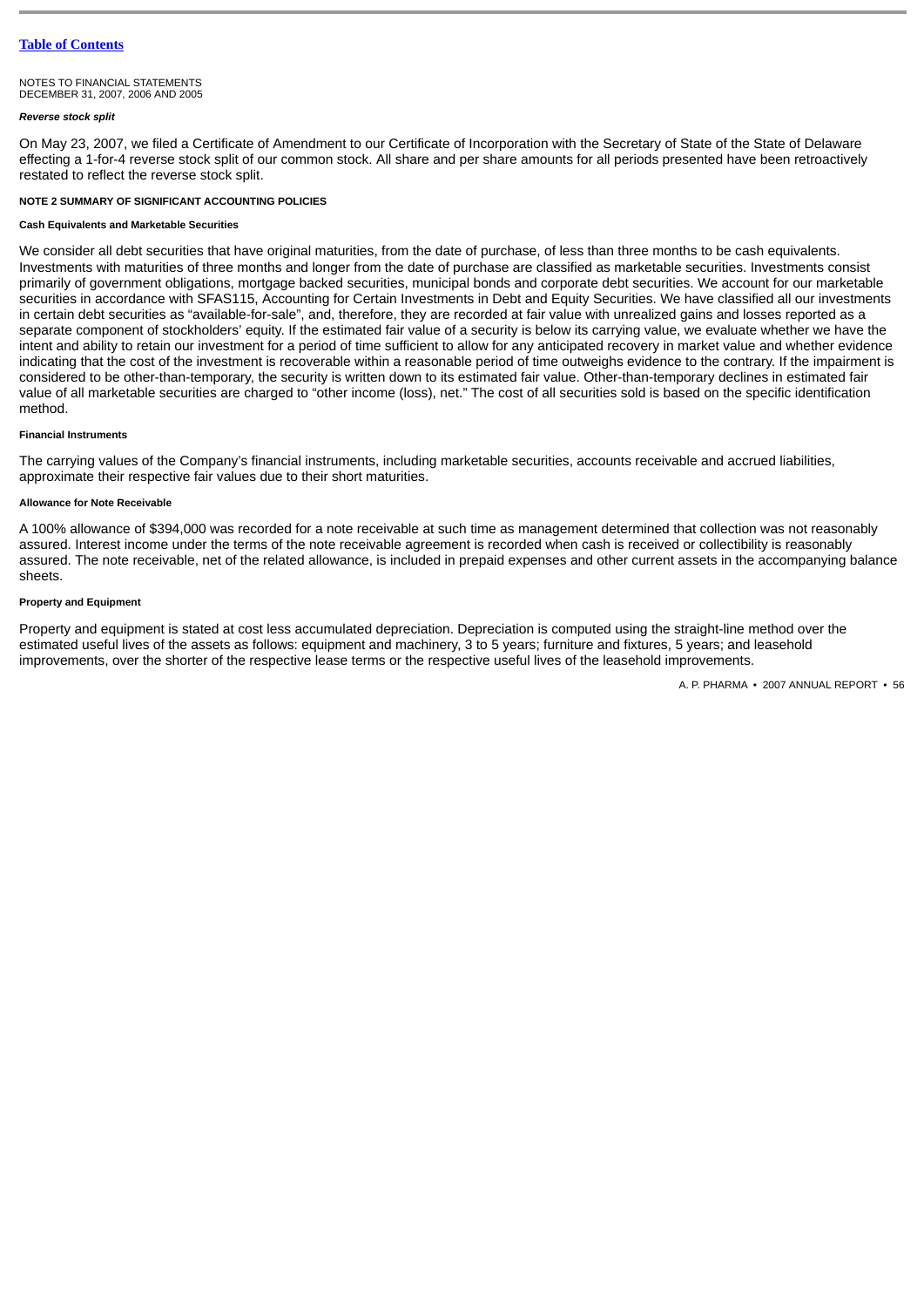NOTES TO FINANCIAL STATEMENTS DECEMBER 31, 2007, 2006 AND 2005

#### *Reverse stock split*

On May 23, 2007, we filed a Certificate of Amendment to our Certificate of Incorporation with the Secretary of State of the State of Delaware effecting a 1-for-4 reverse stock split of our common stock. All share and per share amounts for all periods presented have been retroactively restated to reflect the reverse stock split.

### **NOTE 2 SUMMARY OF SIGNIFICANT ACCOUNTING POLICIES**

#### **Cash Equivalents and Marketable Securities**

We consider all debt securities that have original maturities, from the date of purchase, of less than three months to be cash equivalents. Investments with maturities of three months and longer from the date of purchase are classified as marketable securities. Investments consist primarily of government obligations, mortgage backed securities, municipal bonds and corporate debt securities. We account for our marketable securities in accordance with SFAS115, Accounting for Certain Investments in Debt and Equity Securities. We have classified all our investments in certain debt securities as "available-for-sale", and, therefore, they are recorded at fair value with unrealized gains and losses reported as a separate component of stockholders' equity. If the estimated fair value of a security is below its carrying value, we evaluate whether we have the intent and ability to retain our investment for a period of time sufficient to allow for any anticipated recovery in market value and whether evidence indicating that the cost of the investment is recoverable within a reasonable period of time outweighs evidence to the contrary. If the impairment is considered to be other-than-temporary, the security is written down to its estimated fair value. Other-than-temporary declines in estimated fair value of all marketable securities are charged to "other income (loss), net." The cost of all securities sold is based on the specific identification method.

# **Financial Instruments**

The carrying values of the Company's financial instruments, including marketable securities, accounts receivable and accrued liabilities, approximate their respective fair values due to their short maturities.

# **Allowance for Note Receivable**

A 100% allowance of \$394,000 was recorded for a note receivable at such time as management determined that collection was not reasonably assured. Interest income under the terms of the note receivable agreement is recorded when cash is received or collectibility is reasonably assured. The note receivable, net of the related allowance, is included in prepaid expenses and other current assets in the accompanying balance sheets.

# **Property and Equipment**

Property and equipment is stated at cost less accumulated depreciation. Depreciation is computed using the straight-line method over the estimated useful lives of the assets as follows: equipment and machinery, 3 to 5 years; furniture and fixtures, 5 years; and leasehold improvements, over the shorter of the respective lease terms or the respective useful lives of the leasehold improvements.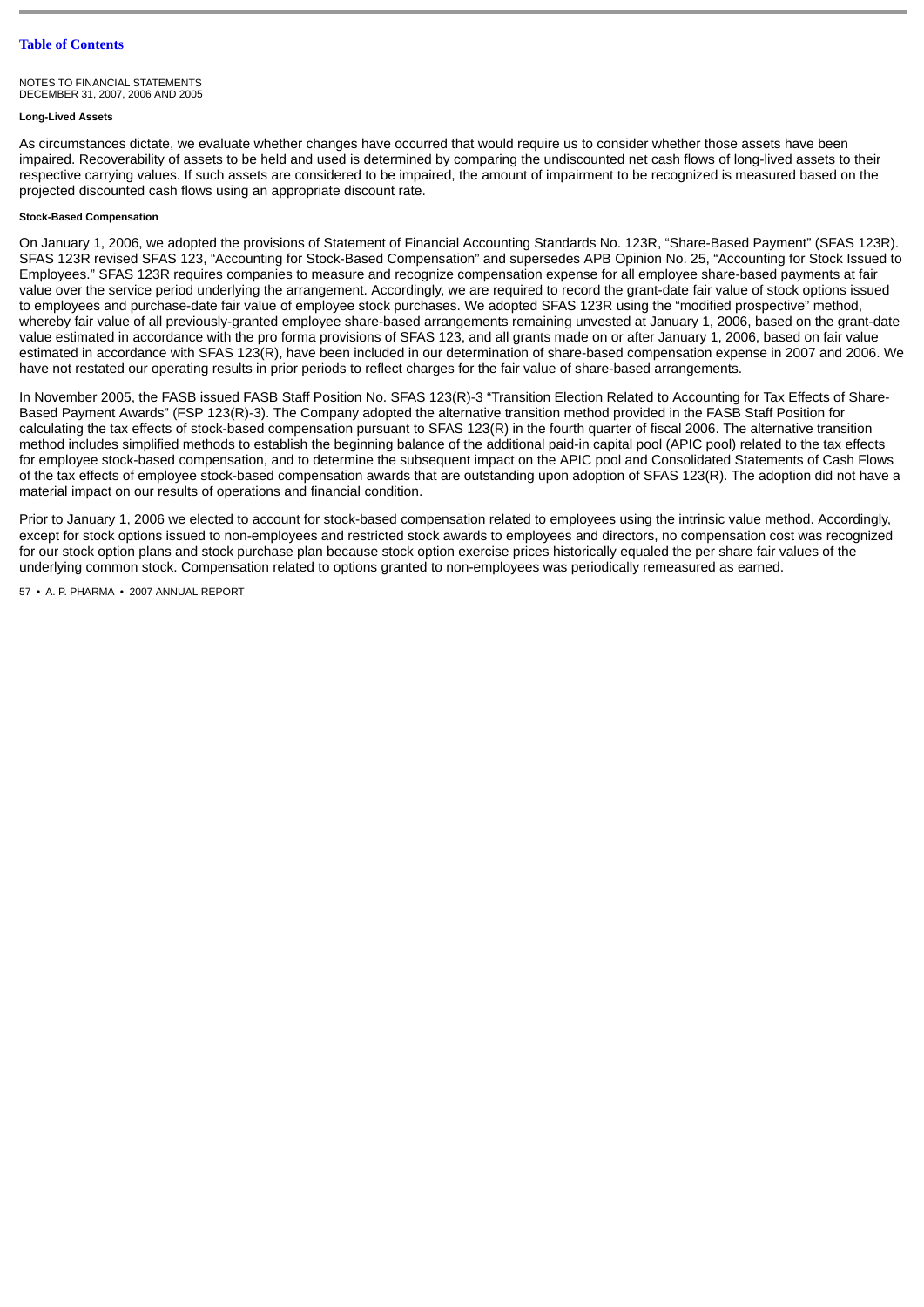#### NOTES TO FINANCIAL STATEMENTS DECEMBER 31, 2007, 2006 AND 2005

#### **Long-Lived Assets**

As circumstances dictate, we evaluate whether changes have occurred that would require us to consider whether those assets have been impaired. Recoverability of assets to be held and used is determined by comparing the undiscounted net cash flows of long-lived assets to their respective carrying values. If such assets are considered to be impaired, the amount of impairment to be recognized is measured based on the projected discounted cash flows using an appropriate discount rate.

# **Stock-Based Compensation**

On January 1, 2006, we adopted the provisions of Statement of Financial Accounting Standards No. 123R, "Share-Based Payment" (SFAS 123R). SFAS 123R revised SFAS 123, "Accounting for Stock-Based Compensation" and supersedes APB Opinion No. 25, "Accounting for Stock Issued to Employees." SFAS 123R requires companies to measure and recognize compensation expense for all employee share-based payments at fair value over the service period underlying the arrangement. Accordingly, we are required to record the grant-date fair value of stock options issued to employees and purchase-date fair value of employee stock purchases. We adopted SFAS 123R using the "modified prospective" method, whereby fair value of all previously-granted employee share-based arrangements remaining unvested at January 1, 2006, based on the grant-date value estimated in accordance with the pro forma provisions of SFAS 123, and all grants made on or after January 1, 2006, based on fair value estimated in accordance with SFAS 123(R), have been included in our determination of share-based compensation expense in 2007 and 2006. We have not restated our operating results in prior periods to reflect charges for the fair value of share-based arrangements.

In November 2005, the FASB issued FASB Staff Position No. SFAS 123(R)-3 "Transition Election Related to Accounting for Tax Effects of Share-Based Payment Awards" (FSP 123(R)-3). The Company adopted the alternative transition method provided in the FASB Staff Position for calculating the tax effects of stock-based compensation pursuant to SFAS 123(R) in the fourth quarter of fiscal 2006. The alternative transition method includes simplified methods to establish the beginning balance of the additional paid-in capital pool (APIC pool) related to the tax effects for employee stock-based compensation, and to determine the subsequent impact on the APIC pool and Consolidated Statements of Cash Flows of the tax effects of employee stock-based compensation awards that are outstanding upon adoption of SFAS 123(R). The adoption did not have a material impact on our results of operations and financial condition.

Prior to January 1, 2006 we elected to account for stock-based compensation related to employees using the intrinsic value method. Accordingly, except for stock options issued to non-employees and restricted stock awards to employees and directors, no compensation cost was recognized for our stock option plans and stock purchase plan because stock option exercise prices historically equaled the per share fair values of the underlying common stock. Compensation related to options granted to non-employees was periodically remeasured as earned.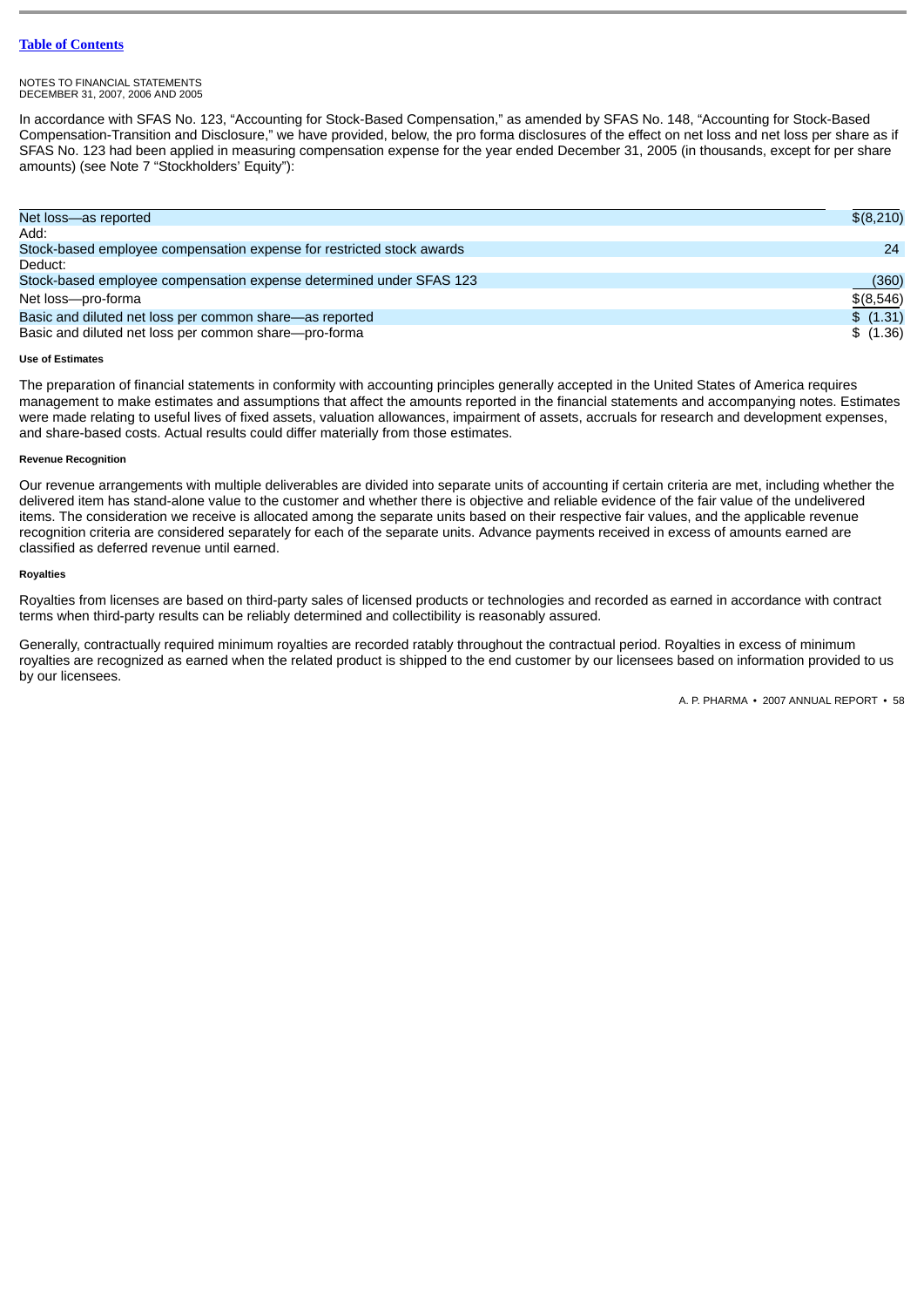#### NOTES TO FINANCIAL STATEMENTS DECEMBER 31, 2007, 2006 AND 2005

In accordance with SFAS No. 123, "Accounting for Stock-Based Compensation," as amended by SFAS No. 148, "Accounting for Stock-Based Compensation-Transition and Disclosure," we have provided, below, the pro forma disclosures of the effect on net loss and net loss per share as if SFAS No. 123 had been applied in measuring compensation expense for the year ended December 31, 2005 (in thousands, except for per share amounts) (see Note 7 "Stockholders' Equity"):

| Net loss-as reported                                                  | \$(8,210)   |
|-----------------------------------------------------------------------|-------------|
| Add:                                                                  |             |
| Stock-based employee compensation expense for restricted stock awards | 24          |
| Deduct:                                                               |             |
| Stock-based employee compensation expense determined under SFAS 123   | (360)       |
| Net loss-pro-forma                                                    | $$$ (8,546) |
| Basic and diluted net loss per common share—as reported               | \$ (1.31)   |
| Basic and diluted net loss per common share—pro-forma                 | \$ (1.36)   |

# **Use of Estimates**

The preparation of financial statements in conformity with accounting principles generally accepted in the United States of America requires management to make estimates and assumptions that affect the amounts reported in the financial statements and accompanying notes. Estimates were made relating to useful lives of fixed assets, valuation allowances, impairment of assets, accruals for research and development expenses, and share-based costs. Actual results could differ materially from those estimates.

# **Revenue Recognition**

Our revenue arrangements with multiple deliverables are divided into separate units of accounting if certain criteria are met, including whether the delivered item has stand-alone value to the customer and whether there is objective and reliable evidence of the fair value of the undelivered items. The consideration we receive is allocated among the separate units based on their respective fair values, and the applicable revenue recognition criteria are considered separately for each of the separate units. Advance payments received in excess of amounts earned are classified as deferred revenue until earned.

# **Royalties**

Royalties from licenses are based on third-party sales of licensed products or technologies and recorded as earned in accordance with contract terms when third-party results can be reliably determined and collectibility is reasonably assured.

Generally, contractually required minimum royalties are recorded ratably throughout the contractual period. Royalties in excess of minimum royalties are recognized as earned when the related product is shipped to the end customer by our licensees based on information provided to us by our licensees.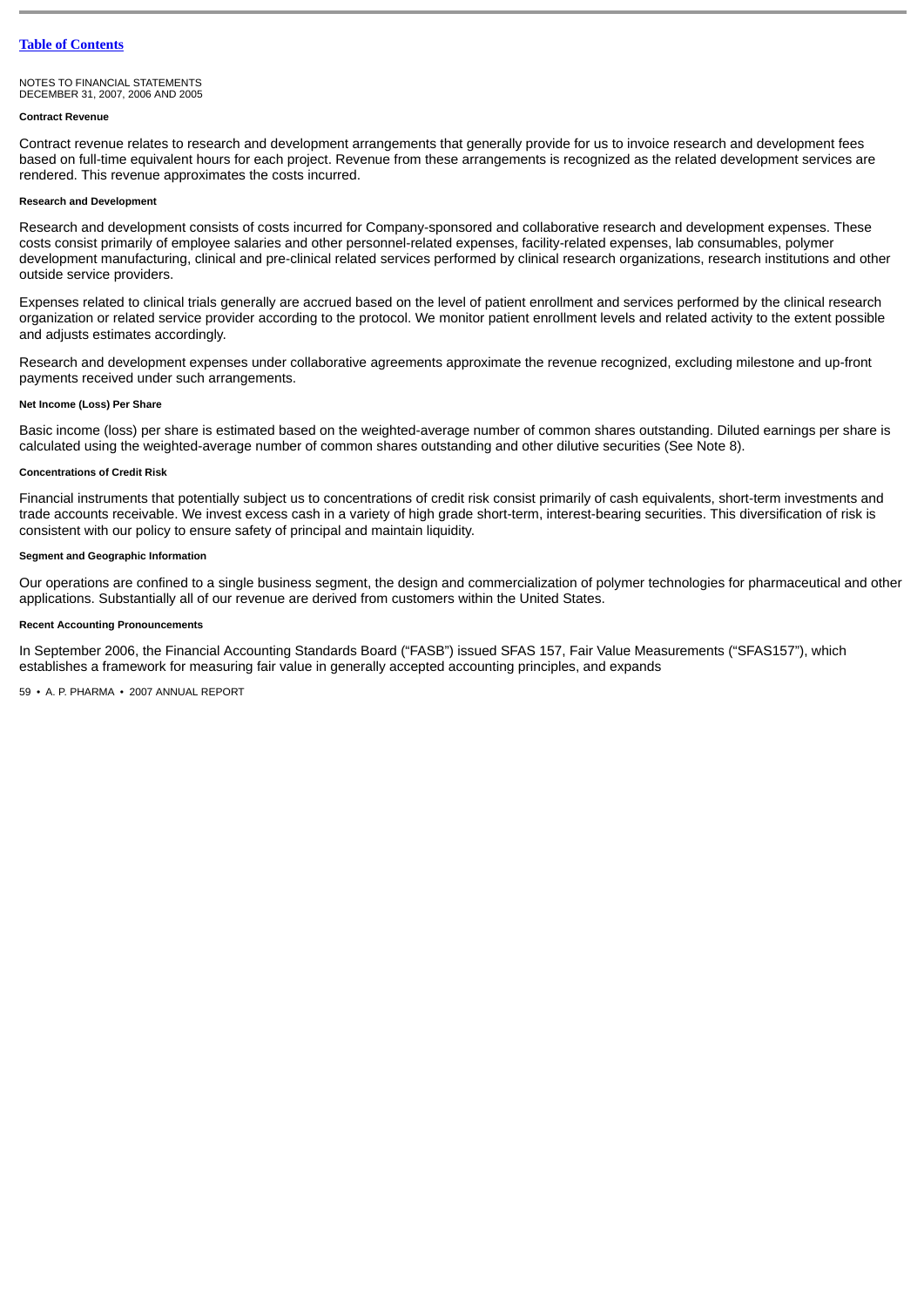#### **Contract Revenue**

Contract revenue relates to research and development arrangements that generally provide for us to invoice research and development fees based on full-time equivalent hours for each project. Revenue from these arrangements is recognized as the related development services are rendered. This revenue approximates the costs incurred.

#### **Research and Development**

Research and development consists of costs incurred for Company-sponsored and collaborative research and development expenses. These costs consist primarily of employee salaries and other personnel-related expenses, facility-related expenses, lab consumables, polymer development manufacturing, clinical and pre-clinical related services performed by clinical research organizations, research institutions and other outside service providers.

Expenses related to clinical trials generally are accrued based on the level of patient enrollment and services performed by the clinical research organization or related service provider according to the protocol. We monitor patient enrollment levels and related activity to the extent possible and adjusts estimates accordingly.

Research and development expenses under collaborative agreements approximate the revenue recognized, excluding milestone and up-front payments received under such arrangements.

### **Net Income (Loss) Per Share**

Basic income (loss) per share is estimated based on the weighted-average number of common shares outstanding. Diluted earnings per share is calculated using the weighted-average number of common shares outstanding and other dilutive securities (See Note 8).

#### **Concentrations of Credit Risk**

Financial instruments that potentially subject us to concentrations of credit risk consist primarily of cash equivalents, short-term investments and trade accounts receivable. We invest excess cash in a variety of high grade short-term, interest-bearing securities. This diversification of risk is consistent with our policy to ensure safety of principal and maintain liquidity.

#### **Segment and Geographic Information**

Our operations are confined to a single business segment, the design and commercialization of polymer technologies for pharmaceutical and other applications. Substantially all of our revenue are derived from customers within the United States.

#### **Recent Accounting Pronouncements**

In September 2006, the Financial Accounting Standards Board ("FASB") issued SFAS 157, Fair Value Measurements ("SFAS157"), which establishes a framework for measuring fair value in generally accepted accounting principles, and expands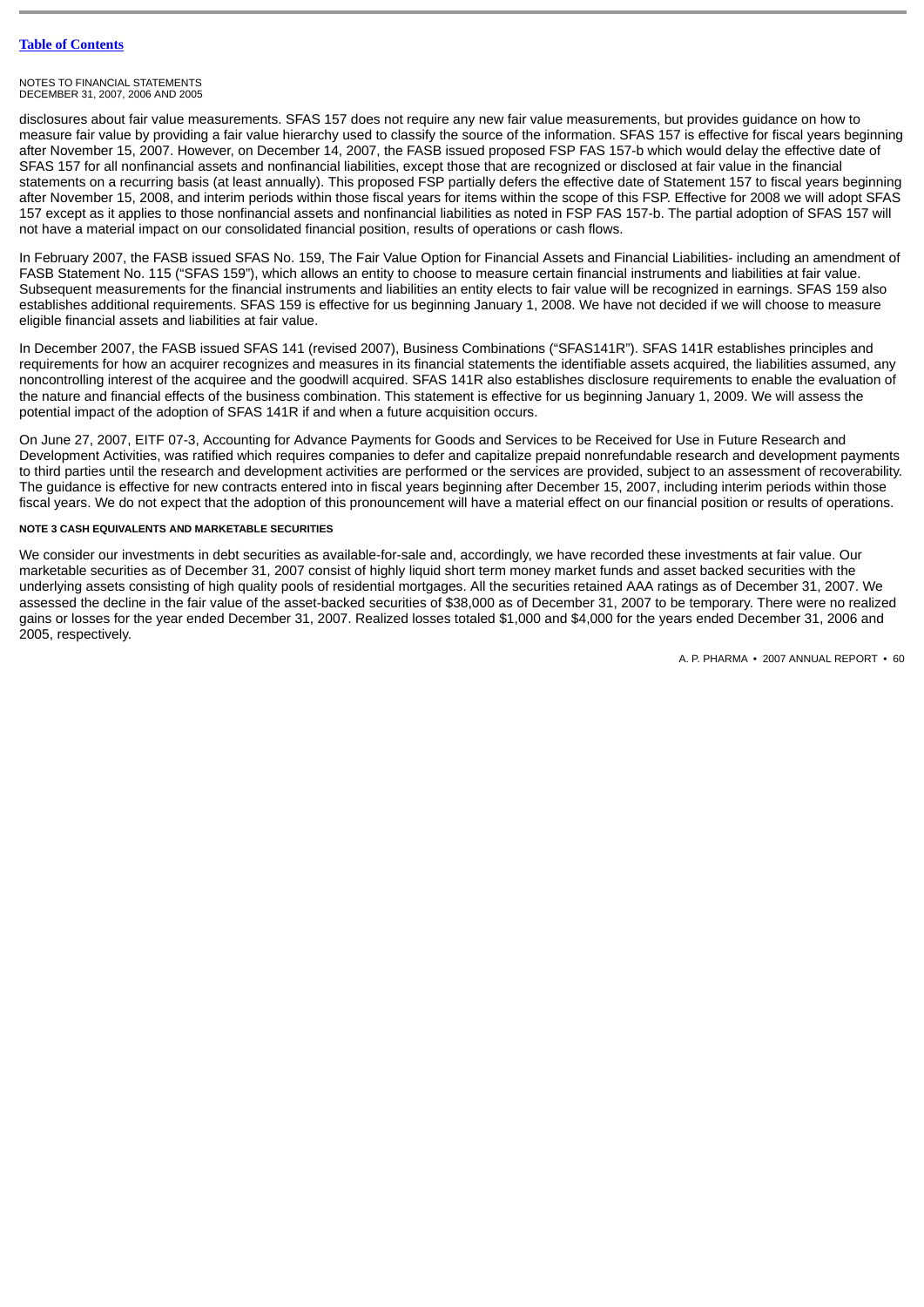#### NOTES TO FINANCIAL STATEMENTS DECEMBER 31, 2007, 2006 AND 2005

disclosures about fair value measurements. SFAS 157 does not require any new fair value measurements, but provides guidance on how to measure fair value by providing a fair value hierarchy used to classify the source of the information. SFAS 157 is effective for fiscal years beginning after November 15, 2007. However, on December 14, 2007, the FASB issued proposed FSP FAS 157-b which would delay the effective date of SFAS 157 for all nonfinancial assets and nonfinancial liabilities, except those that are recognized or disclosed at fair value in the financial statements on a recurring basis (at least annually). This proposed FSP partially defers the effective date of Statement 157 to fiscal years beginning after November 15, 2008, and interim periods within those fiscal years for items within the scope of this FSP. Effective for 2008 we will adopt SFAS 157 except as it applies to those nonfinancial assets and nonfinancial liabilities as noted in FSP FAS 157-b. The partial adoption of SFAS 157 will not have a material impact on our consolidated financial position, results of operations or cash flows.

In February 2007, the FASB issued SFAS No. 159, The Fair Value Option for Financial Assets and Financial Liabilities- including an amendment of FASB Statement No. 115 ("SFAS 159"), which allows an entity to choose to measure certain financial instruments and liabilities at fair value. Subsequent measurements for the financial instruments and liabilities an entity elects to fair value will be recognized in earnings. SFAS 159 also establishes additional requirements. SFAS 159 is effective for us beginning January 1, 2008. We have not decided if we will choose to measure eligible financial assets and liabilities at fair value.

In December 2007, the FASB issued SFAS 141 (revised 2007), Business Combinations ("SFAS141R"). SFAS 141R establishes principles and requirements for how an acquirer recognizes and measures in its financial statements the identifiable assets acquired, the liabilities assumed, any noncontrolling interest of the acquiree and the goodwill acquired. SFAS 141R also establishes disclosure requirements to enable the evaluation of the nature and financial effects of the business combination. This statement is effective for us beginning January 1, 2009. We will assess the potential impact of the adoption of SFAS 141R if and when a future acquisition occurs.

On June 27, 2007, EITF 07-3, Accounting for Advance Payments for Goods and Services to be Received for Use in Future Research and Development Activities, was ratified which requires companies to defer and capitalize prepaid nonrefundable research and development payments to third parties until the research and development activities are performed or the services are provided, subject to an assessment of recoverability. The guidance is effective for new contracts entered into in fiscal years beginning after December 15, 2007, including interim periods within those fiscal years. We do not expect that the adoption of this pronouncement will have a material effect on our financial position or results of operations.

# **NOTE 3 CASH EQUIVALENTS AND MARKETABLE SECURITIES**

We consider our investments in debt securities as available-for-sale and, accordingly, we have recorded these investments at fair value. Our marketable securities as of December 31, 2007 consist of highly liquid short term money market funds and asset backed securities with the underlying assets consisting of high quality pools of residential mortgages. All the securities retained AAA ratings as of December 31, 2007. We assessed the decline in the fair value of the asset-backed securities of \$38,000 as of December 31, 2007 to be temporary. There were no realized gains or losses for the year ended December 31, 2007. Realized losses totaled \$1,000 and \$4,000 for the years ended December 31, 2006 and 2005, respectively.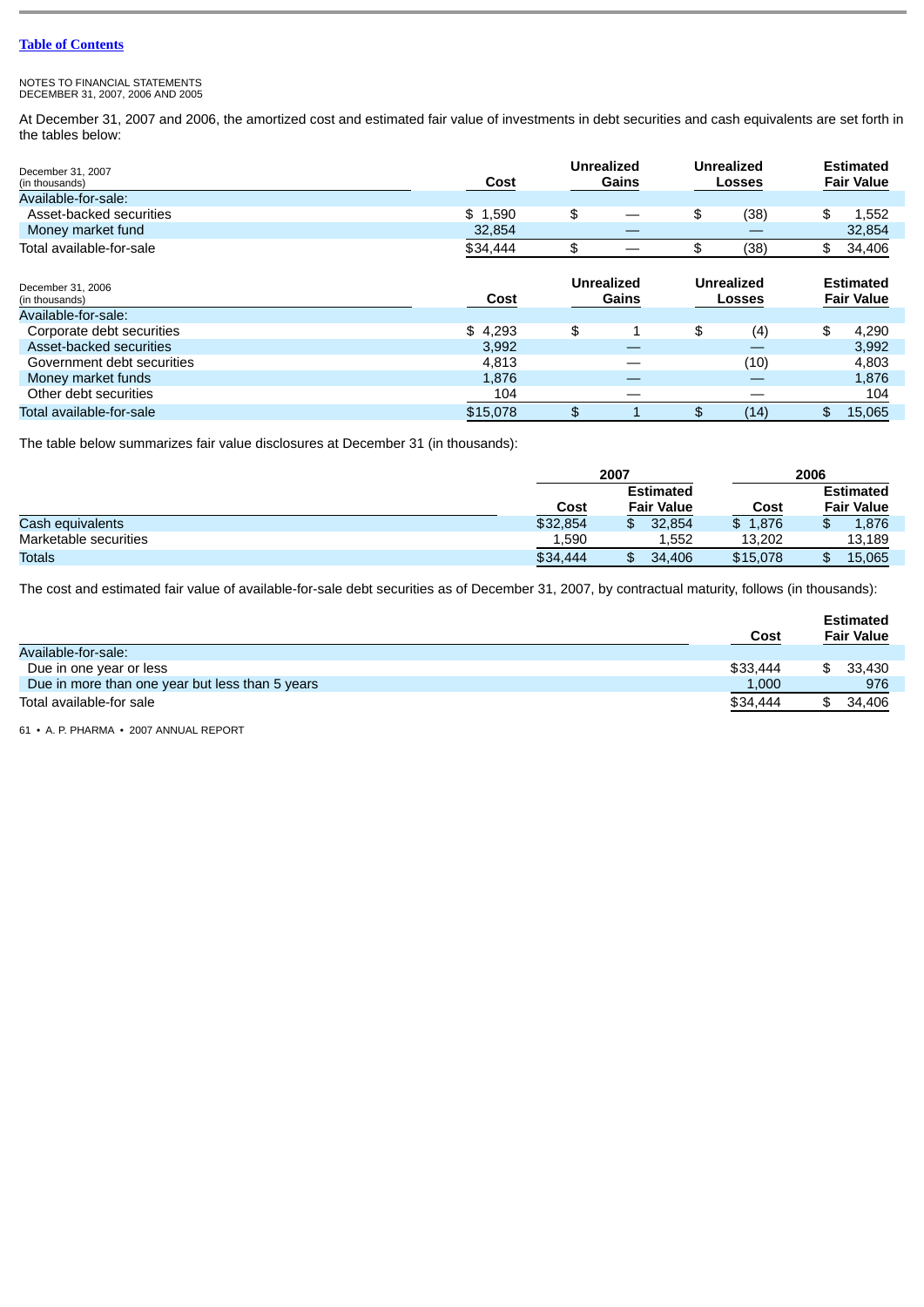NOTES TO FINANCIAL STATEMENTS DECEMBER 31, 2007, 2006 AND 2005

At December 31, 2007 and 2006, the amortized cost and estimated fair value of investments in debt securities and cash equivalents are set forth in the tables below:

| December 31, 2007<br>(in thousands)                        | Cost     | <b>Unrealized</b><br>Gains |     | Unrealized<br><b>Losses</b>        | <b>Estimated</b><br><b>Fair Value</b> |
|------------------------------------------------------------|----------|----------------------------|-----|------------------------------------|---------------------------------------|
| Available-for-sale:                                        |          |                            |     |                                    |                                       |
| Asset-backed securities                                    | \$1,590  | \$                         | \$  | (38)                               | \$<br>1,552                           |
| Money market fund                                          | 32,854   |                            |     |                                    | 32,854                                |
| Total available-for-sale                                   | \$34,444 | \$                         | \$  | (38)                               | \$<br>34,406                          |
| December 31, 2006<br>(in thousands)<br>Available-for-sale: | Cost     | <b>Unrealized</b><br>Gains |     | <b>Unrealized</b><br><b>Losses</b> | <b>Estimated</b><br><b>Fair Value</b> |
| Corporate debt securities                                  | \$4,293  | \$                         | \$  | (4)                                | \$<br>4,290                           |
| Asset-backed securities                                    | 3,992    |                            |     | _                                  | 3,992                                 |
| Government debt securities                                 | 4.813    |                            |     | (10)                               | 4,803                                 |
| Money market funds                                         | 1,876    |                            |     |                                    | 1,876                                 |
| Other debt securities                                      | 104      |                            |     |                                    | 104                                   |
| Total available-for-sale                                   | \$15,078 | \$                         | \$. | (14)                               | \$<br>15.065                          |

The table below summarizes fair value disclosures at December 31 (in thousands):

|                       |          | 2007              | 2006     |                   |  |
|-----------------------|----------|-------------------|----------|-------------------|--|
|                       |          | <b>Estimated</b>  |          | <b>Estimated</b>  |  |
|                       | Cost     | <b>Fair Value</b> | Cost     | <b>Fair Value</b> |  |
| Cash equivalents      | \$32,854 | 32.854            | \$1.876  | 1,876<br>æ        |  |
| Marketable securities | 1,590    | 1.552             | 13.202   | 13,189            |  |
| Totals                | \$34,444 | 34,406            | \$15,078 | 15,065            |  |

The cost and estimated fair value of available-for-sale debt securities as of December 31, 2007, by contractual maturity, follows (in thousands):

| Available-for-sale:                             | Cost     | <b>Estimated</b><br><b>Fair Value</b> |
|-------------------------------------------------|----------|---------------------------------------|
| Due in one year or less                         | \$33,444 | 33.430                                |
| Due in more than one year but less than 5 years | 1,000    | 976                                   |
| Total available-for sale                        | \$34,444 | 34.406                                |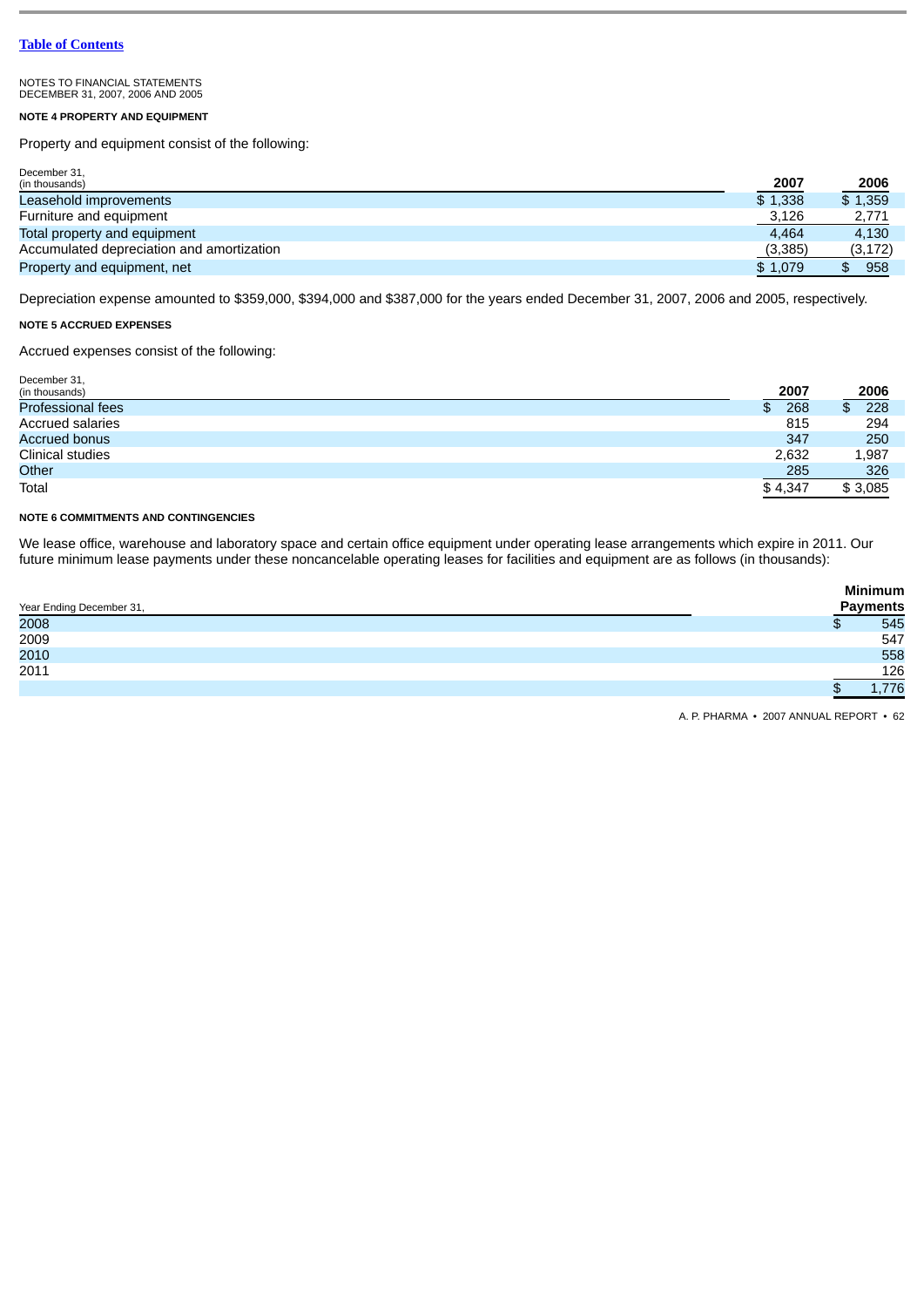# **NOTE 4 PROPERTY AND EQUIPMENT**

Property and equipment consist of the following:

| December 31,                              |          |          |
|-------------------------------------------|----------|----------|
| (in thousands)                            | 2007     | 2006     |
| Leasehold improvements                    | \$1.338  | \$1,359  |
| Furniture and equipment                   | 3,126    | 2,771    |
| Total property and equipment              | 4.464    | 4.130    |
| Accumulated depreciation and amortization | (3, 385) | (3, 172) |
| Property and equipment, net               | \$1.079  | 958      |

Depreciation expense amounted to \$359,000, \$394,000 and \$387,000 for the years ended December 31, 2007, 2006 and 2005, respectively.

# **NOTE 5 ACCRUED EXPENSES**

Accrued expenses consist of the following:

| December 31,             |            |             |
|--------------------------|------------|-------------|
| (in thousands)           | 2007       | <u>2006</u> |
| <b>Professional fees</b> | 268<br>SS. | 228<br>\$   |
| Accrued salaries         | 815        | 294         |
| <b>Accrued bonus</b>     | 347        | 250         |
| Clinical studies         | 2,632      | 1,987       |
| Other                    | 285        | 326         |
| Total                    | \$4.347    | \$3,085     |

# **NOTE 6 COMMITMENTS AND CONTINGENCIES**

We lease office, warehouse and laboratory space and certain office equipment under operating lease arrangements which expire in 2011. Our future minimum lease payments under these noncancelable operating leases for facilities and equipment are as follows (in thousands):

| Year Ending December 31, | <b>Minimum</b><br><b>Payments</b> |
|--------------------------|-----------------------------------|
| 2008                     | 545                               |
| 2009                     | 547                               |
| 2010                     | 558                               |
| 2011                     | 126                               |
|                          | 1,776                             |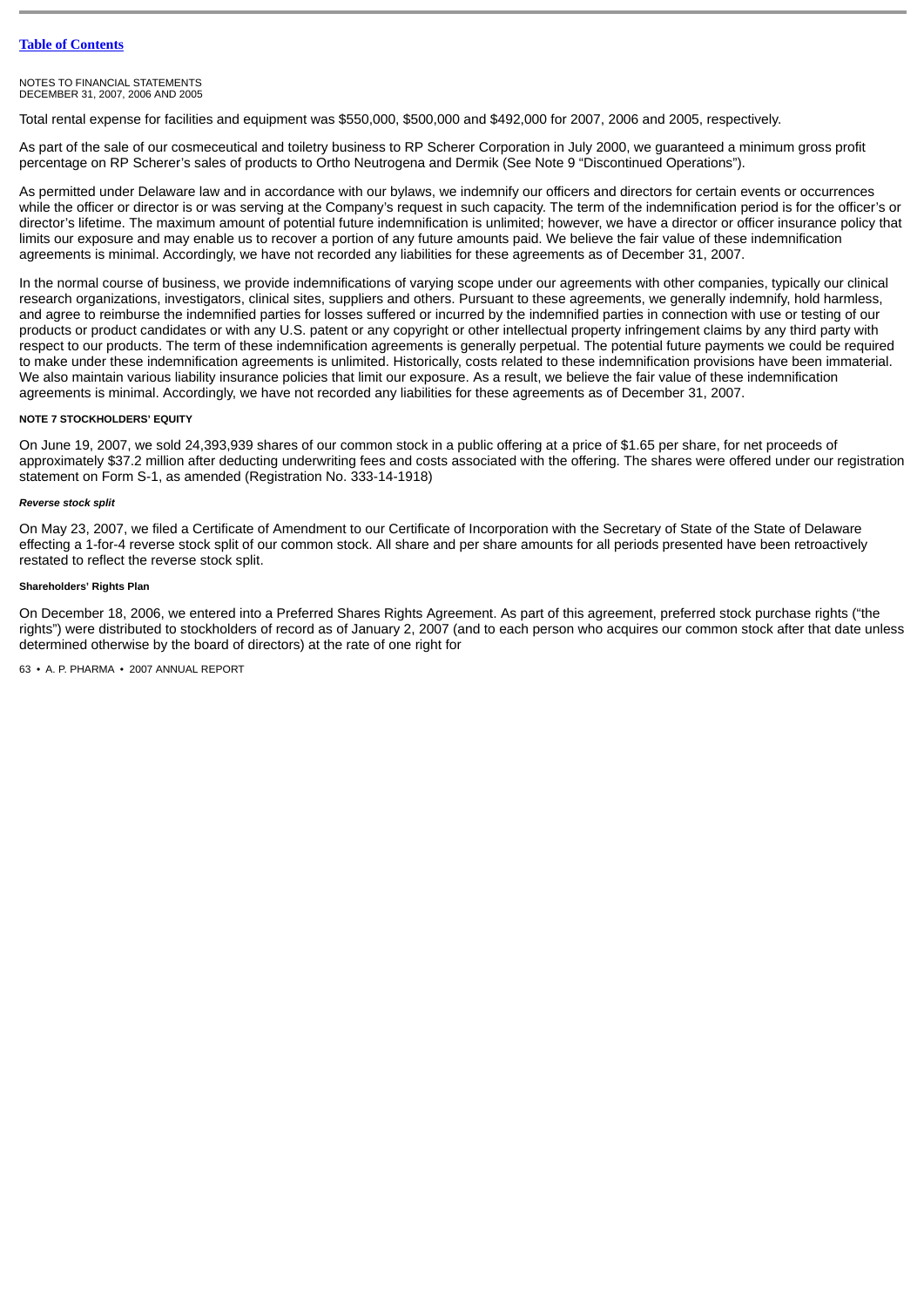Total rental expense for facilities and equipment was \$550,000, \$500,000 and \$492,000 for 2007, 2006 and 2005, respectively.

As part of the sale of our cosmeceutical and toiletry business to RP Scherer Corporation in July 2000, we guaranteed a minimum gross profit percentage on RP Scherer's sales of products to Ortho Neutrogena and Dermik (See Note 9 "Discontinued Operations").

As permitted under Delaware law and in accordance with our bylaws, we indemnify our officers and directors for certain events or occurrences while the officer or director is or was serving at the Company's request in such capacity. The term of the indemnification period is for the officer's or director's lifetime. The maximum amount of potential future indemnification is unlimited; however, we have a director or officer insurance policy that limits our exposure and may enable us to recover a portion of any future amounts paid. We believe the fair value of these indemnification agreements is minimal. Accordingly, we have not recorded any liabilities for these agreements as of December 31, 2007.

In the normal course of business, we provide indemnifications of varying scope under our agreements with other companies, typically our clinical research organizations, investigators, clinical sites, suppliers and others. Pursuant to these agreements, we generally indemnify, hold harmless, and agree to reimburse the indemnified parties for losses suffered or incurred by the indemnified parties in connection with use or testing of our products or product candidates or with any U.S. patent or any copyright or other intellectual property infringement claims by any third party with respect to our products. The term of these indemnification agreements is generally perpetual. The potential future payments we could be required to make under these indemnification agreements is unlimited. Historically, costs related to these indemnification provisions have been immaterial. We also maintain various liability insurance policies that limit our exposure. As a result, we believe the fair value of these indemnification agreements is minimal. Accordingly, we have not recorded any liabilities for these agreements as of December 31, 2007.

# **NOTE 7 STOCKHOLDERS' EQUITY**

On June 19, 2007, we sold 24,393,939 shares of our common stock in a public offering at a price of \$1.65 per share, for net proceeds of approximately \$37.2 million after deducting underwriting fees and costs associated with the offering. The shares were offered under our registration statement on Form S-1, as amended (Registration No. 333-14-1918)

# *Reverse stock split*

On May 23, 2007, we filed a Certificate of Amendment to our Certificate of Incorporation with the Secretary of State of the State of Delaware effecting a 1-for-4 reverse stock split of our common stock. All share and per share amounts for all periods presented have been retroactively restated to reflect the reverse stock split.

# **Shareholders' Rights Plan**

On December 18, 2006, we entered into a Preferred Shares Rights Agreement. As part of this agreement, preferred stock purchase rights ("the rights") were distributed to stockholders of record as of January 2, 2007 (and to each person who acquires our common stock after that date unless determined otherwise by the board of directors) at the rate of one right for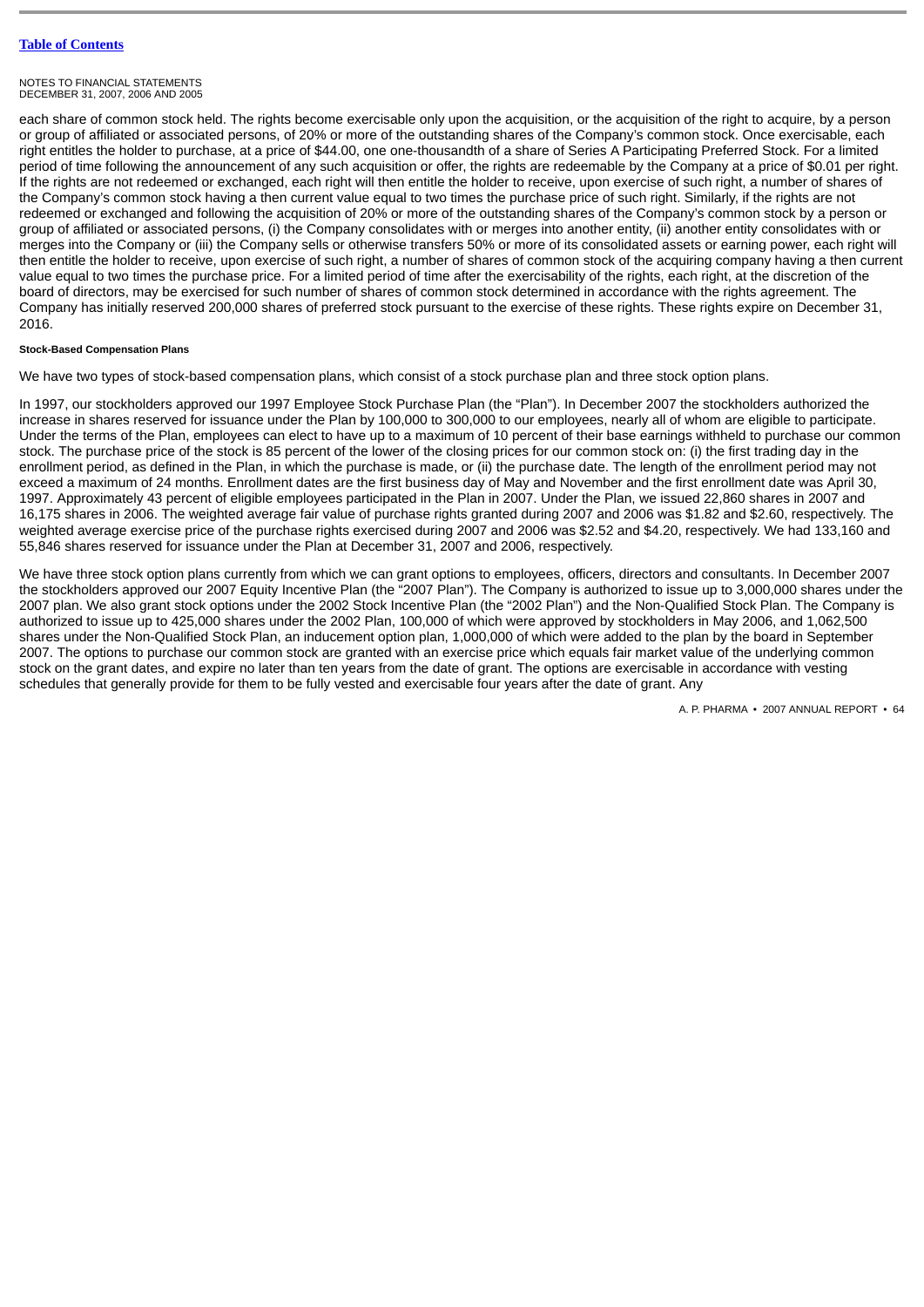each share of common stock held. The rights become exercisable only upon the acquisition, or the acquisition of the right to acquire, by a person or group of affiliated or associated persons, of 20% or more of the outstanding shares of the Company's common stock. Once exercisable, each right entitles the holder to purchase, at a price of \$44.00, one one-thousandth of a share of Series A Participating Preferred Stock. For a limited period of time following the announcement of any such acquisition or offer, the rights are redeemable by the Company at a price of \$0.01 per right. If the rights are not redeemed or exchanged, each right will then entitle the holder to receive, upon exercise of such right, a number of shares of the Company's common stock having a then current value equal to two times the purchase price of such right. Similarly, if the rights are not redeemed or exchanged and following the acquisition of 20% or more of the outstanding shares of the Company's common stock by a person or group of affiliated or associated persons, (i) the Company consolidates with or merges into another entity, (ii) another entity consolidates with or merges into the Company or (iii) the Company sells or otherwise transfers 50% or more of its consolidated assets or earning power, each right will then entitle the holder to receive, upon exercise of such right, a number of shares of common stock of the acquiring company having a then current value equal to two times the purchase price. For a limited period of time after the exercisability of the rights, each right, at the discretion of the board of directors, may be exercised for such number of shares of common stock determined in accordance with the rights agreement. The Company has initially reserved 200,000 shares of preferred stock pursuant to the exercise of these rights. These rights expire on December 31, 2016.

# **Stock-Based Compensation Plans**

We have two types of stock-based compensation plans, which consist of a stock purchase plan and three stock option plans.

In 1997, our stockholders approved our 1997 Employee Stock Purchase Plan (the "Plan"). In December 2007 the stockholders authorized the increase in shares reserved for issuance under the Plan by 100,000 to 300,000 to our employees, nearly all of whom are eligible to participate. Under the terms of the Plan, employees can elect to have up to a maximum of 10 percent of their base earnings withheld to purchase our common stock. The purchase price of the stock is 85 percent of the lower of the closing prices for our common stock on: (i) the first trading day in the enrollment period, as defined in the Plan, in which the purchase is made, or (ii) the purchase date. The length of the enrollment period may not exceed a maximum of 24 months. Enrollment dates are the first business day of May and November and the first enrollment date was April 30, 1997. Approximately 43 percent of eligible employees participated in the Plan in 2007. Under the Plan, we issued 22,860 shares in 2007 and 16,175 shares in 2006. The weighted average fair value of purchase rights granted during 2007 and 2006 was \$1.82 and \$2.60, respectively. The weighted average exercise price of the purchase rights exercised during 2007 and 2006 was \$2.52 and \$4.20, respectively. We had 133,160 and 55,846 shares reserved for issuance under the Plan at December 31, 2007 and 2006, respectively.

We have three stock option plans currently from which we can grant options to employees, officers, directors and consultants. In December 2007 the stockholders approved our 2007 Equity Incentive Plan (the "2007 Plan"). The Company is authorized to issue up to 3,000,000 shares under the 2007 plan. We also grant stock options under the 2002 Stock Incentive Plan (the "2002 Plan") and the Non-Qualified Stock Plan. The Company is authorized to issue up to 425,000 shares under the 2002 Plan, 100,000 of which were approved by stockholders in May 2006, and 1,062,500 shares under the Non-Qualified Stock Plan, an inducement option plan, 1,000,000 of which were added to the plan by the board in September 2007. The options to purchase our common stock are granted with an exercise price which equals fair market value of the underlying common stock on the grant dates, and expire no later than ten years from the date of grant. The options are exercisable in accordance with vesting schedules that generally provide for them to be fully vested and exercisable four years after the date of grant. Any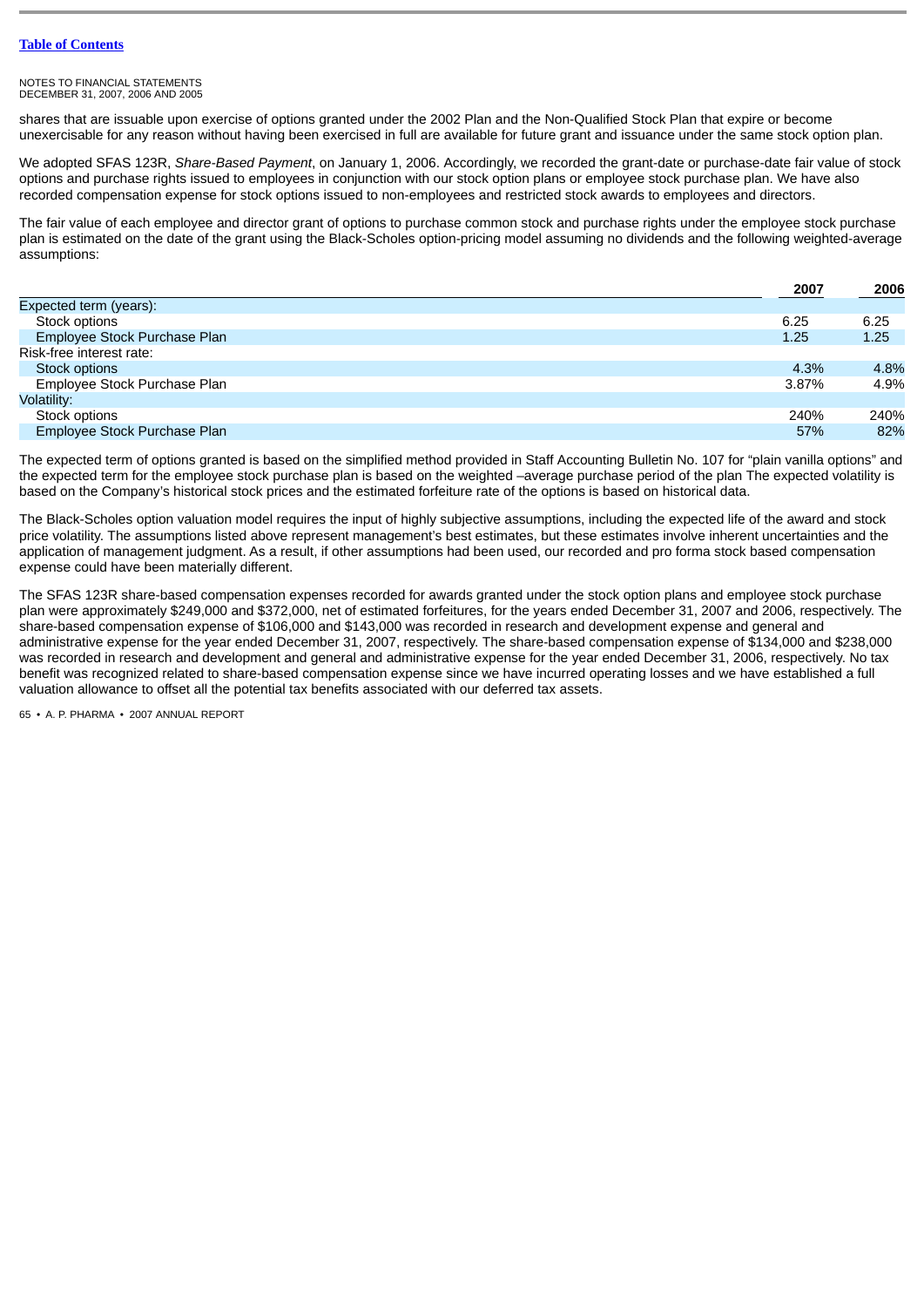shares that are issuable upon exercise of options granted under the 2002 Plan and the Non-Qualified Stock Plan that expire or become unexercisable for any reason without having been exercised in full are available for future grant and issuance under the same stock option plan.

We adopted SFAS 123R, *Share-Based Payment*, on January 1, 2006. Accordingly, we recorded the grant-date or purchase-date fair value of stock options and purchase rights issued to employees in conjunction with our stock option plans or employee stock purchase plan. We have also recorded compensation expense for stock options issued to non-employees and restricted stock awards to employees and directors.

The fair value of each employee and director grant of options to purchase common stock and purchase rights under the employee stock purchase plan is estimated on the date of the grant using the Black-Scholes option-pricing model assuming no dividends and the following weighted-average assumptions:

|                              | 2007  | 2006 |
|------------------------------|-------|------|
| Expected term (years):       |       |      |
| Stock options                | 6.25  | 6.25 |
| Employee Stock Purchase Plan | 1.25  | 1.25 |
| Risk-free interest rate:     |       |      |
| Stock options                | 4.3%  | 4.8% |
| Employee Stock Purchase Plan | 3.87% | 4.9% |
| Volatility:                  |       |      |
| Stock options                | 240%  | 240% |
| Employee Stock Purchase Plan | 57%   | 82%  |

The expected term of options granted is based on the simplified method provided in Staff Accounting Bulletin No. 107 for "plain vanilla options" and the expected term for the employee stock purchase plan is based on the weighted –average purchase period of the plan The expected volatility is based on the Company's historical stock prices and the estimated forfeiture rate of the options is based on historical data.

The Black-Scholes option valuation model requires the input of highly subjective assumptions, including the expected life of the award and stock price volatility. The assumptions listed above represent management's best estimates, but these estimates involve inherent uncertainties and the application of management judgment. As a result, if other assumptions had been used, our recorded and pro forma stock based compensation expense could have been materially different.

The SFAS 123R share-based compensation expenses recorded for awards granted under the stock option plans and employee stock purchase plan were approximately \$249,000 and \$372,000, net of estimated forfeitures, for the years ended December 31, 2007 and 2006, respectively. The share-based compensation expense of \$106,000 and \$143,000 was recorded in research and development expense and general and administrative expense for the year ended December 31, 2007, respectively. The share-based compensation expense of \$134,000 and \$238,000 was recorded in research and development and general and administrative expense for the year ended December 31, 2006, respectively. No tax benefit was recognized related to share-based compensation expense since we have incurred operating losses and we have established a full valuation allowance to offset all the potential tax benefits associated with our deferred tax assets.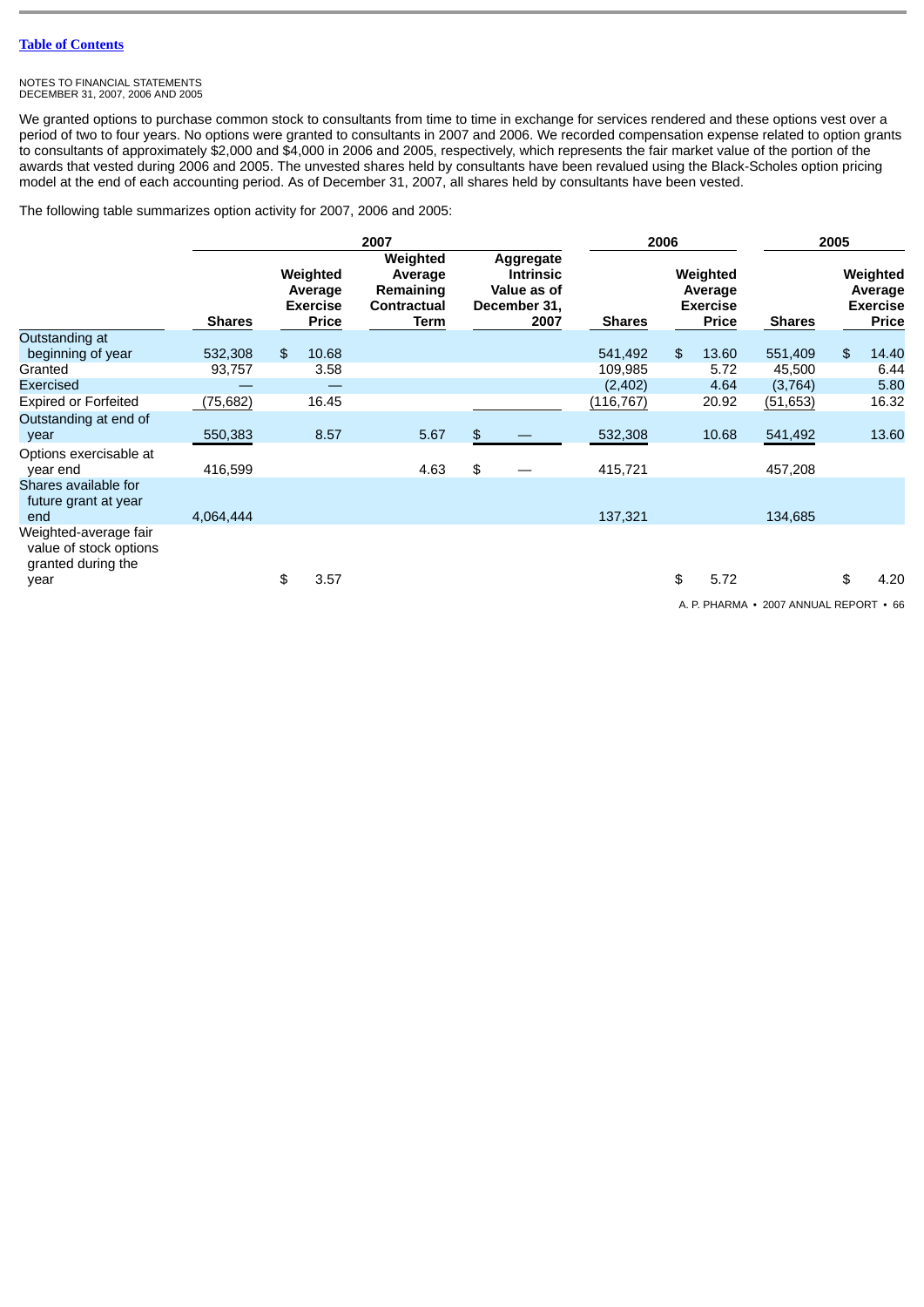#### NOTES TO FINANCIAL STATEMENTS DECEMBER 31, 2007, 2006 AND 2005

We granted options to purchase common stock to consultants from time to time in exchange for services rendered and these options vest over a period of two to four years. No options were granted to consultants in 2007 and 2006. We recorded compensation expense related to option grants to consultants of approximately \$2,000 and \$4,000 in 2006 and 2005, respectively, which represents the fair market value of the portion of the awards that vested during 2006 and 2005. The unvested shares held by consultants have been revalued using the Black-Scholes option pricing model at the end of each accounting period. As of December 31, 2007, all shares held by consultants have been vested.

The following table summarizes option activity for 2007, 2006 and 2005:

|                                                                               |               | 2007 |                                                        |                                                         | 2006                                                                        |               |    | 2005                                                   |               |    |                                                        |
|-------------------------------------------------------------------------------|---------------|------|--------------------------------------------------------|---------------------------------------------------------|-----------------------------------------------------------------------------|---------------|----|--------------------------------------------------------|---------------|----|--------------------------------------------------------|
|                                                                               | <b>Shares</b> |      | Weighted<br>Average<br><b>Exercise</b><br><b>Price</b> | Weighted<br>Average<br>Remaining<br>Contractual<br>Term | Aggregate<br><b>Intrinsic</b><br><b>Value as of</b><br>December 31,<br>2007 | <b>Shares</b> |    | Weighted<br>Average<br><b>Exercise</b><br><b>Price</b> | <b>Shares</b> |    | Weighted<br>Average<br><b>Exercise</b><br><b>Price</b> |
| Outstanding at                                                                |               |      |                                                        |                                                         |                                                                             |               |    |                                                        |               |    |                                                        |
| beginning of year                                                             | 532,308       | \$   | 10.68                                                  |                                                         |                                                                             | 541,492       | \$ | 13.60                                                  | 551,409       | \$ | 14.40                                                  |
| Granted                                                                       | 93,757        |      | 3.58                                                   |                                                         |                                                                             | 109,985       |    | 5.72                                                   | 45,500        |    | 6.44                                                   |
| Exercised                                                                     |               |      |                                                        |                                                         |                                                                             | (2,402)       |    | 4.64                                                   | (3,764)       |    | 5.80                                                   |
| <b>Expired or Forfeited</b>                                                   | (75, 682)     |      | 16.45                                                  |                                                         |                                                                             | (116, 767)    |    | 20.92                                                  | (51, 653)     |    | 16.32                                                  |
| Outstanding at end of<br>year                                                 | 550,383       |      | 8.57                                                   | 5.67                                                    | \$                                                                          | 532,308       |    | 10.68                                                  | 541,492       |    | 13.60                                                  |
| Options exercisable at<br>year end                                            | 416,599       |      |                                                        | 4.63                                                    | \$                                                                          | 415,721       |    |                                                        | 457,208       |    |                                                        |
| Shares available for<br>future grant at year<br>end                           | 4,064,444     |      |                                                        |                                                         |                                                                             | 137,321       |    |                                                        | 134,685       |    |                                                        |
| Weighted-average fair<br>value of stock options<br>granted during the<br>year |               | \$   | 3.57                                                   |                                                         |                                                                             |               | \$ | 5.72                                                   |               | \$ | 4.20                                                   |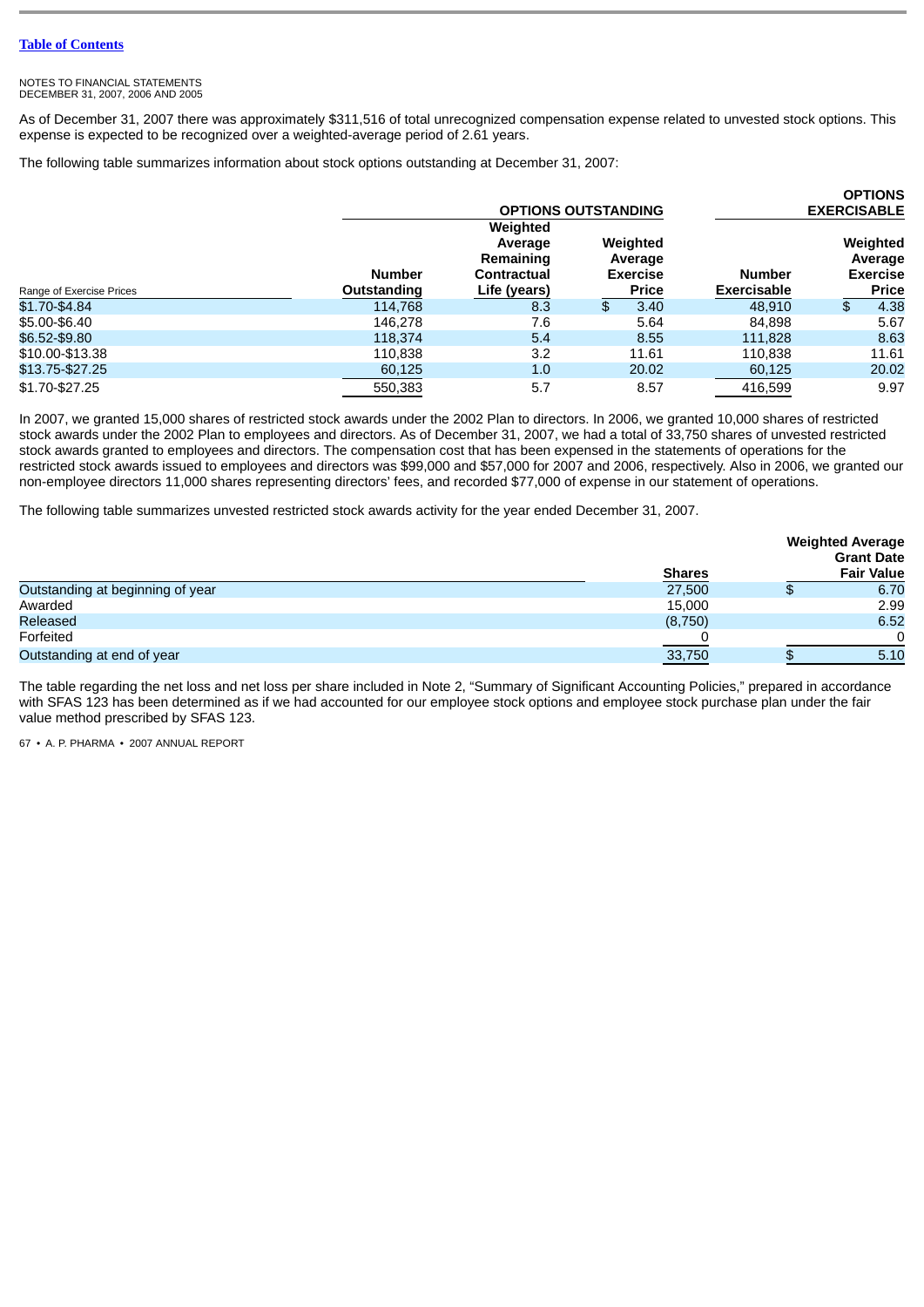As of December 31, 2007 there was approximately \$311,516 of total unrecognized compensation expense related to unvested stock options. This expense is expected to be recognized over a weighted-average period of 2.61 years.

The following table summarizes information about stock options outstanding at December 31, 2007:

|                          |                              |                                                                 |                                                        |                                     | <b>OPTIONS</b>                                         |
|--------------------------|------------------------------|-----------------------------------------------------------------|--------------------------------------------------------|-------------------------------------|--------------------------------------------------------|
|                          |                              | <b>OPTIONS OUTSTANDING</b>                                      |                                                        | <b>EXERCISABLE</b>                  |                                                        |
| Range of Exercise Prices | <b>Number</b><br>Outstanding | Weighted<br>Average<br>Remaining<br>Contractual<br>Life (years) | Weighted<br>Average<br><b>Exercise</b><br><b>Price</b> | <b>Number</b><br><b>Exercisable</b> | Weighted<br>Average<br><b>Exercise</b><br><b>Price</b> |
| \$1.70-\$4.84            | 114.768                      | 8.3                                                             | 3.40<br>\$.                                            | 48.910                              | 4.38<br>\$                                             |
| \$5.00-\$6.40            | 146,278                      | 7.6                                                             | 5.64                                                   | 84.898                              | 5.67                                                   |
| \$6.52-\$9.80            | 118,374                      | 5.4                                                             | 8.55                                                   | 111.828                             | 8.63                                                   |
| \$10.00-\$13.38          | 110.838                      | 3.2                                                             | 11.61                                                  | 110.838                             | 11.61                                                  |
| \$13.75-\$27.25          | 60.125                       | 1.0                                                             | 20.02                                                  | 60,125                              | 20.02                                                  |
| \$1.70-\$27.25           | 550.383                      | 5.7                                                             | 8.57                                                   | 416.599                             | 9.97                                                   |

In 2007, we granted 15,000 shares of restricted stock awards under the 2002 Plan to directors. In 2006, we granted 10,000 shares of restricted stock awards under the 2002 Plan to employees and directors. As of December 31, 2007, we had a total of 33,750 shares of unvested restricted stock awards granted to employees and directors. The compensation cost that has been expensed in the statements of operations for the restricted stock awards issued to employees and directors was \$99,000 and \$57,000 for 2007 and 2006, respectively. Also in 2006, we granted our non-employee directors 11,000 shares representing directors' fees, and recorded \$77,000 of expense in our statement of operations.

The following table summarizes unvested restricted stock awards activity for the year ended December 31, 2007.

|                                  |               | <b>Weighted Average</b><br><b>Grant Date</b> |
|----------------------------------|---------------|----------------------------------------------|
|                                  | <b>Shares</b> | <b>Fair Value</b>                            |
| Outstanding at beginning of year | 27,500        | 6.70                                         |
| Awarded                          | 15,000        | 2.99                                         |
| Released                         | (8,750)       | 6.52                                         |
| Forfeited                        |               | $\Omega$                                     |
| Outstanding at end of year       | 33,750        | 5.10                                         |

The table regarding the net loss and net loss per share included in Note 2, "Summary of Significant Accounting Policies," prepared in accordance with SFAS 123 has been determined as if we had accounted for our employee stock options and employee stock purchase plan under the fair value method prescribed by SFAS 123.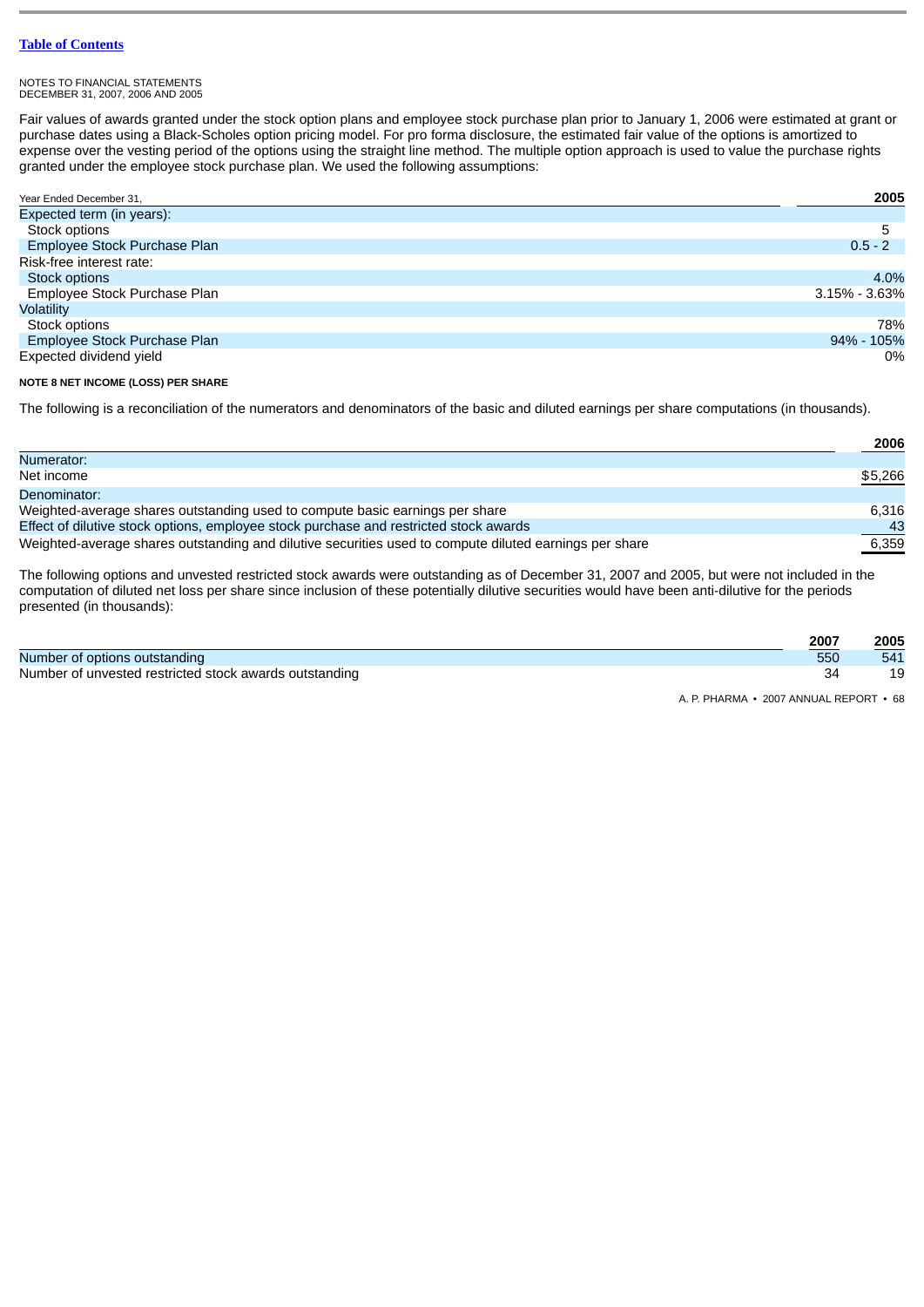#### NOTES TO FINANCIAL STATEMENTS DECEMBER 31, 2007, 2006 AND 2005

Fair values of awards granted under the stock option plans and employee stock purchase plan prior to January 1, 2006 were estimated at grant or purchase dates using a Black-Scholes option pricing model. For pro forma disclosure, the estimated fair value of the options is amortized to expense over the vesting period of the options using the straight line method. The multiple option approach is used to value the purchase rights granted under the employee stock purchase plan. We used the following assumptions:

| Year Ended December 31,      | 2005              |
|------------------------------|-------------------|
| Expected term (in years):    |                   |
| Stock options                | 5                 |
| Employee Stock Purchase Plan | $0.5 - 2$         |
| Risk-free interest rate:     |                   |
| Stock options                | 4.0%              |
| Employee Stock Purchase Plan | $3.15\% - 3.63\%$ |
| <b>Volatility</b>            |                   |
| Stock options                | 78%               |
| Employee Stock Purchase Plan | 94% - 105%        |
| Expected dividend yield      | 0%                |

# **NOTE 8 NET INCOME (LOSS) PER SHARE**

The following is a reconciliation of the numerators and denominators of the basic and diluted earnings per share computations (in thousands).

|                                                                                                        | 2006    |
|--------------------------------------------------------------------------------------------------------|---------|
| Numerator:                                                                                             |         |
| Net income                                                                                             | \$5,266 |
| Denominator:                                                                                           |         |
| Weighted-average shares outstanding used to compute basic earnings per share                           | 6.316   |
| Effect of dilutive stock options, employee stock purchase and restricted stock awards                  | 43      |
| Weighted-average shares outstanding and dilutive securities used to compute diluted earnings per share | 6,359   |

The following options and unvested restricted stock awards were outstanding as of December 31, 2007 and 2005, but were not included in the computation of diluted net loss per share since inclusion of these potentially dilutive securities would have been anti-dilutive for the periods presented (in thousands):

|                                                        | 2007 | 2005 |
|--------------------------------------------------------|------|------|
| Number of options outstanding                          | 550  | 541  |
| Number of unvested restricted stock awards outstanding |      |      |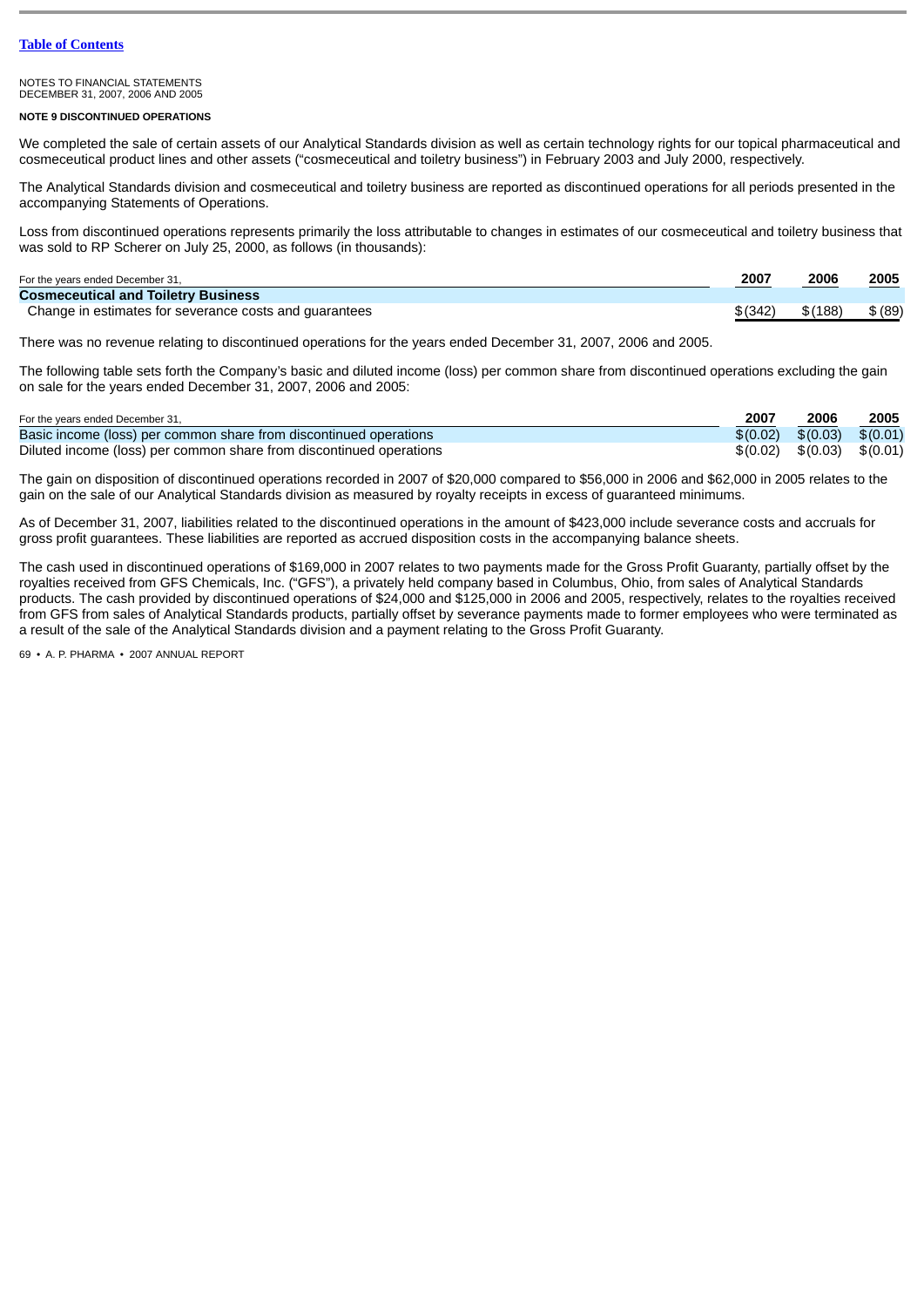#### NOTES TO FINANCIAL STATEMENTS DECEMBER 31, 2007, 2006 AND 2005

### **NOTE 9 DISCONTINUED OPERATIONS**

We completed the sale of certain assets of our Analytical Standards division as well as certain technology rights for our topical pharmaceutical and cosmeceutical product lines and other assets ("cosmeceutical and toiletry business") in February 2003 and July 2000, respectively.

The Analytical Standards division and cosmeceutical and toiletry business are reported as discontinued operations for all periods presented in the accompanying Statements of Operations.

Loss from discontinued operations represents primarily the loss attributable to changes in estimates of our cosmeceutical and toiletry business that was sold to RP Scherer on July 25, 2000, as follows (in thousands):

| For the years ended December 31,                       | 2007     | 2006    | 2005    |
|--------------------------------------------------------|----------|---------|---------|
| <b>Cosmeceutical and Toiletry Business</b>             |          |         |         |
| Change in estimates for severance costs and quarantees | \$ (342) | \$(188) | \$ (89) |

There was no revenue relating to discontinued operations for the years ended December 31, 2007, 2006 and 2005.

The following table sets forth the Company's basic and diluted income (loss) per common share from discontinued operations excluding the gain on sale for the years ended December 31, 2007, 2006 and 2005:

| For the years ended December 31,                                    | 2007 | 2006                | 2005     |
|---------------------------------------------------------------------|------|---------------------|----------|
| Basic income (loss) per common share from discontinued operations   |      | $$(0.02)$ $$(0.03)$ | \$(0.01) |
| Diluted income (loss) per common share from discontinued operations |      | $$(0.02)$ $$(0.03)$ | \$(0.01) |

The gain on disposition of discontinued operations recorded in 2007 of \$20,000 compared to \$56,000 in 2006 and \$62,000 in 2005 relates to the gain on the sale of our Analytical Standards division as measured by royalty receipts in excess of guaranteed minimums.

As of December 31, 2007, liabilities related to the discontinued operations in the amount of \$423,000 include severance costs and accruals for gross profit guarantees. These liabilities are reported as accrued disposition costs in the accompanying balance sheets.

The cash used in discontinued operations of \$169,000 in 2007 relates to two payments made for the Gross Profit Guaranty, partially offset by the royalties received from GFS Chemicals, Inc. ("GFS"), a privately held company based in Columbus, Ohio, from sales of Analytical Standards products. The cash provided by discontinued operations of \$24,000 and \$125,000 in 2006 and 2005, respectively, relates to the royalties received from GFS from sales of Analytical Standards products, partially offset by severance payments made to former employees who were terminated as a result of the sale of the Analytical Standards division and a payment relating to the Gross Profit Guaranty.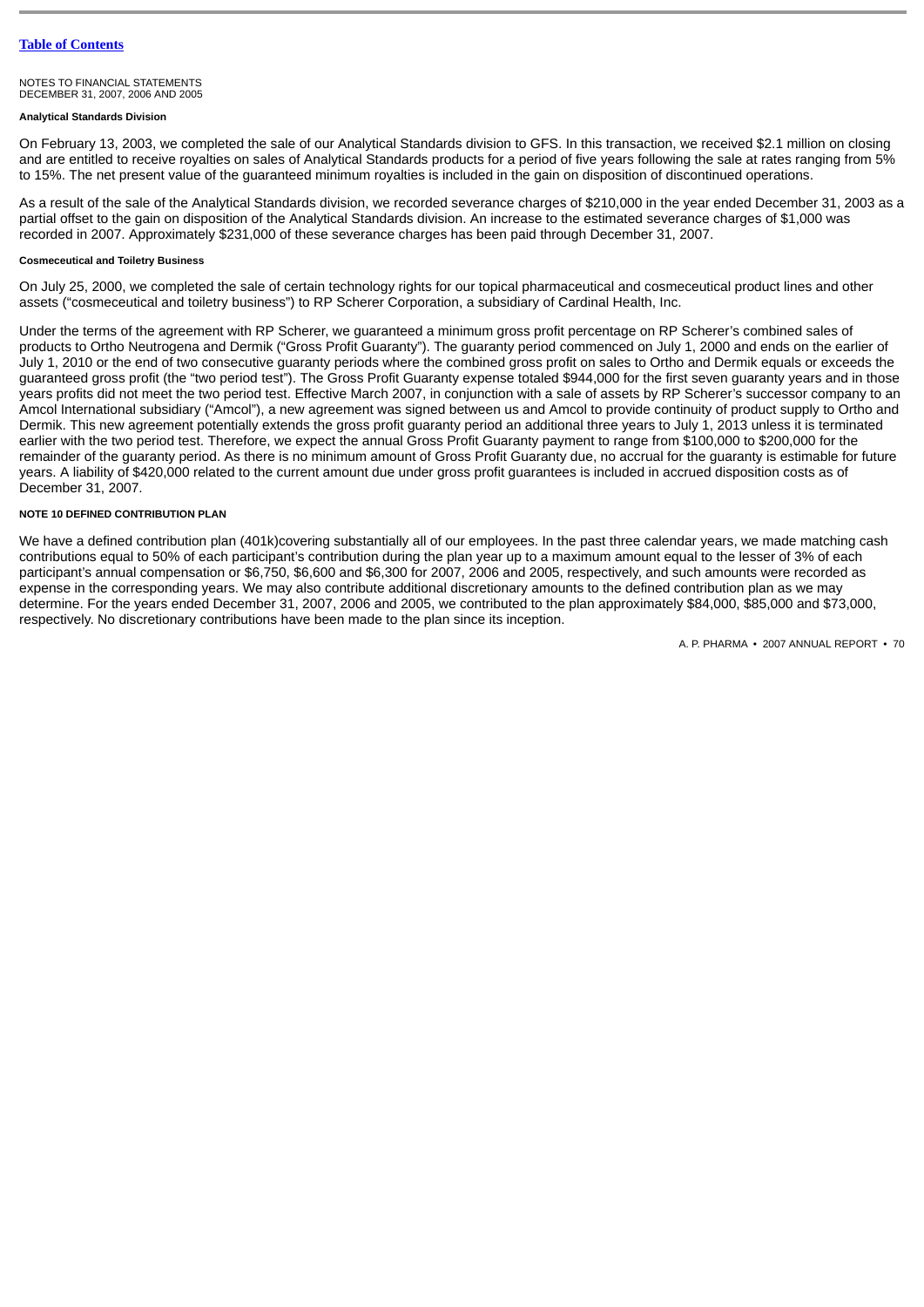# **Analytical Standards Division**

On February 13, 2003, we completed the sale of our Analytical Standards division to GFS. In this transaction, we received \$2.1 million on closing and are entitled to receive royalties on sales of Analytical Standards products for a period of five years following the sale at rates ranging from 5% to 15%. The net present value of the guaranteed minimum royalties is included in the gain on disposition of discontinued operations.

As a result of the sale of the Analytical Standards division, we recorded severance charges of \$210,000 in the year ended December 31, 2003 as a partial offset to the gain on disposition of the Analytical Standards division. An increase to the estimated severance charges of \$1,000 was recorded in 2007. Approximately \$231,000 of these severance charges has been paid through December 31, 2007.

# **Cosmeceutical and Toiletry Business**

On July 25, 2000, we completed the sale of certain technology rights for our topical pharmaceutical and cosmeceutical product lines and other assets ("cosmeceutical and toiletry business") to RP Scherer Corporation, a subsidiary of Cardinal Health, Inc.

Under the terms of the agreement with RP Scherer, we guaranteed a minimum gross profit percentage on RP Scherer's combined sales of products to Ortho Neutrogena and Dermik ("Gross Profit Guaranty"). The guaranty period commenced on July 1, 2000 and ends on the earlier of July 1, 2010 or the end of two consecutive guaranty periods where the combined gross profit on sales to Ortho and Dermik equals or exceeds the guaranteed gross profit (the "two period test"). The Gross Profit Guaranty expense totaled \$944,000 for the first seven guaranty years and in those years profits did not meet the two period test. Effective March 2007, in conjunction with a sale of assets by RP Scherer's successor company to an Amcol International subsidiary ("Amcol"), a new agreement was signed between us and Amcol to provide continuity of product supply to Ortho and Dermik. This new agreement potentially extends the gross profit guaranty period an additional three years to July 1, 2013 unless it is terminated earlier with the two period test. Therefore, we expect the annual Gross Profit Guaranty payment to range from \$100,000 to \$200,000 for the remainder of the guaranty period. As there is no minimum amount of Gross Profit Guaranty due, no accrual for the guaranty is estimable for future years. A liability of \$420,000 related to the current amount due under gross profit guarantees is included in accrued disposition costs as of December 31, 2007.

#### **NOTE 10 DEFINED CONTRIBUTION PLAN**

We have a defined contribution plan (401k)covering substantially all of our employees. In the past three calendar years, we made matching cash contributions equal to 50% of each participant's contribution during the plan year up to a maximum amount equal to the lesser of 3% of each participant's annual compensation or \$6,750, \$6,600 and \$6,300 for 2007, 2006 and 2005, respectively, and such amounts were recorded as expense in the corresponding years. We may also contribute additional discretionary amounts to the defined contribution plan as we may determine. For the years ended December 31, 2007, 2006 and 2005, we contributed to the plan approximately \$84,000, \$85,000 and \$73,000, respectively. No discretionary contributions have been made to the plan since its inception.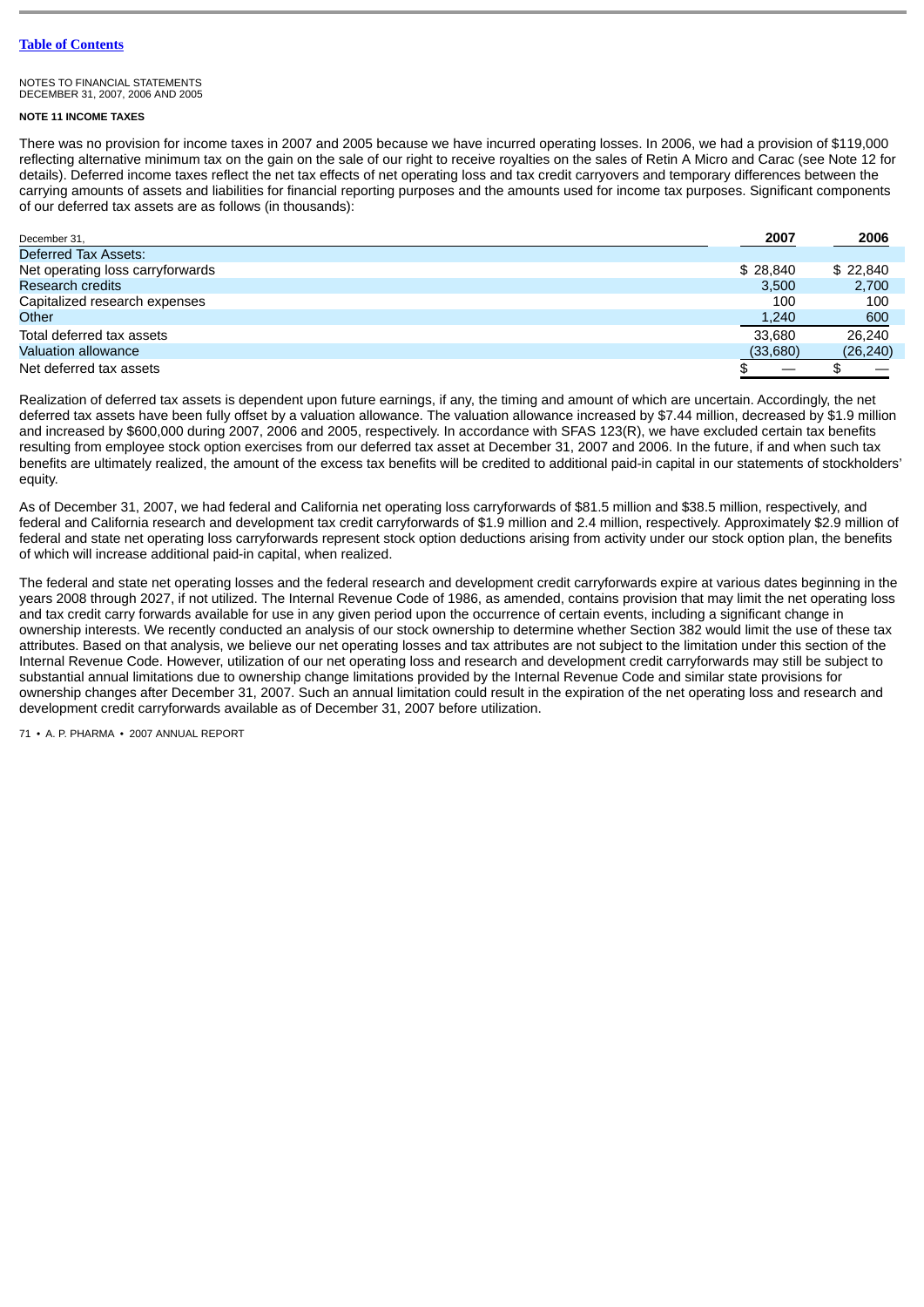#### NOTES TO FINANCIAL STATEMENTS DECEMBER 31, 2007, 2006 AND 2005

# **NOTE 11 INCOME TAXES**

There was no provision for income taxes in 2007 and 2005 because we have incurred operating losses. In 2006, we had a provision of \$119,000 reflecting alternative minimum tax on the gain on the sale of our right to receive royalties on the sales of Retin A Micro and Carac (see Note 12 for details). Deferred income taxes reflect the net tax effects of net operating loss and tax credit carryovers and temporary differences between the carrying amounts of assets and liabilities for financial reporting purposes and the amounts used for income tax purposes. Significant components of our deferred tax assets are as follows (in thousands):

| December 31,                     | 2007     | 2006      |
|----------------------------------|----------|-----------|
| Deferred Tax Assets:             |          |           |
| Net operating loss carryforwards | \$28,840 | \$22,840  |
| Research credits                 | 3.500    | 2,700     |
| Capitalized research expenses    | 100      | 100       |
| Other                            | 1,240    | 600       |
| Total deferred tax assets        | 33.680   | 26.240    |
| <b>Valuation allowance</b>       | (33,680) | (26, 240) |
| Net deferred tax assets          |          |           |

Realization of deferred tax assets is dependent upon future earnings, if any, the timing and amount of which are uncertain. Accordingly, the net deferred tax assets have been fully offset by a valuation allowance. The valuation allowance increased by \$7.44 million, decreased by \$1.9 million and increased by \$600,000 during 2007, 2006 and 2005, respectively. In accordance with SFAS 123(R), we have excluded certain tax benefits resulting from employee stock option exercises from our deferred tax asset at December 31, 2007 and 2006. In the future, if and when such tax benefits are ultimately realized, the amount of the excess tax benefits will be credited to additional paid-in capital in our statements of stockholders' equity.

As of December 31, 2007, we had federal and California net operating loss carryforwards of \$81.5 million and \$38.5 million, respectively, and federal and California research and development tax credit carryforwards of \$1.9 million and 2.4 million, respectively. Approximately \$2.9 million of federal and state net operating loss carryforwards represent stock option deductions arising from activity under our stock option plan, the benefits of which will increase additional paid-in capital, when realized.

The federal and state net operating losses and the federal research and development credit carryforwards expire at various dates beginning in the years 2008 through 2027, if not utilized. The Internal Revenue Code of 1986, as amended, contains provision that may limit the net operating loss and tax credit carry forwards available for use in any given period upon the occurrence of certain events, including a significant change in ownership interests. We recently conducted an analysis of our stock ownership to determine whether Section 382 would limit the use of these tax attributes. Based on that analysis, we believe our net operating losses and tax attributes are not subject to the limitation under this section of the Internal Revenue Code. However, utilization of our net operating loss and research and development credit carryforwards may still be subject to substantial annual limitations due to ownership change limitations provided by the Internal Revenue Code and similar state provisions for ownership changes after December 31, 2007. Such an annual limitation could result in the expiration of the net operating loss and research and development credit carryforwards available as of December 31, 2007 before utilization.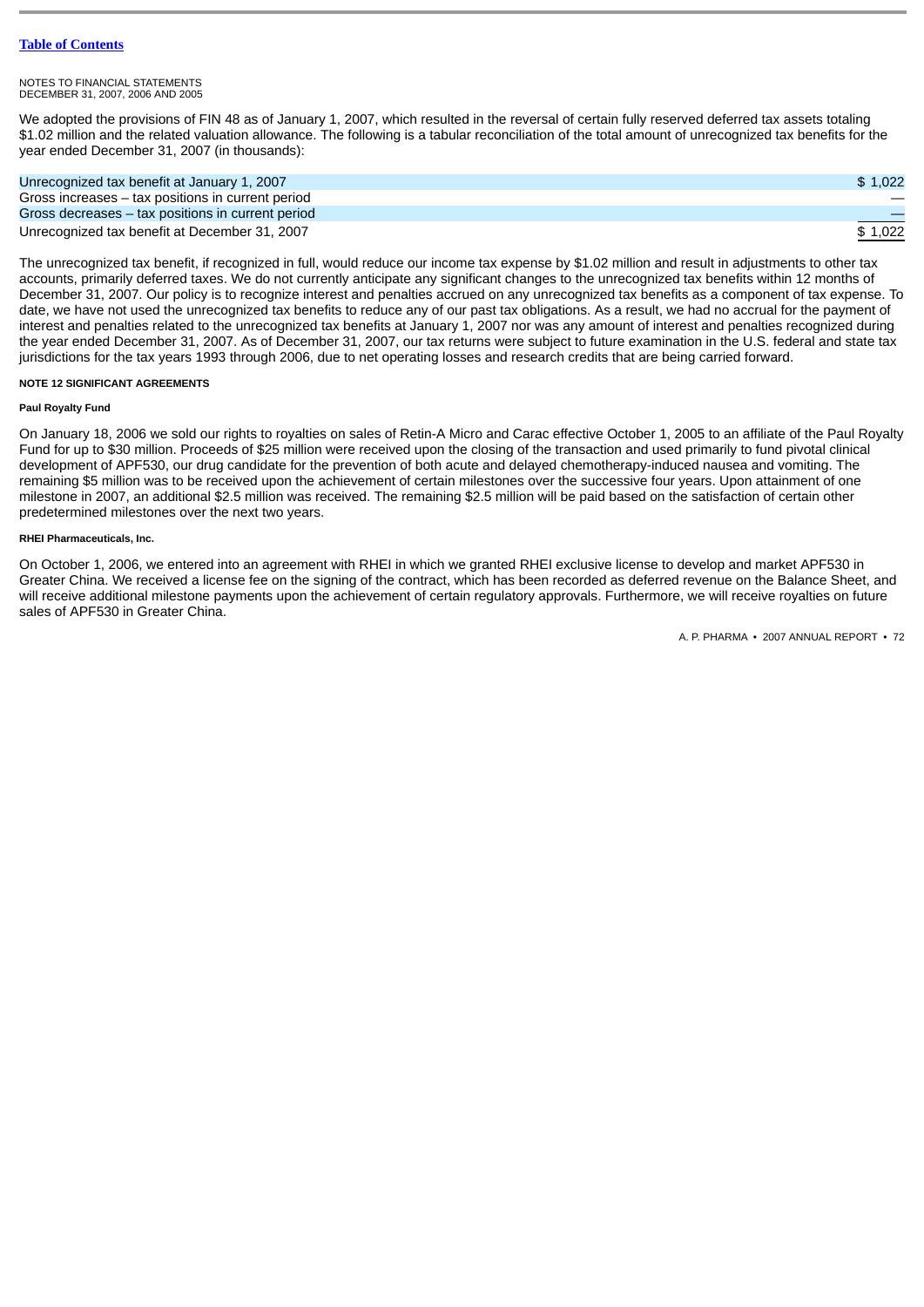We adopted the provisions of FIN 48 as of January 1, 2007, which resulted in the reversal of certain fully reserved deferred tax assets totaling \$1.02 million and the related valuation allowance. The following is a tabular reconciliation of the total amount of unrecognized tax benefits for the year ended December 31, 2007 (in thousands):

| Unrecognized tax benefit at January 1, 2007       | \$1.022 |
|---------------------------------------------------|---------|
| Gross increases – tax positions in current period |         |
| Gross decreases – tax positions in current period |         |
| Unrecognized tax benefit at December 31, 2007     | \$1.022 |

The unrecognized tax benefit, if recognized in full, would reduce our income tax expense by \$1.02 million and result in adjustments to other tax accounts, primarily deferred taxes. We do not currently anticipate any significant changes to the unrecognized tax benefits within 12 months of December 31, 2007. Our policy is to recognize interest and penalties accrued on any unrecognized tax benefits as a component of tax expense. To date, we have not used the unrecognized tax benefits to reduce any of our past tax obligations. As a result, we had no accrual for the payment of interest and penalties related to the unrecognized tax benefits at January 1, 2007 nor was any amount of interest and penalties recognized during the year ended December 31, 2007. As of December 31, 2007, our tax returns were subject to future examination in the U.S. federal and state tax jurisdictions for the tax years 1993 through 2006, due to net operating losses and research credits that are being carried forward.

# **NOTE 12 SIGNIFICANT AGREEMENTS**

# **Paul Royalty Fund**

On January 18, 2006 we sold our rights to royalties on sales of Retin-A Micro and Carac effective October 1, 2005 to an affiliate of the Paul Royalty Fund for up to \$30 million. Proceeds of \$25 million were received upon the closing of the transaction and used primarily to fund pivotal clinical development of APF530, our drug candidate for the prevention of both acute and delayed chemotherapy-induced nausea and vomiting. The remaining \$5 million was to be received upon the achievement of certain milestones over the successive four years. Upon attainment of one milestone in 2007, an additional \$2.5 million was received. The remaining \$2.5 million will be paid based on the satisfaction of certain other predetermined milestones over the next two years.

# **RHEI Pharmaceuticals, Inc.**

On October 1, 2006, we entered into an agreement with RHEI in which we granted RHEI exclusive license to develop and market APF530 in Greater China. We received a license fee on the signing of the contract, which has been recorded as deferred revenue on the Balance Sheet, and will receive additional milestone payments upon the achievement of certain regulatory approvals. Furthermore, we will receive royalties on future sales of APF530 in Greater China.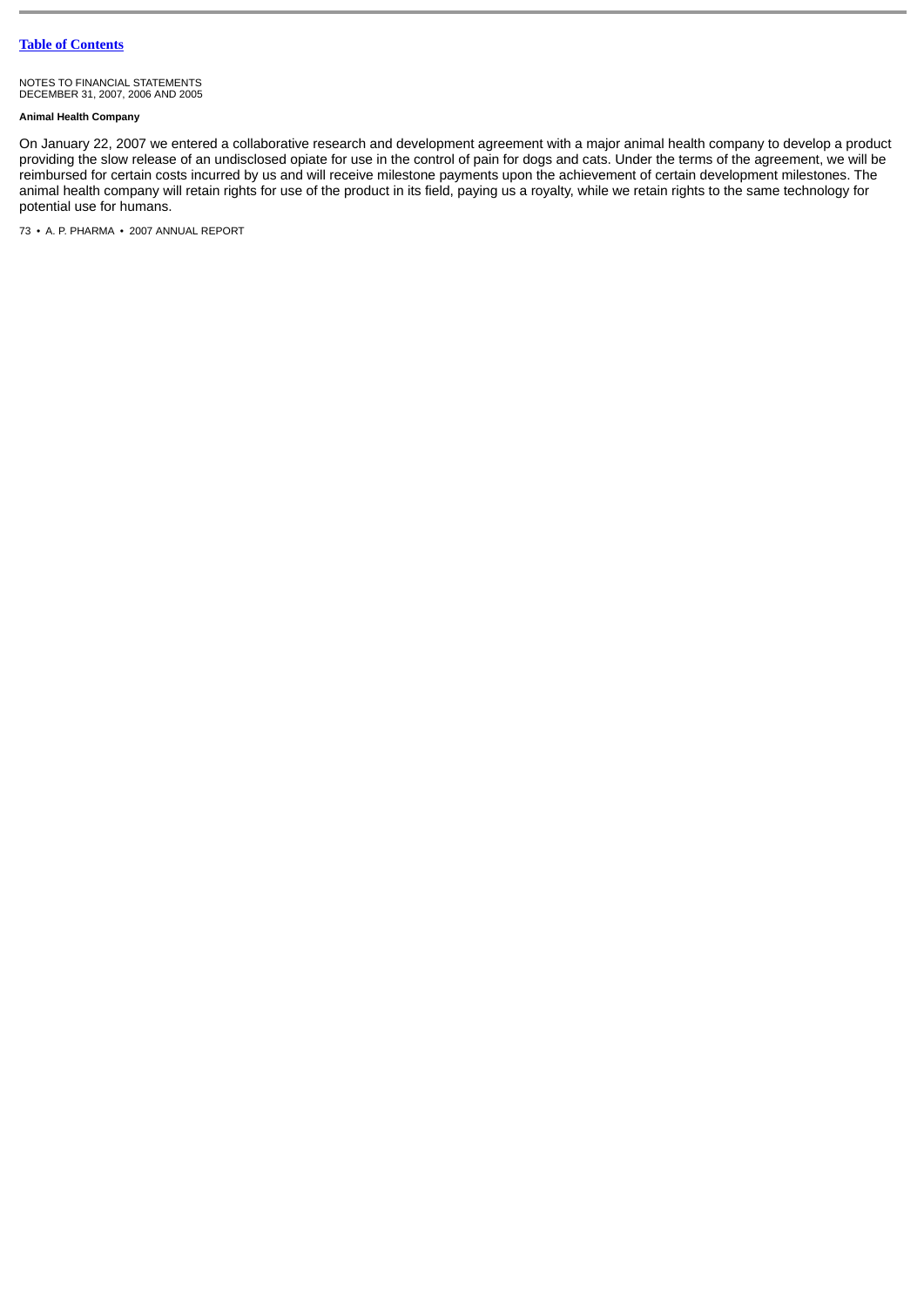NOTES TO FINANCIAL STATEMENTS DECEMBER 31, 2007, 2006 AND 2005

## **Animal Health Company**

On January 22, 2007 we entered a collaborative research and development agreement with a major animal health company to develop a product providing the slow release of an undisclosed opiate for use in the control of pain for dogs and cats. Under the terms of the agreement, we will be reimbursed for certain costs incurred by us and will receive milestone payments upon the achievement of certain development milestones. The animal health company will retain rights for use of the product in its field, paying us a royalty, while we retain rights to the same technology for potential use for humans.

73 • A. P. PHARMA • 2007 ANNUAL REPORT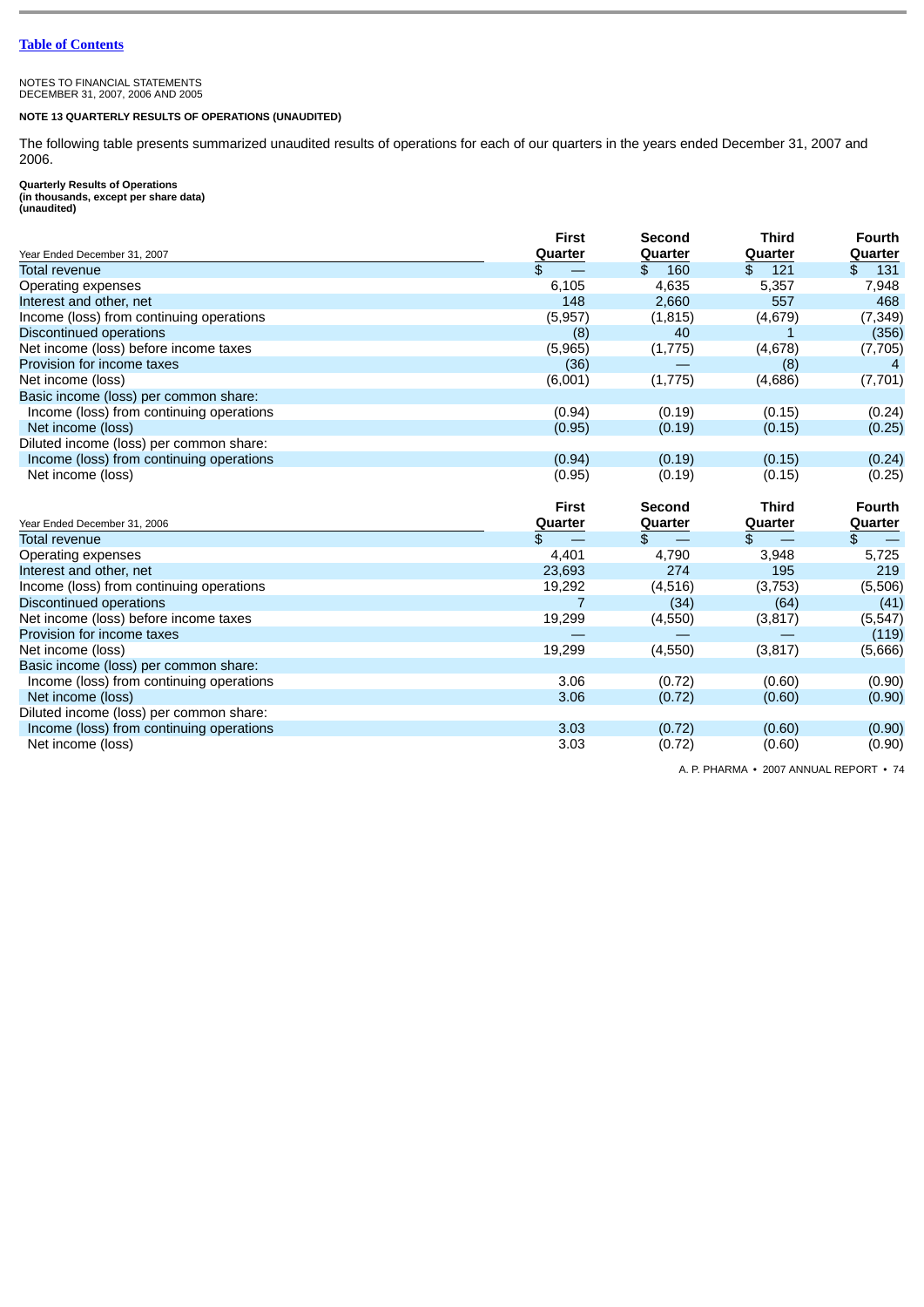# NOTES TO FINANCIAL STATEMENTS DECEMBER 31, 2007, 2006 AND 2005

## **NOTE 13 QUARTERLY RESULTS OF OPERATIONS (UNAUDITED)**

The following table presents summarized unaudited results of operations for each of our quarters in the years ended December 31, 2007 and 2006.

**Quarterly Results of Operations (in thousands, except per share data) (unaudited)**

|                                          | <b>First</b> | Second    | <b>Third</b> | <b>Fourth</b>  |
|------------------------------------------|--------------|-----------|--------------|----------------|
| Year Ended December 31, 2007             | Quarter      | Quarter   | Quarter      | Quarter        |
| <b>Total revenue</b>                     |              | 160<br>\$ | 121<br>\$    | 131<br>\$      |
| Operating expenses                       | 6,105        | 4,635     | 5,357        | 7,948          |
| Interest and other, net                  | 148          | 2,660     | 557          | 468            |
| Income (loss) from continuing operations | (5, 957)     | (1, 815)  | (4,679)      | (7, 349)       |
| Discontinued operations                  | (8)          | 40        |              | (356)          |
| Net income (loss) before income taxes    | (5,965)      | (1,775)   | (4,678)      | (7,705)        |
| Provision for income taxes               | (36)         |           | (8)          | $\overline{4}$ |
| Net income (loss)                        | (6,001)      | (1, 775)  | (4,686)      | (7, 701)       |
| Basic income (loss) per common share:    |              |           |              |                |
| Income (loss) from continuing operations | (0.94)       | (0.19)    | (0.15)       | (0.24)         |
| Net income (loss)                        | (0.95)       | (0.19)    | (0.15)       | (0.25)         |
| Diluted income (loss) per common share:  |              |           |              |                |
| Income (loss) from continuing operations | (0.94)       | (0.19)    | (0.15)       | (0.24)         |
| Net income (loss)                        | (0.95)       | (0.19)    | (0.15)       | (0.25)         |

| Year Ended December 31, 2006             | First<br>Quarter | Second<br>Quarter | <b>Third</b><br>Quarter | <b>Fourth</b><br>Quarter |
|------------------------------------------|------------------|-------------------|-------------------------|--------------------------|
| <b>Total revenue</b>                     | \$               |                   |                         |                          |
|                                          |                  |                   |                         |                          |
| Operating expenses                       | 4,401            | 4,790             | 3,948                   | 5,725                    |
| Interest and other, net                  | 23,693           | 274               | 195                     | 219                      |
| Income (loss) from continuing operations | 19,292           | (4,516)           | (3,753)                 | (5,506)                  |
| Discontinued operations                  |                  | (34)              | (64)                    | (41)                     |
| Net income (loss) before income taxes    | 19,299           | (4,550)           | (3,817)                 | (5, 547)                 |
| Provision for income taxes               |                  |                   |                         | (119)                    |
| Net income (loss)                        | 19,299           | (4,550)           | (3,817)                 | (5,666)                  |
| Basic income (loss) per common share:    |                  |                   |                         |                          |
| Income (loss) from continuing operations | 3.06             | (0.72)            | (0.60)                  | (0.90)                   |
| Net income (loss)                        | 3.06             | (0.72)            | (0.60)                  | (0.90)                   |
| Diluted income (loss) per common share:  |                  |                   |                         |                          |
| Income (loss) from continuing operations | 3.03             | (0.72)            | (0.60)                  | (0.90)                   |
| Net income (loss)                        | 3.03             | (0.72)            | (0.60)                  | (0.90)                   |

A. P. PHARMA • 2007 ANNUAL REPORT • 74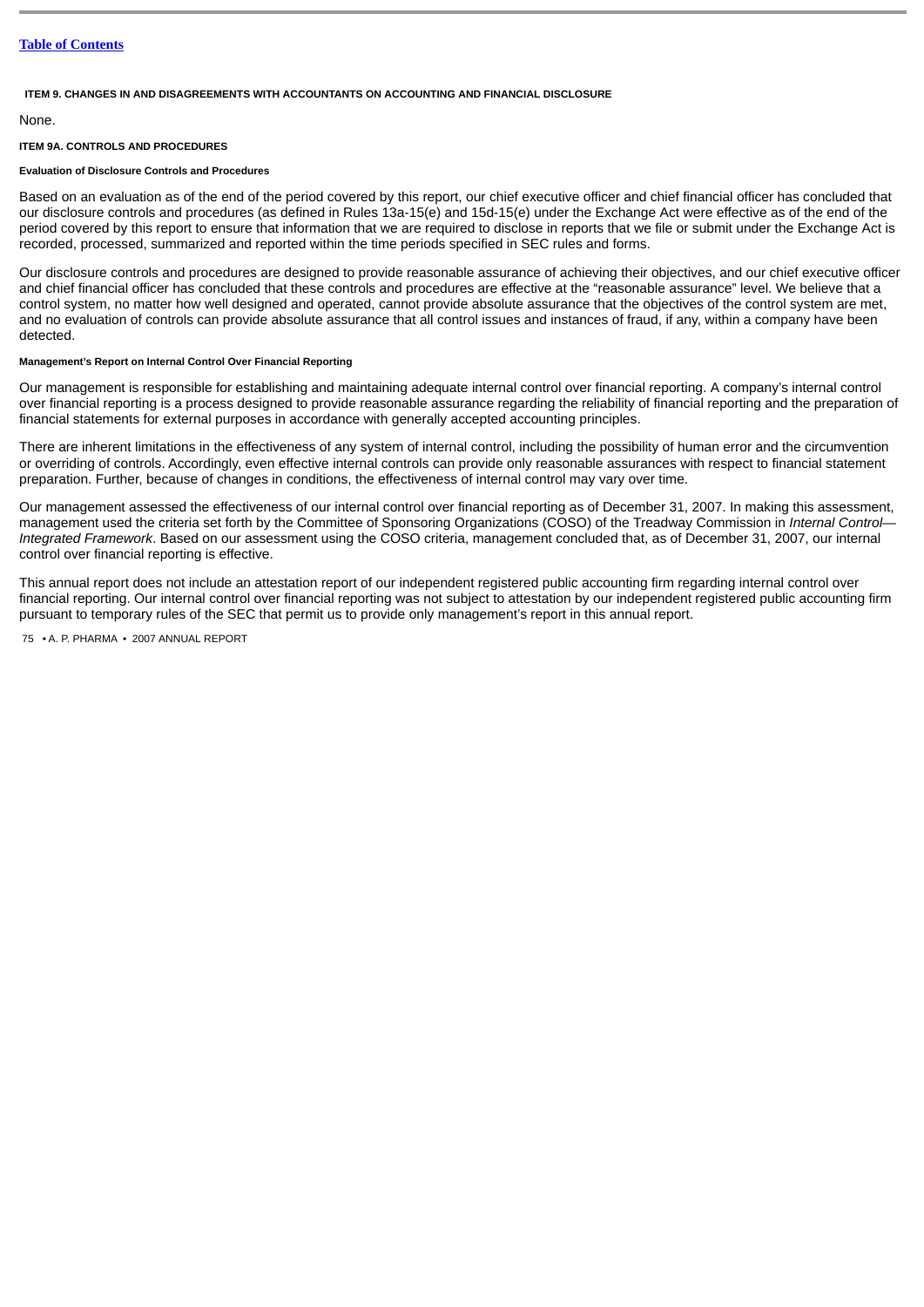#### **ITEM 9. CHANGES IN AND DISAGREEMENTS WITH ACCOUNTANTS ON ACCOUNTING AND FINANCIAL DISCLOSURE**

#### None.

#### **ITEM 9A. CONTROLS AND PROCEDURES**

## **Evaluation of Disclosure Controls and Procedures**

Based on an evaluation as of the end of the period covered by this report, our chief executive officer and chief financial officer has concluded that our disclosure controls and procedures (as defined in Rules 13a-15(e) and 15d-15(e) under the Exchange Act were effective as of the end of the period covered by this report to ensure that information that we are required to disclose in reports that we file or submit under the Exchange Act is recorded, processed, summarized and reported within the time periods specified in SEC rules and forms.

Our disclosure controls and procedures are designed to provide reasonable assurance of achieving their objectives, and our chief executive officer and chief financial officer has concluded that these controls and procedures are effective at the "reasonable assurance" level. We believe that a control system, no matter how well designed and operated, cannot provide absolute assurance that the objectives of the control system are met, and no evaluation of controls can provide absolute assurance that all control issues and instances of fraud, if any, within a company have been detected.

#### **Management's Report on Internal Control Over Financial Reporting**

Our management is responsible for establishing and maintaining adequate internal control over financial reporting. A company's internal control over financial reporting is a process designed to provide reasonable assurance regarding the reliability of financial reporting and the preparation of financial statements for external purposes in accordance with generally accepted accounting principles.

There are inherent limitations in the effectiveness of any system of internal control, including the possibility of human error and the circumvention or overriding of controls. Accordingly, even effective internal controls can provide only reasonable assurances with respect to financial statement preparation. Further, because of changes in conditions, the effectiveness of internal control may vary over time.

Our management assessed the effectiveness of our internal control over financial reporting as of December 31, 2007. In making this assessment, management used the criteria set forth by the Committee of Sponsoring Organizations (COSO) of the Treadway Commission in *Internal Control— Integrated Framework*. Based on our assessment using the COSO criteria, management concluded that, as of December 31, 2007, our internal control over financial reporting is effective.

This annual report does not include an attestation report of our independent registered public accounting firm regarding internal control over financial reporting. Our internal control over financial reporting was not subject to attestation by our independent registered public accounting firm pursuant to temporary rules of the SEC that permit us to provide only management's report in this annual report.

75 • A. P. PHARMA • 2007 ANNUAL REPORT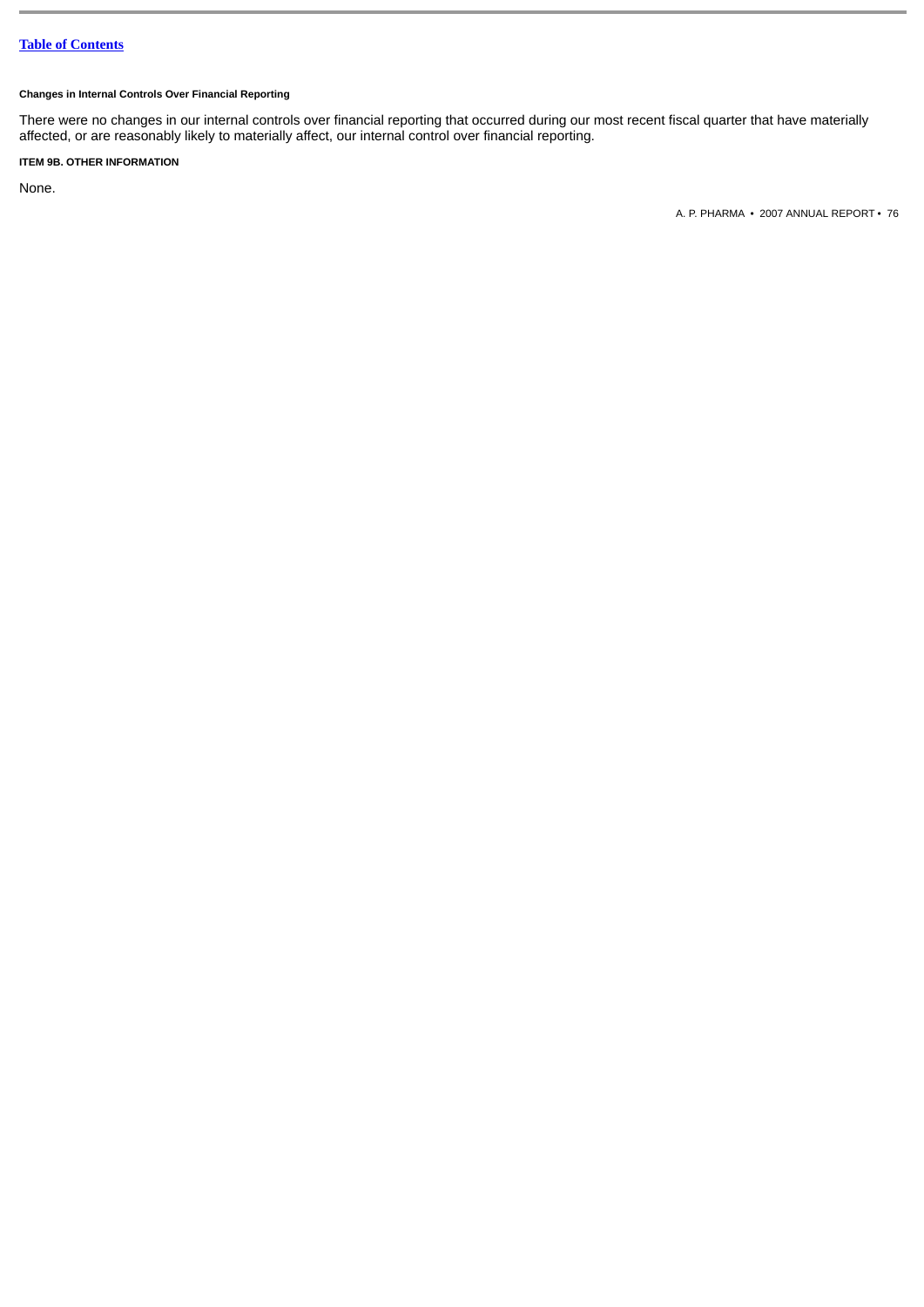## **Changes in Internal Controls Over Financial Reporting**

There were no changes in our internal controls over financial reporting that occurred during our most recent fiscal quarter that have materially affected, or are reasonably likely to materially affect, our internal control over financial reporting.

## **ITEM 9B. OTHER INFORMATION**

None.

A. P. PHARMA • 2007 ANNUAL REPORT • 76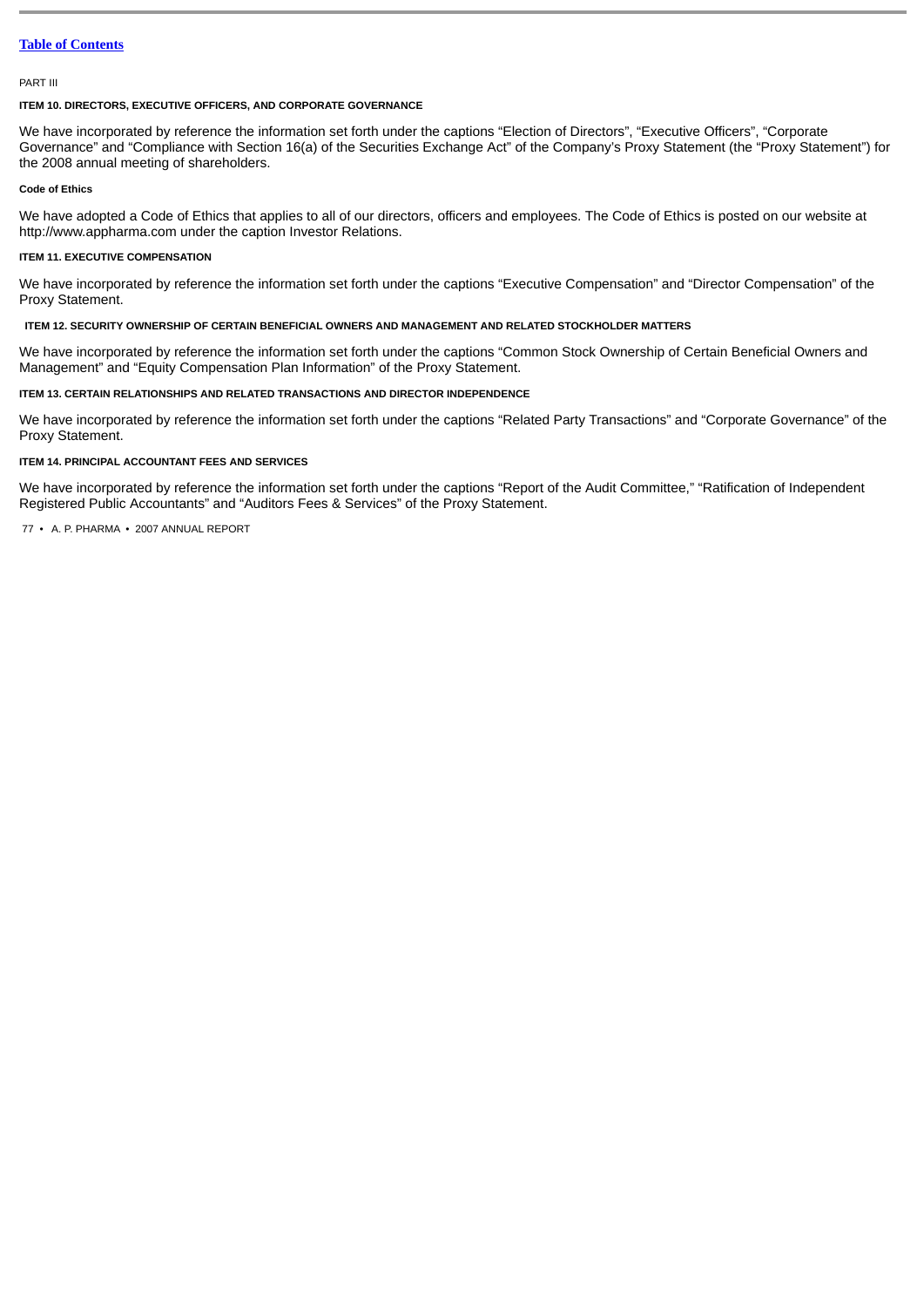#### PART III

#### **ITEM 10. DIRECTORS, EXECUTIVE OFFICERS, AND CORPORATE GOVERNANCE**

We have incorporated by reference the information set forth under the captions "Election of Directors", "Executive Officers", "Corporate Governance" and "Compliance with Section 16(a) of the Securities Exchange Act" of the Company's Proxy Statement (the "Proxy Statement") for the 2008 annual meeting of shareholders.

## **Code of Ethics**

We have adopted a Code of Ethics that applies to all of our directors, officers and employees. The Code of Ethics is posted on our website at http://www.appharma.com under the caption Investor Relations.

## **ITEM 11. EXECUTIVE COMPENSATION**

We have incorporated by reference the information set forth under the captions "Executive Compensation" and "Director Compensation" of the Proxy Statement.

#### **ITEM 12. SECURITY OWNERSHIP OF CERTAIN BENEFICIAL OWNERS AND MANAGEMENT AND RELATED STOCKHOLDER MATTERS**

We have incorporated by reference the information set forth under the captions "Common Stock Ownership of Certain Beneficial Owners and Management" and "Equity Compensation Plan Information" of the Proxy Statement.

## **ITEM 13. CERTAIN RELATIONSHIPS AND RELATED TRANSACTIONS AND DIRECTOR INDEPENDENCE**

We have incorporated by reference the information set forth under the captions "Related Party Transactions" and "Corporate Governance" of the Proxy Statement.

#### **ITEM 14. PRINCIPAL ACCOUNTANT FEES AND SERVICES**

We have incorporated by reference the information set forth under the captions "Report of the Audit Committee," "Ratification of Independent Registered Public Accountants" and "Auditors Fees & Services" of the Proxy Statement.

77 • A. P. PHARMA • 2007 ANNUAL REPORT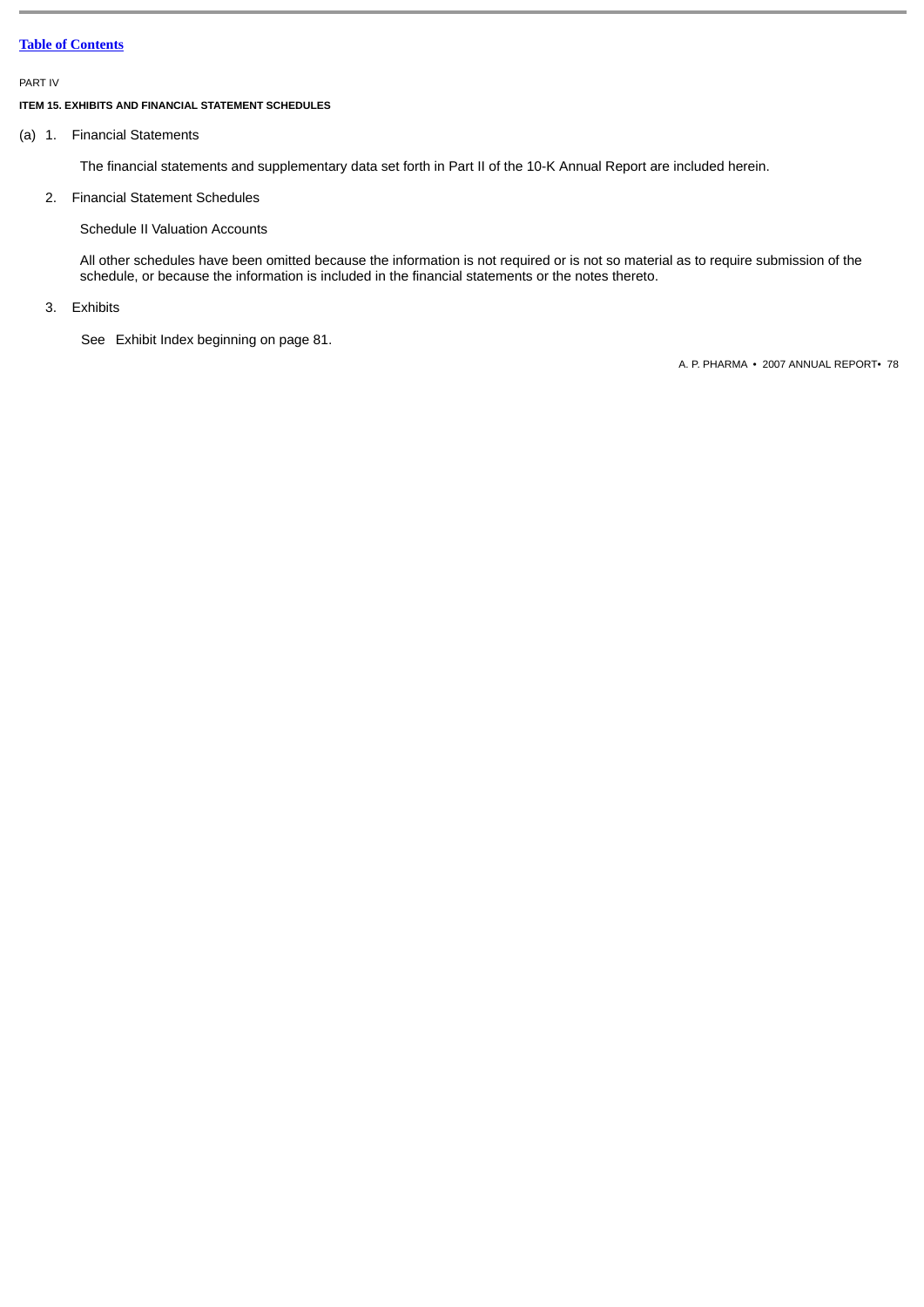PART IV

## **ITEM 15. EXHIBITS AND FINANCIAL STATEMENT SCHEDULES**

(a) 1. Financial Statements

The financial statements and supplementary data set forth in Part II of the 10-K Annual Report are included herein.

## 2. Financial Statement Schedules

Schedule II Valuation Accounts

All other schedules have been omitted because the information is not required or is not so material as to require submission of the schedule, or because the information is included in the financial statements or the notes thereto.

3. Exhibits

See Exhibit Index beginning on page 81.

A. P. PHARMA • 2007 ANNUAL REPORT• 78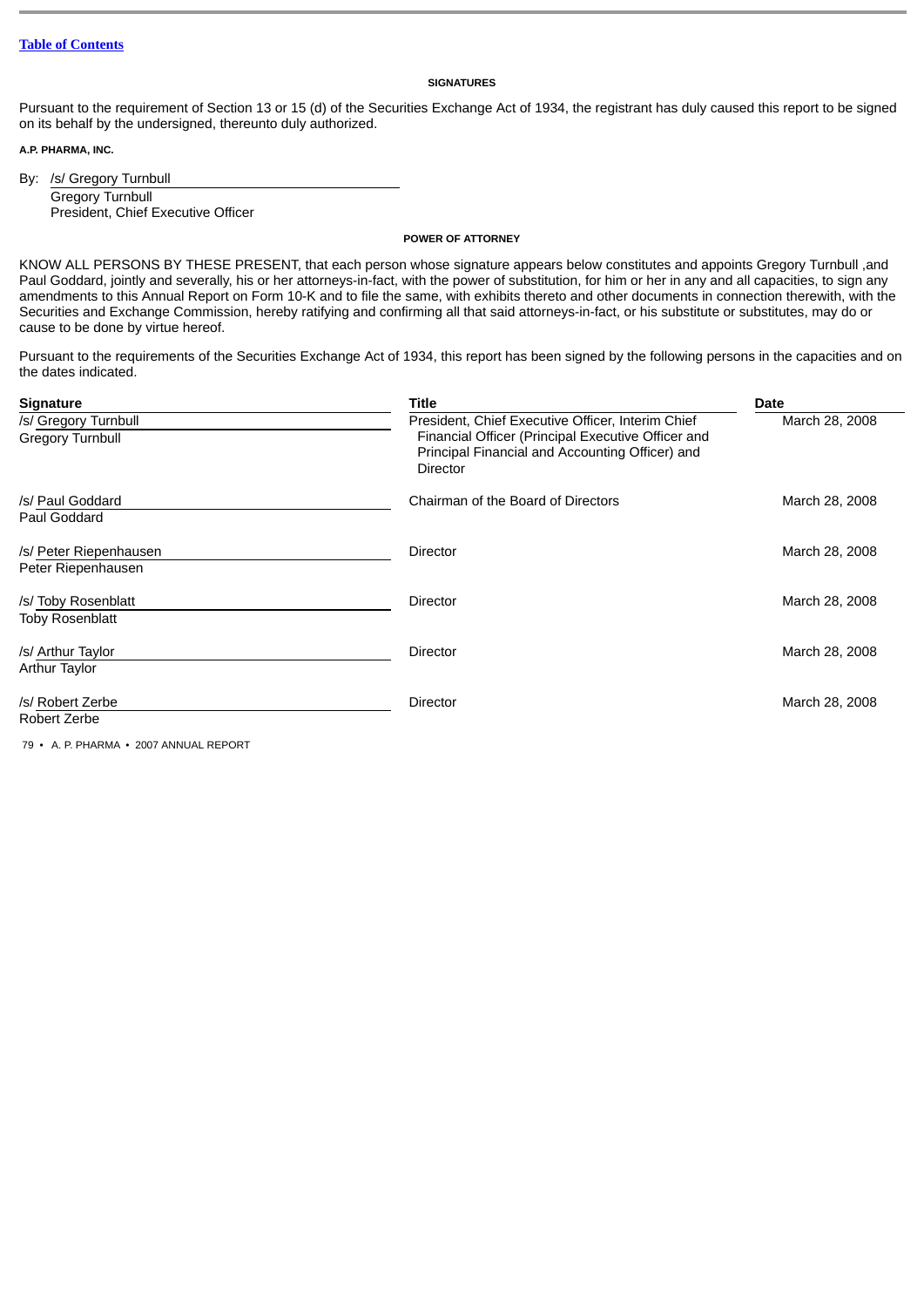#### **SIGNATURES**

Pursuant to the requirement of Section 13 or 15 (d) of the Securities Exchange Act of 1934, the registrant has duly caused this report to be signed on its behalf by the undersigned, thereunto duly authorized.

**A.P. PHARMA, INC.**

By: /s/ Gregory Turnbull Gregory Turnbull President, Chief Executive Officer

#### **POWER OF ATTORNEY**

KNOW ALL PERSONS BY THESE PRESENT, that each person whose signature appears below constitutes and appoints Gregory Turnbull ,and Paul Goddard, jointly and severally, his or her attorneys-in-fact, with the power of substitution, for him or her in any and all capacities, to sign any amendments to this Annual Report on Form 10-K and to file the same, with exhibits thereto and other documents in connection therewith, with the Securities and Exchange Commission, hereby ratifying and confirming all that said attorneys-in-fact, or his substitute or substitutes, may do or cause to be done by virtue hereof.

Pursuant to the requirements of the Securities Exchange Act of 1934, this report has been signed by the following persons in the capacities and on the dates indicated.

| <b>Signature</b>                              | Title                                                                                                                                                                  | Date           |  |  |  |
|-----------------------------------------------|------------------------------------------------------------------------------------------------------------------------------------------------------------------------|----------------|--|--|--|
| /s/ Gregory Turnbull<br>Gregory Turnbull      | President, Chief Executive Officer, Interim Chief<br>Financial Officer (Principal Executive Officer and<br>Principal Financial and Accounting Officer) and<br>Director | March 28, 2008 |  |  |  |
| /s/ Paul Goddard<br>Paul Goddard              | Chairman of the Board of Directors                                                                                                                                     | March 28, 2008 |  |  |  |
| /s/ Peter Riepenhausen<br>Peter Riepenhausen  | <b>Director</b>                                                                                                                                                        | March 28, 2008 |  |  |  |
| /s/ Toby Rosenblatt<br><b>Toby Rosenblatt</b> | <b>Director</b>                                                                                                                                                        | March 28, 2008 |  |  |  |
| /s/ Arthur Taylor<br><b>Arthur Taylor</b>     | <b>Director</b>                                                                                                                                                        | March 28, 2008 |  |  |  |
| /s/ Robert Zerbe<br>Robert Zerbe              | <b>Director</b>                                                                                                                                                        | March 28, 2008 |  |  |  |

79 • A. P. PHARMA • 2007 ANNUAL REPORT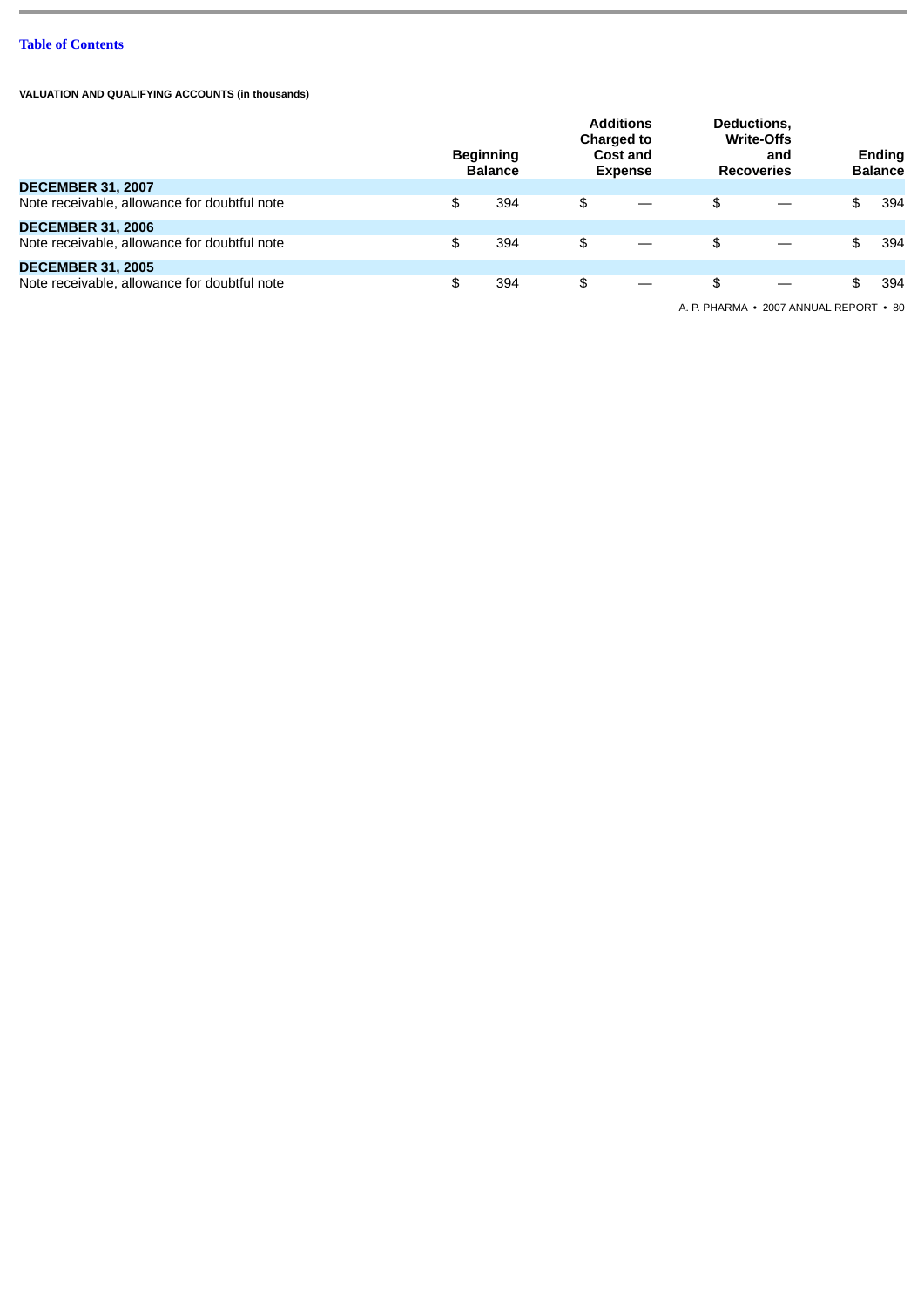**VALUATION AND QUALIFYING ACCOUNTS (in thousands)**

|                                              | <b>Beginning</b><br><b>Balance</b> |    | <b>Additions</b><br><b>Charged to</b><br>Cost and<br><b>Expense</b> | Deductions,<br><b>Write-Offs</b><br>and<br><b>Recoveries</b> |  | Ending<br><b>Balance</b> |     |
|----------------------------------------------|------------------------------------|----|---------------------------------------------------------------------|--------------------------------------------------------------|--|--------------------------|-----|
| <b>DECEMBER 31, 2007</b>                     |                                    |    |                                                                     |                                                              |  |                          |     |
| Note receivable, allowance for doubtful note | \$<br>394                          | \$ |                                                                     | \$                                                           |  | \$                       | 394 |
| <b>DECEMBER 31, 2006</b>                     |                                    |    |                                                                     |                                                              |  |                          |     |
| Note receivable, allowance for doubtful note | \$<br>394                          | \$ |                                                                     | \$                                                           |  | \$                       | 394 |
| <b>DECEMBER 31, 2005</b>                     |                                    |    |                                                                     |                                                              |  |                          |     |
| Note receivable, allowance for doubtful note | \$<br>394                          | \$ |                                                                     | \$                                                           |  | \$.                      | 394 |

A. P. PHARMA • 2007 ANNUAL REPORT • 80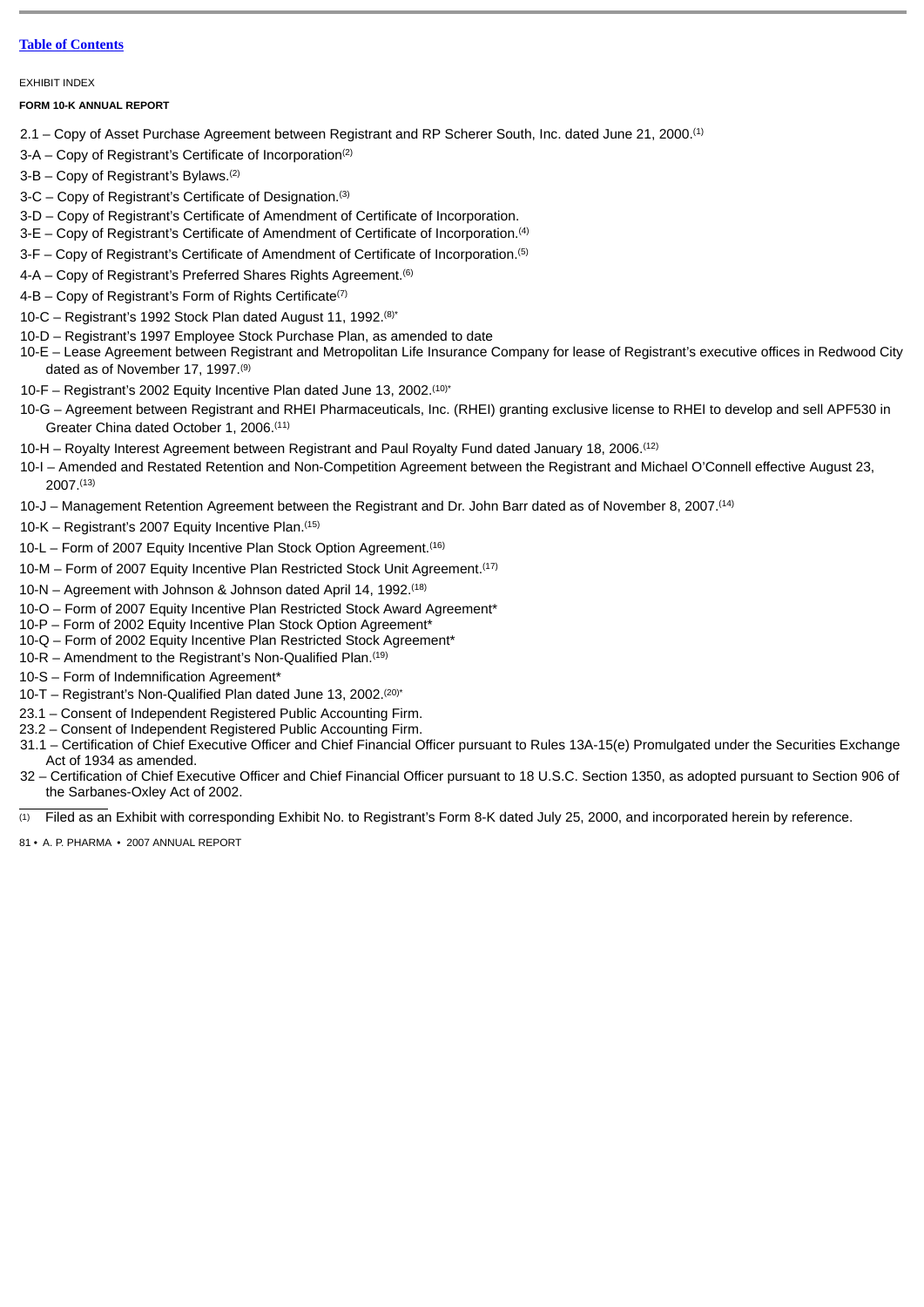EXHIBIT INDEX

#### **FORM 10-K ANNUAL REPORT**

- 2.1 Copy of Asset Purchase Agreement between Registrant and RP Scherer South, Inc. dated June 21, 2000.(1)
- 3-A Copy of Registrant's Certificate of Incorporation(2)
- 3-B Copy of Registrant's Bylaws.(2)
- 3-C Copy of Registrant's Certificate of Designation.(3)
- 3-D Copy of Registrant's Certificate of Amendment of Certificate of Incorporation.
- 3-E Copy of Registrant's Certificate of Amendment of Certificate of Incorporation.(4)
- 3-F Copy of Registrant's Certificate of Amendment of Certificate of Incorporation.<sup>(5)</sup>
- 4-A Copy of Registrant's Preferred Shares Rights Agreement.<sup>(6)</sup>
- 4-B Copy of Registrant's Form of Rights Certificate<sup>(7)</sup>
- 10-C Registrant's 1992 Stock Plan dated August 11, 1992.(8)\*
- 10-D Registrant's 1997 Employee Stock Purchase Plan, as amended to date
- 10-E Lease Agreement between Registrant and Metropolitan Life Insurance Company for lease of Registrant's executive offices in Redwood City dated as of November 17, 1997.<sup>(9)</sup>
- 10-F Registrant's 2002 Equity Incentive Plan dated June 13, 2002.(10)\*
- 10-G Agreement between Registrant and RHEI Pharmaceuticals, Inc. (RHEI) granting exclusive license to RHEI to develop and sell APF530 in Greater China dated October 1, 2006.(11)
- 10-H Royalty Interest Agreement between Registrant and Paul Royalty Fund dated January 18, 2006.(12)
- 10-I Amended and Restated Retention and Non-Competition Agreement between the Registrant and Michael O'Connell effective August 23, 2007.(13)
- 10-J Management Retention Agreement between the Registrant and Dr. John Barr dated as of November 8, 2007.(14)
- 10-K Registrant's 2007 Equity Incentive Plan.(15)
- 10-L Form of 2007 Equity Incentive Plan Stock Option Agreement.(16)
- 10-M Form of 2007 Equity Incentive Plan Restricted Stock Unit Agreement.(17)
- 10-N Agreement with Johnson & Johnson dated April 14, 1992.(18)
- 10-O Form of 2007 Equity Incentive Plan Restricted Stock Award Agreement\*
- 10-P Form of 2002 Equity Incentive Plan Stock Option Agreement\*
- 10-Q Form of 2002 Equity Incentive Plan Restricted Stock Agreement\*
- 10-R Amendment to the Registrant's Non-Qualified Plan.(19)
- 10-S Form of Indemnification Agreement\*
- 10-T Registrant's Non-Qualified Plan dated June 13, 2002.(20)\*
- 23.1 Consent of Independent Registered Public Accounting Firm.
- 23.2 Consent of Independent Registered Public Accounting Firm.
- 31.1 Certification of Chief Executive Officer and Chief Financial Officer pursuant to Rules 13A-15(e) Promulgated under the Securities Exchange Act of 1934 as amended.
- 32 Certification of Chief Executive Officer and Chief Financial Officer pursuant to 18 U.S.C. Section 1350, as adopted pursuant to Section 906 of the Sarbanes-Oxley Act of 2002.
- $\overline{p}$  Filed as an Exhibit with corresponding Exhibit No. to Registrant's Form 8-K dated July 25, 2000, and incorporated herein by reference.
- 81 A. P. PHARMA 2007 ANNUAL REPORT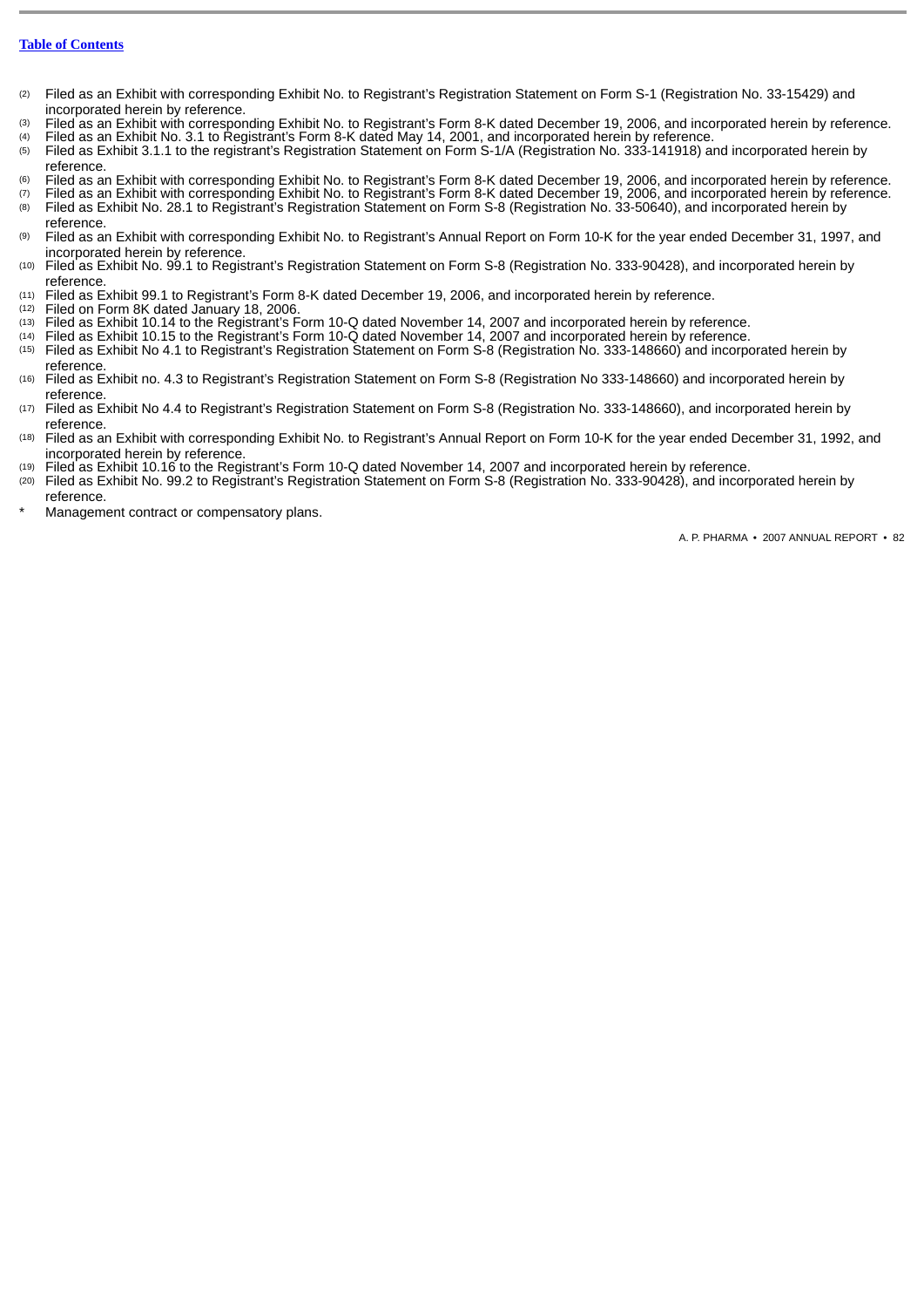- (2) Filed as an Exhibit with corresponding Exhibit No. to Registrant's Registration Statement on Form S-1 (Registration No. 33-15429) and incorporated herein by reference.
- (3) Filed as an Exhibit with corresponding Exhibit No. to Registrant's Form 8-K dated December 19, 2006, and incorporated herein by reference.
- (4) Filed as an Exhibit No. 3.1 to Registrant's Form 8-K dated May 14, 2001, and incorporated herein by reference.<br>(5) Filed as Exhibit 3.1.1 to the registrant's Registration Statement on Form S-1/A (Registration No. 333-1
- Filed as Exhibit 3.1.1 to the registrant's Registration Statement on Form S-1/A (Registration No. 333-141918) and incorporated herein by reference.
- (6) Filed as an Exhibit with corresponding Exhibit No. to Registrant's Form 8-K dated December 19, 2006, and incorporated herein by reference.<br>(7) Filed as an Exhibit with corresponding Exhibit No. to Registrant's Form 8-K
- Filed as an Exhibit with corresponding Exhibit No. to Registrant's Form 8-K dated December 19, 2006, and incorporated herein by reference. (8) Filed as Exhibit No. 28.1 to Registrant's Registration Statement on Form S-8 (Registration No. 33-50640), and incorporated herein by reference.
- (9) Filed as an Exhibit with corresponding Exhibit No. to Registrant's Annual Report on Form 10-K for the year ended December 31, 1997, and incorporated herein by reference.
- (10) Filed as Exhibit No. 99.1 to Registrant's Registration Statement on Form S-8 (Registration No. 333-90428), and incorporated herein by reference.
- (11) Filed as Exhibit 99.1 to Registrant's Form 8-K dated December 19, 2006, and incorporated herein by reference.<br>(12) Filed on Form 8K dated January 18, 2006.
- Filed on Form 8K dated January 18, 2006.
- (13) Filed as Exhibit 10.14 to the Registrant's Form 10-Q dated November 14, 2007 and incorporated herein by reference.
- (14) Filed as Exhibit 10.15 to the Registrant's Form 10-Q dated November 14, 2007 and incorporated herein by reference.
- (15) Filed as Exhibit No 4.1 to Registrant's Registration Statement on Form S-8 (Registration No. 333-148660) and incorporated herein by reference.
- (16) Filed as Exhibit no. 4.3 to Registrant's Registration Statement on Form S-8 (Registration No 333-148660) and incorporated herein by reference
- (17) Filed as Exhibit No 4.4 to Registrant's Registration Statement on Form S-8 (Registration No. 333-148660), and incorporated herein by reference.
- (18) Filed as an Exhibit with corresponding Exhibit No. to Registrant's Annual Report on Form 10-K for the year ended December 31, 1992, and incorporated herein by reference.
- (19) Filed as Exhibit 10.16 to the Registrant's Form 10-Q dated November 14, 2007 and incorporated herein by reference.
- (20) Filed as Exhibit No. 99.2 to Registrant's Registration Statement on Form S-8 (Registration No. 333-90428), and incorporated herein by reference.
- Management contract or compensatory plans.

A. P. PHARMA • 2007 ANNUAL REPORT • 82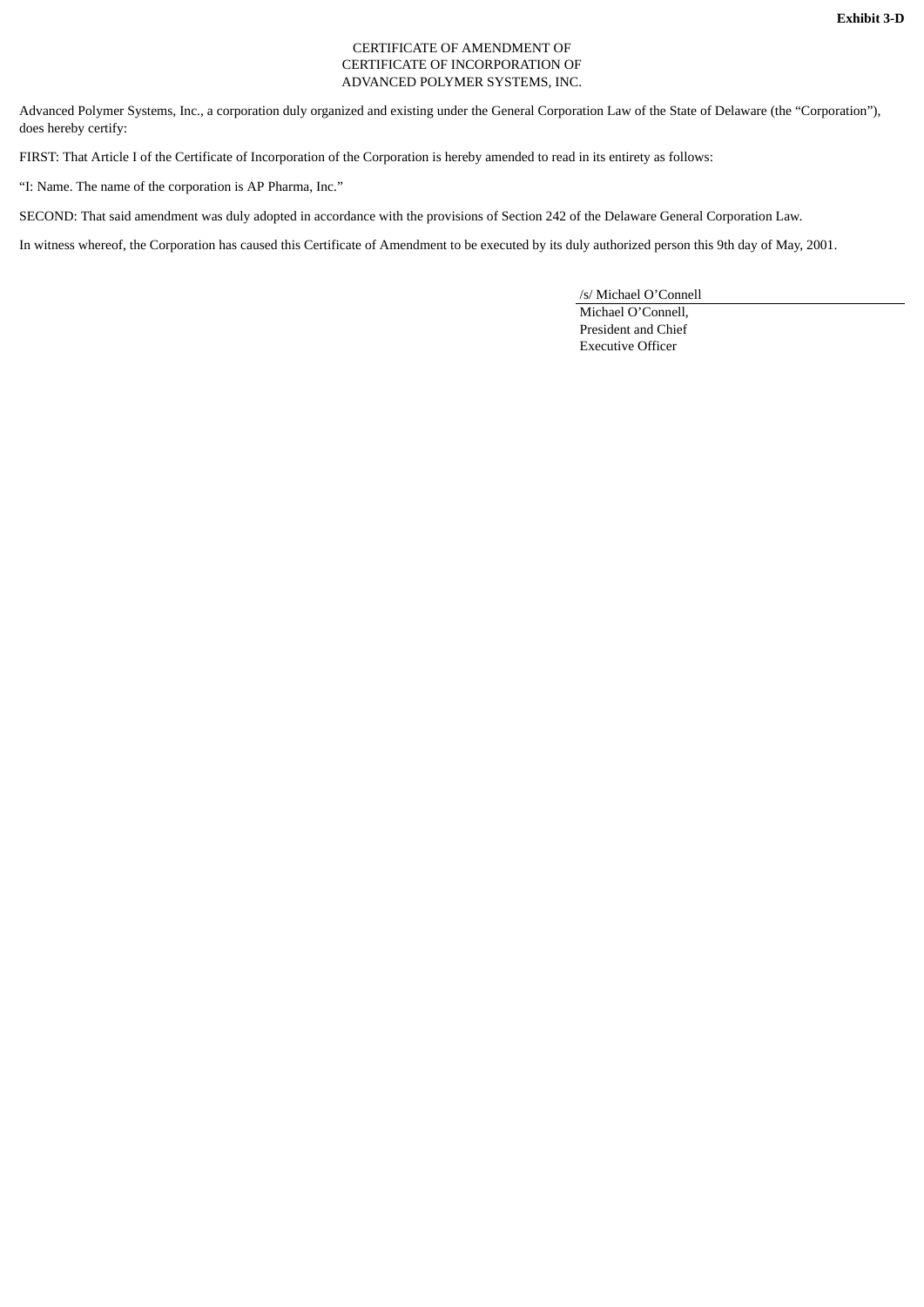## CERTIFICATE OF AMENDMENT OF CERTIFICATE OF INCORPORATION OF ADVANCED POLYMER SYSTEMS, INC.

Advanced Polymer Systems, Inc., a corporation duly organized and existing under the General Corporation Law of the State of Delaware (the "Corporation"), does hereby certify:

FIRST: That Article I of the Certificate of Incorporation of the Corporation is hereby amended to read in its entirety as follows:

"I: Name. The name of the corporation is AP Pharma, Inc."

SECOND: That said amendment was duly adopted in accordance with the provisions of Section 242 of the Delaware General Corporation Law.

In witness whereof, the Corporation has caused this Certificate of Amendment to be executed by its duly authorized person this 9th day of May, 2001.

/s/ Michael O'Connell

Michael O'Connell, President and Chief Executive Officer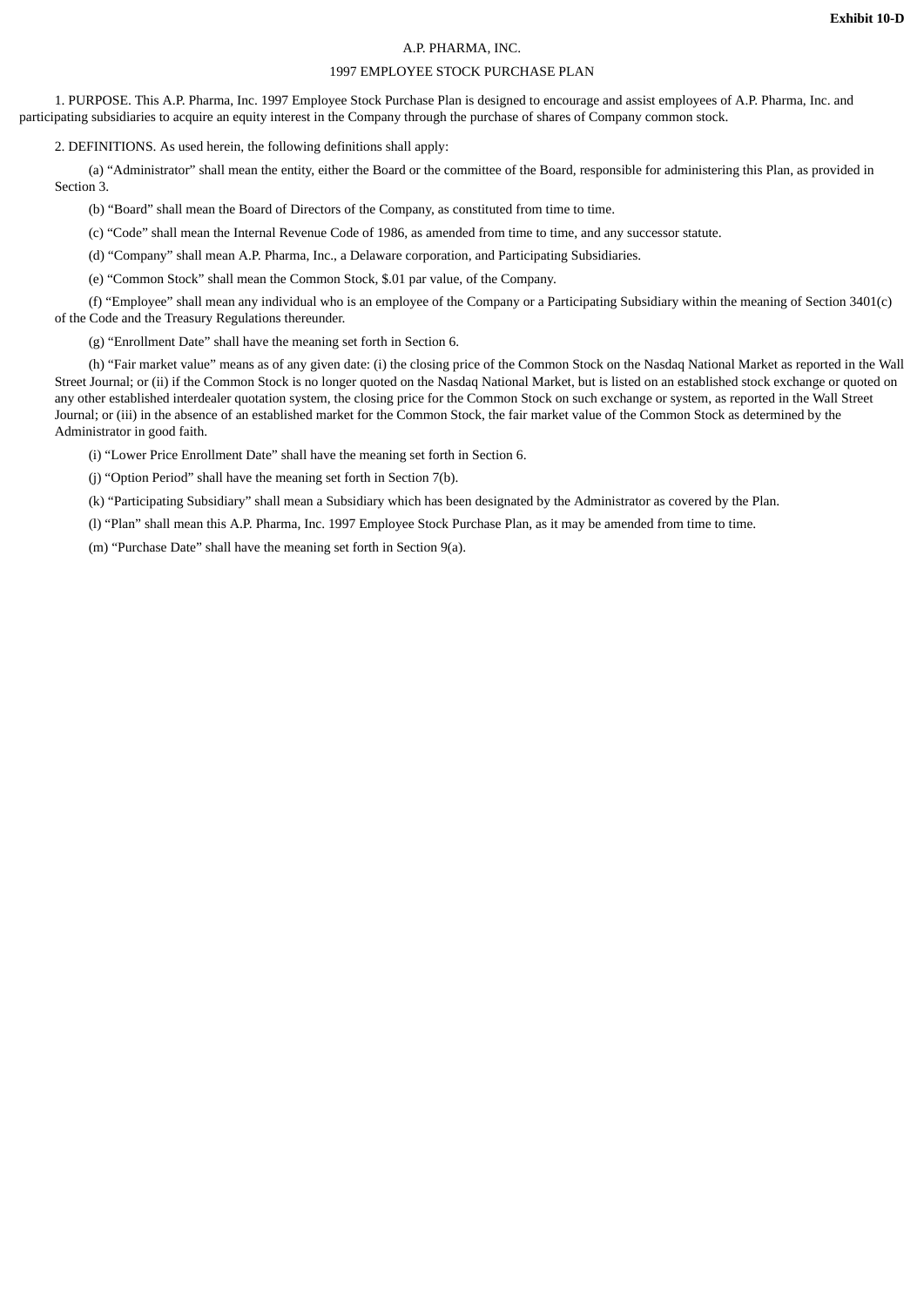## A.P. PHARMA, INC.

## 1997 EMPLOYEE STOCK PURCHASE PLAN

1. PURPOSE. This A.P. Pharma, Inc. 1997 Employee Stock Purchase Plan is designed to encourage and assist employees of A.P. Pharma, Inc. and participating subsidiaries to acquire an equity interest in the Company through the purchase of shares of Company common stock.

2. DEFINITIONS. As used herein, the following definitions shall apply:

(a) "Administrator" shall mean the entity, either the Board or the committee of the Board, responsible for administering this Plan, as provided in Section 3.

(b) "Board" shall mean the Board of Directors of the Company, as constituted from time to time.

(c) "Code" shall mean the Internal Revenue Code of 1986, as amended from time to time, and any successor statute.

(d) "Company" shall mean A.P. Pharma, Inc., a Delaware corporation, and Participating Subsidiaries.

(e) "Common Stock" shall mean the Common Stock, \$.01 par value, of the Company.

(f) "Employee" shall mean any individual who is an employee of the Company or a Participating Subsidiary within the meaning of Section 3401(c) of the Code and the Treasury Regulations thereunder.

(g) "Enrollment Date" shall have the meaning set forth in Section 6.

(h) "Fair market value" means as of any given date: (i) the closing price of the Common Stock on the Nasdaq National Market as reported in the Wall Street Journal; or (ii) if the Common Stock is no longer quoted on the Nasdaq National Market, but is listed on an established stock exchange or quoted on any other established interdealer quotation system, the closing price for the Common Stock on such exchange or system, as reported in the Wall Street Journal; or (iii) in the absence of an established market for the Common Stock, the fair market value of the Common Stock as determined by the Administrator in good faith.

(i) "Lower Price Enrollment Date" shall have the meaning set forth in Section 6.

(j) "Option Period" shall have the meaning set forth in Section 7(b).

(k) "Participating Subsidiary" shall mean a Subsidiary which has been designated by the Administrator as covered by the Plan.

(l) "Plan" shall mean this A.P. Pharma, Inc. 1997 Employee Stock Purchase Plan, as it may be amended from time to time.

(m) "Purchase Date" shall have the meaning set forth in Section 9(a).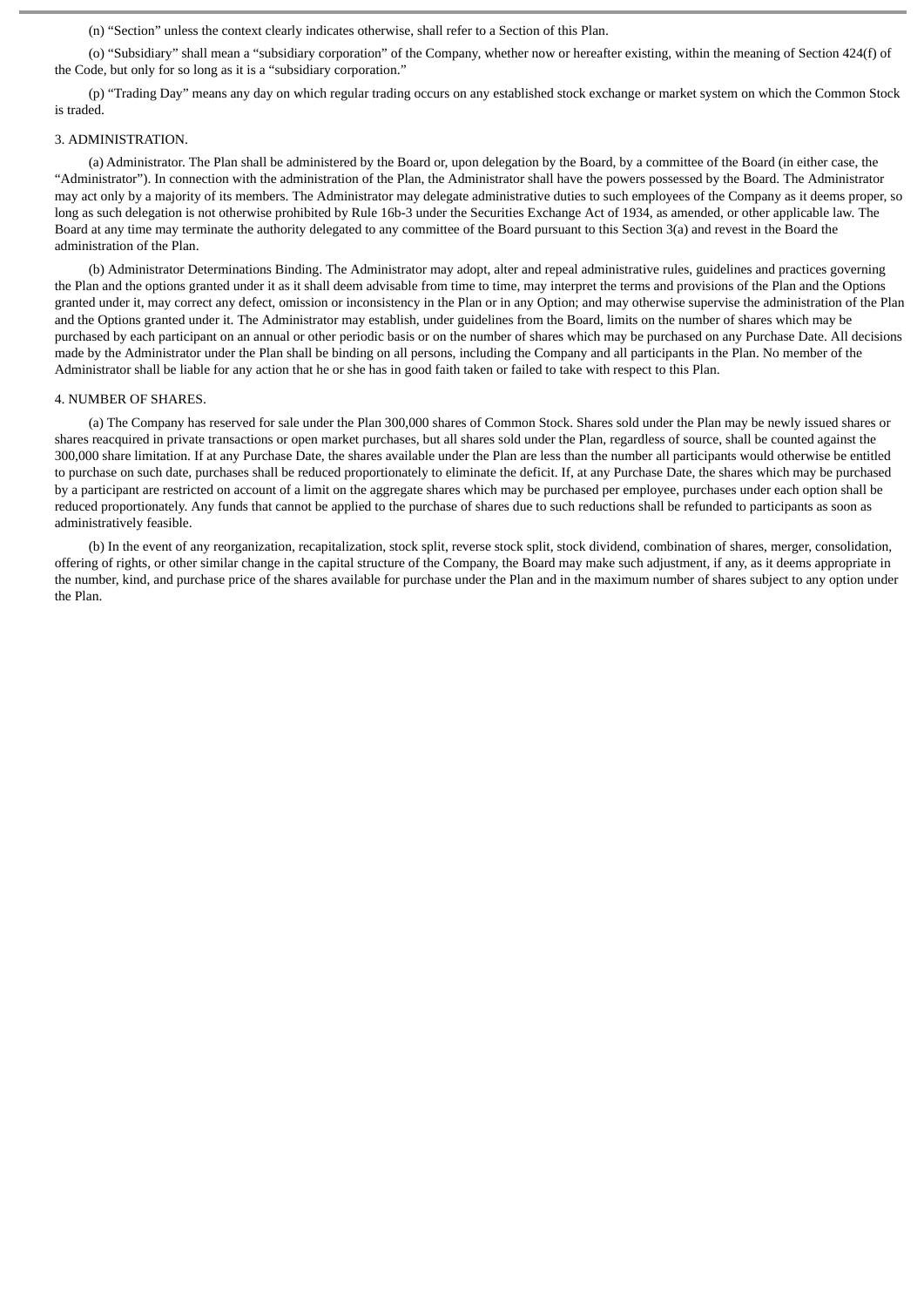(n) "Section" unless the context clearly indicates otherwise, shall refer to a Section of this Plan.

(o) "Subsidiary" shall mean a "subsidiary corporation" of the Company, whether now or hereafter existing, within the meaning of Section 424(f) of the Code, but only for so long as it is a "subsidiary corporation."

(p) "Trading Day" means any day on which regular trading occurs on any established stock exchange or market system on which the Common Stock is traded.

#### 3. ADMINISTRATION.

(a) Administrator. The Plan shall be administered by the Board or, upon delegation by the Board, by a committee of the Board (in either case, the "Administrator"). In connection with the administration of the Plan, the Administrator shall have the powers possessed by the Board. The Administrator may act only by a majority of its members. The Administrator may delegate administrative duties to such employees of the Company as it deems proper, so long as such delegation is not otherwise prohibited by Rule 16b-3 under the Securities Exchange Act of 1934, as amended, or other applicable law. The Board at any time may terminate the authority delegated to any committee of the Board pursuant to this Section 3(a) and revest in the Board the administration of the Plan.

(b) Administrator Determinations Binding. The Administrator may adopt, alter and repeal administrative rules, guidelines and practices governing the Plan and the options granted under it as it shall deem advisable from time to time, may interpret the terms and provisions of the Plan and the Options granted under it, may correct any defect, omission or inconsistency in the Plan or in any Option; and may otherwise supervise the administration of the Plan and the Options granted under it. The Administrator may establish, under guidelines from the Board, limits on the number of shares which may be purchased by each participant on an annual or other periodic basis or on the number of shares which may be purchased on any Purchase Date. All decisions made by the Administrator under the Plan shall be binding on all persons, including the Company and all participants in the Plan. No member of the Administrator shall be liable for any action that he or she has in good faith taken or failed to take with respect to this Plan.

#### 4. NUMBER OF SHARES.

(a) The Company has reserved for sale under the Plan 300,000 shares of Common Stock. Shares sold under the Plan may be newly issued shares or shares reacquired in private transactions or open market purchases, but all shares sold under the Plan, regardless of source, shall be counted against the 300,000 share limitation. If at any Purchase Date, the shares available under the Plan are less than the number all participants would otherwise be entitled to purchase on such date, purchases shall be reduced proportionately to eliminate the deficit. If, at any Purchase Date, the shares which may be purchased by a participant are restricted on account of a limit on the aggregate shares which may be purchased per employee, purchases under each option shall be reduced proportionately. Any funds that cannot be applied to the purchase of shares due to such reductions shall be refunded to participants as soon as administratively feasible.

(b) In the event of any reorganization, recapitalization, stock split, reverse stock split, stock dividend, combination of shares, merger, consolidation, offering of rights, or other similar change in the capital structure of the Company, the Board may make such adjustment, if any, as it deems appropriate in the number, kind, and purchase price of the shares available for purchase under the Plan and in the maximum number of shares subject to any option under the Plan.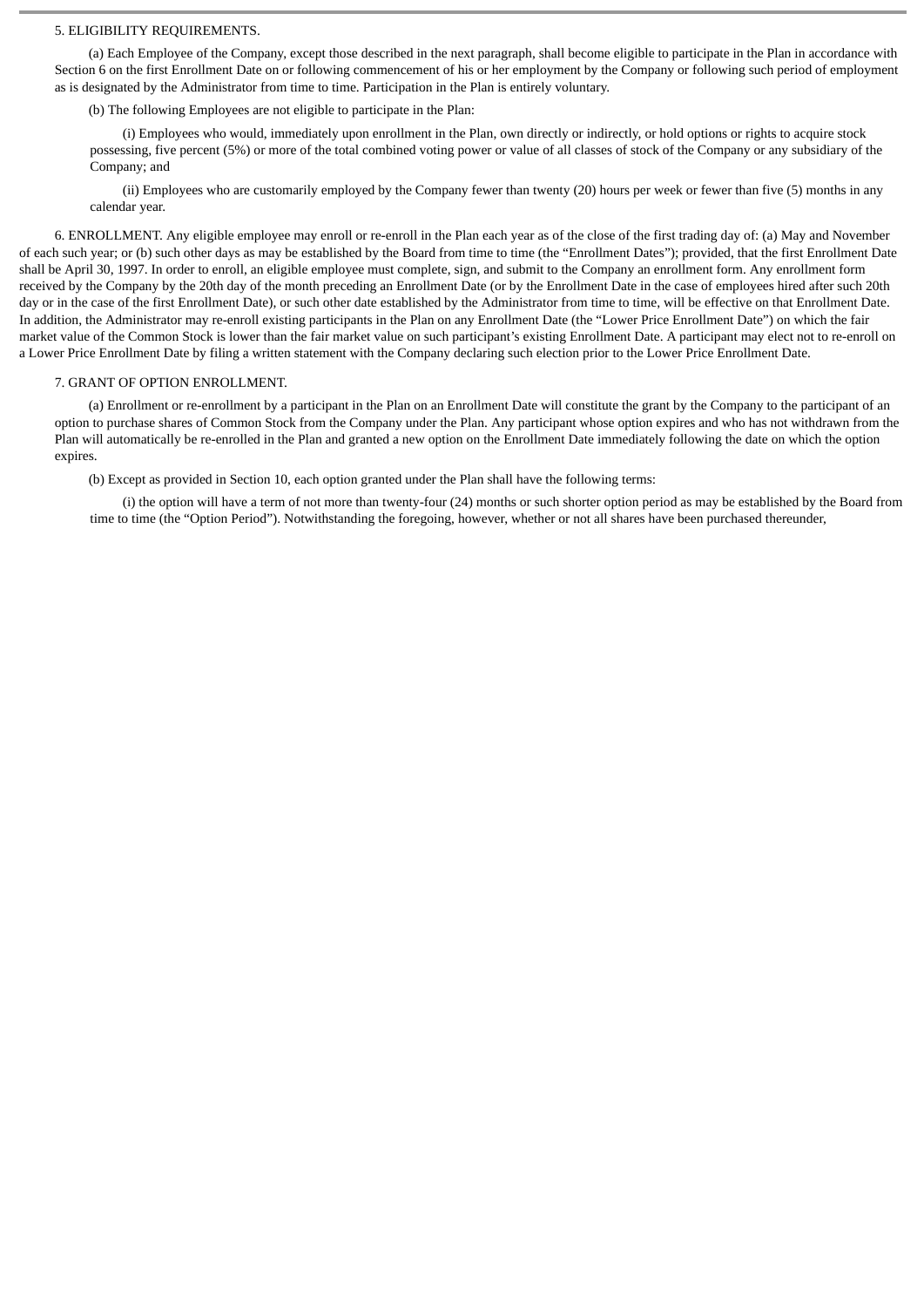## 5. ELIGIBILITY REQUIREMENTS.

(a) Each Employee of the Company, except those described in the next paragraph, shall become eligible to participate in the Plan in accordance with Section 6 on the first Enrollment Date on or following commencement of his or her employment by the Company or following such period of employment as is designated by the Administrator from time to time. Participation in the Plan is entirely voluntary.

(b) The following Employees are not eligible to participate in the Plan:

(i) Employees who would, immediately upon enrollment in the Plan, own directly or indirectly, or hold options or rights to acquire stock possessing, five percent (5%) or more of the total combined voting power or value of all classes of stock of the Company or any subsidiary of the Company; and

(ii) Employees who are customarily employed by the Company fewer than twenty (20) hours per week or fewer than five (5) months in any calendar year.

6. ENROLLMENT. Any eligible employee may enroll or re-enroll in the Plan each year as of the close of the first trading day of: (a) May and November of each such year; or (b) such other days as may be established by the Board from time to time (the "Enrollment Dates"); provided, that the first Enrollment Date shall be April 30, 1997. In order to enroll, an eligible employee must complete, sign, and submit to the Company an enrollment form. Any enrollment form received by the Company by the 20th day of the month preceding an Enrollment Date (or by the Enrollment Date in the case of employees hired after such 20th day or in the case of the first Enrollment Date), or such other date established by the Administrator from time to time, will be effective on that Enrollment Date. In addition, the Administrator may re-enroll existing participants in the Plan on any Enrollment Date (the "Lower Price Enrollment Date") on which the fair market value of the Common Stock is lower than the fair market value on such participant's existing Enrollment Date. A participant may elect not to re-enroll on a Lower Price Enrollment Date by filing a written statement with the Company declaring such election prior to the Lower Price Enrollment Date.

#### 7. GRANT OF OPTION ENROLLMENT.

(a) Enrollment or re-enrollment by a participant in the Plan on an Enrollment Date will constitute the grant by the Company to the participant of an option to purchase shares of Common Stock from the Company under the Plan. Any participant whose option expires and who has not withdrawn from the Plan will automatically be re-enrolled in the Plan and granted a new option on the Enrollment Date immediately following the date on which the option expires.

(b) Except as provided in Section 10, each option granted under the Plan shall have the following terms:

(i) the option will have a term of not more than twenty-four (24) months or such shorter option period as may be established by the Board from time to time (the "Option Period"). Notwithstanding the foregoing, however, whether or not all shares have been purchased thereunder,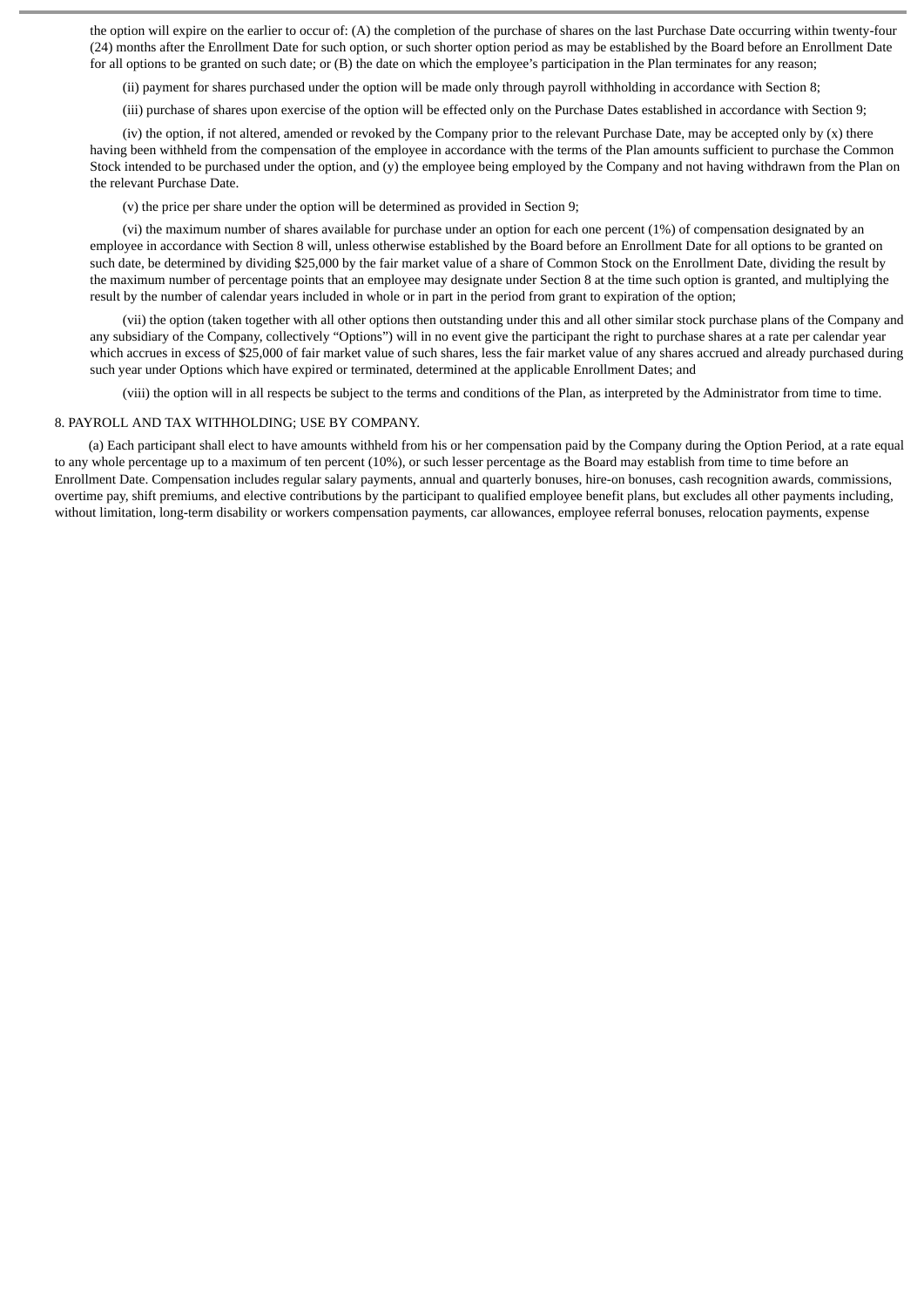the option will expire on the earlier to occur of: (A) the completion of the purchase of shares on the last Purchase Date occurring within twenty-four (24) months after the Enrollment Date for such option, or such shorter option period as may be established by the Board before an Enrollment Date for all options to be granted on such date; or (B) the date on which the employee's participation in the Plan terminates for any reason;

(ii) payment for shares purchased under the option will be made only through payroll withholding in accordance with Section 8;

(iii) purchase of shares upon exercise of the option will be effected only on the Purchase Dates established in accordance with Section 9;

(iv) the option, if not altered, amended or revoked by the Company prior to the relevant Purchase Date, may be accepted only by  $(x)$  there having been withheld from the compensation of the employee in accordance with the terms of the Plan amounts sufficient to purchase the Common Stock intended to be purchased under the option, and (y) the employee being employed by the Company and not having withdrawn from the Plan on the relevant Purchase Date.

(v) the price per share under the option will be determined as provided in Section 9;

(vi) the maximum number of shares available for purchase under an option for each one percent (1%) of compensation designated by an employee in accordance with Section 8 will, unless otherwise established by the Board before an Enrollment Date for all options to be granted on such date, be determined by dividing \$25,000 by the fair market value of a share of Common Stock on the Enrollment Date, dividing the result by the maximum number of percentage points that an employee may designate under Section 8 at the time such option is granted, and multiplying the result by the number of calendar years included in whole or in part in the period from grant to expiration of the option;

(vii) the option (taken together with all other options then outstanding under this and all other similar stock purchase plans of the Company and any subsidiary of the Company, collectively "Options") will in no event give the participant the right to purchase shares at a rate per calendar year which accrues in excess of \$25,000 of fair market value of such shares, less the fair market value of any shares accrued and already purchased during such year under Options which have expired or terminated, determined at the applicable Enrollment Dates; and

(viii) the option will in all respects be subject to the terms and conditions of the Plan, as interpreted by the Administrator from time to time.

#### 8. PAYROLL AND TAX WITHHOLDING; USE BY COMPANY.

(a) Each participant shall elect to have amounts withheld from his or her compensation paid by the Company during the Option Period, at a rate equal to any whole percentage up to a maximum of ten percent (10%), or such lesser percentage as the Board may establish from time to time before an Enrollment Date. Compensation includes regular salary payments, annual and quarterly bonuses, hire-on bonuses, cash recognition awards, commissions, overtime pay, shift premiums, and elective contributions by the participant to qualified employee benefit plans, but excludes all other payments including, without limitation, long-term disability or workers compensation payments, car allowances, employee referral bonuses, relocation payments, expense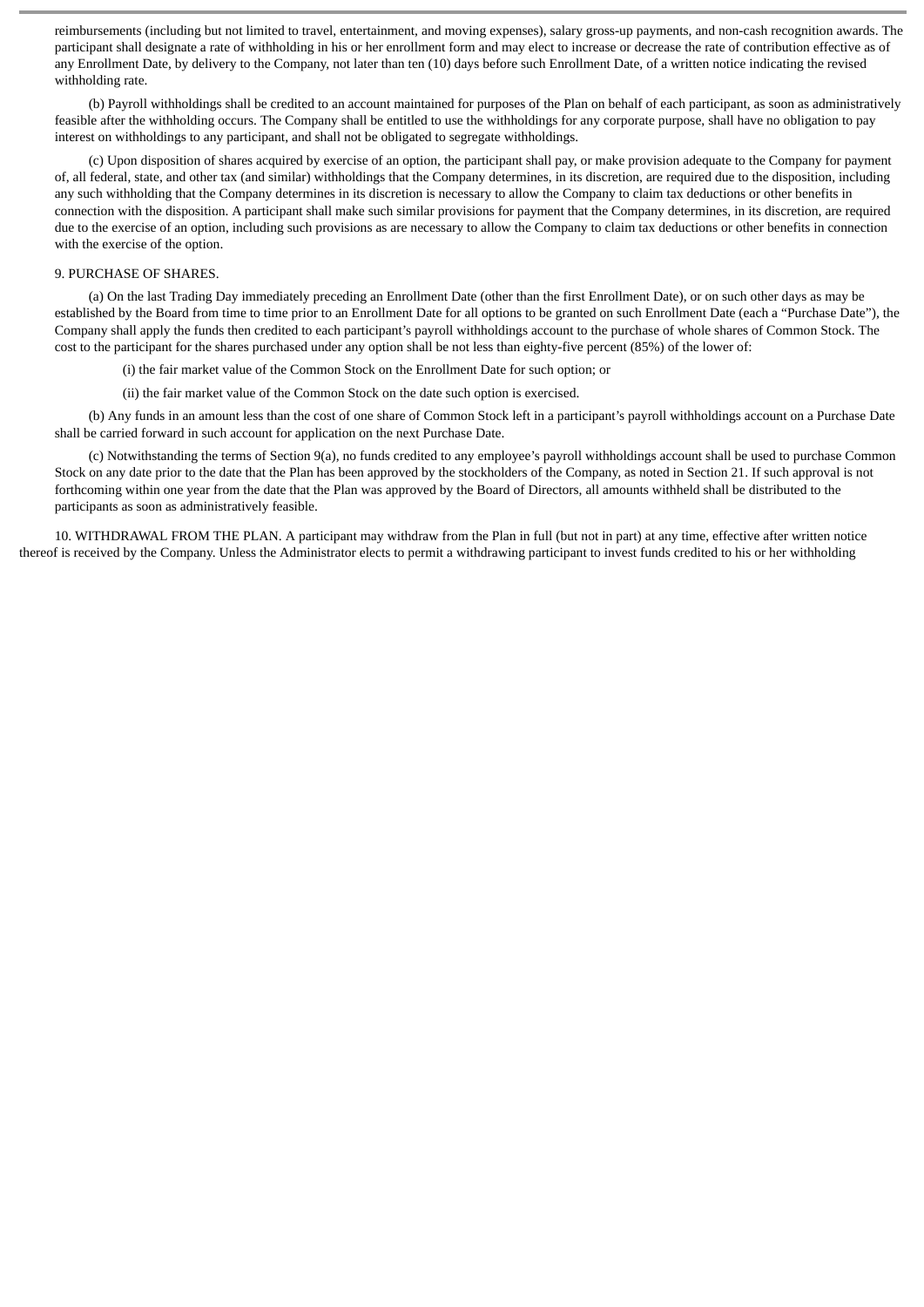reimbursements (including but not limited to travel, entertainment, and moving expenses), salary gross-up payments, and non-cash recognition awards. The participant shall designate a rate of withholding in his or her enrollment form and may elect to increase or decrease the rate of contribution effective as of any Enrollment Date, by delivery to the Company, not later than ten (10) days before such Enrollment Date, of a written notice indicating the revised withholding rate.

(b) Payroll withholdings shall be credited to an account maintained for purposes of the Plan on behalf of each participant, as soon as administratively feasible after the withholding occurs. The Company shall be entitled to use the withholdings for any corporate purpose, shall have no obligation to pay interest on withholdings to any participant, and shall not be obligated to segregate withholdings.

(c) Upon disposition of shares acquired by exercise of an option, the participant shall pay, or make provision adequate to the Company for payment of, all federal, state, and other tax (and similar) withholdings that the Company determines, in its discretion, are required due to the disposition, including any such withholding that the Company determines in its discretion is necessary to allow the Company to claim tax deductions or other benefits in connection with the disposition. A participant shall make such similar provisions for payment that the Company determines, in its discretion, are required due to the exercise of an option, including such provisions as are necessary to allow the Company to claim tax deductions or other benefits in connection with the exercise of the option.

#### 9. PURCHASE OF SHARES.

(a) On the last Trading Day immediately preceding an Enrollment Date (other than the first Enrollment Date), or on such other days as may be established by the Board from time to time prior to an Enrollment Date for all options to be granted on such Enrollment Date (each a "Purchase Date"), the Company shall apply the funds then credited to each participant's payroll withholdings account to the purchase of whole shares of Common Stock. The cost to the participant for the shares purchased under any option shall be not less than eighty-five percent (85%) of the lower of:

(i) the fair market value of the Common Stock on the Enrollment Date for such option; or

(ii) the fair market value of the Common Stock on the date such option is exercised.

(b) Any funds in an amount less than the cost of one share of Common Stock left in a participant's payroll withholdings account on a Purchase Date shall be carried forward in such account for application on the next Purchase Date.

(c) Notwithstanding the terms of Section 9(a), no funds credited to any employee's payroll withholdings account shall be used to purchase Common Stock on any date prior to the date that the Plan has been approved by the stockholders of the Company, as noted in Section 21. If such approval is not forthcoming within one year from the date that the Plan was approved by the Board of Directors, all amounts withheld shall be distributed to the participants as soon as administratively feasible.

10. WITHDRAWAL FROM THE PLAN. A participant may withdraw from the Plan in full (but not in part) at any time, effective after written notice thereof is received by the Company. Unless the Administrator elects to permit a withdrawing participant to invest funds credited to his or her withholding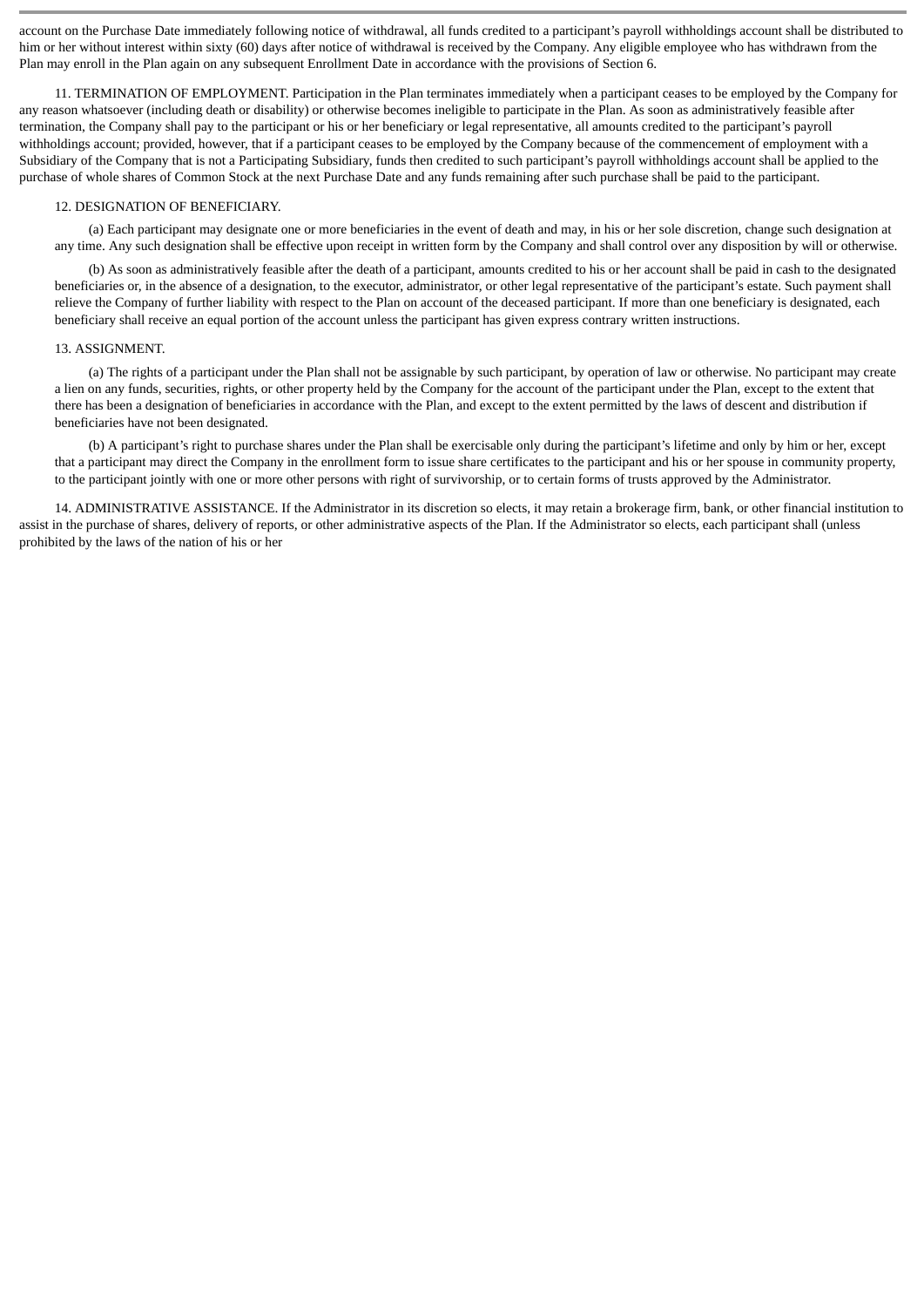account on the Purchase Date immediately following notice of withdrawal, all funds credited to a participant's payroll withholdings account shall be distributed to him or her without interest within sixty (60) days after notice of withdrawal is received by the Company. Any eligible employee who has withdrawn from the Plan may enroll in the Plan again on any subsequent Enrollment Date in accordance with the provisions of Section 6.

11. TERMINATION OF EMPLOYMENT. Participation in the Plan terminates immediately when a participant ceases to be employed by the Company for any reason whatsoever (including death or disability) or otherwise becomes ineligible to participate in the Plan. As soon as administratively feasible after termination, the Company shall pay to the participant or his or her beneficiary or legal representative, all amounts credited to the participant's payroll withholdings account; provided, however, that if a participant ceases to be employed by the Company because of the commencement of employment with a Subsidiary of the Company that is not a Participating Subsidiary, funds then credited to such participant's payroll withholdings account shall be applied to the purchase of whole shares of Common Stock at the next Purchase Date and any funds remaining after such purchase shall be paid to the participant.

## 12. DESIGNATION OF BENEFICIARY.

(a) Each participant may designate one or more beneficiaries in the event of death and may, in his or her sole discretion, change such designation at any time. Any such designation shall be effective upon receipt in written form by the Company and shall control over any disposition by will or otherwise.

(b) As soon as administratively feasible after the death of a participant, amounts credited to his or her account shall be paid in cash to the designated beneficiaries or, in the absence of a designation, to the executor, administrator, or other legal representative of the participant's estate. Such payment shall relieve the Company of further liability with respect to the Plan on account of the deceased participant. If more than one beneficiary is designated, each beneficiary shall receive an equal portion of the account unless the participant has given express contrary written instructions.

#### 13. ASSIGNMENT.

(a) The rights of a participant under the Plan shall not be assignable by such participant, by operation of law or otherwise. No participant may create a lien on any funds, securities, rights, or other property held by the Company for the account of the participant under the Plan, except to the extent that there has been a designation of beneficiaries in accordance with the Plan, and except to the extent permitted by the laws of descent and distribution if beneficiaries have not been designated.

(b) A participant's right to purchase shares under the Plan shall be exercisable only during the participant's lifetime and only by him or her, except that a participant may direct the Company in the enrollment form to issue share certificates to the participant and his or her spouse in community property, to the participant jointly with one or more other persons with right of survivorship, or to certain forms of trusts approved by the Administrator.

14. ADMINISTRATIVE ASSISTANCE. If the Administrator in its discretion so elects, it may retain a brokerage firm, bank, or other financial institution to assist in the purchase of shares, delivery of reports, or other administrative aspects of the Plan. If the Administrator so elects, each participant shall (unless prohibited by the laws of the nation of his or her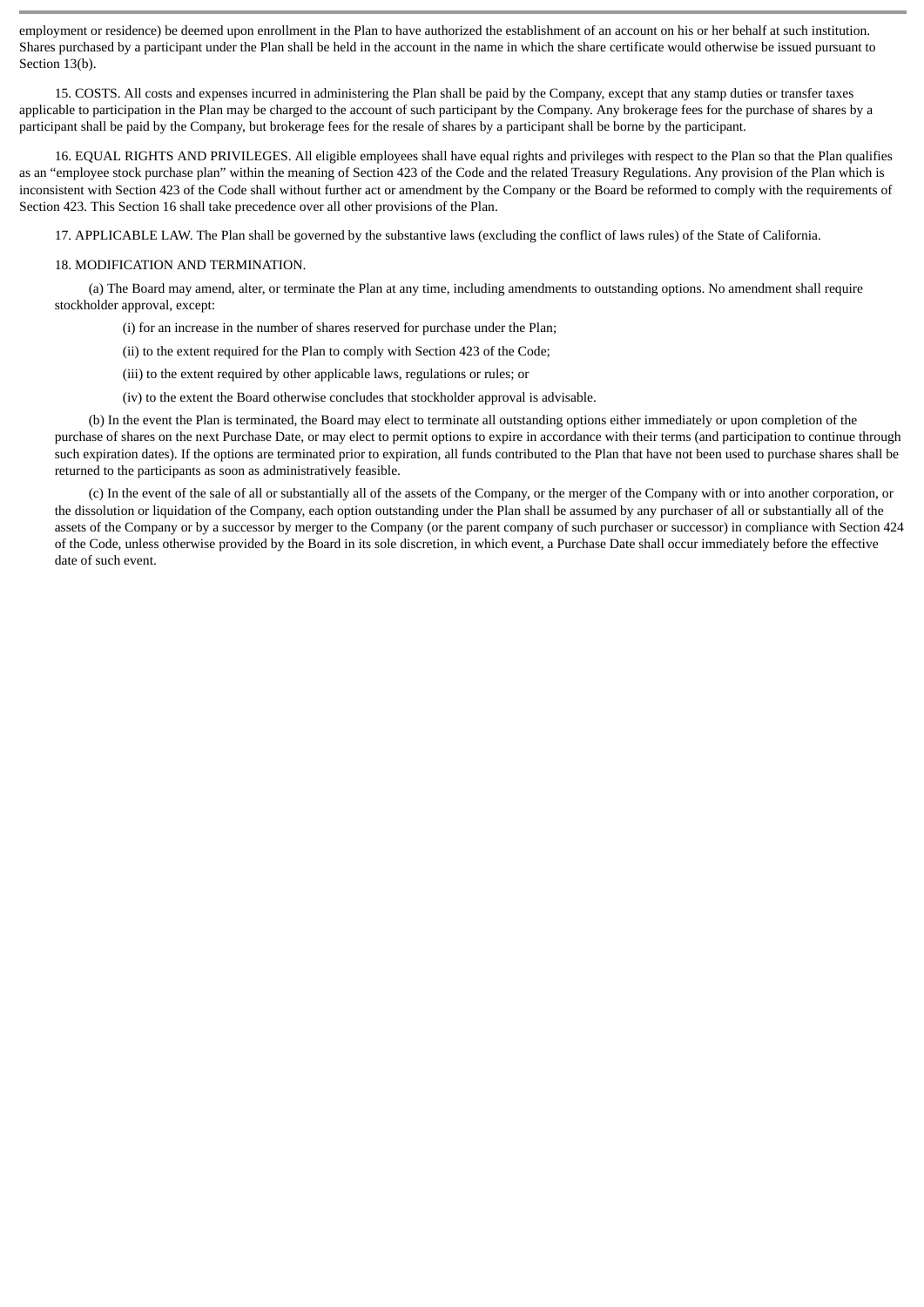employment or residence) be deemed upon enrollment in the Plan to have authorized the establishment of an account on his or her behalf at such institution. Shares purchased by a participant under the Plan shall be held in the account in the name in which the share certificate would otherwise be issued pursuant to Section 13(b).

15. COSTS. All costs and expenses incurred in administering the Plan shall be paid by the Company, except that any stamp duties or transfer taxes applicable to participation in the Plan may be charged to the account of such participant by the Company. Any brokerage fees for the purchase of shares by a participant shall be paid by the Company, but brokerage fees for the resale of shares by a participant shall be borne by the participant.

16. EQUAL RIGHTS AND PRIVILEGES. All eligible employees shall have equal rights and privileges with respect to the Plan so that the Plan qualifies as an "employee stock purchase plan" within the meaning of Section 423 of the Code and the related Treasury Regulations. Any provision of the Plan which is inconsistent with Section 423 of the Code shall without further act or amendment by the Company or the Board be reformed to comply with the requirements of Section 423. This Section 16 shall take precedence over all other provisions of the Plan.

17. APPLICABLE LAW. The Plan shall be governed by the substantive laws (excluding the conflict of laws rules) of the State of California.

### 18. MODIFICATION AND TERMINATION.

(a) The Board may amend, alter, or terminate the Plan at any time, including amendments to outstanding options. No amendment shall require stockholder approval, except:

(i) for an increase in the number of shares reserved for purchase under the Plan;

(ii) to the extent required for the Plan to comply with Section 423 of the Code;

(iii) to the extent required by other applicable laws, regulations or rules; or

(iv) to the extent the Board otherwise concludes that stockholder approval is advisable.

(b) In the event the Plan is terminated, the Board may elect to terminate all outstanding options either immediately or upon completion of the purchase of shares on the next Purchase Date, or may elect to permit options to expire in accordance with their terms (and participation to continue through such expiration dates). If the options are terminated prior to expiration, all funds contributed to the Plan that have not been used to purchase shares shall be returned to the participants as soon as administratively feasible.

(c) In the event of the sale of all or substantially all of the assets of the Company, or the merger of the Company with or into another corporation, or the dissolution or liquidation of the Company, each option outstanding under the Plan shall be assumed by any purchaser of all or substantially all of the assets of the Company or by a successor by merger to the Company (or the parent company of such purchaser or successor) in compliance with Section 424 of the Code, unless otherwise provided by the Board in its sole discretion, in which event, a Purchase Date shall occur immediately before the effective date of such event.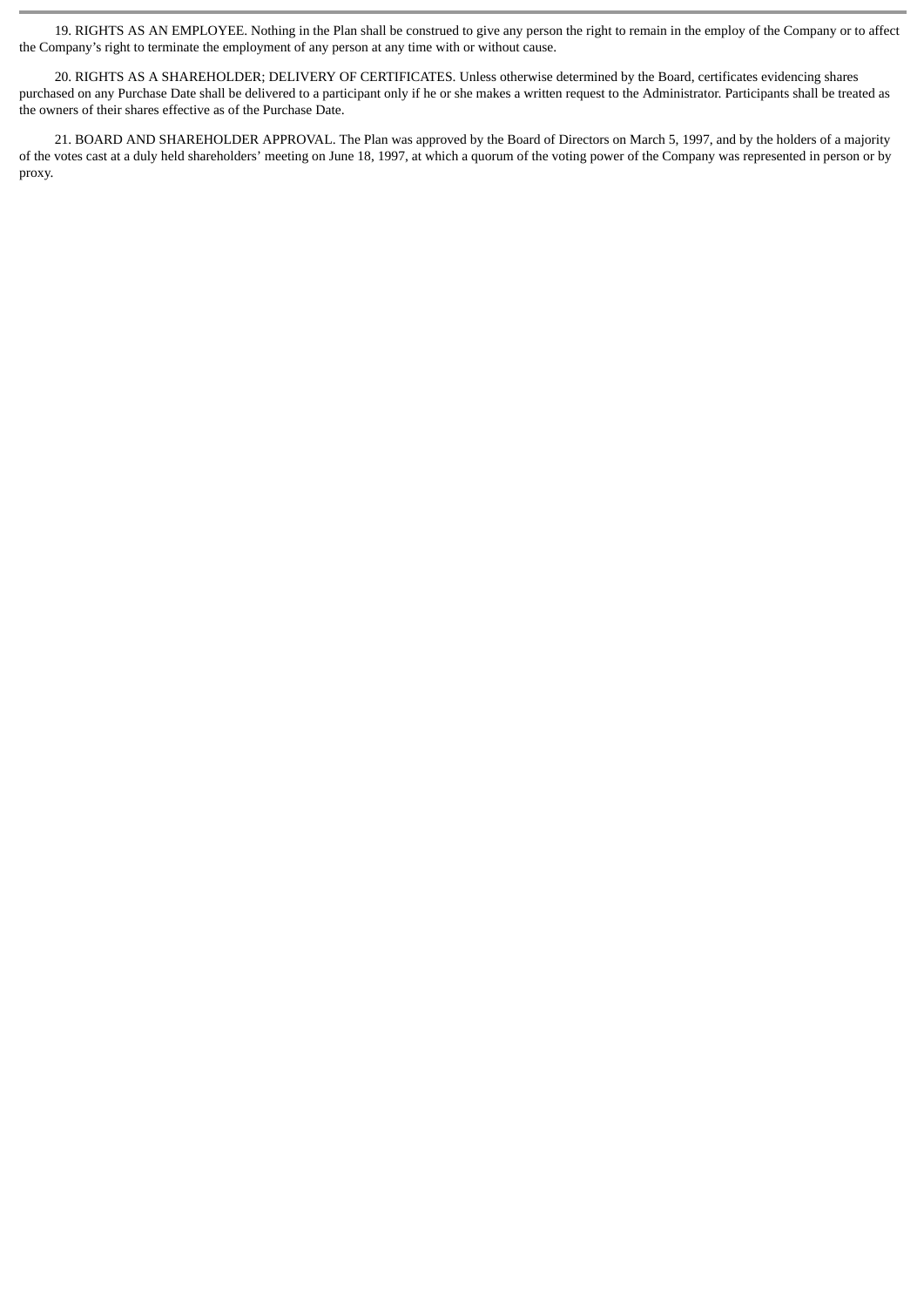19. RIGHTS AS AN EMPLOYEE. Nothing in the Plan shall be construed to give any person the right to remain in the employ of the Company or to affect the Company's right to terminate the employment of any person at any time with or without cause.

20. RIGHTS AS A SHAREHOLDER; DELIVERY OF CERTIFICATES. Unless otherwise determined by the Board, certificates evidencing shares purchased on any Purchase Date shall be delivered to a participant only if he or she makes a written request to the Administrator. Participants shall be treated as the owners of their shares effective as of the Purchase Date.

21. BOARD AND SHAREHOLDER APPROVAL. The Plan was approved by the Board of Directors on March 5, 1997, and by the holders of a majority of the votes cast at a duly held shareholders' meeting on June 18, 1997, at which a quorum of the voting power of the Company was represented in person or by proxy.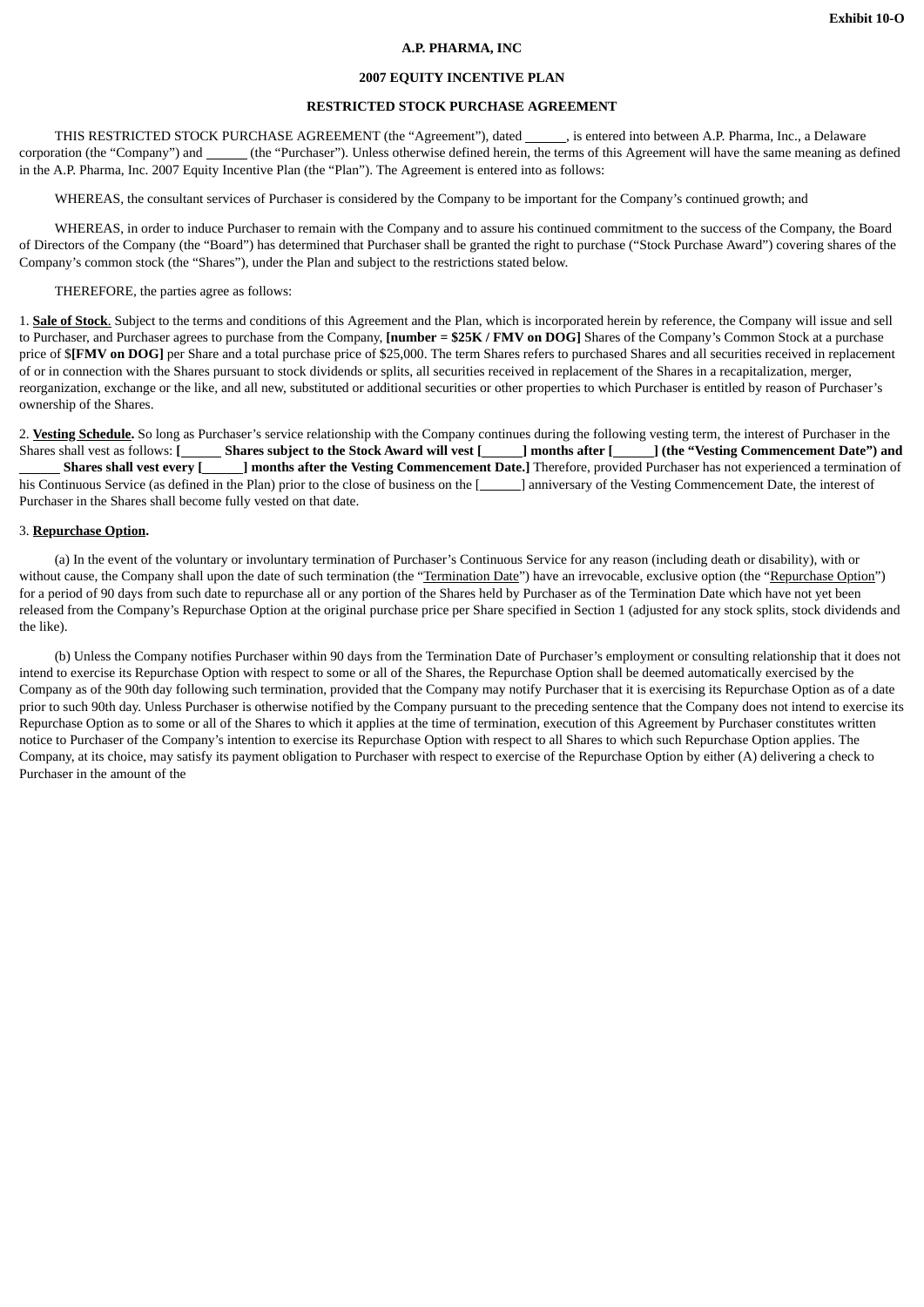## **A.P. PHARMA, INC**

## **2007 EQUITY INCENTIVE PLAN**

## **RESTRICTED STOCK PURCHASE AGREEMENT**

THIS RESTRICTED STOCK PURCHASE AGREEMENT (the "Agreement"), dated \_\_\_\_\_\_\_, is entered into between A.P. Pharma, Inc., a Delaware corporation (the "Company") and (the "Purchaser"). Unless otherwise defined herein, the terms of this Agreement will have the same meaning as defined in the A.P. Pharma, Inc. 2007 Equity Incentive Plan (the "Plan"). The Agreement is entered into as follows:

WHEREAS, the consultant services of Purchaser is considered by the Company to be important for the Company's continued growth; and

WHEREAS, in order to induce Purchaser to remain with the Company and to assure his continued commitment to the success of the Company, the Board of Directors of the Company (the "Board") has determined that Purchaser shall be granted the right to purchase ("Stock Purchase Award") covering shares of the Company's common stock (the "Shares"), under the Plan and subject to the restrictions stated below.

#### THEREFORE, the parties agree as follows:

1. **Sale of Stock**. Subject to the terms and conditions of this Agreement and the Plan, which is incorporated herein by reference, the Company will issue and sell to Purchaser, and Purchaser agrees to purchase from the Company, **[number = \$25K / FMV on DOG]** Shares of the Company's Common Stock at a purchase price of \$**[FMV on DOG]** per Share and a total purchase price of \$25,000. The term Shares refers to purchased Shares and all securities received in replacement of or in connection with the Shares pursuant to stock dividends or splits, all securities received in replacement of the Shares in a recapitalization, merger, reorganization, exchange or the like, and all new, substituted or additional securities or other properties to which Purchaser is entitled by reason of Purchaser's ownership of the Shares.

2. **Vesting Schedule.** So long as Purchaser's service relationship with the Company continues during the following vesting term, the interest of Purchaser in the Shares shall vest as follows: **[ \_\_\_\_\_\_\_\_\_\_Shares subject to the Stock Award will vest [ \_\_\_\_\_\_\_**] months after **[ \_\_\_\_\_\_**] (the "Vesting Commencement Date") and  **Shares shall vest every [ ] months after the Vesting Commencement Date.]** Therefore, provided Purchaser has not experienced a termination of his Continuous Service (as defined in the Plan) prior to the close of business on the [\_\_\_\_\_\_] anniversary of the Vesting Commencement Date, the interest of Purchaser in the Shares shall become fully vested on that date.

#### 3. **Repurchase Option.**

(a) In the event of the voluntary or involuntary termination of Purchaser's Continuous Service for any reason (including death or disability), with or without cause, the Company shall upon the date of such termination (the "Termination Date") have an irrevocable, exclusive option (the "Repurchase Option") for a period of 90 days from such date to repurchase all or any portion of the Shares held by Purchaser as of the Termination Date which have not yet been released from the Company's Repurchase Option at the original purchase price per Share specified in Section 1 (adjusted for any stock splits, stock dividends and the like).

(b) Unless the Company notifies Purchaser within 90 days from the Termination Date of Purchaser's employment or consulting relationship that it does not intend to exercise its Repurchase Option with respect to some or all of the Shares, the Repurchase Option shall be deemed automatically exercised by the Company as of the 90th day following such termination, provided that the Company may notify Purchaser that it is exercising its Repurchase Option as of a date prior to such 90th day. Unless Purchaser is otherwise notified by the Company pursuant to the preceding sentence that the Company does not intend to exercise its Repurchase Option as to some or all of the Shares to which it applies at the time of termination, execution of this Agreement by Purchaser constitutes written notice to Purchaser of the Company's intention to exercise its Repurchase Option with respect to all Shares to which such Repurchase Option applies. The Company, at its choice, may satisfy its payment obligation to Purchaser with respect to exercise of the Repurchase Option by either (A) delivering a check to Purchaser in the amount of the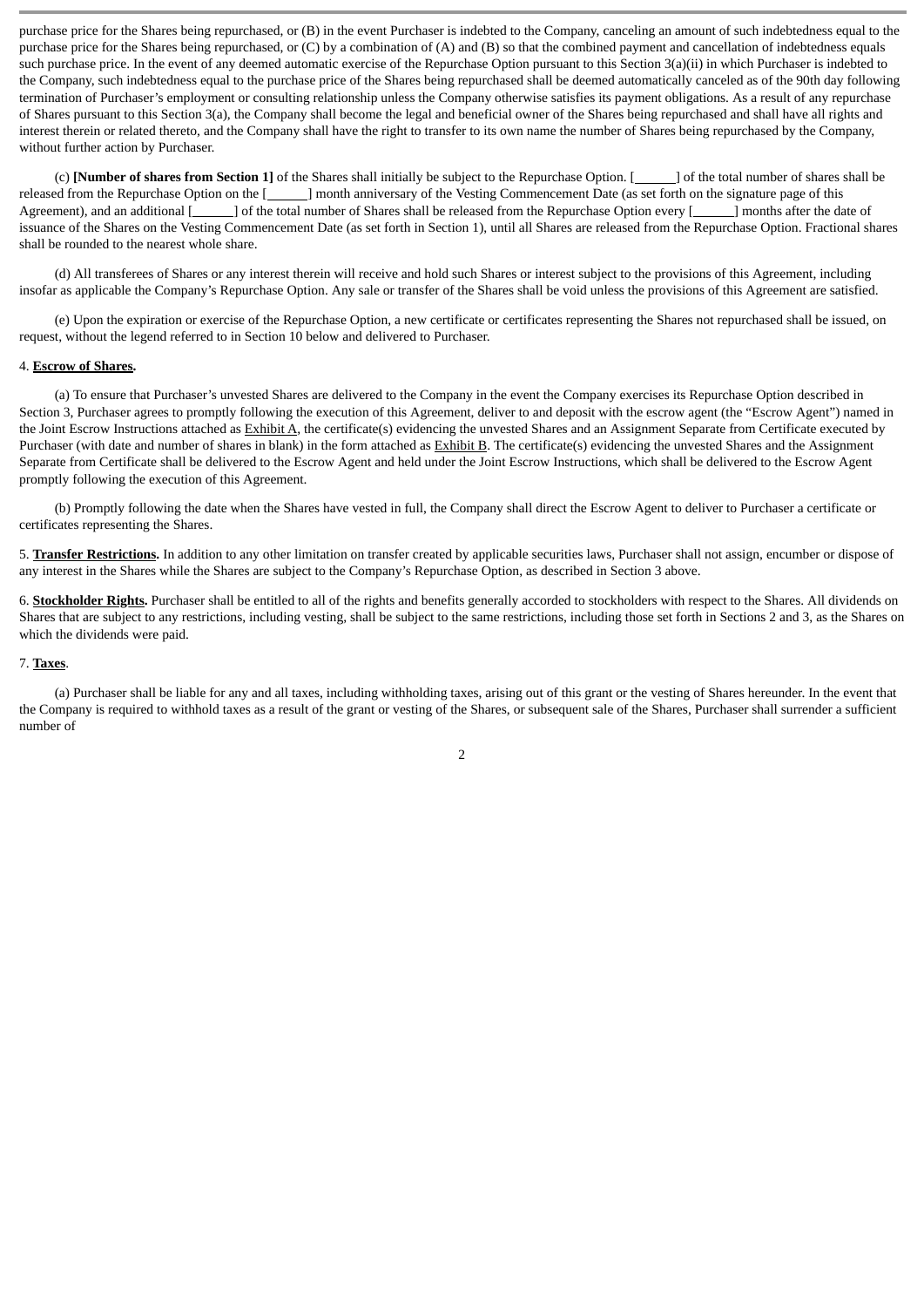purchase price for the Shares being repurchased, or (B) in the event Purchaser is indebted to the Company, canceling an amount of such indebtedness equal to the purchase price for the Shares being repurchased, or (C) by a combination of (A) and (B) so that the combined payment and cancellation of indebtedness equals such purchase price. In the event of any deemed automatic exercise of the Repurchase Option pursuant to this Section 3(a)(ii) in which Purchaser is indebted to the Company, such indebtedness equal to the purchase price of the Shares being repurchased shall be deemed automatically canceled as of the 90th day following termination of Purchaser's employment or consulting relationship unless the Company otherwise satisfies its payment obligations. As a result of any repurchase of Shares pursuant to this Section 3(a), the Company shall become the legal and beneficial owner of the Shares being repurchased and shall have all rights and interest therein or related thereto, and the Company shall have the right to transfer to its own name the number of Shares being repurchased by the Company, without further action by Purchaser.

(c) **[Number of shares from Section 1]** of the Shares shall initially be subject to the Repurchase Option. [ ] of the total number of shares shall be released from the Repurchase Option on the [**1000**] month anniversary of the Vesting Commencement Date (as set forth on the signature page of this Agreement), and an additional [ ] of the total number of Shares shall be released from the Repurchase Option every [ ] months after the date of issuance of the Shares on the Vesting Commencement Date (as set forth in Section 1), until all Shares are released from the Repurchase Option. Fractional shares shall be rounded to the nearest whole share.

(d) All transferees of Shares or any interest therein will receive and hold such Shares or interest subject to the provisions of this Agreement, including insofar as applicable the Company's Repurchase Option. Any sale or transfer of the Shares shall be void unless the provisions of this Agreement are satisfied.

(e) Upon the expiration or exercise of the Repurchase Option, a new certificate or certificates representing the Shares not repurchased shall be issued, on request, without the legend referred to in Section 10 below and delivered to Purchaser.

#### 4. **Escrow of Shares.**

(a) To ensure that Purchaser's unvested Shares are delivered to the Company in the event the Company exercises its Repurchase Option described in Section 3, Purchaser agrees to promptly following the execution of this Agreement, deliver to and deposit with the escrow agent (the "Escrow Agent") named in the Joint Escrow Instructions attached as **Exhibit A**, the certificate(s) evidencing the unvested Shares and an Assignment Separate from Certificate executed by Purchaser (with date and number of shares in blank) in the form attached as Exhibit B. The certificate(s) evidencing the unvested Shares and the Assignment Separate from Certificate shall be delivered to the Escrow Agent and held under the Joint Escrow Instructions, which shall be delivered to the Escrow Agent promptly following the execution of this Agreement.

(b) Promptly following the date when the Shares have vested in full, the Company shall direct the Escrow Agent to deliver to Purchaser a certificate or certificates representing the Shares.

5. **Transfer Restrictions.** In addition to any other limitation on transfer created by applicable securities laws, Purchaser shall not assign, encumber or dispose of any interest in the Shares while the Shares are subject to the Company's Repurchase Option, as described in Section 3 above.

6. **Stockholder Rights.** Purchaser shall be entitled to all of the rights and benefits generally accorded to stockholders with respect to the Shares. All dividends on Shares that are subject to any restrictions, including vesting, shall be subject to the same restrictions, including those set forth in Sections 2 and 3, as the Shares on which the dividends were paid.

#### 7. **Taxes**.

(a) Purchaser shall be liable for any and all taxes, including withholding taxes, arising out of this grant or the vesting of Shares hereunder. In the event that the Company is required to withhold taxes as a result of the grant or vesting of the Shares, or subsequent sale of the Shares, Purchaser shall surrender a sufficient number of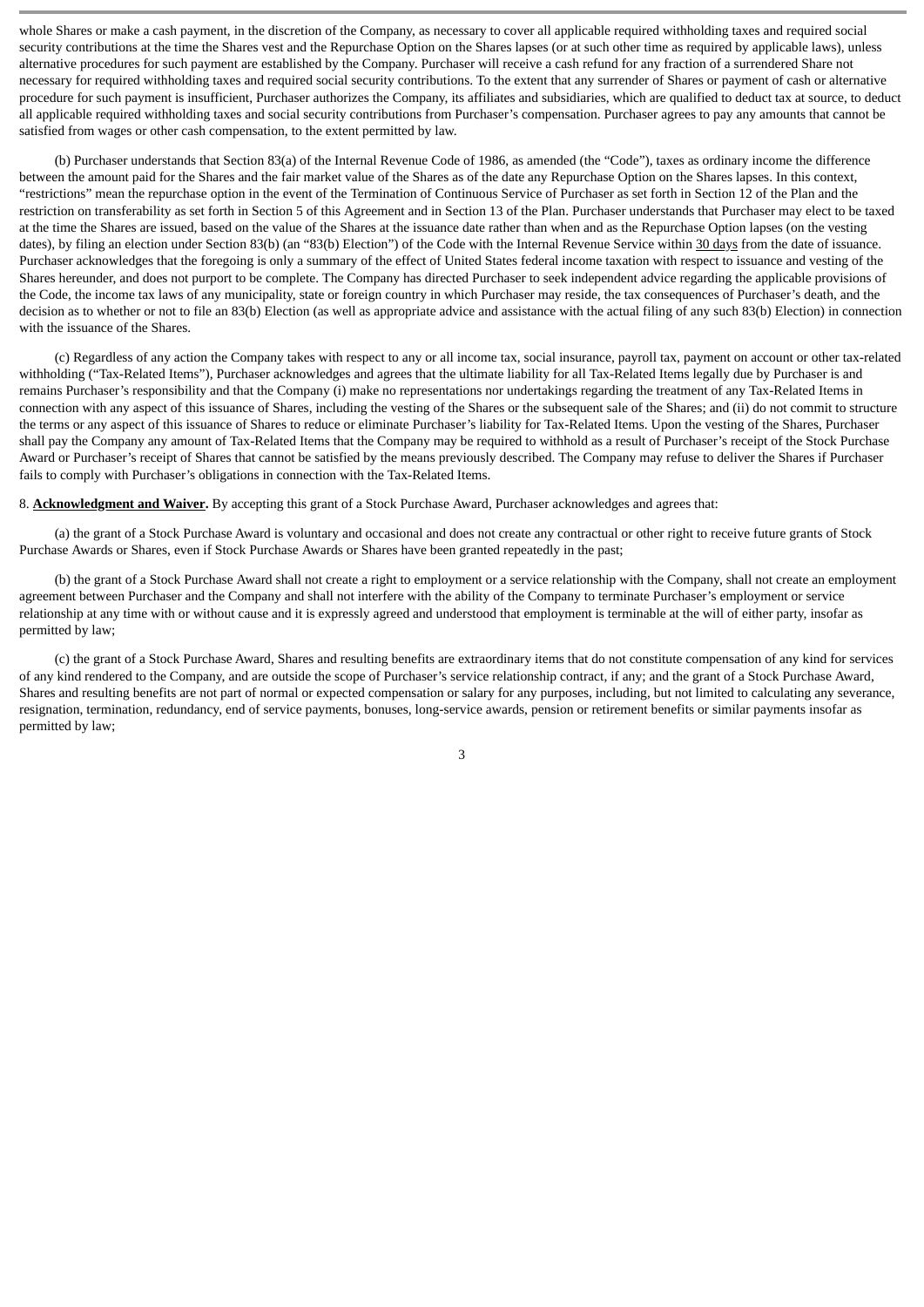whole Shares or make a cash payment, in the discretion of the Company, as necessary to cover all applicable required withholding taxes and required social security contributions at the time the Shares vest and the Repurchase Option on the Shares lapses (or at such other time as required by applicable laws), unless alternative procedures for such payment are established by the Company. Purchaser will receive a cash refund for any fraction of a surrendered Share not necessary for required withholding taxes and required social security contributions. To the extent that any surrender of Shares or payment of cash or alternative procedure for such payment is insufficient, Purchaser authorizes the Company, its affiliates and subsidiaries, which are qualified to deduct tax at source, to deduct all applicable required withholding taxes and social security contributions from Purchaser's compensation. Purchaser agrees to pay any amounts that cannot be satisfied from wages or other cash compensation, to the extent permitted by law.

(b) Purchaser understands that Section 83(a) of the Internal Revenue Code of 1986, as amended (the "Code"), taxes as ordinary income the difference between the amount paid for the Shares and the fair market value of the Shares as of the date any Repurchase Option on the Shares lapses. In this context, "restrictions" mean the repurchase option in the event of the Termination of Continuous Service of Purchaser as set forth in Section 12 of the Plan and the restriction on transferability as set forth in Section 5 of this Agreement and in Section 13 of the Plan. Purchaser understands that Purchaser may elect to be taxed at the time the Shares are issued, based on the value of the Shares at the issuance date rather than when and as the Repurchase Option lapses (on the vesting dates), by filing an election under Section 83(b) (an "83(b) Election") of the Code with the Internal Revenue Service within 30 days from the date of issuance. Purchaser acknowledges that the foregoing is only a summary of the effect of United States federal income taxation with respect to issuance and vesting of the Shares hereunder, and does not purport to be complete. The Company has directed Purchaser to seek independent advice regarding the applicable provisions of the Code, the income tax laws of any municipality, state or foreign country in which Purchaser may reside, the tax consequences of Purchaser's death, and the decision as to whether or not to file an 83(b) Election (as well as appropriate advice and assistance with the actual filing of any such 83(b) Election) in connection with the issuance of the Shares.

(c) Regardless of any action the Company takes with respect to any or all income tax, social insurance, payroll tax, payment on account or other tax-related withholding ("Tax-Related Items"), Purchaser acknowledges and agrees that the ultimate liability for all Tax-Related Items legally due by Purchaser is and remains Purchaser's responsibility and that the Company (i) make no representations nor undertakings regarding the treatment of any Tax-Related Items in connection with any aspect of this issuance of Shares, including the vesting of the Shares or the subsequent sale of the Shares; and (ii) do not commit to structure the terms or any aspect of this issuance of Shares to reduce or eliminate Purchaser's liability for Tax-Related Items. Upon the vesting of the Shares, Purchaser shall pay the Company any amount of Tax-Related Items that the Company may be required to withhold as a result of Purchaser's receipt of the Stock Purchase Award or Purchaser's receipt of Shares that cannot be satisfied by the means previously described. The Company may refuse to deliver the Shares if Purchaser fails to comply with Purchaser's obligations in connection with the Tax-Related Items.

8. **Acknowledgment and Waiver.** By accepting this grant of a Stock Purchase Award, Purchaser acknowledges and agrees that:

(a) the grant of a Stock Purchase Award is voluntary and occasional and does not create any contractual or other right to receive future grants of Stock Purchase Awards or Shares, even if Stock Purchase Awards or Shares have been granted repeatedly in the past;

(b) the grant of a Stock Purchase Award shall not create a right to employment or a service relationship with the Company, shall not create an employment agreement between Purchaser and the Company and shall not interfere with the ability of the Company to terminate Purchaser's employment or service relationship at any time with or without cause and it is expressly agreed and understood that employment is terminable at the will of either party, insofar as permitted by law;

(c) the grant of a Stock Purchase Award, Shares and resulting benefits are extraordinary items that do not constitute compensation of any kind for services of any kind rendered to the Company, and are outside the scope of Purchaser's service relationship contract, if any; and the grant of a Stock Purchase Award, Shares and resulting benefits are not part of normal or expected compensation or salary for any purposes, including, but not limited to calculating any severance, resignation, termination, redundancy, end of service payments, bonuses, long-service awards, pension or retirement benefits or similar payments insofar as permitted by law;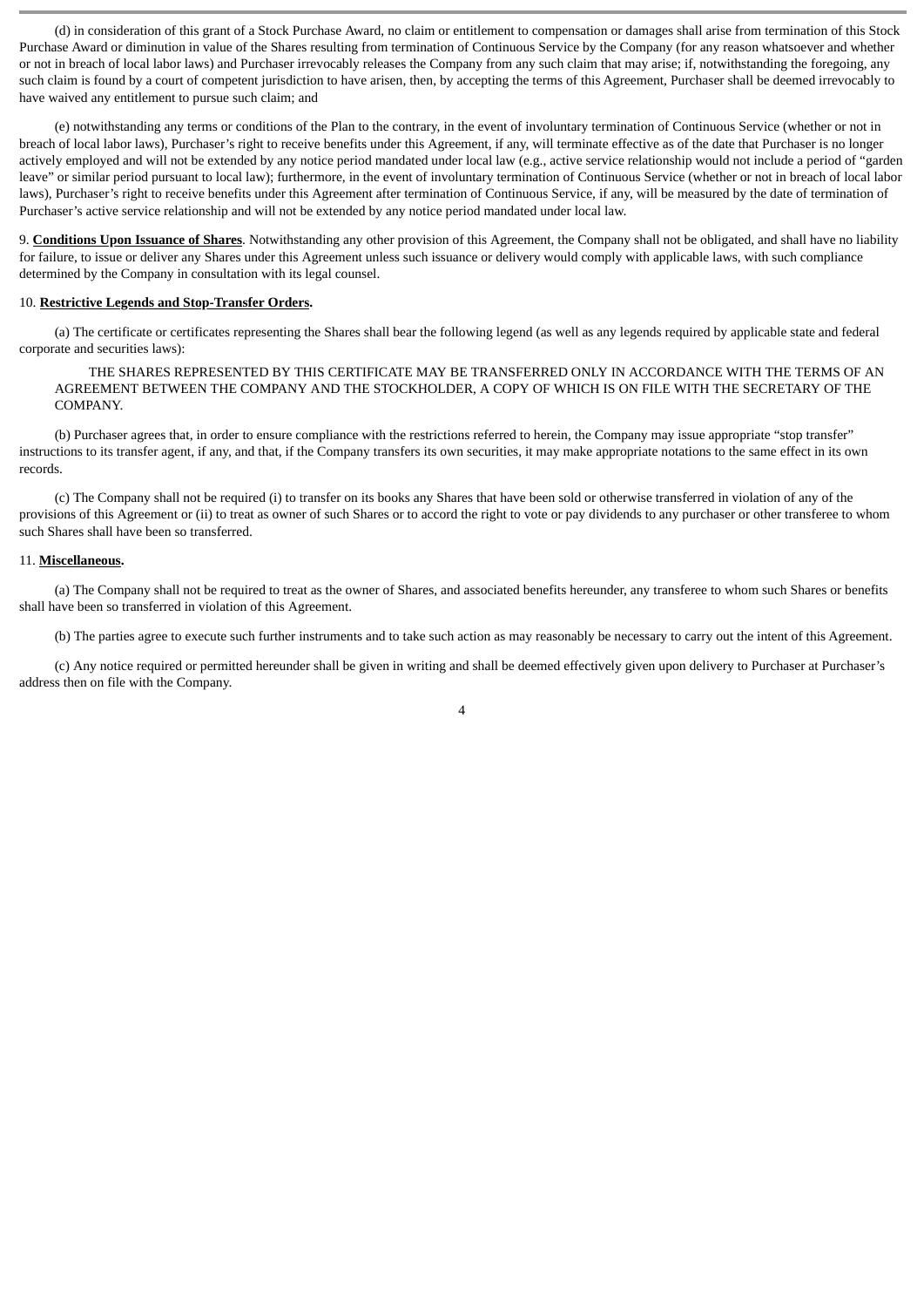(d) in consideration of this grant of a Stock Purchase Award, no claim or entitlement to compensation or damages shall arise from termination of this Stock Purchase Award or diminution in value of the Shares resulting from termination of Continuous Service by the Company (for any reason whatsoever and whether or not in breach of local labor laws) and Purchaser irrevocably releases the Company from any such claim that may arise; if, notwithstanding the foregoing, any such claim is found by a court of competent jurisdiction to have arisen, then, by accepting the terms of this Agreement, Purchaser shall be deemed irrevocably to have waived any entitlement to pursue such claim; and

(e) notwithstanding any terms or conditions of the Plan to the contrary, in the event of involuntary termination of Continuous Service (whether or not in breach of local labor laws), Purchaser's right to receive benefits under this Agreement, if any, will terminate effective as of the date that Purchaser is no longer actively employed and will not be extended by any notice period mandated under local law (e.g., active service relationship would not include a period of "garden leave" or similar period pursuant to local law); furthermore, in the event of involuntary termination of Continuous Service (whether or not in breach of local labor laws), Purchaser's right to receive benefits under this Agreement after termination of Continuous Service, if any, will be measured by the date of termination of Purchaser's active service relationship and will not be extended by any notice period mandated under local law.

9. **Conditions Upon Issuance of Shares**. Notwithstanding any other provision of this Agreement, the Company shall not be obligated, and shall have no liability for failure, to issue or deliver any Shares under this Agreement unless such issuance or delivery would comply with applicable laws, with such compliance determined by the Company in consultation with its legal counsel.

### 10. **Restrictive Legends and Stop-Transfer Orders.**

(a) The certificate or certificates representing the Shares shall bear the following legend (as well as any legends required by applicable state and federal corporate and securities laws):

THE SHARES REPRESENTED BY THIS CERTIFICATE MAY BE TRANSFERRED ONLY IN ACCORDANCE WITH THE TERMS OF AN AGREEMENT BETWEEN THE COMPANY AND THE STOCKHOLDER, A COPY OF WHICH IS ON FILE WITH THE SECRETARY OF THE COMPANY.

(b) Purchaser agrees that, in order to ensure compliance with the restrictions referred to herein, the Company may issue appropriate "stop transfer" instructions to its transfer agent, if any, and that, if the Company transfers its own securities, it may make appropriate notations to the same effect in its own records.

(c) The Company shall not be required (i) to transfer on its books any Shares that have been sold or otherwise transferred in violation of any of the provisions of this Agreement or (ii) to treat as owner of such Shares or to accord the right to vote or pay dividends to any purchaser or other transferee to whom such Shares shall have been so transferred.

#### 11. **Miscellaneous.**

(a) The Company shall not be required to treat as the owner of Shares, and associated benefits hereunder, any transferee to whom such Shares or benefits shall have been so transferred in violation of this Agreement.

(b) The parties agree to execute such further instruments and to take such action as may reasonably be necessary to carry out the intent of this Agreement.

(c) Any notice required or permitted hereunder shall be given in writing and shall be deemed effectively given upon delivery to Purchaser at Purchaser's address then on file with the Company.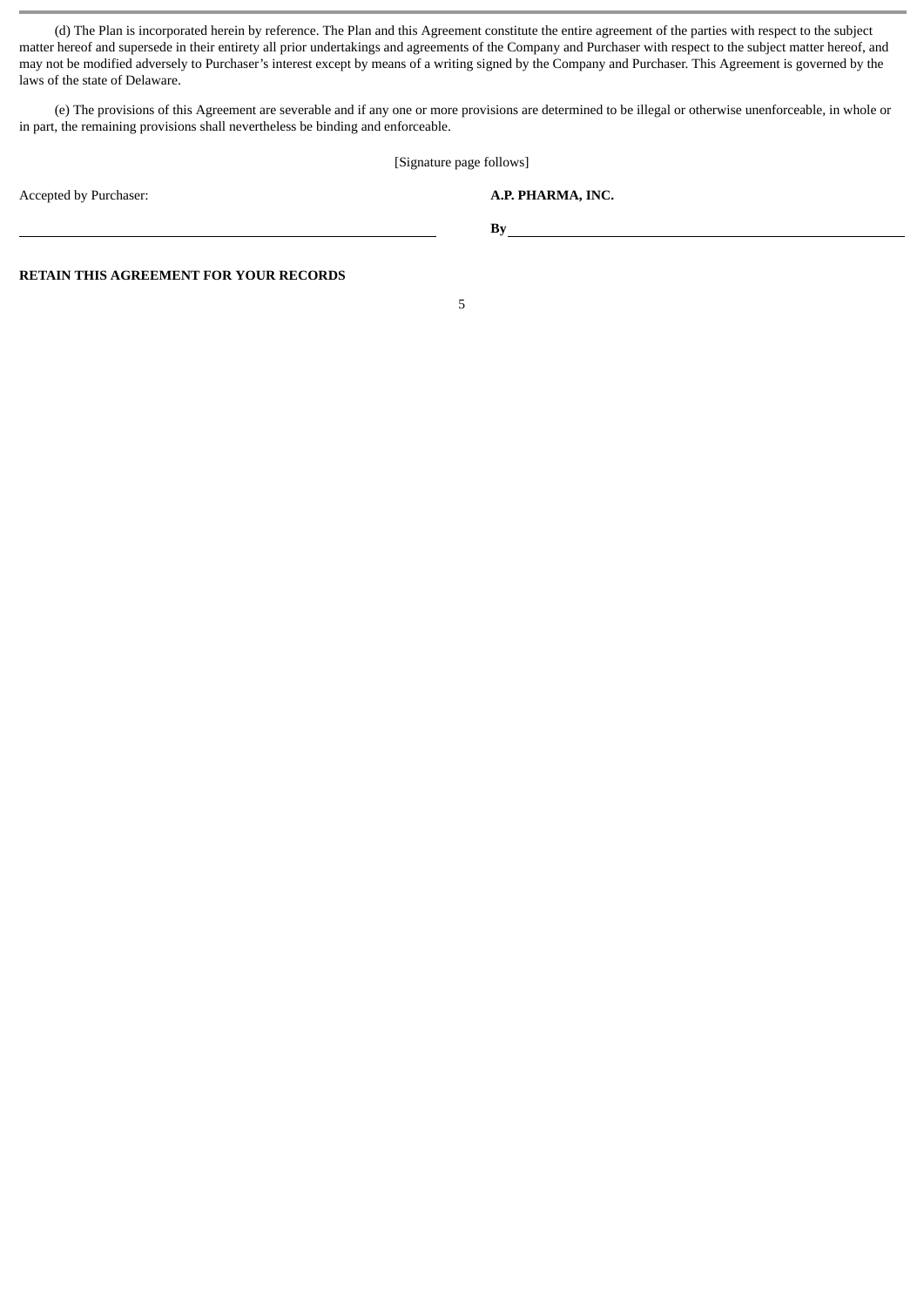(d) The Plan is incorporated herein by reference. The Plan and this Agreement constitute the entire agreement of the parties with respect to the subject matter hereof and supersede in their entirety all prior undertakings and agreements of the Company and Purchaser with respect to the subject matter hereof, and may not be modified adversely to Purchaser's interest except by means of a writing signed by the Company and Purchaser. This Agreement is governed by the laws of the state of Delaware.

(e) The provisions of this Agreement are severable and if any one or more provisions are determined to be illegal or otherwise unenforceable, in whole or in part, the remaining provisions shall nevertheless be binding and enforceable.

[Signature page follows]

**By**

Accepted by Purchaser: **A.P. PHARMA, INC.**

**RETAIN THIS AGREEMENT FOR YOUR RECORDS**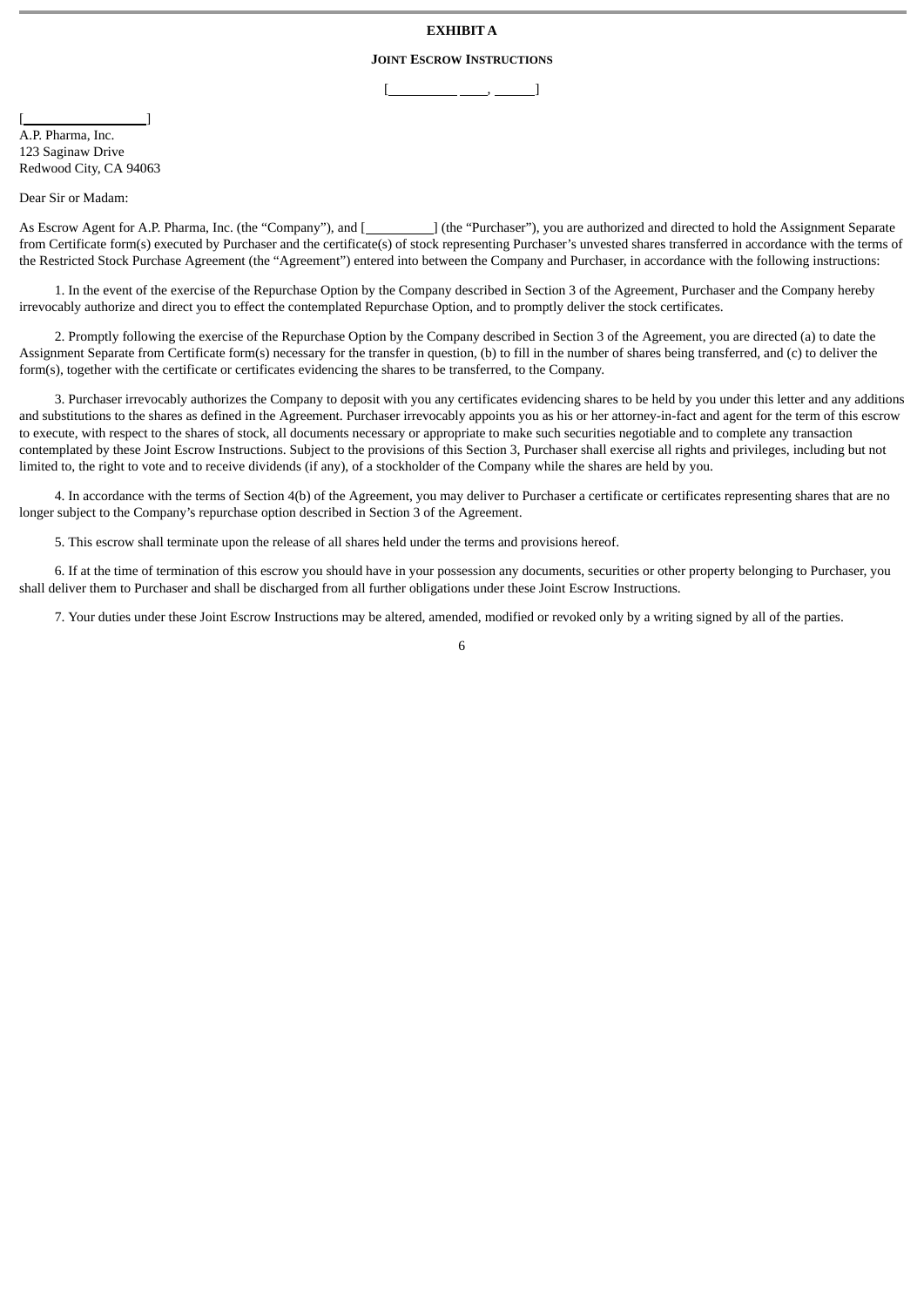## **EXHIBIT A**

# **JOINT ESCROW INSTRUCTIONS**  $[\underline{\hspace{1cm}}, \underline{\hspace{1cm}}, \underline{\hspace{1cm}}]$

 $[$   $]$ A.P. Pharma, Inc. 123 Saginaw Drive Redwood City, CA 94063

Dear Sir or Madam:

As Escrow Agent for A.P. Pharma, Inc. (the "Company"), and [ ] (the "Purchaser"), you are authorized and directed to hold the Assignment Separate from Certificate form(s) executed by Purchaser and the certificate(s) of stock representing Purchaser's unvested shares transferred in accordance with the terms of the Restricted Stock Purchase Agreement (the "Agreement") entered into between the Company and Purchaser, in accordance with the following instructions:

1. In the event of the exercise of the Repurchase Option by the Company described in Section 3 of the Agreement, Purchaser and the Company hereby irrevocably authorize and direct you to effect the contemplated Repurchase Option, and to promptly deliver the stock certificates.

2. Promptly following the exercise of the Repurchase Option by the Company described in Section 3 of the Agreement, you are directed (a) to date the Assignment Separate from Certificate form(s) necessary for the transfer in question, (b) to fill in the number of shares being transferred, and (c) to deliver the form(s), together with the certificate or certificates evidencing the shares to be transferred, to the Company.

3. Purchaser irrevocably authorizes the Company to deposit with you any certificates evidencing shares to be held by you under this letter and any additions and substitutions to the shares as defined in the Agreement. Purchaser irrevocably appoints you as his or her attorney-in-fact and agent for the term of this escrow to execute, with respect to the shares of stock, all documents necessary or appropriate to make such securities negotiable and to complete any transaction contemplated by these Joint Escrow Instructions. Subject to the provisions of this Section 3, Purchaser shall exercise all rights and privileges, including but not limited to, the right to vote and to receive dividends (if any), of a stockholder of the Company while the shares are held by you.

4. In accordance with the terms of Section 4(b) of the Agreement, you may deliver to Purchaser a certificate or certificates representing shares that are no longer subject to the Company's repurchase option described in Section 3 of the Agreement.

5. This escrow shall terminate upon the release of all shares held under the terms and provisions hereof.

6. If at the time of termination of this escrow you should have in your possession any documents, securities or other property belonging to Purchaser, you shall deliver them to Purchaser and shall be discharged from all further obligations under these Joint Escrow Instructions.

7. Your duties under these Joint Escrow Instructions may be altered, amended, modified or revoked only by a writing signed by all of the parties.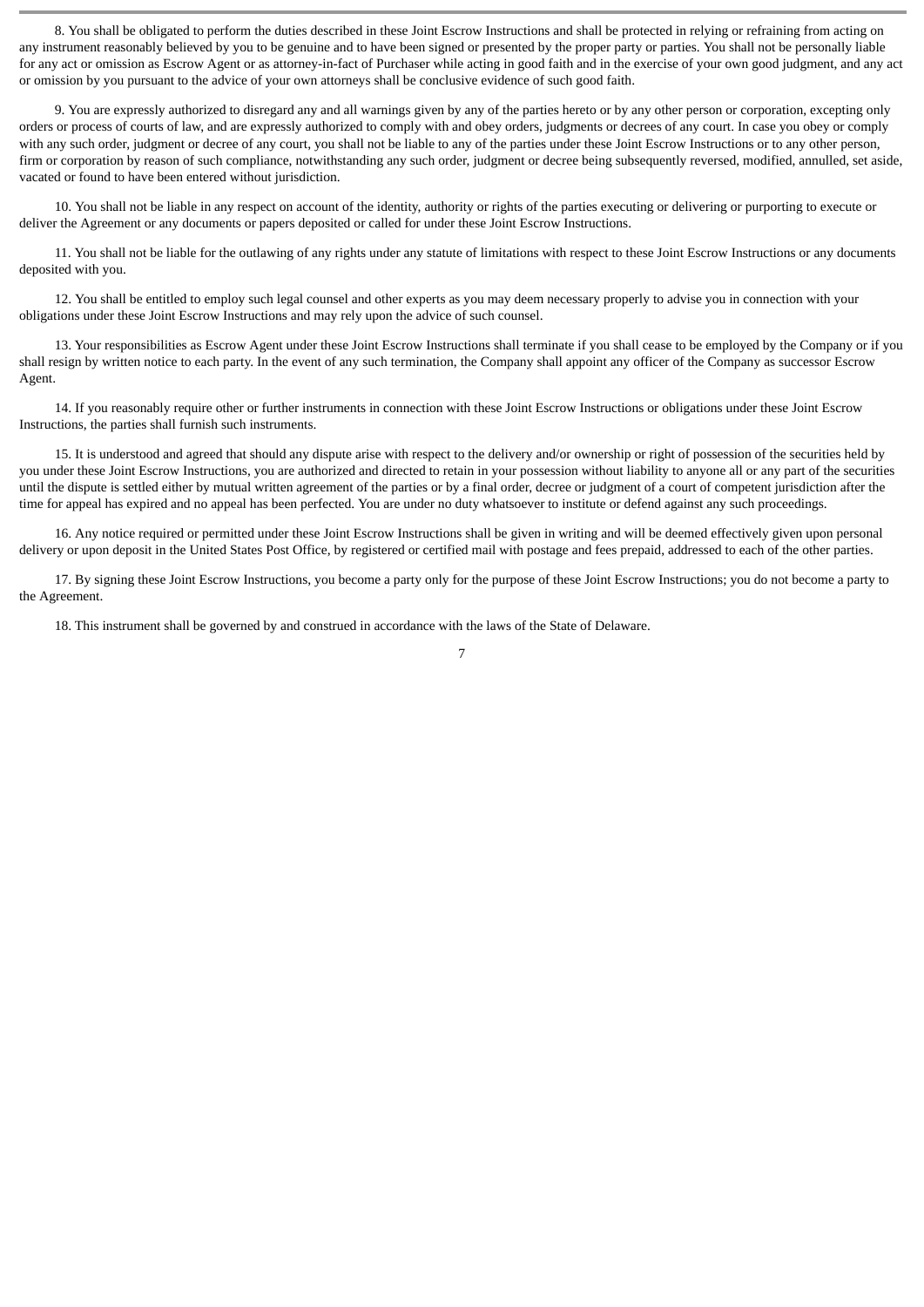8. You shall be obligated to perform the duties described in these Joint Escrow Instructions and shall be protected in relying or refraining from acting on any instrument reasonably believed by you to be genuine and to have been signed or presented by the proper party or parties. You shall not be personally liable for any act or omission as Escrow Agent or as attorney-in-fact of Purchaser while acting in good faith and in the exercise of your own good judgment, and any act or omission by you pursuant to the advice of your own attorneys shall be conclusive evidence of such good faith.

9. You are expressly authorized to disregard any and all warnings given by any of the parties hereto or by any other person or corporation, excepting only orders or process of courts of law, and are expressly authorized to comply with and obey orders, judgments or decrees of any court. In case you obey or comply with any such order, judgment or decree of any court, you shall not be liable to any of the parties under these Joint Escrow Instructions or to any other person, firm or corporation by reason of such compliance, notwithstanding any such order, judgment or decree being subsequently reversed, modified, annulled, set aside, vacated or found to have been entered without jurisdiction.

10. You shall not be liable in any respect on account of the identity, authority or rights of the parties executing or delivering or purporting to execute or deliver the Agreement or any documents or papers deposited or called for under these Joint Escrow Instructions.

11. You shall not be liable for the outlawing of any rights under any statute of limitations with respect to these Joint Escrow Instructions or any documents deposited with you.

12. You shall be entitled to employ such legal counsel and other experts as you may deem necessary properly to advise you in connection with your obligations under these Joint Escrow Instructions and may rely upon the advice of such counsel.

13. Your responsibilities as Escrow Agent under these Joint Escrow Instructions shall terminate if you shall cease to be employed by the Company or if you shall resign by written notice to each party. In the event of any such termination, the Company shall appoint any officer of the Company as successor Escrow Agent.

14. If you reasonably require other or further instruments in connection with these Joint Escrow Instructions or obligations under these Joint Escrow Instructions, the parties shall furnish such instruments.

15. It is understood and agreed that should any dispute arise with respect to the delivery and/or ownership or right of possession of the securities held by you under these Joint Escrow Instructions, you are authorized and directed to retain in your possession without liability to anyone all or any part of the securities until the dispute is settled either by mutual written agreement of the parties or by a final order, decree or judgment of a court of competent jurisdiction after the time for appeal has expired and no appeal has been perfected. You are under no duty whatsoever to institute or defend against any such proceedings.

16. Any notice required or permitted under these Joint Escrow Instructions shall be given in writing and will be deemed effectively given upon personal delivery or upon deposit in the United States Post Office, by registered or certified mail with postage and fees prepaid, addressed to each of the other parties.

17. By signing these Joint Escrow Instructions, you become a party only for the purpose of these Joint Escrow Instructions; you do not become a party to the Agreement.

18. This instrument shall be governed by and construed in accordance with the laws of the State of Delaware.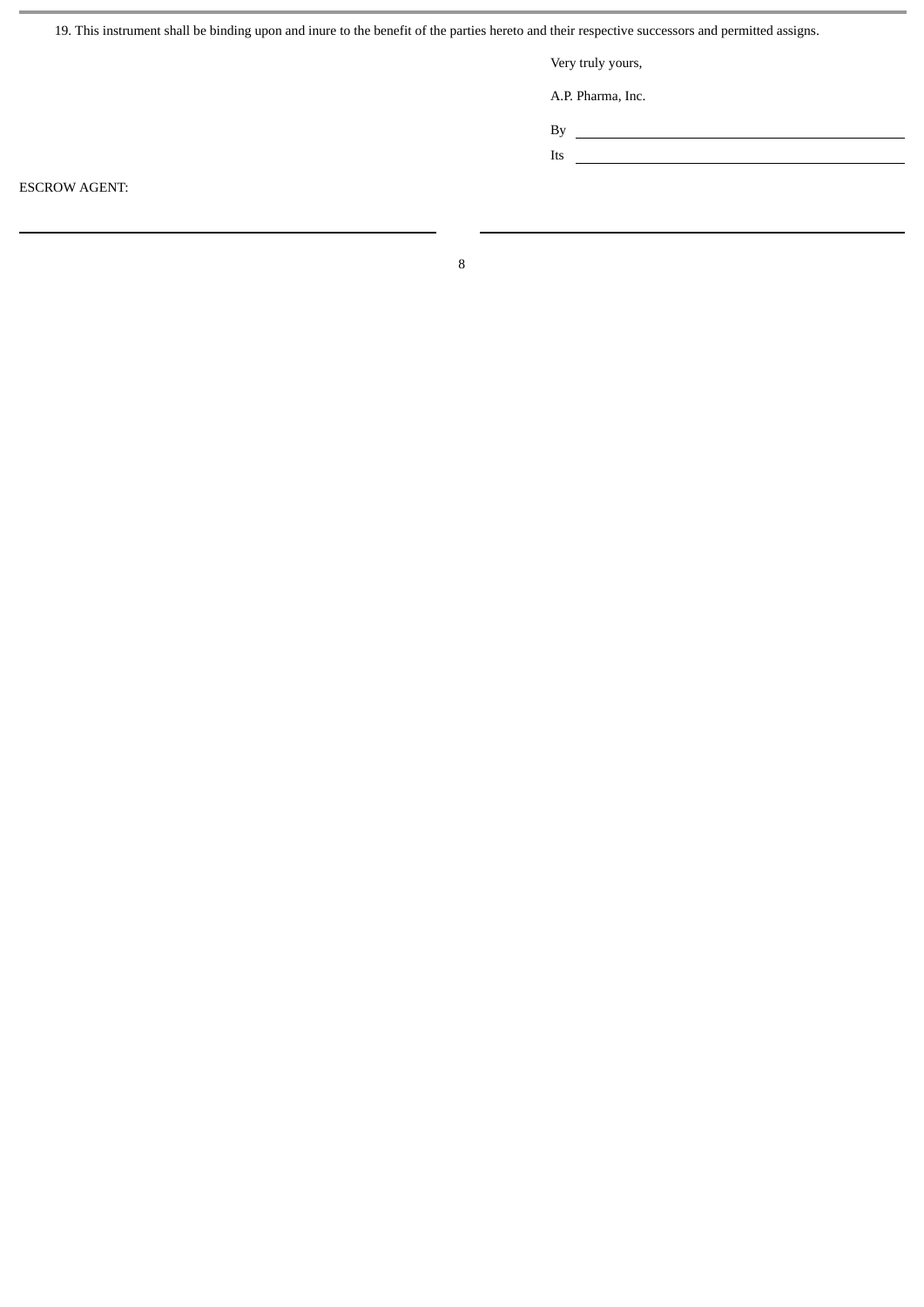19. This instrument shall be binding upon and inure to the benefit of the parties hereto and their respective successors and permitted assigns.

Very truly yours,

A.P. Pharma, Inc.

By **such and the set of the set of the set of the set of the set of the set of the set of the set of the set of the set of the set of the set of the set of the set of the set of the set of the set of the set of the set of** 

Its <u> 1989 - Johann Barn, mars et al. (</u>

ESCROW AGENT: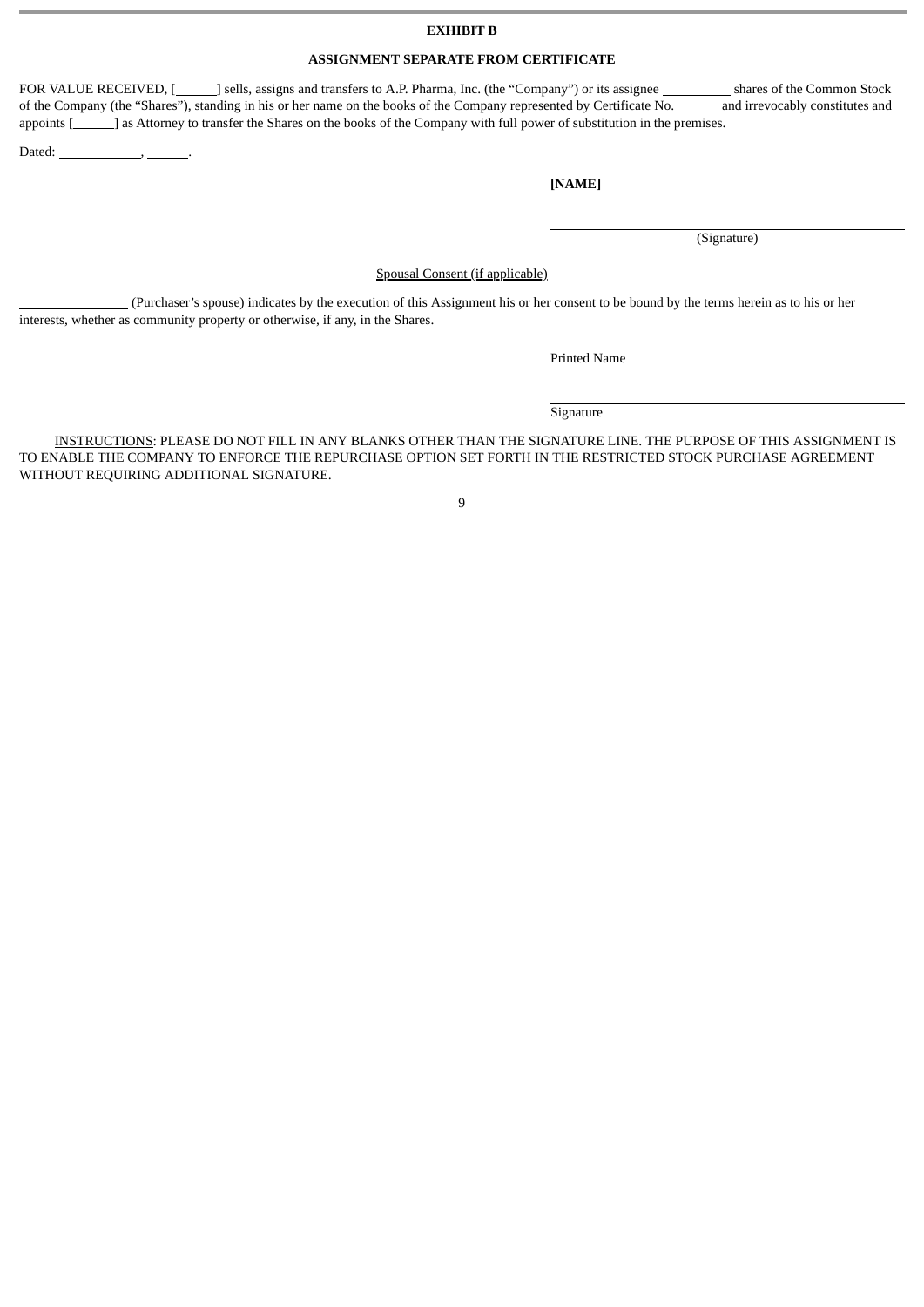## **EXHIBIT B**

# **ASSIGNMENT SEPARATE FROM CERTIFICATE**

FOR VALUE RECEIVED, [**bells**, assigns and transfers to A.P. Pharma, Inc. (the "Company") or its assignee **Shares of the Common Stock** of the Company (the "Shares"), standing in his or her name on the books of the Company represented by Certificate No. \_\_\_\_\_\_\_ and irrevocably constitutes and appoints [\_\_\_\_\_\_] as Attorney to transfer the Shares on the books of the Company with full power of substitution in the premises.

Dated:  $\qquad \qquad ,$ 

## **[NAME]**

(Signature)

Spousal Consent (if applicable)

 (Purchaser's spouse) indicates by the execution of this Assignment his or her consent to be bound by the terms herein as to his or her interests, whether as community property or otherwise, if any, in the Shares.

Printed Name

**Signature** 

INSTRUCTIONS: PLEASE DO NOT FILL IN ANY BLANKS OTHER THAN THE SIGNATURE LINE. THE PURPOSE OF THIS ASSIGNMENT IS TO ENABLE THE COMPANY TO ENFORCE THE REPURCHASE OPTION SET FORTH IN THE RESTRICTED STOCK PURCHASE AGREEMENT WITHOUT REQUIRING ADDITIONAL SIGNATURE.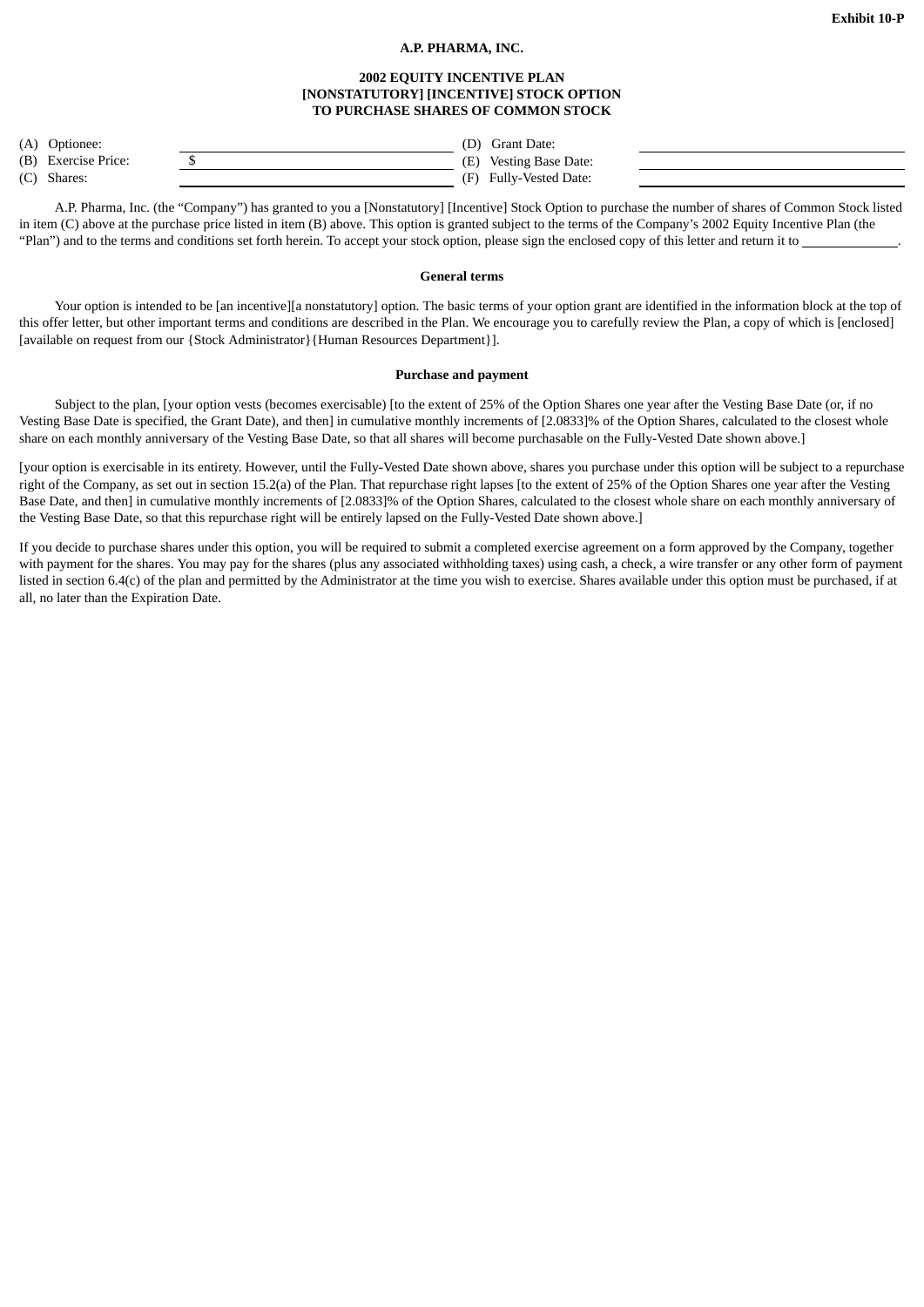# **A.P. PHARMA, INC.**

## **2002 EQUITY INCENTIVE PLAN [NONSTATUTORY] [INCENTIVE] STOCK OPTION TO PURCHASE SHARES OF COMMON STOCK**

| (A) | Optionee: |
|-----|-----------|
|     |           |

 $(D)$  Grant Date:

| (B) Exercise Price: |  |        | (E) Vesting Base Date: |  |
|---------------------|--|--------|------------------------|--|
|                     |  | ______ |                        |  |

(C) Shares: (F) Fully-Vested Date:

A.P. Pharma, Inc. (the "Company") has granted to you a [Nonstatutory] [Incentive] Stock Option to purchase the number of shares of Common Stock listed in item (C) above at the purchase price listed in item (B) above. This option is granted subject to the terms of the Company's 2002 Equity Incentive Plan (the "Plan") and to the terms and conditions set forth herein. To accept your stock option, please sign the enclosed copy of this letter and return it to

#### **General terms**

Your option is intended to be [an incentive][a nonstatutory] option. The basic terms of your option grant are identified in the information block at the top of this offer letter, but other important terms and conditions are described in the Plan. We encourage you to carefully review the Plan, a copy of which is [enclosed] [available on request from our {Stock Administrator}{Human Resources Department}].

#### **Purchase and payment**

Subject to the plan, [your option vests (becomes exercisable) [to the extent of 25% of the Option Shares one year after the Vesting Base Date (or, if no Vesting Base Date is specified, the Grant Date), and then] in cumulative monthly increments of [2.0833]% of the Option Shares, calculated to the closest whole share on each monthly anniversary of the Vesting Base Date, so that all shares will become purchasable on the Fully-Vested Date shown above.]

[your option is exercisable in its entirety. However, until the Fully-Vested Date shown above, shares you purchase under this option will be subject to a repurchase right of the Company, as set out in section 15.2(a) of the Plan. That repurchase right lapses [to the extent of 25% of the Option Shares one year after the Vesting Base Date, and then] in cumulative monthly increments of [2.0833]% of the Option Shares, calculated to the closest whole share on each monthly anniversary of the Vesting Base Date, so that this repurchase right will be entirely lapsed on the Fully-Vested Date shown above.]

If you decide to purchase shares under this option, you will be required to submit a completed exercise agreement on a form approved by the Company, together with payment for the shares. You may pay for the shares (plus any associated withholding taxes) using cash, a check, a wire transfer or any other form of payment listed in section 6.4(c) of the plan and permitted by the Administrator at the time you wish to exercise. Shares available under this option must be purchased, if at all, no later than the Expiration Date.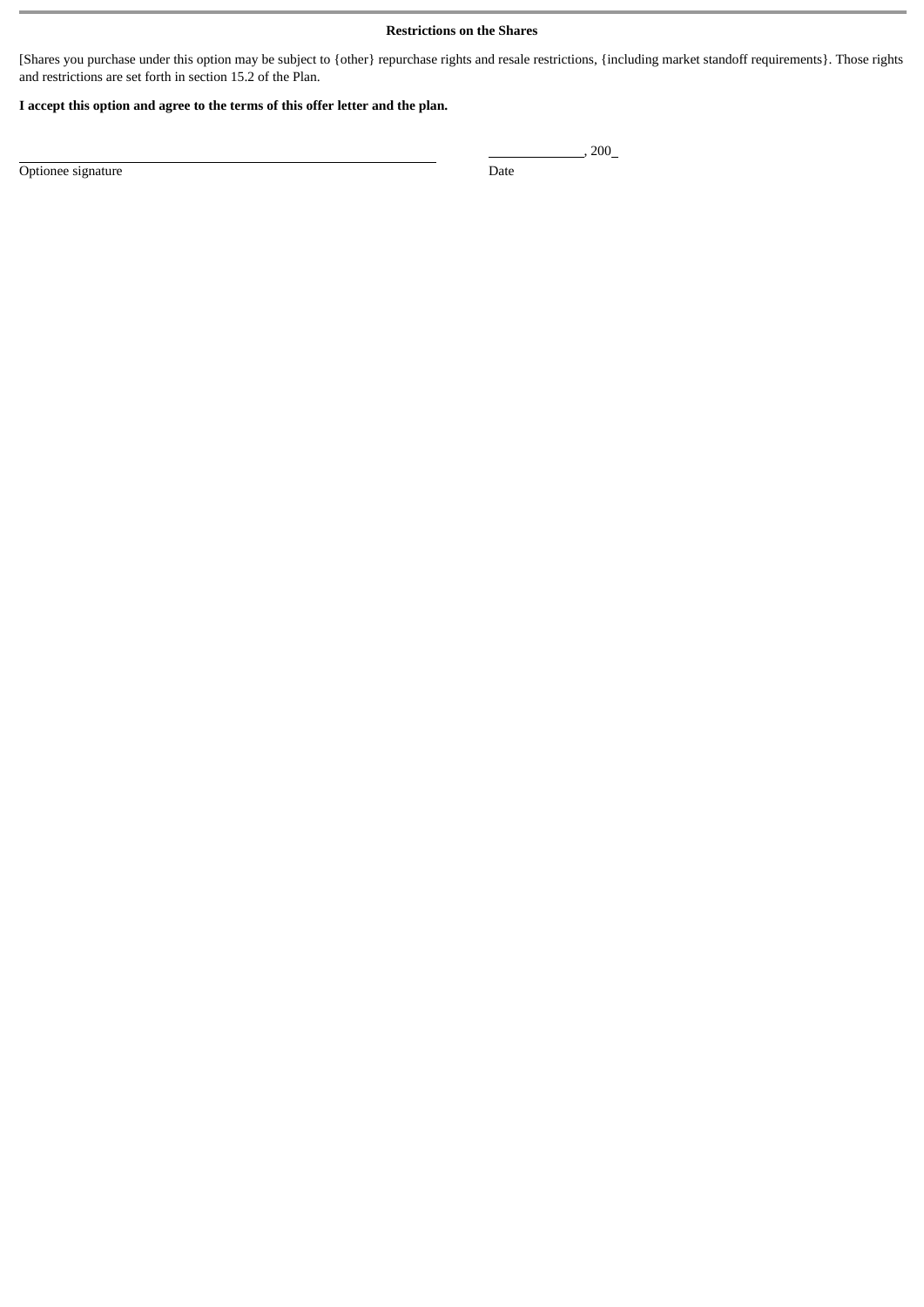# **Restrictions on the Shares**

[Shares you purchase under this option may be subject to {other} repurchase rights and resale restrictions, {including market standoff requirements}. Those rights and restrictions are set forth in section 15.2 of the Plan.

# **I accept this option and agree to the terms of this offer letter and the plan.**

Optionee signature Date

, 200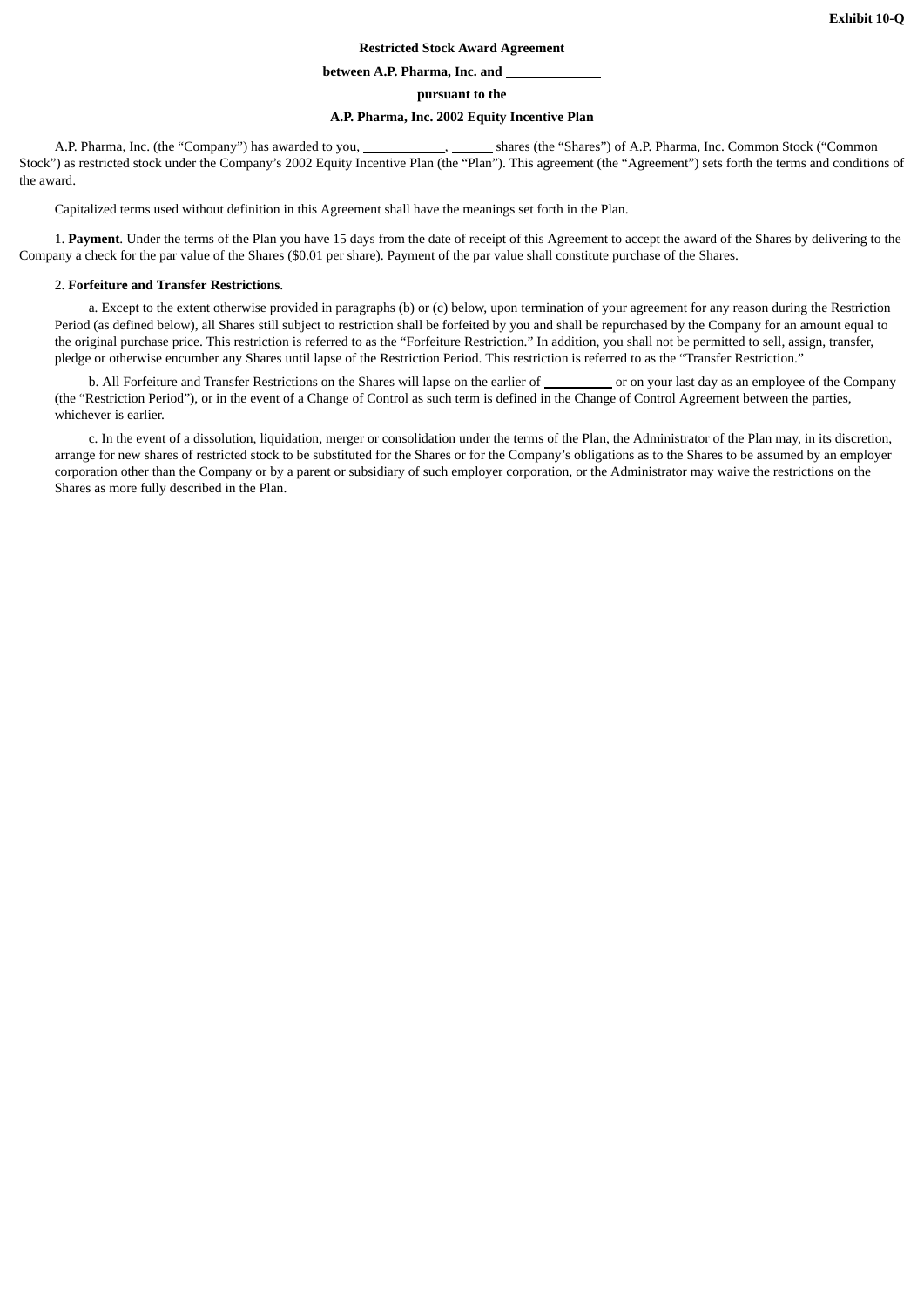## **Restricted Stock Award Agreement**

#### **between A.P. Pharma, Inc. and**

**pursuant to the**

## **A.P. Pharma, Inc. 2002 Equity Incentive Plan**

A.P. Pharma, Inc. (the "Company") has awarded to you, shares (the "Shares") of A.P. Pharma, Inc. Common Stock ("Common Stock") as restricted stock under the Company's 2002 Equity Incentive Plan (the "Plan"). This agreement (the "Agreement") sets forth the terms and conditions of the award.

Capitalized terms used without definition in this Agreement shall have the meanings set forth in the Plan.

1. **Payment**. Under the terms of the Plan you have 15 days from the date of receipt of this Agreement to accept the award of the Shares by delivering to the Company a check for the par value of the Shares (\$0.01 per share). Payment of the par value shall constitute purchase of the Shares.

#### 2. **Forfeiture and Transfer Restrictions**.

a. Except to the extent otherwise provided in paragraphs (b) or (c) below, upon termination of your agreement for any reason during the Restriction Period (as defined below), all Shares still subject to restriction shall be forfeited by you and shall be repurchased by the Company for an amount equal to the original purchase price. This restriction is referred to as the "Forfeiture Restriction." In addition, you shall not be permitted to sell, assign, transfer, pledge or otherwise encumber any Shares until lapse of the Restriction Period. This restriction is referred to as the "Transfer Restriction."

b. All Forfeiture and Transfer Restrictions on the Shares will lapse on the earlier of or on your last day as an employee of the Company (the "Restriction Period"), or in the event of a Change of Control as such term is defined in the Change of Control Agreement between the parties, whichever is earlier.

c. In the event of a dissolution, liquidation, merger or consolidation under the terms of the Plan, the Administrator of the Plan may, in its discretion, arrange for new shares of restricted stock to be substituted for the Shares or for the Company's obligations as to the Shares to be assumed by an employer corporation other than the Company or by a parent or subsidiary of such employer corporation, or the Administrator may waive the restrictions on the Shares as more fully described in the Plan.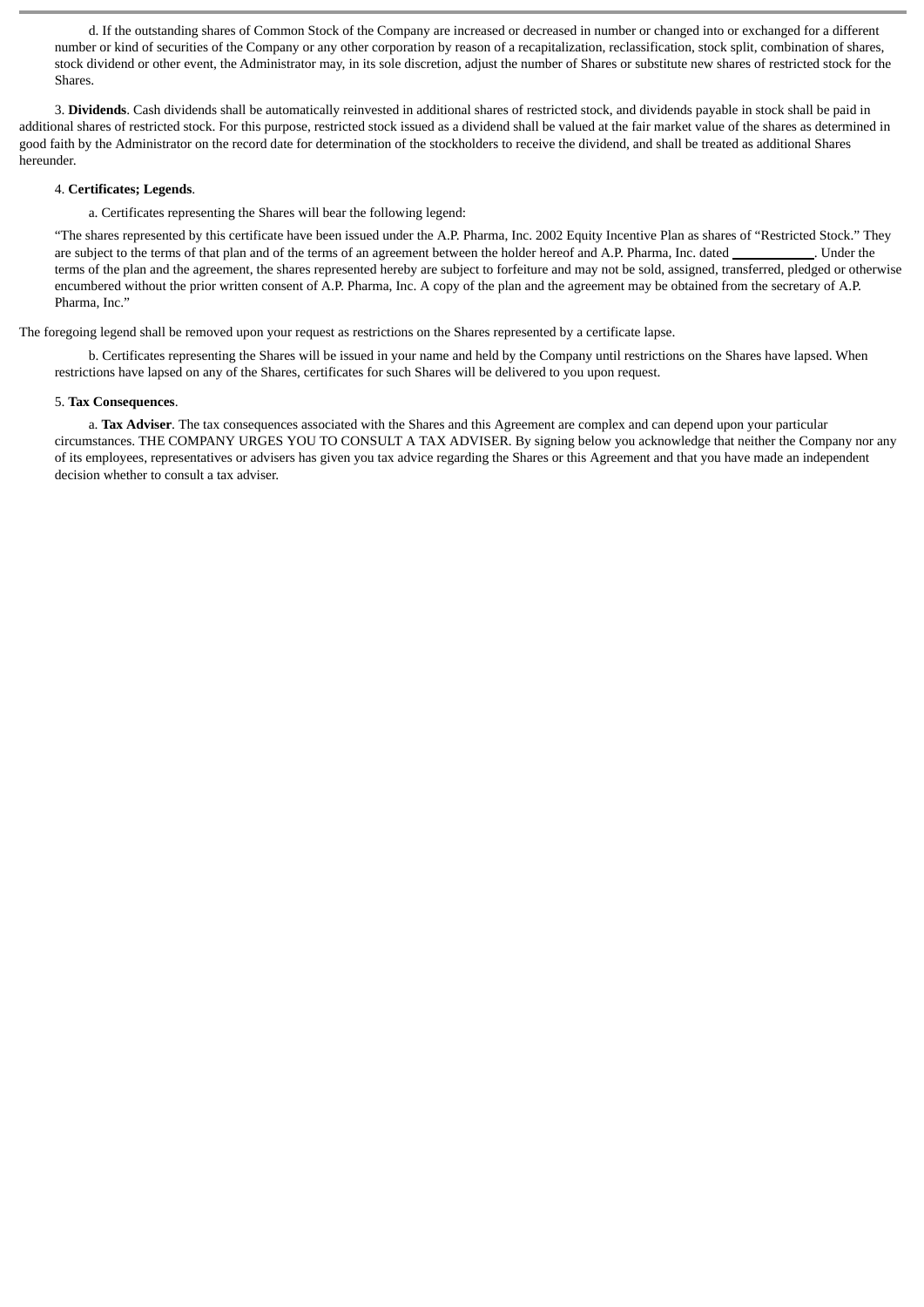d. If the outstanding shares of Common Stock of the Company are increased or decreased in number or changed into or exchanged for a different number or kind of securities of the Company or any other corporation by reason of a recapitalization, reclassification, stock split, combination of shares, stock dividend or other event, the Administrator may, in its sole discretion, adjust the number of Shares or substitute new shares of restricted stock for the Shares.

3. **Dividends**. Cash dividends shall be automatically reinvested in additional shares of restricted stock, and dividends payable in stock shall be paid in additional shares of restricted stock. For this purpose, restricted stock issued as a dividend shall be valued at the fair market value of the shares as determined in good faith by the Administrator on the record date for determination of the stockholders to receive the dividend, and shall be treated as additional Shares hereunder.

#### 4. **Certificates; Legends**.

a. Certificates representing the Shares will bear the following legend:

"The shares represented by this certificate have been issued under the A.P. Pharma, Inc. 2002 Equity Incentive Plan as shares of "Restricted Stock." They are subject to the terms of that plan and of the terms of an agreement between the holder hereof and A.P. Pharma, Inc. dated . Under the terms of the plan and the agreement, the shares represented hereby are subject to forfeiture and may not be sold, assigned, transferred, pledged or otherwise encumbered without the prior written consent of A.P. Pharma, Inc. A copy of the plan and the agreement may be obtained from the secretary of A.P. Pharma, Inc."

The foregoing legend shall be removed upon your request as restrictions on the Shares represented by a certificate lapse.

b. Certificates representing the Shares will be issued in your name and held by the Company until restrictions on the Shares have lapsed. When restrictions have lapsed on any of the Shares, certificates for such Shares will be delivered to you upon request.

## 5. **Tax Consequences**.

a. **Tax Adviser**. The tax consequences associated with the Shares and this Agreement are complex and can depend upon your particular circumstances. THE COMPANY URGES YOU TO CONSULT A TAX ADVISER. By signing below you acknowledge that neither the Company nor any of its employees, representatives or advisers has given you tax advice regarding the Shares or this Agreement and that you have made an independent decision whether to consult a tax adviser.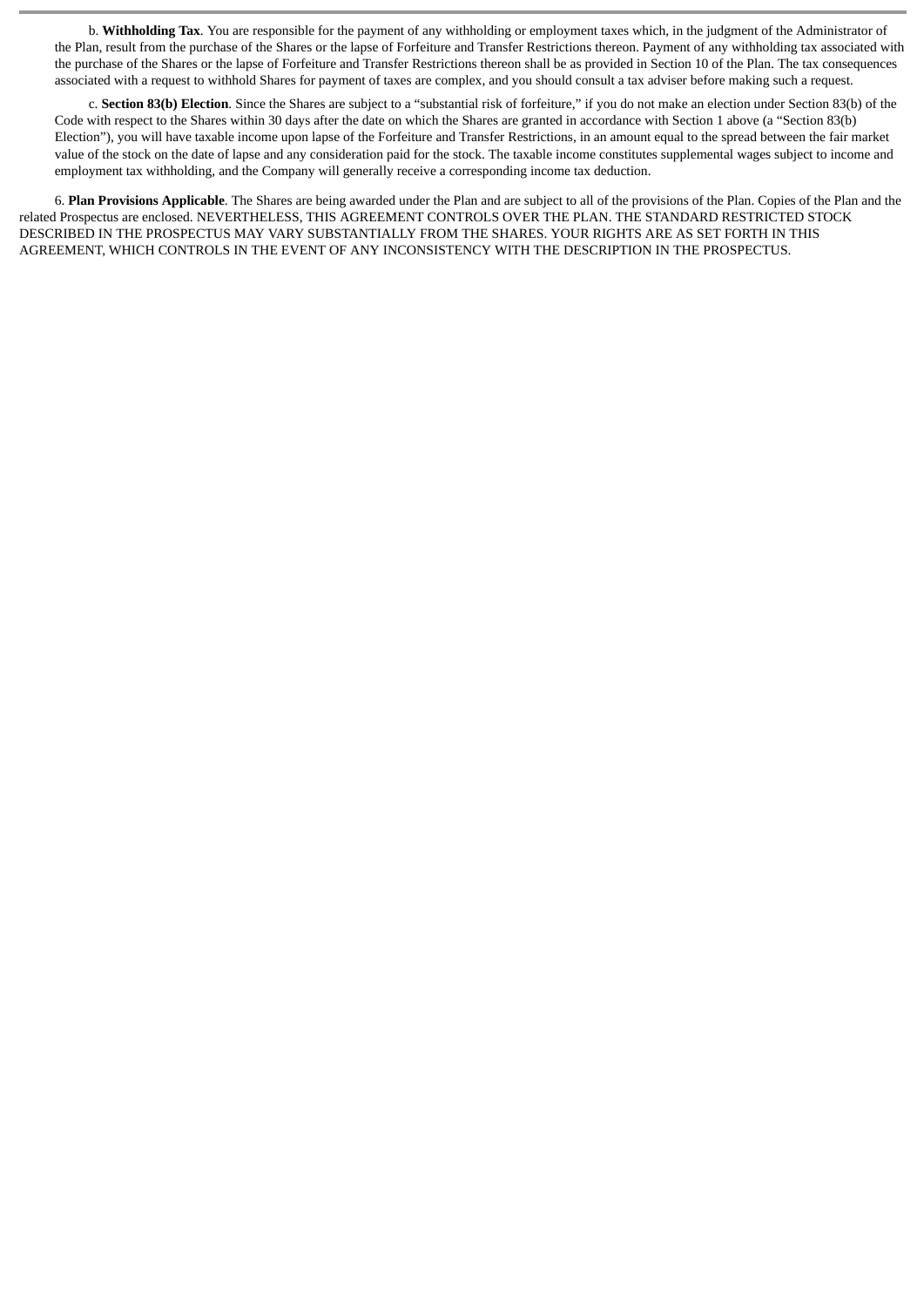b. **Withholding Tax**. You are responsible for the payment of any withholding or employment taxes which, in the judgment of the Administrator of the Plan, result from the purchase of the Shares or the lapse of Forfeiture and Transfer Restrictions thereon. Payment of any withholding tax associated with the purchase of the Shares or the lapse of Forfeiture and Transfer Restrictions thereon shall be as provided in Section 10 of the Plan. The tax consequences associated with a request to withhold Shares for payment of taxes are complex, and you should consult a tax adviser before making such a request.

c. **Section 83(b) Election**. Since the Shares are subject to a "substantial risk of forfeiture," if you do not make an election under Section 83(b) of the Code with respect to the Shares within 30 days after the date on which the Shares are granted in accordance with Section 1 above (a "Section 83(b) Election"), you will have taxable income upon lapse of the Forfeiture and Transfer Restrictions, in an amount equal to the spread between the fair market value of the stock on the date of lapse and any consideration paid for the stock. The taxable income constitutes supplemental wages subject to income and employment tax withholding, and the Company will generally receive a corresponding income tax deduction.

6. **Plan Provisions Applicable**. The Shares are being awarded under the Plan and are subject to all of the provisions of the Plan. Copies of the Plan and the related Prospectus are enclosed. NEVERTHELESS, THIS AGREEMENT CONTROLS OVER THE PLAN. THE STANDARD RESTRICTED STOCK DESCRIBED IN THE PROSPECTUS MAY VARY SUBSTANTIALLY FROM THE SHARES. YOUR RIGHTS ARE AS SET FORTH IN THIS AGREEMENT, WHICH CONTROLS IN THE EVENT OF ANY INCONSISTENCY WITH THE DESCRIPTION IN THE PROSPECTUS.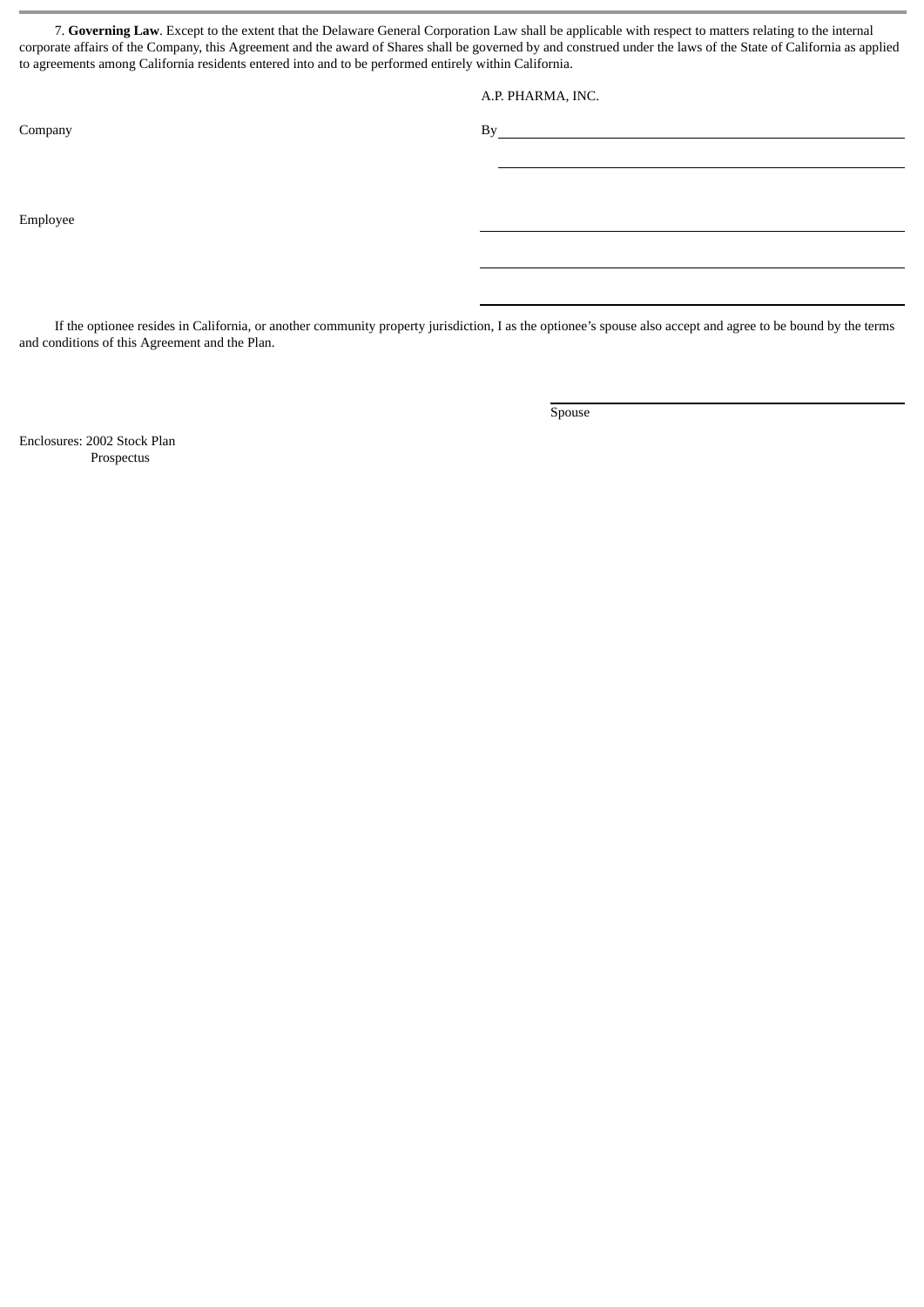7. **Governing Law**. Except to the extent that the Delaware General Corporation Law shall be applicable with respect to matters relating to the internal corporate affairs of the Company, this Agreement and the award of Shares shall be governed by and construed under the laws of the State of California as applied to agreements among California residents entered into and to be performed entirely within California.

A.P. PHARMA, INC.

Company By

Employee

If the optionee resides in California, or another community property jurisdiction, I as the optionee's spouse also accept and agree to be bound by the terms and conditions of this Agreement and the Plan.

Spouse

Enclosures: 2002 Stock Plan Prospectus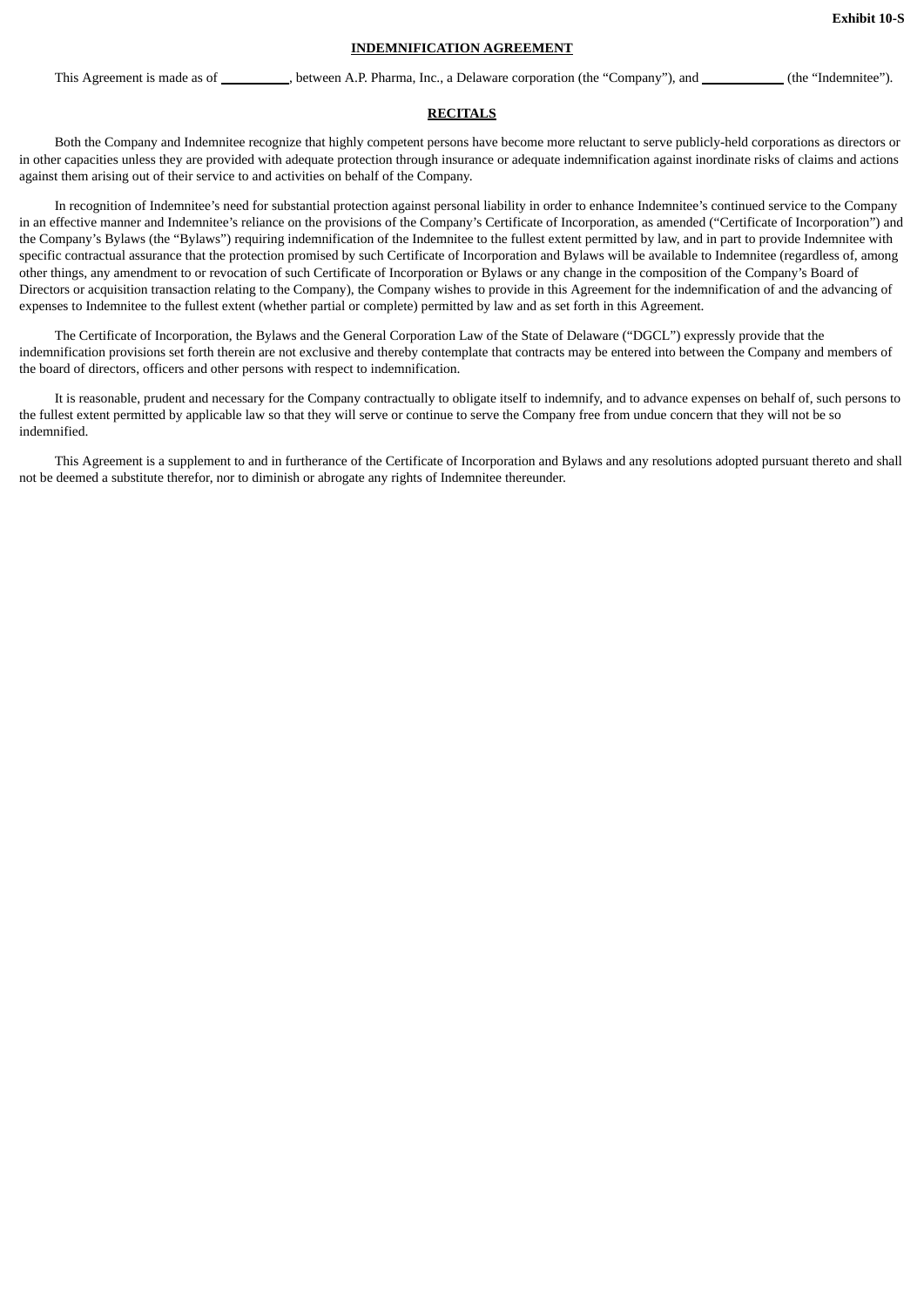# **INDEMNIFICATION AGREEMENT**

This Agreement is made as of \_\_\_\_\_\_\_\_\_, between A.P. Pharma, Inc., a Delaware corporation (the "Company"), and \_\_\_\_\_\_\_\_\_(the "Indemnitee").

#### **RECITALS**

Both the Company and Indemnitee recognize that highly competent persons have become more reluctant to serve publicly-held corporations as directors or in other capacities unless they are provided with adequate protection through insurance or adequate indemnification against inordinate risks of claims and actions against them arising out of their service to and activities on behalf of the Company.

In recognition of Indemnitee's need for substantial protection against personal liability in order to enhance Indemnitee's continued service to the Company in an effective manner and Indemnitee's reliance on the provisions of the Company's Certificate of Incorporation, as amended ("Certificate of Incorporation") and the Company's Bylaws (the "Bylaws") requiring indemnification of the Indemnitee to the fullest extent permitted by law, and in part to provide Indemnitee with specific contractual assurance that the protection promised by such Certificate of Incorporation and Bylaws will be available to Indemnitee (regardless of, among other things, any amendment to or revocation of such Certificate of Incorporation or Bylaws or any change in the composition of the Company's Board of Directors or acquisition transaction relating to the Company), the Company wishes to provide in this Agreement for the indemnification of and the advancing of expenses to Indemnitee to the fullest extent (whether partial or complete) permitted by law and as set forth in this Agreement.

The Certificate of Incorporation, the Bylaws and the General Corporation Law of the State of Delaware ("DGCL") expressly provide that the indemnification provisions set forth therein are not exclusive and thereby contemplate that contracts may be entered into between the Company and members of the board of directors, officers and other persons with respect to indemnification.

It is reasonable, prudent and necessary for the Company contractually to obligate itself to indemnify, and to advance expenses on behalf of, such persons to the fullest extent permitted by applicable law so that they will serve or continue to serve the Company free from undue concern that they will not be so indemnified.

This Agreement is a supplement to and in furtherance of the Certificate of Incorporation and Bylaws and any resolutions adopted pursuant thereto and shall not be deemed a substitute therefor, nor to diminish or abrogate any rights of Indemnitee thereunder.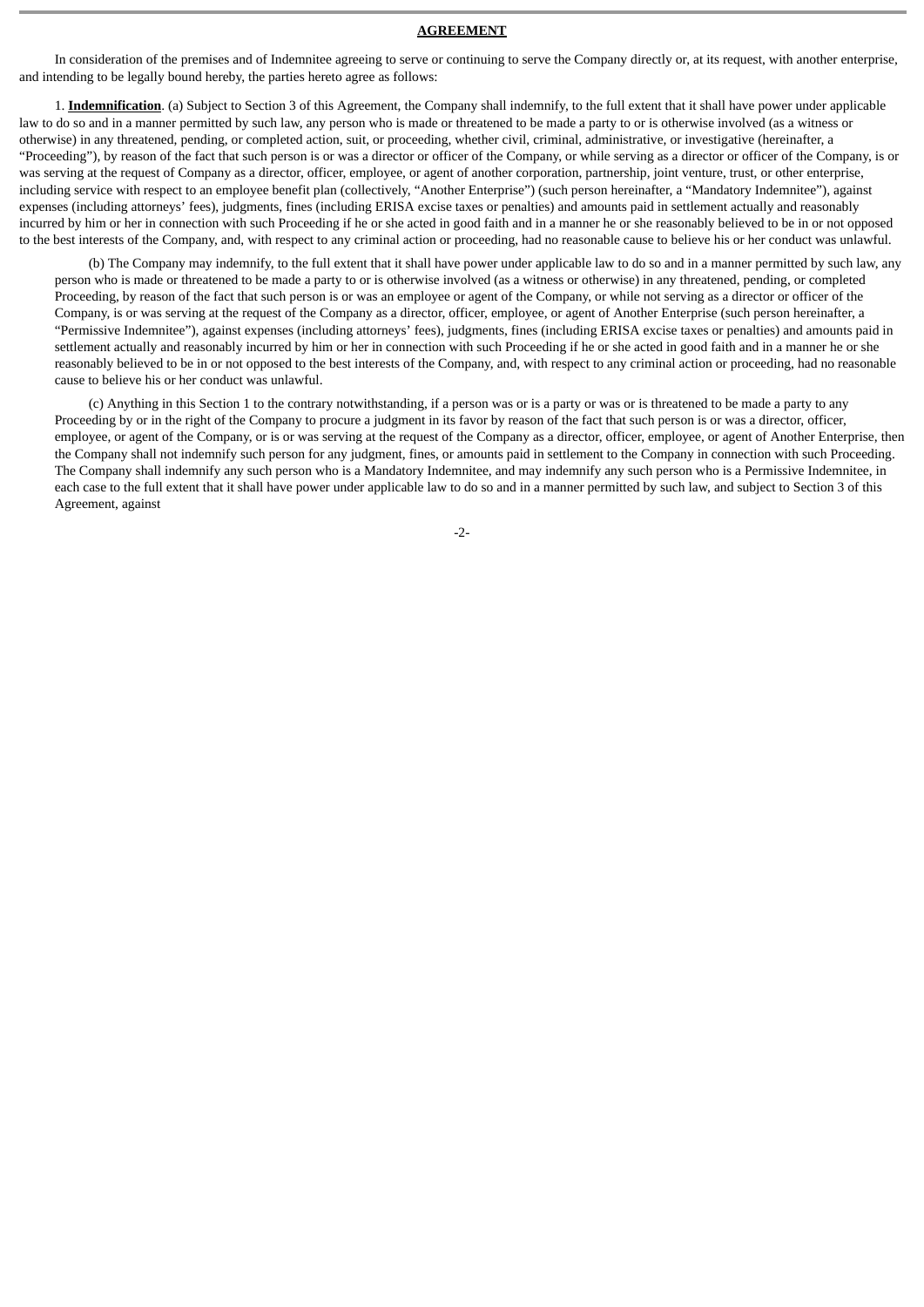## **AGREEMENT**

In consideration of the premises and of Indemnitee agreeing to serve or continuing to serve the Company directly or, at its request, with another enterprise, and intending to be legally bound hereby, the parties hereto agree as follows:

1. **Indemnification**. (a) Subject to Section 3 of this Agreement, the Company shall indemnify, to the full extent that it shall have power under applicable law to do so and in a manner permitted by such law, any person who is made or threatened to be made a party to or is otherwise involved (as a witness or otherwise) in any threatened, pending, or completed action, suit, or proceeding, whether civil, criminal, administrative, or investigative (hereinafter, a "Proceeding"), by reason of the fact that such person is or was a director or officer of the Company, or while serving as a director or officer of the Company, is or was serving at the request of Company as a director, officer, employee, or agent of another corporation, partnership, joint venture, trust, or other enterprise, including service with respect to an employee benefit plan (collectively, "Another Enterprise") (such person hereinafter, a "Mandatory Indemnitee"), against expenses (including attorneys' fees), judgments, fines (including ERISA excise taxes or penalties) and amounts paid in settlement actually and reasonably incurred by him or her in connection with such Proceeding if he or she acted in good faith and in a manner he or she reasonably believed to be in or not opposed to the best interests of the Company, and, with respect to any criminal action or proceeding, had no reasonable cause to believe his or her conduct was unlawful.

(b) The Company may indemnify, to the full extent that it shall have power under applicable law to do so and in a manner permitted by such law, any person who is made or threatened to be made a party to or is otherwise involved (as a witness or otherwise) in any threatened, pending, or completed Proceeding, by reason of the fact that such person is or was an employee or agent of the Company, or while not serving as a director or officer of the Company, is or was serving at the request of the Company as a director, officer, employee, or agent of Another Enterprise (such person hereinafter, a "Permissive Indemnitee"), against expenses (including attorneys' fees), judgments, fines (including ERISA excise taxes or penalties) and amounts paid in settlement actually and reasonably incurred by him or her in connection with such Proceeding if he or she acted in good faith and in a manner he or she reasonably believed to be in or not opposed to the best interests of the Company, and, with respect to any criminal action or proceeding, had no reasonable cause to believe his or her conduct was unlawful.

(c) Anything in this Section 1 to the contrary notwithstanding, if a person was or is a party or was or is threatened to be made a party to any Proceeding by or in the right of the Company to procure a judgment in its favor by reason of the fact that such person is or was a director, officer, employee, or agent of the Company, or is or was serving at the request of the Company as a director, officer, employee, or agent of Another Enterprise, then the Company shall not indemnify such person for any judgment, fines, or amounts paid in settlement to the Company in connection with such Proceeding. The Company shall indemnify any such person who is a Mandatory Indemnitee, and may indemnify any such person who is a Permissive Indemnitee, in each case to the full extent that it shall have power under applicable law to do so and in a manner permitted by such law, and subject to Section 3 of this Agreement, against

-2-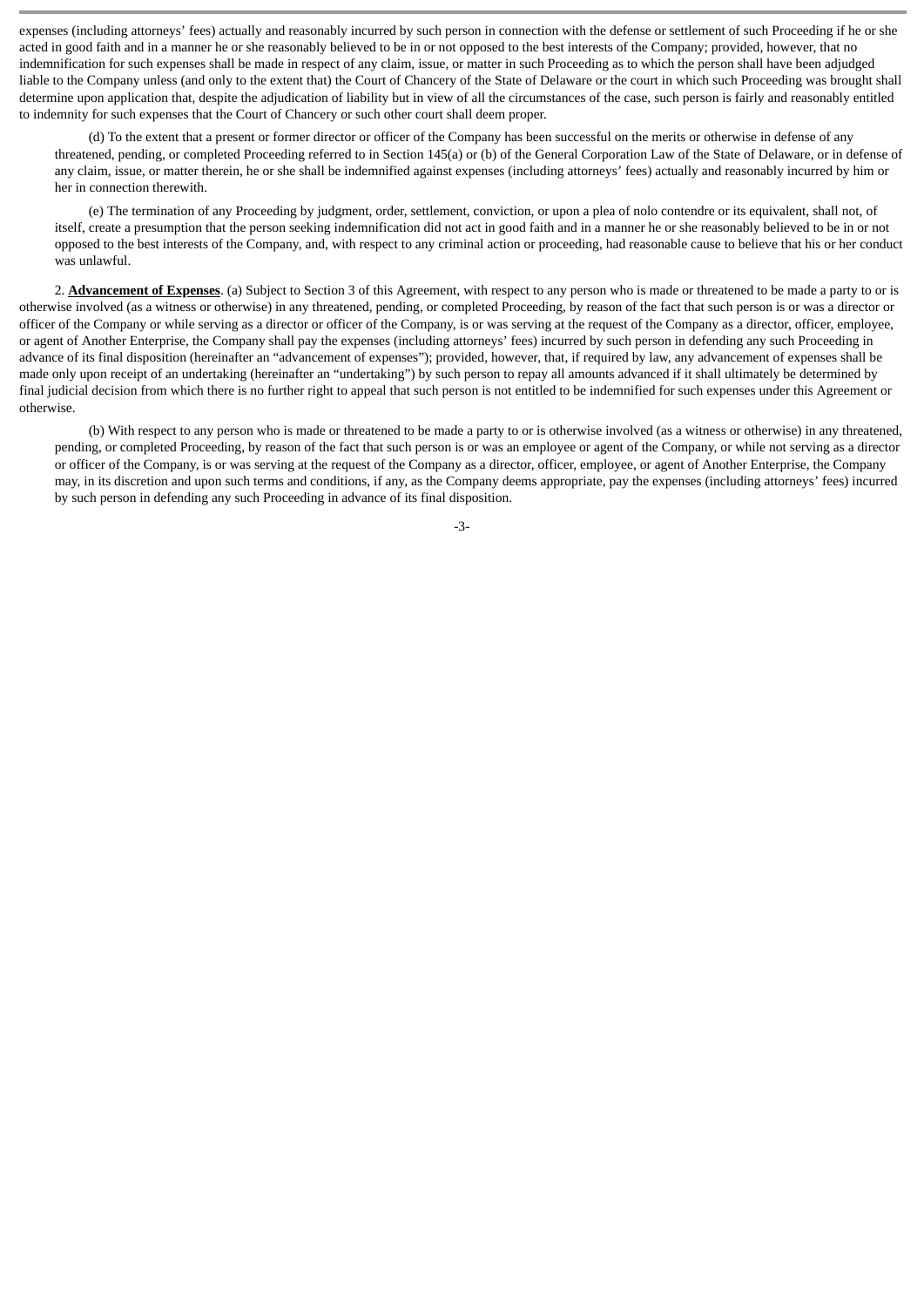expenses (including attorneys' fees) actually and reasonably incurred by such person in connection with the defense or settlement of such Proceeding if he or she acted in good faith and in a manner he or she reasonably believed to be in or not opposed to the best interests of the Company; provided, however, that no indemnification for such expenses shall be made in respect of any claim, issue, or matter in such Proceeding as to which the person shall have been adjudged liable to the Company unless (and only to the extent that) the Court of Chancery of the State of Delaware or the court in which such Proceeding was brought shall determine upon application that, despite the adjudication of liability but in view of all the circumstances of the case, such person is fairly and reasonably entitled to indemnity for such expenses that the Court of Chancery or such other court shall deem proper.

(d) To the extent that a present or former director or officer of the Company has been successful on the merits or otherwise in defense of any threatened, pending, or completed Proceeding referred to in Section 145(a) or (b) of the General Corporation Law of the State of Delaware, or in defense of any claim, issue, or matter therein, he or she shall be indemnified against expenses (including attorneys' fees) actually and reasonably incurred by him or her in connection therewith.

(e) The termination of any Proceeding by judgment, order, settlement, conviction, or upon a plea of nolo contendre or its equivalent, shall not, of itself, create a presumption that the person seeking indemnification did not act in good faith and in a manner he or she reasonably believed to be in or not opposed to the best interests of the Company, and, with respect to any criminal action or proceeding, had reasonable cause to believe that his or her conduct was unlawful.

2. **Advancement of Expenses**. (a) Subject to Section 3 of this Agreement, with respect to any person who is made or threatened to be made a party to or is otherwise involved (as a witness or otherwise) in any threatened, pending, or completed Proceeding, by reason of the fact that such person is or was a director or officer of the Company or while serving as a director or officer of the Company, is or was serving at the request of the Company as a director, officer, employee, or agent of Another Enterprise, the Company shall pay the expenses (including attorneys' fees) incurred by such person in defending any such Proceeding in advance of its final disposition (hereinafter an "advancement of expenses"); provided, however, that, if required by law, any advancement of expenses shall be made only upon receipt of an undertaking (hereinafter an "undertaking") by such person to repay all amounts advanced if it shall ultimately be determined by final judicial decision from which there is no further right to appeal that such person is not entitled to be indemnified for such expenses under this Agreement or otherwise.

(b) With respect to any person who is made or threatened to be made a party to or is otherwise involved (as a witness or otherwise) in any threatened, pending, or completed Proceeding, by reason of the fact that such person is or was an employee or agent of the Company, or while not serving as a director or officer of the Company, is or was serving at the request of the Company as a director, officer, employee, or agent of Another Enterprise, the Company may, in its discretion and upon such terms and conditions, if any, as the Company deems appropriate, pay the expenses (including attorneys' fees) incurred by such person in defending any such Proceeding in advance of its final disposition.

-3-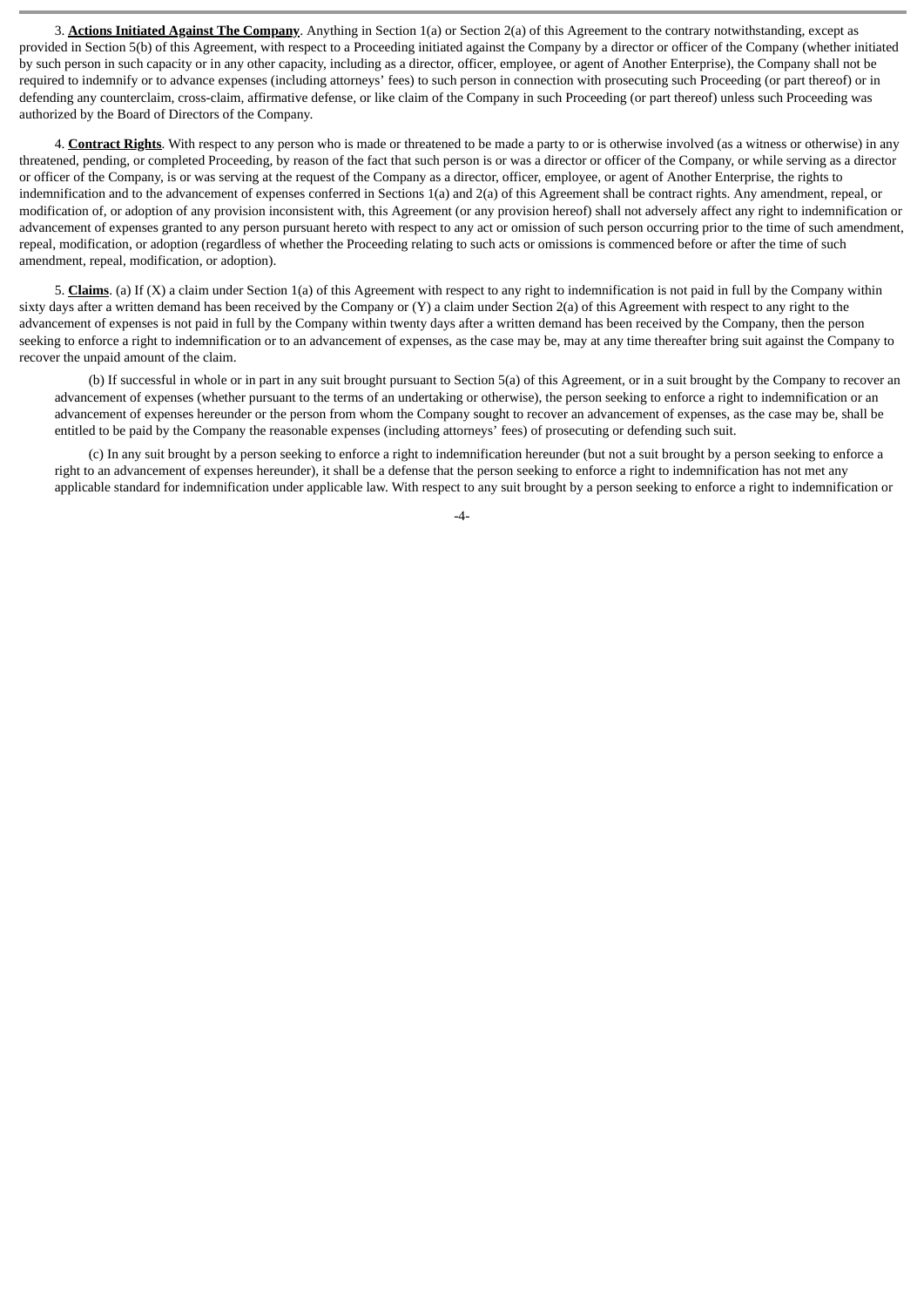3. **Actions Initiated Against The Company**. Anything in Section 1(a) or Section 2(a) of this Agreement to the contrary notwithstanding, except as provided in Section 5(b) of this Agreement, with respect to a Proceeding initiated against the Company by a director or officer of the Company (whether initiated by such person in such capacity or in any other capacity, including as a director, officer, employee, or agent of Another Enterprise), the Company shall not be required to indemnify or to advance expenses (including attorneys' fees) to such person in connection with prosecuting such Proceeding (or part thereof) or in defending any counterclaim, cross-claim, affirmative defense, or like claim of the Company in such Proceeding (or part thereof) unless such Proceeding was authorized by the Board of Directors of the Company.

4. **Contract Rights**. With respect to any person who is made or threatened to be made a party to or is otherwise involved (as a witness or otherwise) in any threatened, pending, or completed Proceeding, by reason of the fact that such person is or was a director or officer of the Company, or while serving as a director or officer of the Company, is or was serving at the request of the Company as a director, officer, employee, or agent of Another Enterprise, the rights to indemnification and to the advancement of expenses conferred in Sections 1(a) and 2(a) of this Agreement shall be contract rights. Any amendment, repeal, or modification of, or adoption of any provision inconsistent with, this Agreement (or any provision hereof) shall not adversely affect any right to indemnification or advancement of expenses granted to any person pursuant hereto with respect to any act or omission of such person occurring prior to the time of such amendment, repeal, modification, or adoption (regardless of whether the Proceeding relating to such acts or omissions is commenced before or after the time of such amendment, repeal, modification, or adoption).

5. **Claims**. (a) If (X) a claim under Section 1(a) of this Agreement with respect to any right to indemnification is not paid in full by the Company within sixty days after a written demand has been received by the Company or (Y) a claim under Section 2(a) of this Agreement with respect to any right to the advancement of expenses is not paid in full by the Company within twenty days after a written demand has been received by the Company, then the person seeking to enforce a right to indemnification or to an advancement of expenses, as the case may be, may at any time thereafter bring suit against the Company to recover the unpaid amount of the claim.

(b) If successful in whole or in part in any suit brought pursuant to Section 5(a) of this Agreement, or in a suit brought by the Company to recover an advancement of expenses (whether pursuant to the terms of an undertaking or otherwise), the person seeking to enforce a right to indemnification or an advancement of expenses hereunder or the person from whom the Company sought to recover an advancement of expenses, as the case may be, shall be entitled to be paid by the Company the reasonable expenses (including attorneys' fees) of prosecuting or defending such suit.

(c) In any suit brought by a person seeking to enforce a right to indemnification hereunder (but not a suit brought by a person seeking to enforce a right to an advancement of expenses hereunder), it shall be a defense that the person seeking to enforce a right to indemnification has not met any applicable standard for indemnification under applicable law. With respect to any suit brought by a person seeking to enforce a right to indemnification or

-4-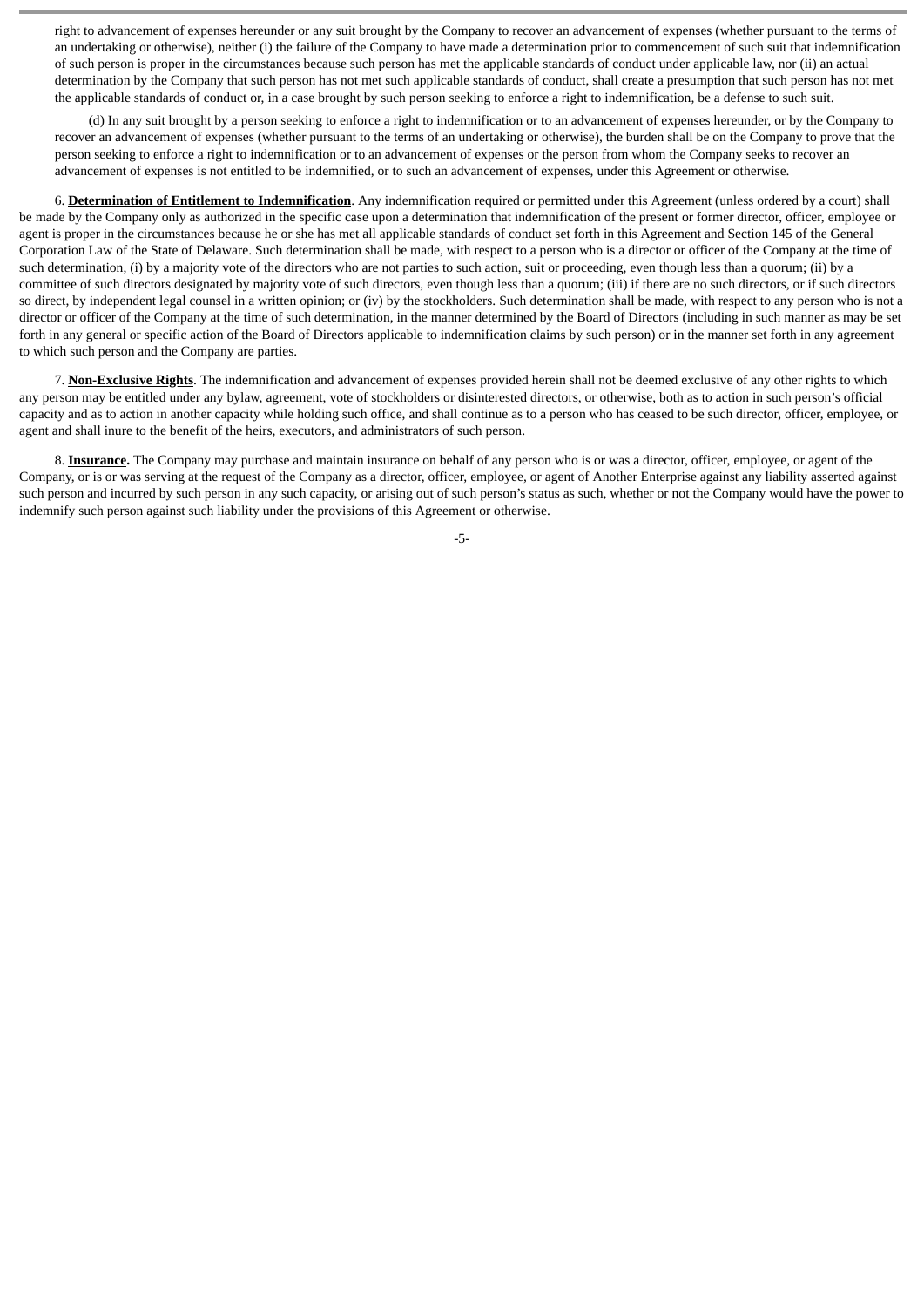right to advancement of expenses hereunder or any suit brought by the Company to recover an advancement of expenses (whether pursuant to the terms of an undertaking or otherwise), neither (i) the failure of the Company to have made a determination prior to commencement of such suit that indemnification of such person is proper in the circumstances because such person has met the applicable standards of conduct under applicable law, nor (ii) an actual determination by the Company that such person has not met such applicable standards of conduct, shall create a presumption that such person has not met the applicable standards of conduct or, in a case brought by such person seeking to enforce a right to indemnification, be a defense to such suit.

(d) In any suit brought by a person seeking to enforce a right to indemnification or to an advancement of expenses hereunder, or by the Company to recover an advancement of expenses (whether pursuant to the terms of an undertaking or otherwise), the burden shall be on the Company to prove that the person seeking to enforce a right to indemnification or to an advancement of expenses or the person from whom the Company seeks to recover an advancement of expenses is not entitled to be indemnified, or to such an advancement of expenses, under this Agreement or otherwise.

6. **Determination of Entitlement to Indemnification**. Any indemnification required or permitted under this Agreement (unless ordered by a court) shall be made by the Company only as authorized in the specific case upon a determination that indemnification of the present or former director, officer, employee or agent is proper in the circumstances because he or she has met all applicable standards of conduct set forth in this Agreement and Section 145 of the General Corporation Law of the State of Delaware. Such determination shall be made, with respect to a person who is a director or officer of the Company at the time of such determination, (i) by a majority vote of the directors who are not parties to such action, suit or proceeding, even though less than a quorum; (ii) by a committee of such directors designated by majority vote of such directors, even though less than a quorum; (iii) if there are no such directors, or if such directors so direct, by independent legal counsel in a written opinion; or (iv) by the stockholders. Such determination shall be made, with respect to any person who is not a director or officer of the Company at the time of such determination, in the manner determined by the Board of Directors (including in such manner as may be set forth in any general or specific action of the Board of Directors applicable to indemnification claims by such person) or in the manner set forth in any agreement to which such person and the Company are parties.

7. **Non-Exclusive Rights**. The indemnification and advancement of expenses provided herein shall not be deemed exclusive of any other rights to which any person may be entitled under any bylaw, agreement, vote of stockholders or disinterested directors, or otherwise, both as to action in such person's official capacity and as to action in another capacity while holding such office, and shall continue as to a person who has ceased to be such director, officer, employee, or agent and shall inure to the benefit of the heirs, executors, and administrators of such person.

8. **Insurance.** The Company may purchase and maintain insurance on behalf of any person who is or was a director, officer, employee, or agent of the Company, or is or was serving at the request of the Company as a director, officer, employee, or agent of Another Enterprise against any liability asserted against such person and incurred by such person in any such capacity, or arising out of such person's status as such, whether or not the Company would have the power to indemnify such person against such liability under the provisions of this Agreement or otherwise.

-5-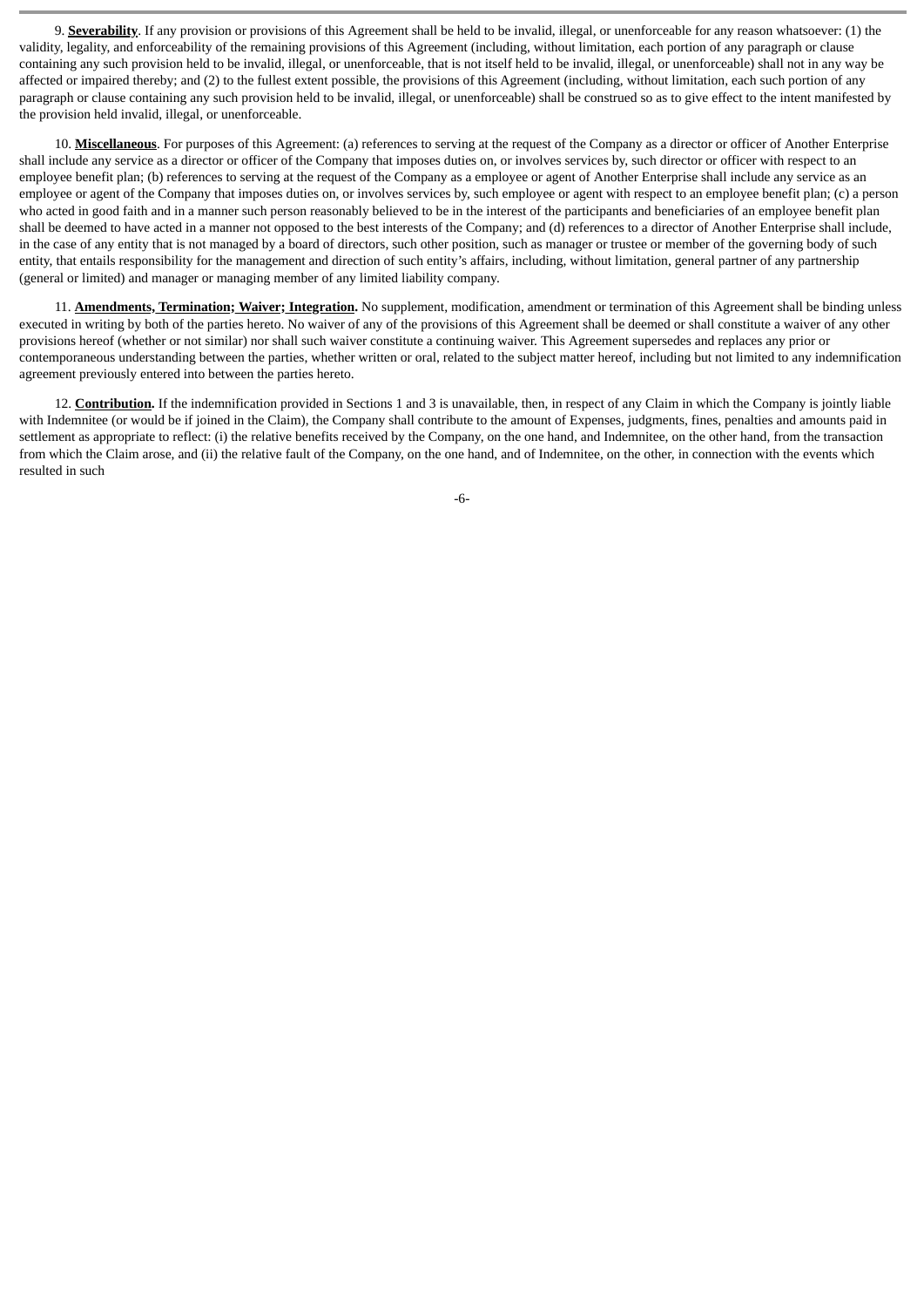9. **Severability**. If any provision or provisions of this Agreement shall be held to be invalid, illegal, or unenforceable for any reason whatsoever: (1) the validity, legality, and enforceability of the remaining provisions of this Agreement (including, without limitation, each portion of any paragraph or clause containing any such provision held to be invalid, illegal, or unenforceable, that is not itself held to be invalid, illegal, or unenforceable) shall not in any way be affected or impaired thereby; and (2) to the fullest extent possible, the provisions of this Agreement (including, without limitation, each such portion of any paragraph or clause containing any such provision held to be invalid, illegal, or unenforceable) shall be construed so as to give effect to the intent manifested by the provision held invalid, illegal, or unenforceable.

10. **Miscellaneous**. For purposes of this Agreement: (a) references to serving at the request of the Company as a director or officer of Another Enterprise shall include any service as a director or officer of the Company that imposes duties on, or involves services by, such director or officer with respect to an employee benefit plan; (b) references to serving at the request of the Company as a employee or agent of Another Enterprise shall include any service as an employee or agent of the Company that imposes duties on, or involves services by, such employee or agent with respect to an employee benefit plan; (c) a person who acted in good faith and in a manner such person reasonably believed to be in the interest of the participants and beneficiaries of an employee benefit plan shall be deemed to have acted in a manner not opposed to the best interests of the Company; and (d) references to a director of Another Enterprise shall include, in the case of any entity that is not managed by a board of directors, such other position, such as manager or trustee or member of the governing body of such entity, that entails responsibility for the management and direction of such entity's affairs, including, without limitation, general partner of any partnership (general or limited) and manager or managing member of any limited liability company.

11. **Amendments, Termination; Waiver; Integration.** No supplement, modification, amendment or termination of this Agreement shall be binding unless executed in writing by both of the parties hereto. No waiver of any of the provisions of this Agreement shall be deemed or shall constitute a waiver of any other provisions hereof (whether or not similar) nor shall such waiver constitute a continuing waiver. This Agreement supersedes and replaces any prior or contemporaneous understanding between the parties, whether written or oral, related to the subject matter hereof, including but not limited to any indemnification agreement previously entered into between the parties hereto.

12. **Contribution.** If the indemnification provided in Sections 1 and 3 is unavailable, then, in respect of any Claim in which the Company is jointly liable with Indemnitee (or would be if joined in the Claim), the Company shall contribute to the amount of Expenses, judgments, fines, penalties and amounts paid in settlement as appropriate to reflect: (i) the relative benefits received by the Company, on the one hand, and Indemnitee, on the other hand, from the transaction from which the Claim arose, and (ii) the relative fault of the Company, on the one hand, and of Indemnitee, on the other, in connection with the events which resulted in such

-6-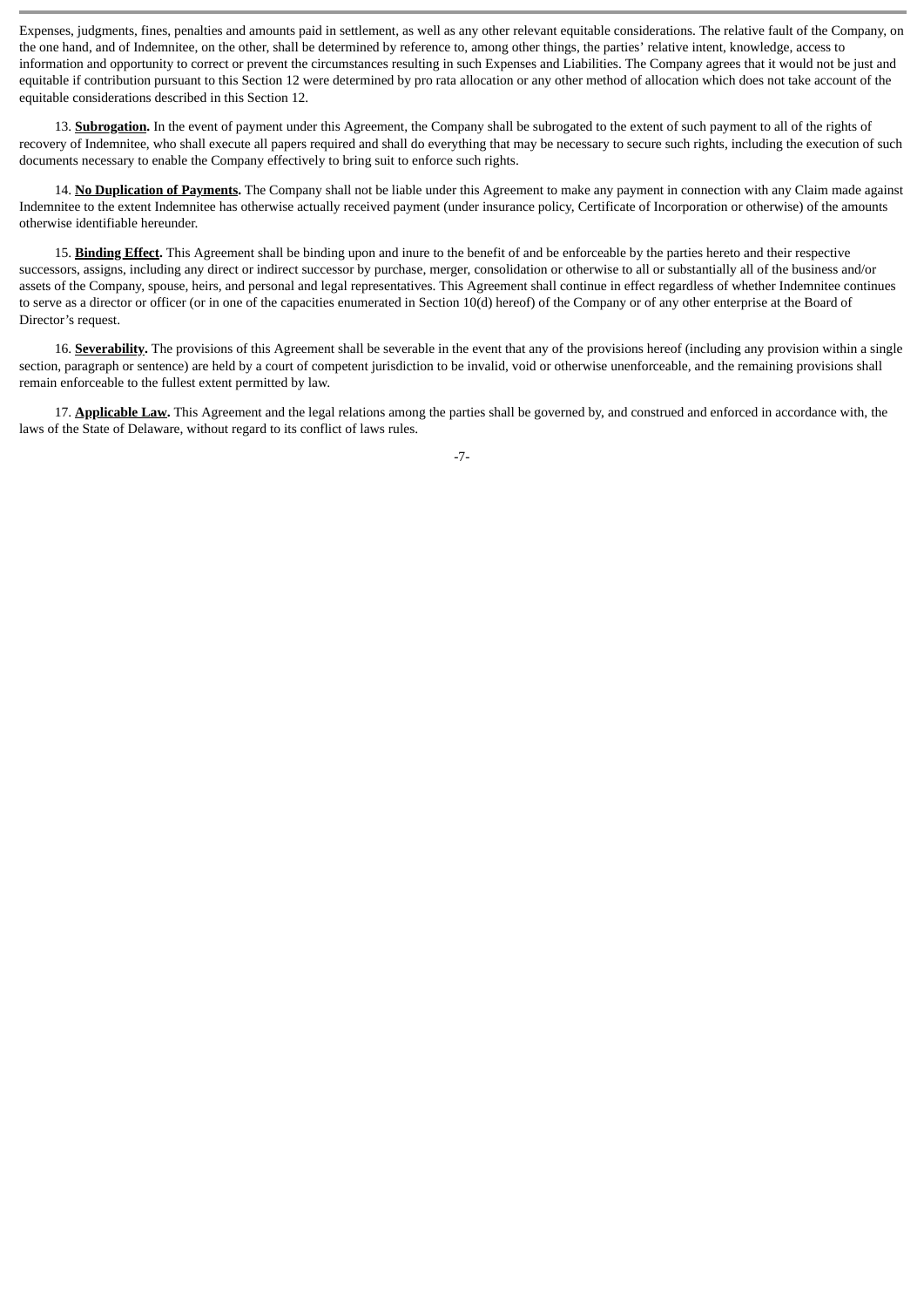Expenses, judgments, fines, penalties and amounts paid in settlement, as well as any other relevant equitable considerations. The relative fault of the Company, on the one hand, and of Indemnitee, on the other, shall be determined by reference to, among other things, the parties' relative intent, knowledge, access to information and opportunity to correct or prevent the circumstances resulting in such Expenses and Liabilities. The Company agrees that it would not be just and equitable if contribution pursuant to this Section 12 were determined by pro rata allocation or any other method of allocation which does not take account of the equitable considerations described in this Section 12.

13. **Subrogation.** In the event of payment under this Agreement, the Company shall be subrogated to the extent of such payment to all of the rights of recovery of Indemnitee, who shall execute all papers required and shall do everything that may be necessary to secure such rights, including the execution of such documents necessary to enable the Company effectively to bring suit to enforce such rights.

14. **No Duplication of Payments.** The Company shall not be liable under this Agreement to make any payment in connection with any Claim made against Indemnitee to the extent Indemnitee has otherwise actually received payment (under insurance policy, Certificate of Incorporation or otherwise) of the amounts otherwise identifiable hereunder.

15. **Binding Effect.** This Agreement shall be binding upon and inure to the benefit of and be enforceable by the parties hereto and their respective successors, assigns, including any direct or indirect successor by purchase, merger, consolidation or otherwise to all or substantially all of the business and/or assets of the Company, spouse, heirs, and personal and legal representatives. This Agreement shall continue in effect regardless of whether Indemnitee continues to serve as a director or officer (or in one of the capacities enumerated in Section 10(d) hereof) of the Company or of any other enterprise at the Board of Director's request.

16. **Severability.** The provisions of this Agreement shall be severable in the event that any of the provisions hereof (including any provision within a single section, paragraph or sentence) are held by a court of competent jurisdiction to be invalid, void or otherwise unenforceable, and the remaining provisions shall remain enforceable to the fullest extent permitted by law.

17. **Applicable Law.** This Agreement and the legal relations among the parties shall be governed by, and construed and enforced in accordance with, the laws of the State of Delaware, without regard to its conflict of laws rules.

-7-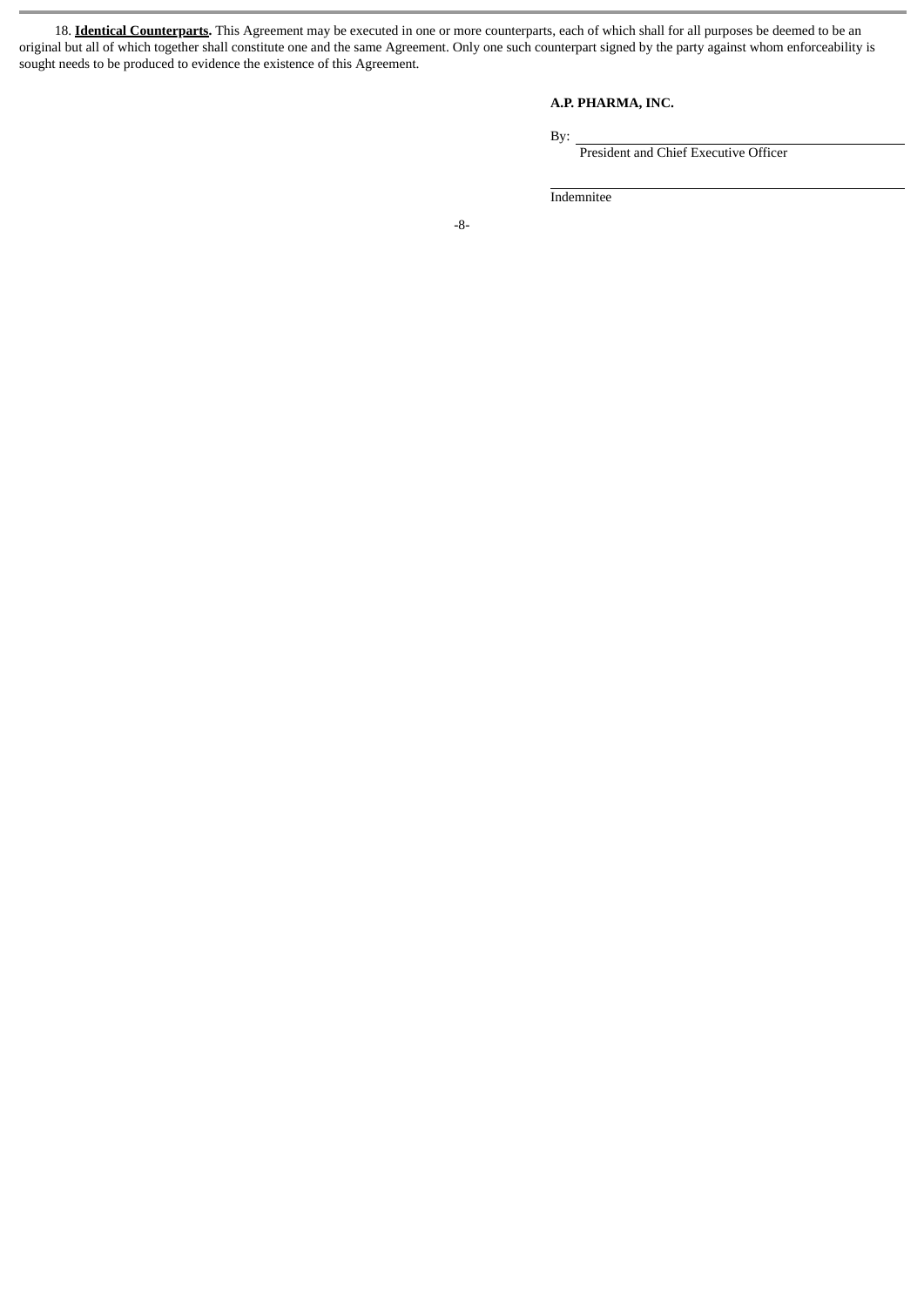18. **Identical Counterparts.** This Agreement may be executed in one or more counterparts, each of which shall for all purposes be deemed to be an original but all of which together shall constitute one and the same Agreement. Only one such counterpart signed by the party against whom enforceability is sought needs to be produced to evidence the existence of this Agreement.

# **A.P. PHARMA, INC.**

By:

President and Chief Executive Officer

Indemnitee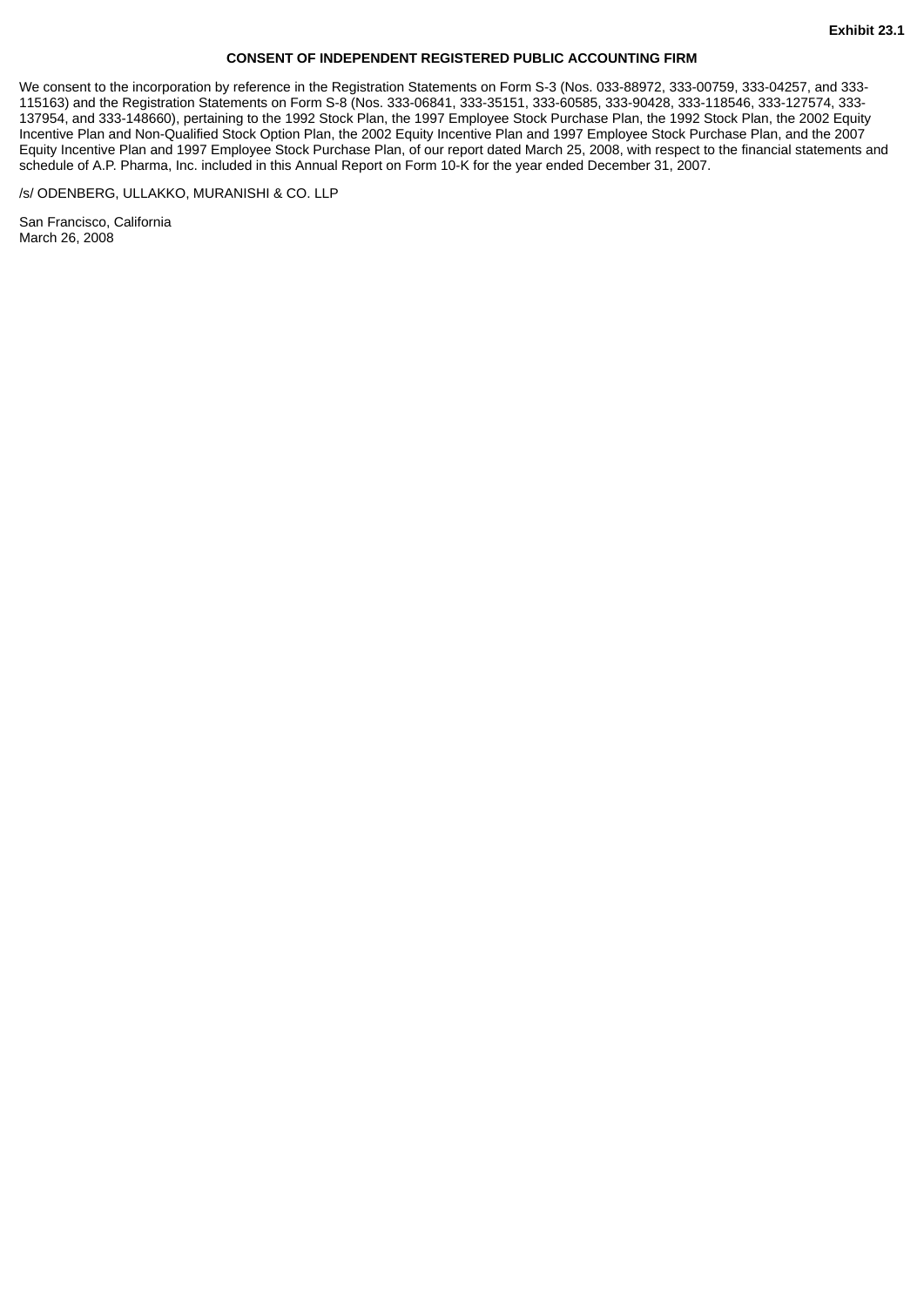## **CONSENT OF INDEPENDENT REGISTERED PUBLIC ACCOUNTING FIRM**

We consent to the incorporation by reference in the Registration Statements on Form S-3 (Nos. 033-88972, 333-00759, 333-04257, and 333- 115163) and the Registration Statements on Form S-8 (Nos. 333-06841, 333-35151, 333-60585, 333-90428, 333-118546, 333-127574, 333- 137954, and 333-148660), pertaining to the 1992 Stock Plan, the 1997 Employee Stock Purchase Plan, the 1992 Stock Plan, the 2002 Equity Incentive Plan and Non-Qualified Stock Option Plan, the 2002 Equity Incentive Plan and 1997 Employee Stock Purchase Plan, and the 2007 Equity Incentive Plan and 1997 Employee Stock Purchase Plan, of our report dated March 25, 2008, with respect to the financial statements and schedule of A.P. Pharma, Inc. included in this Annual Report on Form 10-K for the year ended December 31, 2007.

/s/ ODENBERG, ULLAKKO, MURANISHI & CO. LLP

San Francisco, California March 26, 2008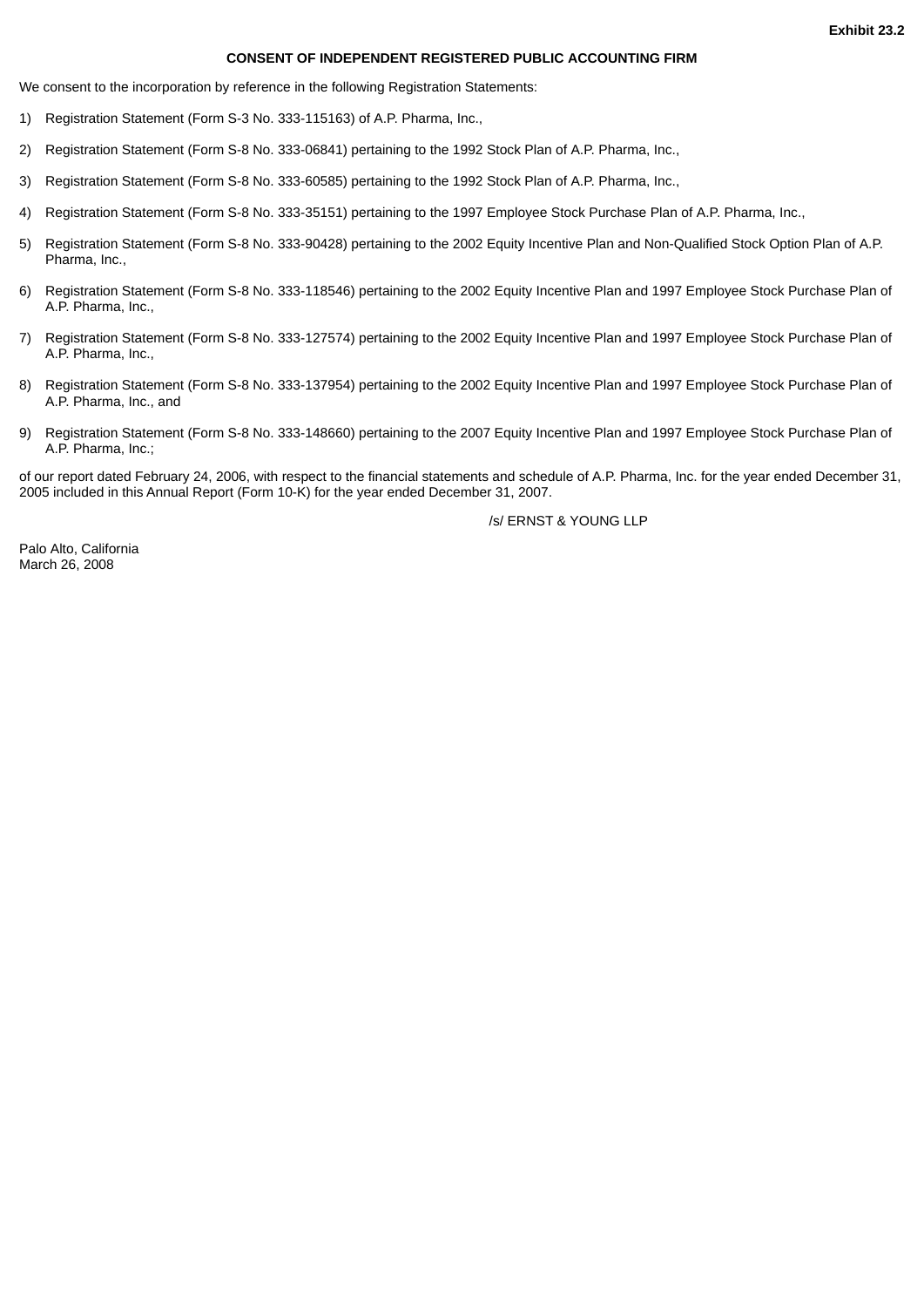#### **CONSENT OF INDEPENDENT REGISTERED PUBLIC ACCOUNTING FIRM**

We consent to the incorporation by reference in the following Registration Statements:

- 1) Registration Statement (Form S-3 No. 333-115163) of A.P. Pharma, Inc.,
- 2) Registration Statement (Form S-8 No. 333-06841) pertaining to the 1992 Stock Plan of A.P. Pharma, Inc.,
- 3) Registration Statement (Form S-8 No. 333-60585) pertaining to the 1992 Stock Plan of A.P. Pharma, Inc.,
- 4) Registration Statement (Form S-8 No. 333-35151) pertaining to the 1997 Employee Stock Purchase Plan of A.P. Pharma, Inc.,
- 5) Registration Statement (Form S-8 No. 333-90428) pertaining to the 2002 Equity Incentive Plan and Non-Qualified Stock Option Plan of A.P. Pharma, Inc.,
- 6) Registration Statement (Form S-8 No. 333-118546) pertaining to the 2002 Equity Incentive Plan and 1997 Employee Stock Purchase Plan of A.P. Pharma, Inc.,
- 7) Registration Statement (Form S-8 No. 333-127574) pertaining to the 2002 Equity Incentive Plan and 1997 Employee Stock Purchase Plan of A.P. Pharma, Inc.,
- 8) Registration Statement (Form S-8 No. 333-137954) pertaining to the 2002 Equity Incentive Plan and 1997 Employee Stock Purchase Plan of A.P. Pharma, Inc., and
- 9) Registration Statement (Form S-8 No. 333-148660) pertaining to the 2007 Equity Incentive Plan and 1997 Employee Stock Purchase Plan of A.P. Pharma, Inc.;

of our report dated February 24, 2006, with respect to the financial statements and schedule of A.P. Pharma, Inc. for the year ended December 31, 2005 included in this Annual Report (Form 10-K) for the year ended December 31, 2007.

/s/ ERNST & YOUNG LLP

Palo Alto, California March 26, 2008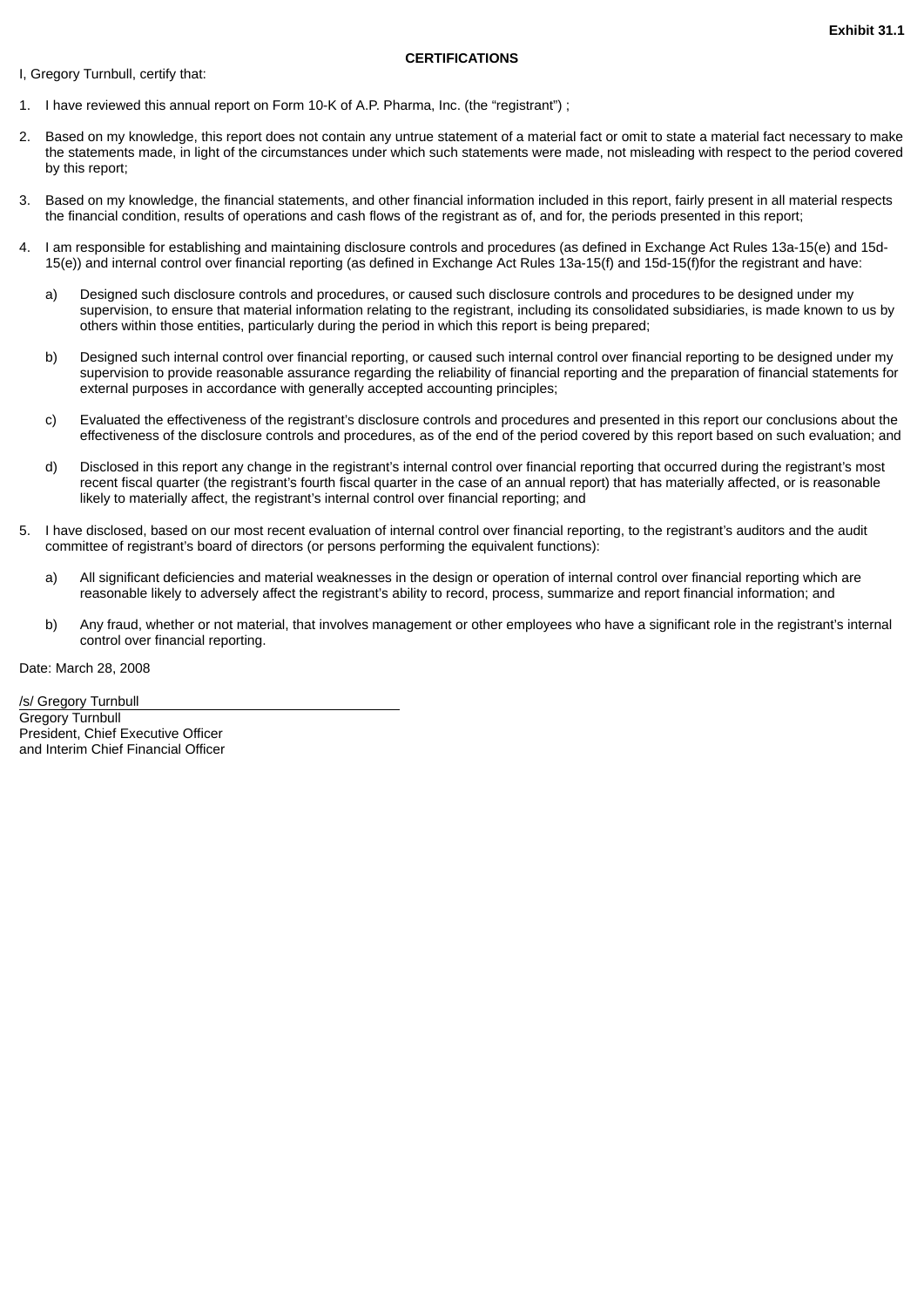#### **CERTIFICATIONS**

I, Gregory Turnbull, certify that:

- 1. I have reviewed this annual report on Form 10-K of A.P. Pharma, Inc. (the "registrant") ;
- 2. Based on my knowledge, this report does not contain any untrue statement of a material fact or omit to state a material fact necessary to make the statements made, in light of the circumstances under which such statements were made, not misleading with respect to the period covered by this report;
- 3. Based on my knowledge, the financial statements, and other financial information included in this report, fairly present in all material respects the financial condition, results of operations and cash flows of the registrant as of, and for, the periods presented in this report;
- 4. I am responsible for establishing and maintaining disclosure controls and procedures (as defined in Exchange Act Rules 13a-15(e) and 15d-15(e)) and internal control over financial reporting (as defined in Exchange Act Rules 13a-15(f) and 15d-15(f)for the registrant and have:
	- a) Designed such disclosure controls and procedures, or caused such disclosure controls and procedures to be designed under my supervision, to ensure that material information relating to the registrant, including its consolidated subsidiaries, is made known to us by others within those entities, particularly during the period in which this report is being prepared;
	- b) Designed such internal control over financial reporting, or caused such internal control over financial reporting to be designed under my supervision to provide reasonable assurance regarding the reliability of financial reporting and the preparation of financial statements for external purposes in accordance with generally accepted accounting principles;
	- c) Evaluated the effectiveness of the registrant's disclosure controls and procedures and presented in this report our conclusions about the effectiveness of the disclosure controls and procedures, as of the end of the period covered by this report based on such evaluation; and
	- d) Disclosed in this report any change in the registrant's internal control over financial reporting that occurred during the registrant's most recent fiscal quarter (the registrant's fourth fiscal quarter in the case of an annual report) that has materially affected, or is reasonable likely to materially affect, the registrant's internal control over financial reporting; and
- 5. I have disclosed, based on our most recent evaluation of internal control over financial reporting, to the registrant's auditors and the audit committee of registrant's board of directors (or persons performing the equivalent functions):
	- a) All significant deficiencies and material weaknesses in the design or operation of internal control over financial reporting which are reasonable likely to adversely affect the registrant's ability to record, process, summarize and report financial information; and
	- b) Any fraud, whether or not material, that involves management or other employees who have a significant role in the registrant's internal control over financial reporting.

Date: March 28, 2008

/s/ Gregory Turnbull Gregory Turnbull President, Chief Executive Officer and Interim Chief Financial Officer